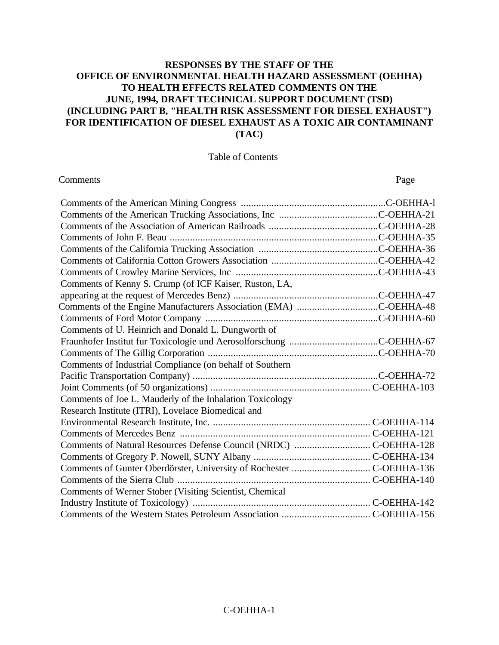## **RESPONSES BY THE STAFF OF THE OFFICE OF ENVIRONMENTAL HEALTH HAZARD ASSESSMENT (OEHHA) TO HEALTH EFFECTS RELATED COMMENTS ON THE JUNE, 1994, DRAFT TECHNICAL SUPPORT DOCUMENT (TSD) (INCLUDING PART B, "HEALTH RISK ASSESSMENT FOR DIESEL EXHAUST") FOR IDENTIFICATION OF DIESEL EXHAUST AS A TOXIC AIR CONTAMINANT (TAC)**

#### Table of Contents

#### **Comments** Page

| Comments of Kenny S. Crump (of ICF Kaiser, Ruston, LA,            |  |
|-------------------------------------------------------------------|--|
|                                                                   |  |
| Comments of the Engine Manufacturers Association (EMA) C-OEHHA-48 |  |
|                                                                   |  |
| Comments of U. Heinrich and Donald L. Dungworth of                |  |
|                                                                   |  |
|                                                                   |  |
| Comments of Industrial Compliance (on behalf of Southern          |  |
|                                                                   |  |
|                                                                   |  |
| Comments of Joe L. Mauderly of the Inhalation Toxicology          |  |
| Research Institute (ITRI), Lovelace Biomedical and                |  |
|                                                                   |  |
|                                                                   |  |
|                                                                   |  |
|                                                                   |  |
|                                                                   |  |
|                                                                   |  |
| Comments of Werner Stober (Visiting Scientist, Chemical           |  |
|                                                                   |  |
|                                                                   |  |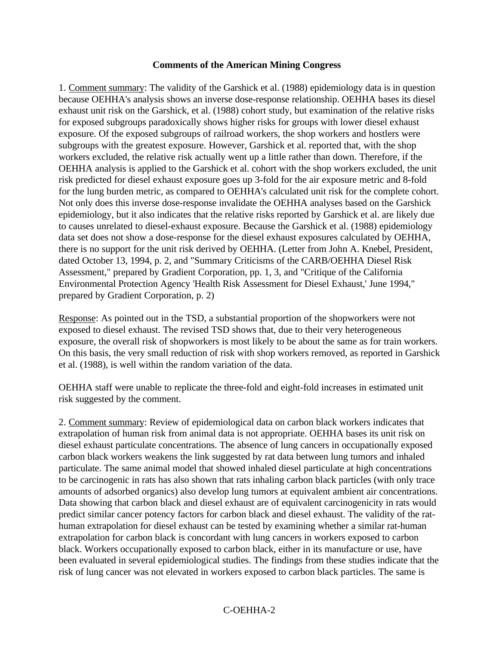#### **Comments of the American Mining Congress**

1. Comment summary: The validity of the Garshick et al. (1988) epidemiology data is in question because OEHHA's analysis shows an inverse dose-response relationship. OEHHA bases its diesel exhaust unit risk on the Garshick, et al. (1988) cohort study, but examination of the relative risks for exposed subgroups paradoxically shows higher risks for groups with lower diesel exhaust exposure. Of the exposed subgroups of railroad workers, the shop workers and hostlers were subgroups with the greatest exposure. However, Garshick et al. reported that, with the shop workers excluded, the relative risk actually went up a little rather than down. Therefore, if the OEHHA analysis is applied to the Garshick et al. cohort with the shop workers excluded, the unit risk predicted for diesel exhaust exposure goes up 3-fold for the air exposure metric and 8-fold for the lung burden metric, as compared to OEHHA's calculated unit risk for the complete cohort. Not only does this inverse dose-response invalidate the OEHHA analyses based on the Garshick epidemiology, but it also indicates that the relative risks reported by Garshick et al. are likely due to causes unrelated to diesel-exhaust exposure. Because the Garshick et al. (1988) epidemiology data set does not show a dose-response for the diesel exhaust exposures calculated by OEHHA, there is no support for the unit risk derived by OEHHA. (Letter from John A. Knebel, President, dated October 13, 1994, p. 2, and "Summary Criticisms of the CARB/OEHHA Diesel Risk Assessment," prepared by Gradient Corporation, pp. 1, 3, and "Critique of the California Environmental Protection Agency 'Health Risk Assessment for Diesel Exhaust,' June 1994," prepared by Gradient Corporation, p. 2)

Response: As pointed out in the TSD, a substantial proportion of the shopworkers were not exposed to diesel exhaust. The revised TSD shows that, due to their very heterogeneous exposure, the overall risk of shopworkers is most likely to be about the same as for train workers. On this basis, the very small reduction of risk with shop workers removed, as reported in Garshick et al. (1988), is well within the random variation of the data.

OEHHA staff were unable to replicate the three-fold and eight-fold increases in estimated unit risk suggested by the comment.

2. Comment summary: Review of epidemiological data on carbon black workers indicates that extrapolation of human risk from animal data is not appropriate. OEHHA bases its unit risk on diesel exhaust particulate concentrations. The absence of lung cancers in occupationally exposed carbon black workers weakens the link suggested by rat data between lung tumors and inhaled particulate. The same animal model that showed inhaled diesel particulate at high concentrations to be carcinogenic in rats has also shown that rats inhaling carbon black particles (with only trace amounts of adsorbed organics) also develop lung tumors at equivalent ambient air concentrations. Data showing that carbon black and diesel exhaust are of equivalent carcinogenicity in rats would predict similar cancer potency factors for carbon black and diesel exhaust. The validity of the rathuman extrapolation for diesel exhaust can be tested by examining whether a similar rat-human extrapolation for carbon black is concordant with lung cancers in workers exposed to carbon black. Workers occupationally exposed to carbon black, either in its manufacture or use, have been evaluated in several epidemiological studies. The findings from these studies indicate that the risk of lung cancer was not elevated in workers exposed to carbon black particles. The same is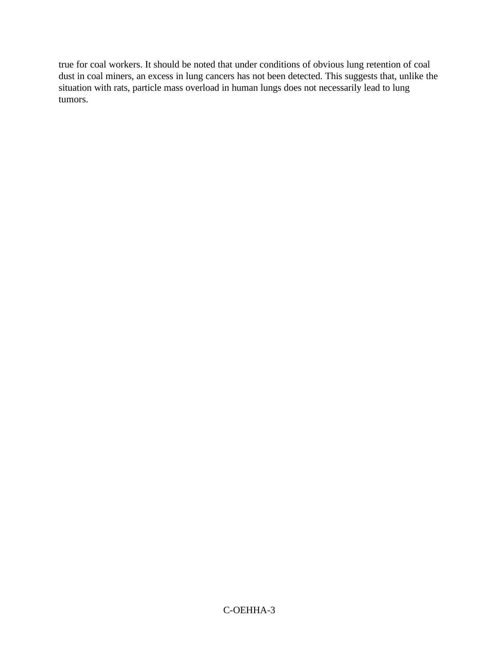true for coal workers. It should be noted that under conditions of obvious lung retention of coal dust in coal miners, an excess in lung cancers has not been detected. This suggests that, unlike the situation with rats, particle mass overload in human lungs does not necessarily lead to lung tumors.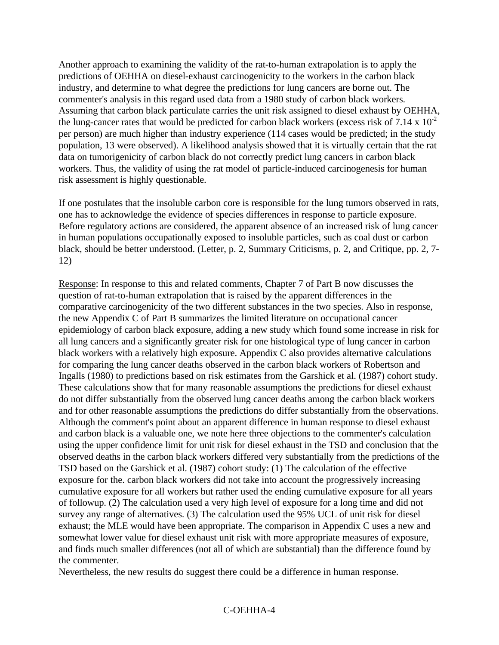Another approach to examining the validity of the rat-to-human extrapolation is to apply the predictions of OEHHA on diesel-exhaust carcinogenicity to the workers in the carbon black industry, and determine to what degree the predictions for lung cancers are borne out. The commenter's analysis in this regard used data from a 1980 study of carbon black workers. Assuming that carbon black particulate carries the unit risk assigned to diesel exhaust by OEHHA, the lung-cancer rates that would be predicted for carbon black workers (excess risk of  $7.14 \times 10^{-2}$ ) per person) are much higher than industry experience (114 cases would be predicted; in the study population, 13 were observed). A likelihood analysis showed that it is virtually certain that the rat data on tumorigenicity of carbon black do not correctly predict lung cancers in carbon black workers. Thus, the validity of using the rat model of particle-induced carcinogenesis for human risk assessment is highly questionable.

If one postulates that the insoluble carbon core is responsible for the lung tumors observed in rats, one has to acknowledge the evidence of species differences in response to particle exposure. Before regulatory actions are considered, the apparent absence of an increased risk of lung cancer in human populations occupationally exposed to insoluble particles, such as coal dust or carbon black, should be better understood. (Letter, p. 2, Summary Criticisms, p. 2, and Critique, pp. 2, 7- 12)

Response: In response to this and related comments, Chapter 7 of Part B now discusses the question of rat-to-human extrapolation that is raised by the apparent differences in the comparative carcinogenicity of the two different substances in the two species. Also in response, the new Appendix C of Part B summarizes the limited literature on occupational cancer epidemiology of carbon black exposure, adding a new study which found some increase in risk for all lung cancers and a significantly greater risk for one histological type of lung cancer in carbon black workers with a relatively high exposure. Appendix C also provides alternative calculations for comparing the lung cancer deaths observed in the carbon black workers of Robertson and Ingalls (1980) to predictions based on risk estimates from the Garshick et al. (1987) cohort study. These calculations show that for many reasonable assumptions the predictions for diesel exhaust do not differ substantially from the observed lung cancer deaths among the carbon black workers and for other reasonable assumptions the predictions do differ substantially from the observations. Although the comment's point about an apparent difference in human response to diesel exhaust and carbon black is a valuable one, we note here three objections to the commenter's calculation using the upper confidence limit for unit risk for diesel exhaust in the TSD and conclusion that the observed deaths in the carbon black workers differed very substantially from the predictions of the TSD based on the Garshick et al. (1987) cohort study: (1) The calculation of the effective exposure for the. carbon black workers did not take into account the progressively increasing cumulative exposure for all workers but rather used the ending cumulative exposure for all years of followup. (2) The calculation used a very high level of exposure for a long time and did not survey any range of alternatives. (3) The calculation used the 95% UCL of unit risk for diesel exhaust; the MLE would have been appropriate. The comparison in Appendix C uses a new and somewhat lower value for diesel exhaust unit risk with more appropriate measures of exposure, and finds much smaller differences (not all of which are substantial) than the difference found by the commenter.

Nevertheless, the new results do suggest there could be a difference in human response.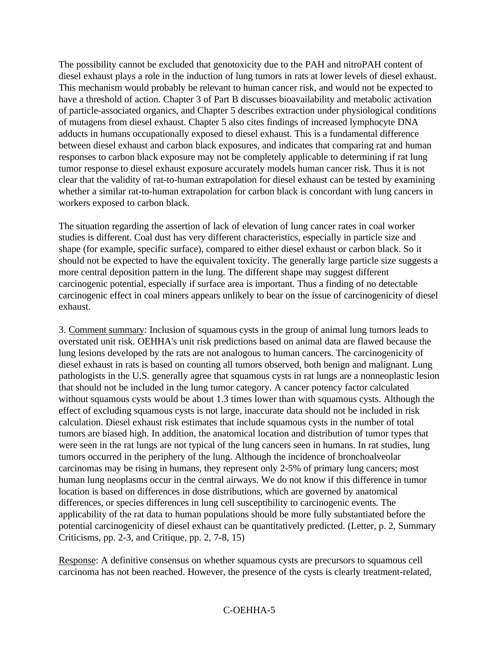The possibility cannot be excluded that genotoxicity due to the PAH and nitroPAH content of diesel exhaust plays a role in the induction of lung tumors in rats at lower levels of diesel exhaust. This mechanism would probably be relevant to human cancer risk, and would not be expected to have a threshold of action. Chapter 3 of Part B discusses bioavailability and metabolic activation of particle-associated organics, and Chapter 5 describes extraction under physiological conditions of mutagens from diesel exhaust. Chapter 5 also cites findings of increased lymphocyte DNA adducts in humans occupationally exposed to diesel exhaust. This is a fundamental difference between diesel exhaust and carbon black exposures, and indicates that comparing rat and human responses to carbon black exposure may not be completely applicable to determining if rat lung tumor response to diesel exhaust exposure accurately models human cancer risk. Thus it is not clear that the validity of rat-to-human extrapolation for diesel exhaust can be tested by examining whether a similar rat-to-human extrapolation for carbon black is concordant with lung cancers in workers exposed to carbon black.

The situation regarding the assertion of lack of elevation of lung cancer rates in coal worker studies is different. Coal dust has very different characteristics, especially in particle size and shape (for example, specific surface), compared to either diesel exhaust or carbon black. So it should not be expected to have the equivalent toxicity. The generally large particle size suggests a more central deposition pattern in the lung. The different shape may suggest different carcinogenic potential, especially if surface area is important. Thus a finding of no detectable carcinogenic effect in coal miners appears unlikely to bear on the issue of carcinogenicity of diesel exhaust.

3. Comment summary: Inclusion of squamous cysts in the group of animal lung tumors leads to overstated unit risk. OEHHA's unit risk predictions based on animal data are flawed because the lung lesions developed by the rats are not analogous to human cancers. The carcinogenicity of diesel exhaust in rats is based on counting all tumors observed, both benign and malignant. Lung pathologists in the U.S. generally agree that squamous cysts in rat lungs are a nonneoplastic lesion that should not be included in the lung tumor category. A cancer potency factor calculated without squamous cysts would be about 1.3 times lower than with squamous cysts. Although the effect of excluding squamous cysts is not large, inaccurate data should not be included in risk calculation. Diesel exhaust risk estimates that include squamous cysts in the number of total tumors are biased high. In addition, the anatomical location and distribution of tumor types that were seen in the rat lungs are not typical of the lung cancers seen in humans. In rat studies, lung tumors occurred in the periphery of the lung. Although the incidence of bronchoalveolar carcinomas may be rising in humans, they represent only 2-5% of primary lung cancers; most human lung neoplasms occur in the central airways. We do not know if this difference in tumor location is based on differences in dose distributions, which are governed by anatomical differences, or species differences in lung cell susceptibility to carcinogenic events. The applicability of the rat data to human populations should be more fully substantiated before the potential carcinogenicity of diesel exhaust can be quantitatively predicted. (Letter, p. 2, Summary Criticisms, pp. 2-3, and Critique, pp. 2, 7-8, 15)

Response: A definitive consensus on whether squamous cysts are precursors to squamous cell carcinoma has not been reached. However, the presence of the cysts is clearly treatment-related,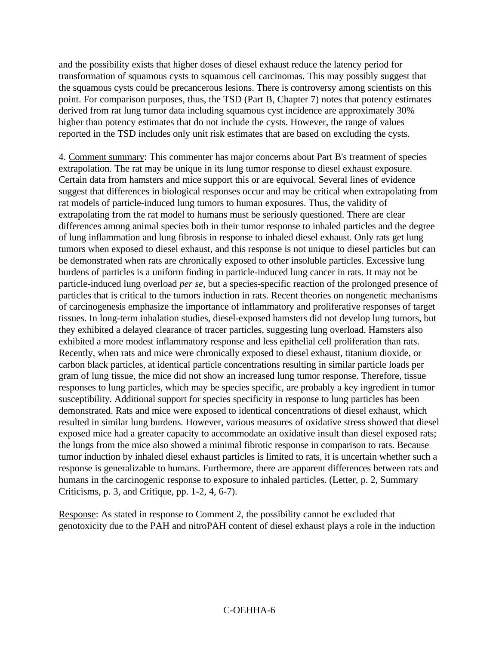and the possibility exists that higher doses of diesel exhaust reduce the latency period for transformation of squamous cysts to squamous cell carcinomas. This may possibly suggest that the squamous cysts could be precancerous lesions. There is controversy among scientists on this point. For comparison purposes, thus, the TSD (Part B, Chapter 7) notes that potency estimates derived from rat lung tumor data including squamous cyst incidence are approximately 30% higher than potency estimates that do not include the cysts. However, the range of values reported in the TSD includes only unit risk estimates that are based on excluding the cysts.

4. Comment summary: This commenter has major concerns about Part B's treatment of species extrapolation. The rat may be unique in its lung tumor response to diesel exhaust exposure. Certain data from hamsters and mice support this or are equivocal. Several lines of evidence suggest that differences in biological responses occur and may be critical when extrapolating from rat models of particle-induced lung tumors to human exposures. Thus, the validity of extrapolating from the rat model to humans must be seriously questioned. There are clear differences among animal species both in their tumor response to inhaled particles and the degree of lung inflammation and lung fibrosis in response to inhaled diesel exhaust. Only rats get lung tumors when exposed to diesel exhaust, and this response is not unique to diesel particles but can be demonstrated when rats are chronically exposed to other insoluble particles. Excessive lung burdens of particles is a uniform finding in particle-induced lung cancer in rats. It may not be particle-induced lung overload *per se,* but a species-specific reaction of the prolonged presence of particles that is critical to the tumors induction in rats. Recent theories on nongenetic mechanisms of carcinogenesis emphasize the importance of inflammatory and proliferative responses of target tissues. In long-term inhalation studies, diesel-exposed hamsters did not develop lung tumors, but they exhibited a delayed clearance of tracer particles, suggesting lung overload. Hamsters also exhibited a more modest inflammatory response and less epithelial cell proliferation than rats. Recently, when rats and mice were chronically exposed to diesel exhaust, titanium dioxide, or carbon black particles, at identical particle concentrations resulting in similar particle loads per gram of lung tissue, the mice did not show an increased lung tumor response. Therefore, tissue responses to lung particles, which may be species specific, are probably a key ingredient in tumor susceptibility. Additional support for species specificity in response to lung particles has been demonstrated. Rats and mice were exposed to identical concentrations of diesel exhaust, which resulted in similar lung burdens. However, various measures of oxidative stress showed that diesel exposed mice had a greater capacity to accommodate an oxidative insult than diesel exposed rats; the lungs from the mice also showed a minimal fibrotic response in comparison to rats. Because tumor induction by inhaled diesel exhaust particles is limited to rats, it is uncertain whether such a response is generalizable to humans. Furthermore, there are apparent differences between rats and humans in the carcinogenic response to exposure to inhaled particles. (Letter, p. 2, Summary Criticisms, p. 3, and Critique, pp. 1-2, 4, 6-7).

Response: As stated in response to Comment 2, the possibility cannot be excluded that genotoxicity due to the PAH and nitroPAH content of diesel exhaust plays a role in the induction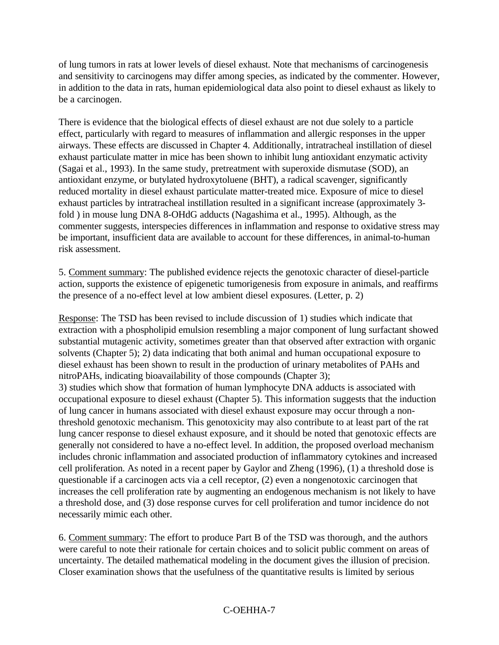of lung tumors in rats at lower levels of diesel exhaust. Note that mechanisms of carcinogenesis and sensitivity to carcinogens may differ among species, as indicated by the commenter. However, in addition to the data in rats, human epidemiological data also point to diesel exhaust as likely to be a carcinogen.

There is evidence that the biological effects of diesel exhaust are not due solely to a particle effect, particularly with regard to measures of inflammation and allergic responses in the upper airways. These effects are discussed in Chapter 4. Additionally, intratracheal instillation of diesel exhaust particulate matter in mice has been shown to inhibit lung antioxidant enzymatic activity (Sagai et al., 1993). In the same study, pretreatment with superoxide dismutase (SOD), an antioxidant enzyme, or butylated hydroxytoluene (BHT), a radical scavenger, significantly reduced mortality in diesel exhaust particulate matter-treated mice. Exposure of mice to diesel exhaust particles by intratracheal instillation resulted in a significant increase (approximately 3 fold ) in mouse lung DNA 8-OHdG adducts (Nagashima et al., 1995). Although, as the commenter suggests, interspecies differences in inflammation and response to oxidative stress may be important, insufficient data are available to account for these differences, in animal-to-human risk assessment.

5. Comment summary: The published evidence rejects the genotoxic character of diesel-particle action, supports the existence of epigenetic tumorigenesis from exposure in animals, and reaffirms the presence of a no-effect level at low ambient diesel exposures. (Letter, p. 2)

Response: The TSD has been revised to include discussion of 1) studies which indicate that extraction with a phospholipid emulsion resembling a major component of lung surfactant showed substantial mutagenic activity, sometimes greater than that observed after extraction with organic solvents (Chapter 5); 2) data indicating that both animal and human occupational exposure to diesel exhaust has been shown to result in the production of urinary metabolites of PAHs and nitroPAHs, indicating bioavailability of those compounds (Chapter 3); 3) studies which show that formation of human lymphocyte DNA adducts is associated with occupational exposure to diesel exhaust (Chapter 5). This information suggests that the induction of lung cancer in humans associated with diesel exhaust exposure may occur through a nonthreshold genotoxic mechanism. This genotoxicity may also contribute to at least part of the rat lung cancer response to diesel exhaust exposure, and it should be noted that genotoxic effects are generally not considered to have a no-effect level. In addition, the proposed overload mechanism includes chronic inflammation and associated production of inflammatory cytokines and increased cell proliferation. As noted in a recent paper by Gaylor and Zheng (1996), (1) a threshold dose is questionable if a carcinogen acts via a cell receptor, (2) even a nongenotoxic carcinogen that increases the cell proliferation rate by augmenting an endogenous mechanism is not likely to have a threshold dose, and (3) dose response curves for cell proliferation and tumor incidence do not

necessarily mimic each other.

6. Comment summary: The effort to produce Part B of the TSD was thorough, and the authors were careful to note their rationale for certain choices and to solicit public comment on areas of uncertainty. The detailed mathematical modeling in the document gives the illusion of precision. Closer examination shows that the usefulness of the quantitative results is limited by serious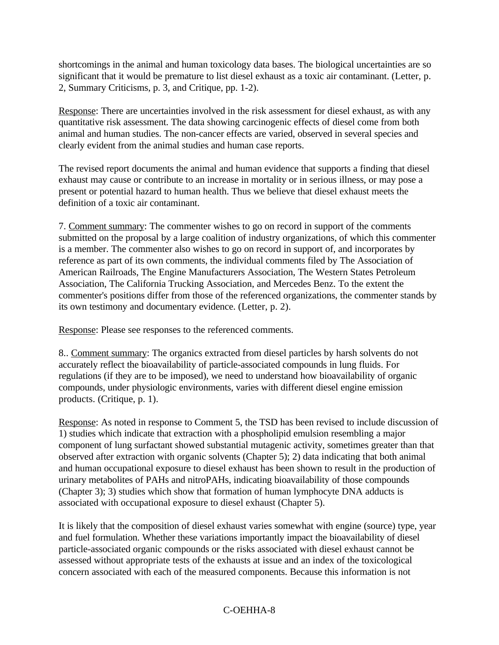shortcomings in the animal and human toxicology data bases. The biological uncertainties are so significant that it would be premature to list diesel exhaust as a toxic air contaminant. (Letter, p. 2, Summary Criticisms, p. 3, and Critique, pp. 1-2).

Response: There are uncertainties involved in the risk assessment for diesel exhaust, as with any quantitative risk assessment. The data showing carcinogenic effects of diesel come from both animal and human studies. The non-cancer effects are varied, observed in several species and clearly evident from the animal studies and human case reports.

The revised report documents the animal and human evidence that supports a finding that diesel exhaust may cause or contribute to an increase in mortality or in serious illness, or may pose a present or potential hazard to human health. Thus we believe that diesel exhaust meets the definition of a toxic air contaminant.

7. Comment summary: The commenter wishes to go on record in support of the comments submitted on the proposal by a large coalition of industry organizations, of which this commenter is a member. The commenter also wishes to go on record in support of, and incorporates by reference as part of its own comments, the individual comments filed by The Association of American Railroads, The Engine Manufacturers Association, The Western States Petroleum Association, The California Trucking Association, and Mercedes Benz. To the extent the commenter's positions differ from those of the referenced organizations, the commenter stands by its own testimony and documentary evidence. (Letter, p. 2).

Response: Please see responses to the referenced comments.

8.. Comment summary: The organics extracted from diesel particles by harsh solvents do not accurately reflect the bioavailability of particle-associated compounds in lung fluids. For regulations (if they are to be imposed), we need to understand how bioavailability of organic compounds, under physiologic environments, varies with different diesel engine emission products. (Critique, p. 1).

Response: As noted in response to Comment 5, the TSD has been revised to include discussion of 1) studies which indicate that extraction with a phospholipid emulsion resembling a major component of lung surfactant showed substantial mutagenic activity, sometimes greater than that observed after extraction with organic solvents (Chapter 5); 2) data indicating that both animal and human occupational exposure to diesel exhaust has been shown to result in the production of urinary metabolites of PAHs and nitroPAHs, indicating bioavailability of those compounds (Chapter 3); 3) studies which show that formation of human lymphocyte DNA adducts is associated with occupational exposure to diesel exhaust (Chapter 5).

It is likely that the composition of diesel exhaust varies somewhat with engine (source) type, year and fuel formulation. Whether these variations importantly impact the bioavailability of diesel particle-associated organic compounds or the risks associated with diesel exhaust cannot be assessed without appropriate tests of the exhausts at issue and an index of the toxicological concern associated with each of the measured components. Because this information is not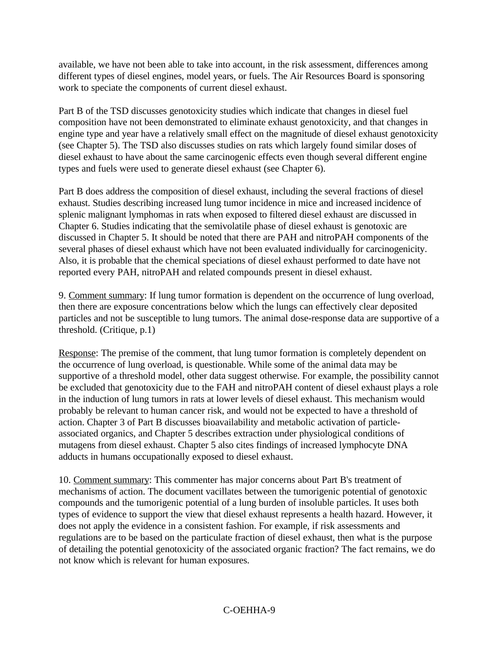available, we have not been able to take into account, in the risk assessment, differences among different types of diesel engines, model years, or fuels. The Air Resources Board is sponsoring work to speciate the components of current diesel exhaust.

Part B of the TSD discusses genotoxicity studies which indicate that changes in diesel fuel composition have not been demonstrated to eliminate exhaust genotoxicity, and that changes in engine type and year have a relatively small effect on the magnitude of diesel exhaust genotoxicity (see Chapter 5). The TSD also discusses studies on rats which largely found similar doses of diesel exhaust to have about the same carcinogenic effects even though several different engine types and fuels were used to generate diesel exhaust (see Chapter 6).

Part B does address the composition of diesel exhaust, including the several fractions of diesel exhaust. Studies describing increased lung tumor incidence in mice and increased incidence of splenic malignant lymphomas in rats when exposed to filtered diesel exhaust are discussed in Chapter 6. Studies indicating that the semivolatile phase of diesel exhaust is genotoxic are discussed in Chapter 5. It should be noted that there are PAH and nitroPAH components of the several phases of diesel exhaust which have not been evaluated individually for carcinogenicity. Also, it is probable that the chemical speciations of diesel exhaust performed to date have not reported every PAH, nitroPAH and related compounds present in diesel exhaust.

9. Comment summary: If lung tumor formation is dependent on the occurrence of lung overload, then there are exposure concentrations below which the lungs can effectively clear deposited particles and not be susceptible to lung tumors. The animal dose-response data are supportive of a threshold. (Critique, p.1)

Response: The premise of the comment, that lung tumor formation is completely dependent on the occurrence of lung overload, is questionable. While some of the animal data may be supportive of a threshold model, other data suggest otherwise. For example, the possibility cannot be excluded that genotoxicity due to the FAH and nitroPAH content of diesel exhaust plays a role in the induction of lung tumors in rats at lower levels of diesel exhaust. This mechanism would probably be relevant to human cancer risk, and would not be expected to have a threshold of action. Chapter 3 of Part B discusses bioavailability and metabolic activation of particleassociated organics, and Chapter 5 describes extraction under physiological conditions of mutagens from diesel exhaust. Chapter 5 also cites findings of increased lymphocyte DNA adducts in humans occupationally exposed to diesel exhaust.

10. Comment summary: This commenter has major concerns about Part B's treatment of mechanisms of action. The document vacillates between the tumorigenic potential of genotoxic compounds and the tumorigenic potential of a lung burden of insoluble particles. It uses both types of evidence to support the view that diesel exhaust represents a health hazard. However, it does not apply the evidence in a consistent fashion. For example, if risk assessments and regulations are to be based on the particulate fraction of diesel exhaust, then what is the purpose of detailing the potential genotoxicity of the associated organic fraction? The fact remains, we do not know which is relevant for human exposures.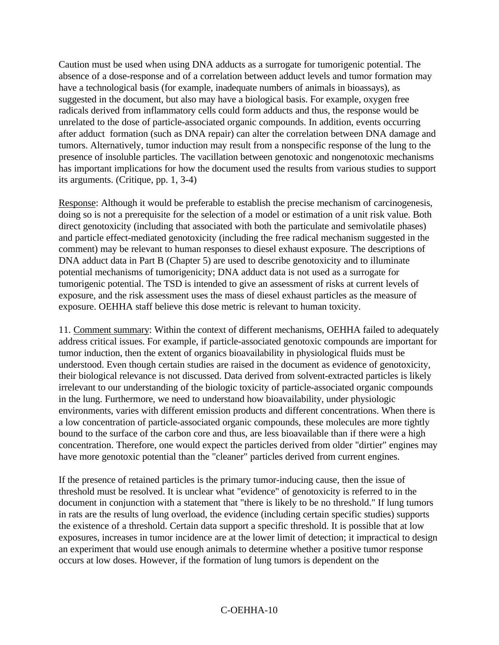Caution must be used when using DNA adducts as a surrogate for tumorigenic potential. The absence of a dose-response and of a correlation between adduct levels and tumor formation may have a technological basis (for example, inadequate numbers of animals in bioassays), as suggested in the document, but also may have a biological basis. For example, oxygen free radicals derived from inflammatory cells could form adducts and thus, the response would be unrelated to the dose of particle-associated organic compounds. In addition, events occurring after adduct formation (such as DNA repair) can alter the correlation between DNA damage and tumors. Alternatively, tumor induction may result from a nonspecific response of the lung to the presence of insoluble particles. The vacillation between genotoxic and nongenotoxic mechanisms has important implications for how the document used the results from various studies to support its arguments. (Critique, pp. 1, 3-4)

Response: Although it would be preferable to establish the precise mechanism of carcinogenesis, doing so is not a prerequisite for the selection of a model or estimation of a unit risk value. Both direct genotoxicity (including that associated with both the particulate and semivolatile phases) and particle effect-mediated genotoxicity (including the free radical mechanism suggested in the comment) may be relevant to human responses to diesel exhaust exposure. The descriptions of DNA adduct data in Part B (Chapter 5) are used to describe genotoxicity and to illuminate potential mechanisms of tumorigenicity; DNA adduct data is not used as a surrogate for tumorigenic potential. The TSD is intended to give an assessment of risks at current levels of exposure, and the risk assessment uses the mass of diesel exhaust particles as the measure of exposure. OEHHA staff believe this dose metric is relevant to human toxicity.

11. Comment summary: Within the context of different mechanisms, OEHHA failed to adequately address critical issues. For example, if particle-associated genotoxic compounds are important for tumor induction, then the extent of organics bioavailability in physiological fluids must be understood. Even though certain studies are raised in the document as evidence of genotoxicity, their biological relevance is not discussed. Data derived from solvent-extracted particles is likely irrelevant to our understanding of the biologic toxicity of particle-associated organic compounds in the lung. Furthermore, we need to understand how bioavailability, under physiologic environments, varies with different emission products and different concentrations. When there is a low concentration of particle-associated organic compounds, these molecules are more tightly bound to the surface of the carbon core and thus, are less bioavailable than if there were a high concentration. Therefore, one would expect the particles derived from older "dirtier" engines may have more genotoxic potential than the "cleaner" particles derived from current engines.

If the presence of retained particles is the primary tumor-inducing cause, then the issue of threshold must be resolved. It is unclear what "evidence" of genotoxicity is referred to in the document in conjunction with a statement that "there is likely to be no threshold." If lung tumors in rats are the results of lung overload, the evidence (including certain specific studies) supports the existence of a threshold. Certain data support a specific threshold. It is possible that at low exposures, increases in tumor incidence are at the lower limit of detection; it impractical to design an experiment that would use enough animals to determine whether a positive tumor response occurs at low doses. However, if the formation of lung tumors is dependent on the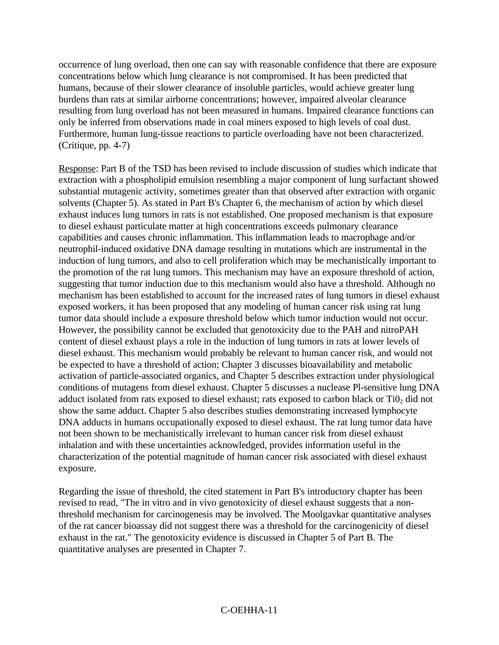occurrence of lung overload, then one can say with reasonable confidence that there are exposure concentrations below which lung clearance is not compromised. It has been predicted that humans, because of their slower clearance of insoluble particles, would achieve greater lung burdens than rats at similar airborne concentrations; however, impaired alveolar clearance resulting from lung overload has not been measured in humans. Impaired clearance functions can only be inferred from observations made in coal miners exposed to high levels of coal dust. Furthermore, human lung-tissue reactions to particle overloading have not been characterized. (Critique, pp. 4-7)

Response: Part B of the TSD has been revised to include discussion of studies which indicate that extraction with a phospholipid emulsion resembling a major component of lung surfactant showed substantial mutagenic activity, sometimes greater than that observed after extraction with organic solvents (Chapter 5). As stated in Part B's Chapter 6, the mechanism of action by which diesel exhaust induces lung tumors in rats is not established. One proposed mechanism is that exposure to diesel exhaust particulate matter at high concentrations exceeds pulmonary clearance capabilities and causes chronic inflammation. This inflammation leads to macrophage and/or neutrophil-induced oxidative DNA damage resulting in mutations which are instrumental in the induction of lung tumors, and also to cell proliferation which may be mechanistically important to the promotion of the rat lung tumors. This mechanism may have an exposure threshold of action, suggesting that tumor induction due to this mechanism would also have a threshold. Although no mechanism has been established to account for the increased rates of lung tumors in diesel exhaust exposed workers, it has been proposed that any modeling of human cancer risk using rat lung tumor data should include a exposure threshold below which tumor induction would not occur. However, the possibility cannot be excluded that genotoxicity due to the PAH and nitroPAH content of diesel exhaust plays a role in the induction of lung tumors in rats at lower levels of diesel exhaust. This mechanism would probably be relevant to human cancer risk, and would not be expected to have a threshold of action; Chapter 3 discusses bioavailability and metabolic activation of particle-associated organics, and Chapter 5 describes extraction under physiological conditions of mutagens from diesel exhaust. Chapter 5 discusses a nuclease Pl-sensitive lung DNA adduct isolated from rats exposed to diesel exhaust; rats exposed to carbon black or  $TiO<sub>2</sub>$  did not show the same adduct. Chapter 5 also describes studies demonstrating increased lymphocyte DNA adducts in humans occupationally exposed to diesel exhaust. The rat lung tumor data have not been shown to be mechanistically irrelevant to human cancer risk from diesel exhaust inhalation and with these uncertainties acknowledged, provides information useful in the characterization of the potential magnitude of human cancer risk associated with diesel exhaust exposure.

Regarding the issue of threshold, the cited statement in Part B's introductory chapter has been revised to read, "The in vitro and in vivo genotoxicity of diesel exhaust suggests that a nonthreshold mechanism for carcinogenesis may be involved. The Moolgavkar quantitative analyses of the rat cancer bioassay did not suggest there was a threshold for the carcinogenicity of diesel exhaust in the rat." The genotoxicity evidence is discussed in Chapter 5 of Part B. The quantitative analyses are presented in Chapter 7.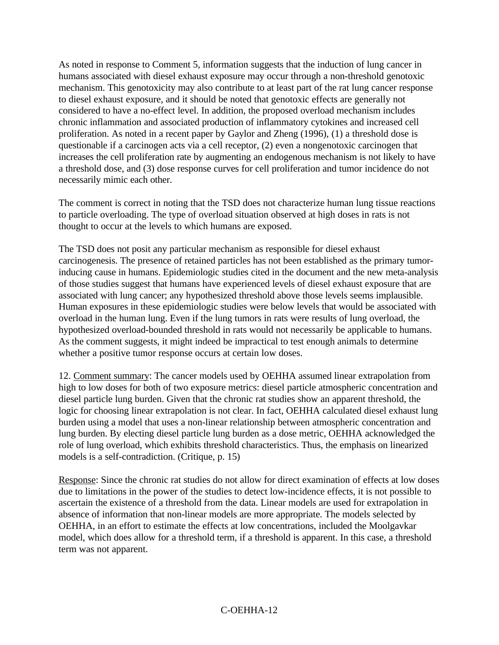As noted in response to Comment 5, information suggests that the induction of lung cancer in humans associated with diesel exhaust exposure may occur through a non-threshold genotoxic mechanism. This genotoxicity may also contribute to at least part of the rat lung cancer response to diesel exhaust exposure, and it should be noted that genotoxic effects are generally not considered to have a no-effect level. In addition, the proposed overload mechanism includes chronic inflammation and associated production of inflammatory cytokines and increased cell proliferation. As noted in a recent paper by Gaylor and Zheng (1996), (1) a threshold dose is questionable if a carcinogen acts via a cell receptor, (2) even a nongenotoxic carcinogen that increases the cell proliferation rate by augmenting an endogenous mechanism is not likely to have a threshold dose, and (3) dose response curves for cell proliferation and tumor incidence do not necessarily mimic each other.

The comment is correct in noting that the TSD does not characterize human lung tissue reactions to particle overloading. The type of overload situation observed at high doses in rats is not thought to occur at the levels to which humans are exposed.

The TSD does not posit any particular mechanism as responsible for diesel exhaust carcinogenesis. The presence of retained particles has not been established as the primary tumorinducing cause in humans. Epidemiologic studies cited in the document and the new meta-analysis of those studies suggest that humans have experienced levels of diesel exhaust exposure that are associated with lung cancer; any hypothesized threshold above those levels seems implausible. Human exposures in these epidemiologic studies were below levels that would be associated with overload in the human lung. Even if the lung tumors in rats were results of lung overload, the hypothesized overload-bounded threshold in rats would not necessarily be applicable to humans. As the comment suggests, it might indeed be impractical to test enough animals to determine whether a positive tumor response occurs at certain low doses.

12. Comment summary: The cancer models used by OEHHA assumed linear extrapolation from high to low doses for both of two exposure metrics: diesel particle atmospheric concentration and diesel particle lung burden. Given that the chronic rat studies show an apparent threshold, the logic for choosing linear extrapolation is not clear. In fact, OEHHA calculated diesel exhaust lung burden using a model that uses a non-linear relationship between atmospheric concentration and lung burden. By electing diesel particle lung burden as a dose metric, OEHHA acknowledged the role of lung overload, which exhibits threshold characteristics. Thus, the emphasis on linearized models is a self-contradiction. (Critique, p. 15)

Response: Since the chronic rat studies do not allow for direct examination of effects at low doses due to limitations in the power of the studies to detect low-incidence effects, it is not possible to ascertain the existence of a threshold from the data. Linear models are used for extrapolation in absence of information that non-linear models are more appropriate. The models selected by OEHHA, in an effort to estimate the effects at low concentrations, included the Moolgavkar model, which does allow for a threshold term, if a threshold is apparent. In this case, a threshold term was not apparent.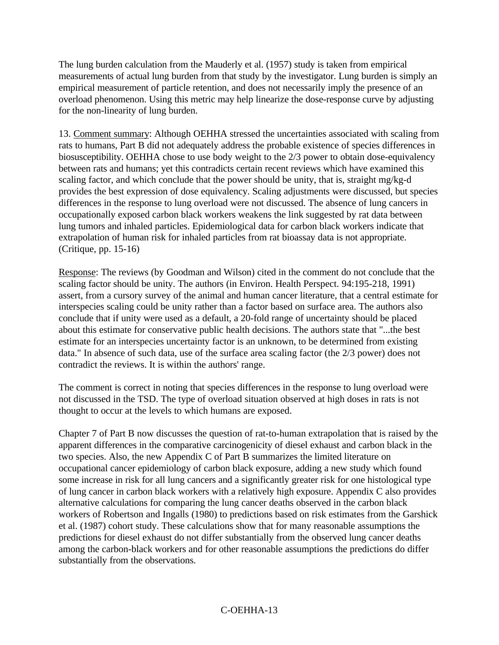The lung burden calculation from the Mauderly et al. (1957) study is taken from empirical measurements of actual lung burden from that study by the investigator. Lung burden is simply an empirical measurement of particle retention, and does not necessarily imply the presence of an overload phenomenon. Using this metric may help linearize the dose-response curve by adjusting for the non-linearity of lung burden.

13. Comment summary: Although OEHHA stressed the uncertainties associated with scaling from rats to humans, Part B did not adequately address the probable existence of species differences in biosusceptibility. OEHHA chose to use body weight to the 2/3 power to obtain dose-equivalency between rats and humans; yet this contradicts certain recent reviews which have examined this scaling factor, and which conclude that the power should be unity, that is, straight mg/kg-d provides the best expression of dose equivalency. Scaling adjustments were discussed, but species differences in the response to lung overload were not discussed. The absence of lung cancers in occupationally exposed carbon black workers weakens the link suggested by rat data between lung tumors and inhaled particles. Epidemiological data for carbon black workers indicate that extrapolation of human risk for inhaled particles from rat bioassay data is not appropriate. (Critique, pp. 15-16)

Response: The reviews (by Goodman and Wilson) cited in the comment do not conclude that the scaling factor should be unity. The authors (in Environ. Health Perspect. 94:195-218, 1991) assert, from a cursory survey of the animal and human cancer literature, that a central estimate for interspecies scaling could be unity rather than a factor based on surface area. The authors also conclude that if unity were used as a default, a 20-fold range of uncertainty should be placed about this estimate for conservative public health decisions. The authors state that "...the best estimate for an interspecies uncertainty factor is an unknown, to be determined from existing data." In absence of such data, use of the surface area scaling factor (the 2/3 power) does not contradict the reviews. It is within the authors' range.

The comment is correct in noting that species differences in the response to lung overload were not discussed in the TSD. The type of overload situation observed at high doses in rats is not thought to occur at the levels to which humans are exposed.

Chapter 7 of Part B now discusses the question of rat-to-human extrapolation that is raised by the apparent differences in the comparative carcinogenicity of diesel exhaust and carbon black in the two species. Also, the new Appendix C of Part B summarizes the limited literature on occupational cancer epidemiology of carbon black exposure, adding a new study which found some increase in risk for all lung cancers and a significantly greater risk for one histological type of lung cancer in carbon black workers with a relatively high exposure. Appendix C also provides alternative calculations for comparing the lung cancer deaths observed in the carbon black workers of Robertson and Ingalls (1980) to predictions based on risk estimates from the Garshick et al. (1987) cohort study. These calculations show that for many reasonable assumptions the predictions for diesel exhaust do not differ substantially from the observed lung cancer deaths among the carbon-black workers and for other reasonable assumptions the predictions do differ substantially from the observations.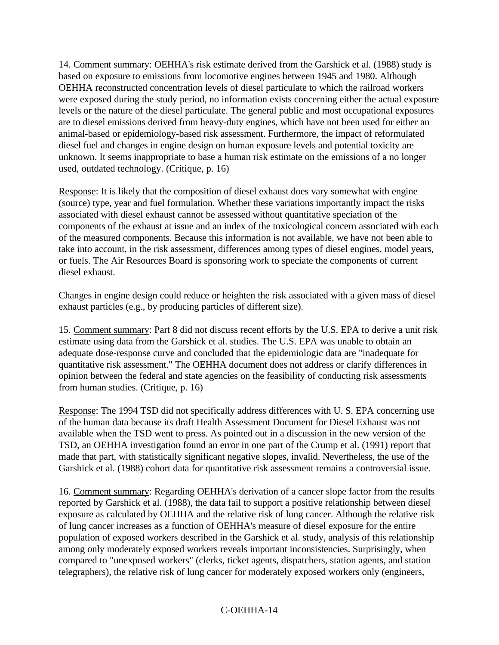14. Comment summary: OEHHA's risk estimate derived from the Garshick et al. (1988) study is based on exposure to emissions from locomotive engines between 1945 and 1980. Although OEHHA reconstructed concentration levels of diesel particulate to which the railroad workers were exposed during the study period, no information exists concerning either the actual exposure levels or the nature of the diesel particulate. The general public and most occupational exposures are to diesel emissions derived from heavy-duty engines, which have not been used for either an animal-based or epidemiology-based risk assessment. Furthermore, the impact of reformulated diesel fuel and changes in engine design on human exposure levels and potential toxicity are unknown. It seems inappropriate to base a human risk estimate on the emissions of a no longer used, outdated technology. (Critique, p. 16)

Response: It is likely that the composition of diesel exhaust does vary somewhat with engine (source) type, year and fuel formulation. Whether these variations importantly impact the risks associated with diesel exhaust cannot be assessed without quantitative speciation of the components of the exhaust at issue and an index of the toxicological concern associated with each of the measured components. Because this information is not available, we have not been able to take into account, in the risk assessment, differences among types of diesel engines, model years, or fuels. The Air Resources Board is sponsoring work to speciate the components of current diesel exhaust.

Changes in engine design could reduce or heighten the risk associated with a given mass of diesel exhaust particles (e.g., by producing particles of different size).

15. Comment summary: Part 8 did not discuss recent efforts by the U.S. EPA to derive a unit risk estimate using data from the Garshick et al. studies. The U.S. EPA was unable to obtain an adequate dose-response curve and concluded that the epidemiologic data are "inadequate for quantitative risk assessment." The OEHHA document does not address or clarify differences in opinion between the federal and state agencies on the feasibility of conducting risk assessments from human studies. (Critique, p. 16)

Response: The 1994 TSD did not specifically address differences with U. S. EPA concerning use of the human data because its draft Health Assessment Document for Diesel Exhaust was not available when the TSD went to press. As pointed out in a discussion in the new version of the TSD, an OEHHA investigation found an error in one part of the Crump et al. (1991) report that made that part, with statistically significant negative slopes, invalid. Nevertheless, the use of the Garshick et al. (1988) cohort data for quantitative risk assessment remains a controversial issue.

16. Comment summary: Regarding OEHHA's derivation of a cancer slope factor from the results reported by Garshick et al. (1988), the data fail to support a positive relationship between diesel exposure as calculated by OEHHA and the relative risk of lung cancer. Although the relative risk of lung cancer increases as a function of OEHHA's measure of diesel exposure for the entire population of exposed workers described in the Garshick et al. study, analysis of this relationship among only moderately exposed workers reveals important inconsistencies. Surprisingly, when compared to "unexposed workers" (clerks, ticket agents, dispatchers, station agents, and station telegraphers), the relative risk of lung cancer for moderately exposed workers only (engineers,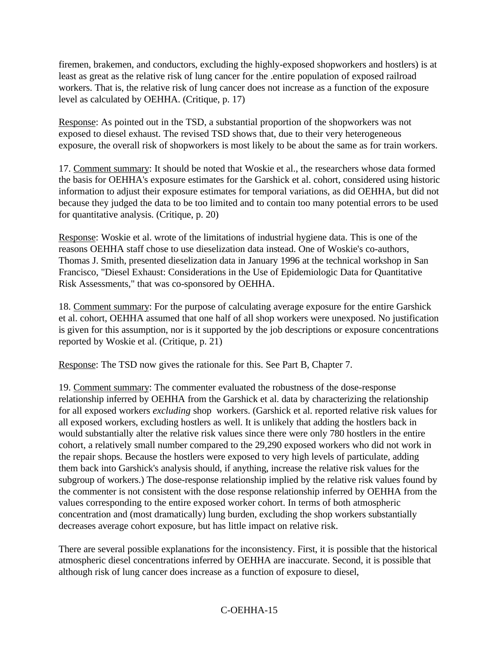firemen, brakemen, and conductors, excluding the highly-exposed shopworkers and hostlers) is at least as great as the relative risk of lung cancer for the .entire population of exposed railroad workers. That is, the relative risk of lung cancer does not increase as a function of the exposure level as calculated by OEHHA. (Critique, p. 17)

Response: As pointed out in the TSD, a substantial proportion of the shopworkers was not exposed to diesel exhaust. The revised TSD shows that, due to their very heterogeneous exposure, the overall risk of shopworkers is most likely to be about the same as for train workers.

17. Comment summary: It should be noted that Woskie et al., the researchers whose data formed the basis for OEHHA's exposure estimates for the Garshick et al. cohort, considered using historic information to adjust their exposure estimates for temporal variations, as did OEHHA, but did not because they judged the data to be too limited and to contain too many potential errors to be used for quantitative analysis. (Critique, p. 20)

Response: Woskie et al. wrote of the limitations of industrial hygiene data. This is one of the reasons OEHHA staff chose to use dieselization data instead. One of Woskie's co-authors, Thomas J. Smith, presented dieselization data in January 1996 at the technical workshop in San Francisco, "Diesel Exhaust: Considerations in the Use of Epidemiologic Data for Quantitative Risk Assessments," that was co-sponsored by OEHHA.

18. Comment summary: For the purpose of calculating average exposure for the entire Garshick et al. cohort, OEHHA assumed that one half of all shop workers were unexposed. No justification is given for this assumption, nor is it supported by the job descriptions or exposure concentrations reported by Woskie et al. (Critique, p. 21)

Response: The TSD now gives the rationale for this. See Part B, Chapter 7.

19. Comment summary: The commenter evaluated the robustness of the dose-response relationship inferred by OEHHA from the Garshick et al. data by characterizing the relationship for all exposed workers *excluding* shop workers. (Garshick et al. reported relative risk values for all exposed workers, excluding hostlers as well. It is unlikely that adding the hostlers back in would substantially alter the relative risk values since there were only 780 hostlers in the entire cohort, a relatively small number compared to the 29,290 exposed workers who did not work in the repair shops. Because the hostlers were exposed to very high levels of particulate, adding them back into Garshick's analysis should, if anything, increase the relative risk values for the subgroup of workers.) The dose-response relationship implied by the relative risk values found by the commenter is not consistent with the dose response relationship inferred by OEHHA from the values corresponding to the entire exposed worker cohort. In terms of both atmospheric concentration and (most dramatically) lung burden, excluding the shop workers substantially decreases average cohort exposure, but has little impact on relative risk.

There are several possible explanations for the inconsistency. First, it is possible that the historical atmospheric diesel concentrations inferred by OEHHA are inaccurate. Second, it is possible that although risk of lung cancer does increase as a function of exposure to diesel,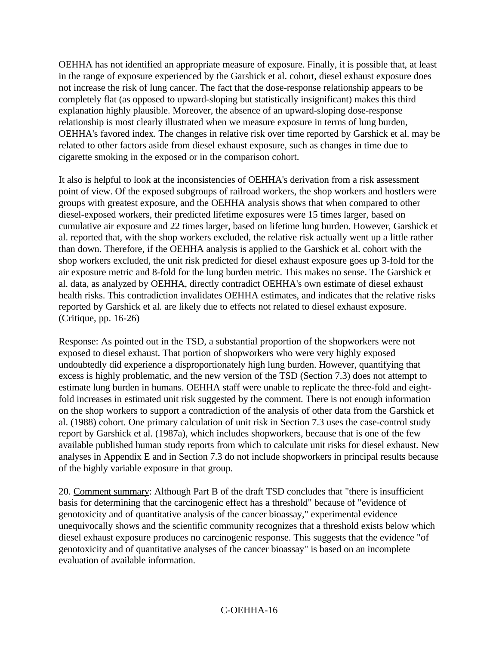OEHHA has not identified an appropriate measure of exposure. Finally, it is possible that, at least in the range of exposure experienced by the Garshick et al. cohort, diesel exhaust exposure does not increase the risk of lung cancer. The fact that the dose-response relationship appears to be completely flat (as opposed to upward-sloping but statistically insignificant) makes this third explanation highly plausible. Moreover, the absence of an upward-sloping dose-response relationship is most clearly illustrated when we measure exposure in terms of lung burden, OEHHA's favored index. The changes in relative risk over time reported by Garshick et al. may be related to other factors aside from diesel exhaust exposure, such as changes in time due to cigarette smoking in the exposed or in the comparison cohort.

It also is helpful to look at the inconsistencies of OEHHA's derivation from a risk assessment point of view. Of the exposed subgroups of railroad workers, the shop workers and hostlers were groups with greatest exposure, and the OEHHA analysis shows that when compared to other diesel-exposed workers, their predicted lifetime exposures were 15 times larger, based on cumulative air exposure and 22 times larger, based on lifetime lung burden. However, Garshick et al. reported that, with the shop workers excluded, the relative risk actually went up a little rather than down. Therefore, if the OEHHA analysis is applied to the Garshick et al. cohort with the shop workers excluded, the unit risk predicted for diesel exhaust exposure goes up 3-fold for the air exposure metric and 8-fold for the lung burden metric. This makes no sense. The Garshick et al. data, as analyzed by OEHHA, directly contradict OEHHA's own estimate of diesel exhaust health risks. This contradiction invalidates OEHHA estimates, and indicates that the relative risks reported by Garshick et al. are likely due to effects not related to diesel exhaust exposure. (Critique, pp. 16-26)

Response: As pointed out in the TSD, a substantial proportion of the shopworkers were not exposed to diesel exhaust. That portion of shopworkers who were very highly exposed undoubtedly did experience a disproportionately high lung burden. However, quantifying that excess is highly problematic, and the new version of the TSD (Section 7.3) does not attempt to estimate lung burden in humans. OEHHA staff were unable to replicate the three-fold and eightfold increases in estimated unit risk suggested by the comment. There is not enough information on the shop workers to support a contradiction of the analysis of other data from the Garshick et al. (1988) cohort. One primary calculation of unit risk in Section 7.3 uses the case-control study report by Garshick et al. (1987a), which includes shopworkers, because that is one of the few available published human study reports from which to calculate unit risks for diesel exhaust. New analyses in Appendix E and in Section 7.3 do not include shopworkers in principal results because of the highly variable exposure in that group.

20. Comment summary: Although Part B of the draft TSD concludes that "there is insufficient basis for determining that the carcinogenic effect has a threshold" because of "evidence of genotoxicity and of quantitative analysis of the cancer bioassay," experimental evidence unequivocally shows and the scientific community recognizes that a threshold exists below which diesel exhaust exposure produces no carcinogenic response. This suggests that the evidence "of genotoxicity and of quantitative analyses of the cancer bioassay" is based on an incomplete evaluation of available information.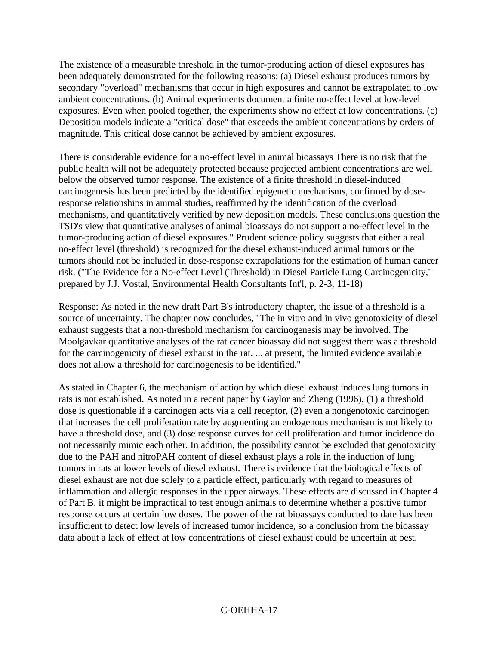The existence of a measurable threshold in the tumor-producing action of diesel exposures has been adequately demonstrated for the following reasons: (a) Diesel exhaust produces tumors by secondary "overload" mechanisms that occur in high exposures and cannot be extrapolated to low ambient concentrations. (b) Animal experiments document a finite no-effect level at low-level exposures. Even when pooled together, the experiments show no effect at low concentrations. (c) Deposition models indicate a "critical dose" that exceeds the ambient concentrations by orders of magnitude. This critical dose cannot be achieved by ambient exposures.

There is considerable evidence for a no-effect level in animal bioassays There is no risk that the public health will not be adequately protected because projected ambient concentrations are well below the observed tumor response. The existence of a finite threshold in diesel-induced carcinogenesis has been predicted by the identified epigenetic mechanisms, confirmed by doseresponse relationships in animal studies, reaffirmed by the identification of the overload mechanisms, and quantitatively verified by new deposition models. These conclusions question the TSD's view that quantitative analyses of animal bioassays do not support a no-effect level in the tumor-producing action of diesel exposures." Prudent science policy suggests that either a real no-effect level (threshold) is recognized for the diesel exhaust-induced animal tumors or the tumors should not be included in dose-response extrapolations for the estimation of human cancer risk. ("The Evidence for a No-effect Level (Threshold) in Diesel Particle Lung Carcinogenicity," prepared by J.J. Vostal, Environmental Health Consultants Int'l, p. 2-3, 11-18)

Response: As noted in the new draft Part B's introductory chapter, the issue of a threshold is a source of uncertainty. The chapter now concludes, "The in vitro and in vivo genotoxicity of diesel exhaust suggests that a non-threshold mechanism for carcinogenesis may be involved. The Moolgavkar quantitative analyses of the rat cancer bioassay did not suggest there was a threshold for the carcinogenicity of diesel exhaust in the rat. ... at present, the limited evidence available does not allow a threshold for carcinogenesis to be identified."

As stated in Chapter 6, the mechanism of action by which diesel exhaust induces lung tumors in rats is not established. As noted in a recent paper by Gaylor and Zheng (1996), (1) a threshold dose is questionable if a carcinogen acts via a cell receptor, (2) even a nongenotoxic carcinogen that increases the cell proliferation rate by augmenting an endogenous mechanism is not likely to have a threshold dose, and (3) dose response curves for cell proliferation and tumor incidence do not necessarily mimic each other. In addition, the possibility cannot be excluded that genotoxicity due to the PAH and nitroPAH content of diesel exhaust plays a role in the induction of lung tumors in rats at lower levels of diesel exhaust. There is evidence that the biological effects of diesel exhaust are not due solely to a particle effect, particularly with regard to measures of inflammation and allergic responses in the upper airways. These effects are discussed in Chapter 4 of Part B. it might be impractical to test enough animals to determine whether a positive tumor response occurs at certain low doses. The power of the rat bioassays conducted to date has been insufficient to detect low levels of increased tumor incidence, so a conclusion from the bioassay data about a lack of effect at low concentrations of diesel exhaust could be uncertain at best.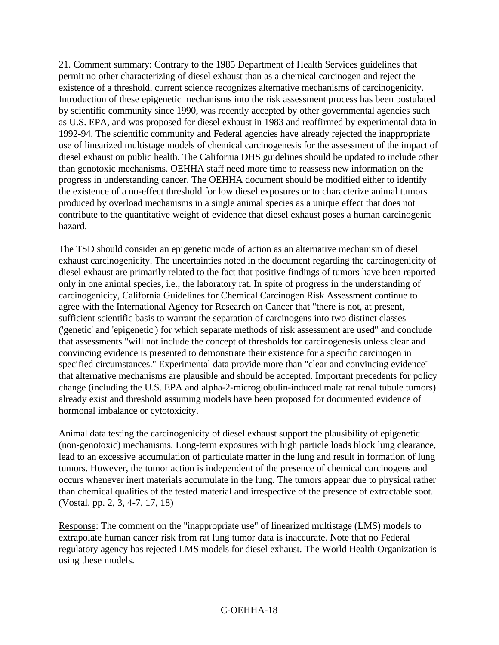21. Comment summary: Contrary to the 1985 Department of Health Services guidelines that permit no other characterizing of diesel exhaust than as a chemical carcinogen and reject the existence of a threshold, current science recognizes alternative mechanisms of carcinogenicity. Introduction of these epigenetic mechanisms into the risk assessment process has been postulated by scientific community since 1990, was recently accepted by other governmental agencies such as U.S. EPA, and was proposed for diesel exhaust in 1983 and reaffirmed by experimental data in 1992-94. The scientific community and Federal agencies have already rejected the inappropriate use of linearized multistage models of chemical carcinogenesis for the assessment of the impact of diesel exhaust on public health. The California DHS guidelines should be updated to include other than genotoxic mechanisms. OEHHA staff need more time to reassess new information on the progress in understanding cancer. The OEHHA document should be modified either to identify the existence of a no-effect threshold for low diesel exposures or to characterize animal tumors produced by overload mechanisms in a single animal species as a unique effect that does not contribute to the quantitative weight of evidence that diesel exhaust poses a human carcinogenic hazard.

The TSD should consider an epigenetic mode of action as an alternative mechanism of diesel exhaust carcinogenicity. The uncertainties noted in the document regarding the carcinogenicity of diesel exhaust are primarily related to the fact that positive findings of tumors have been reported only in one animal species, i.e., the laboratory rat. In spite of progress in the understanding of carcinogenicity, California Guidelines for Chemical Carcinogen Risk Assessment continue to agree with the International Agency for Research on Cancer that "there is not, at present, sufficient scientific basis to warrant the separation of carcinogens into two distinct classes ('genetic' and 'epigenetic') for which separate methods of risk assessment are used" and conclude that assessments "will not include the concept of thresholds for carcinogenesis unless clear and convincing evidence is presented to demonstrate their existence for a specific carcinogen in specified circumstances." Experimental data provide more than "clear and convincing evidence" that alternative mechanisms are plausible and should be accepted. Important precedents for policy change (including the U.S. EPA and alpha-2-microglobulin-induced male rat renal tubule tumors) already exist and threshold assuming models have been proposed for documented evidence of hormonal imbalance or cytotoxicity.

Animal data testing the carcinogenicity of diesel exhaust support the plausibility of epigenetic (non-genotoxic) mechanisms. Long-term exposures with high particle loads block lung clearance, lead to an excessive accumulation of particulate matter in the lung and result in formation of lung tumors. However, the tumor action is independent of the presence of chemical carcinogens and occurs whenever inert materials accumulate in the lung. The tumors appear due to physical rather than chemical qualities of the tested material and irrespective of the presence of extractable soot. (Vostal, pp. 2, 3, 4-7, 17, 18)

Response: The comment on the "inappropriate use" of linearized multistage (LMS) models to extrapolate human cancer risk from rat lung tumor data is inaccurate. Note that no Federal regulatory agency has rejected LMS models for diesel exhaust. The World Health Organization is using these models.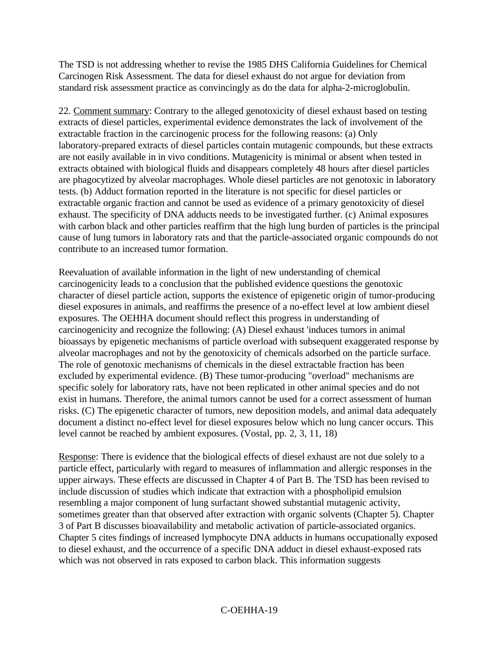The TSD is not addressing whether to revise the 1985 DHS California Guidelines for Chemical Carcinogen Risk Assessment. The data for diesel exhaust do not argue for deviation from standard risk assessment practice as convincingly as do the data for alpha-2-microglobulin.

22. Comment summary: Contrary to the alleged genotoxicity of diesel exhaust based on testing extracts of diesel particles, experimental evidence demonstrates the lack of involvement of the extractable fraction in the carcinogenic process for the following reasons: (a) Only laboratory-prepared extracts of diesel particles contain mutagenic compounds, but these extracts are not easily available in in vivo conditions. Mutagenicity is minimal or absent when tested in extracts obtained with biological fluids and disappears completely 48 hours after diesel particles are phagocytized by alveolar macrophages. Whole diesel particles are not genotoxic in laboratory tests. (b) Adduct formation reported in the literature is not specific for diesel particles or extractable organic fraction and cannot be used as evidence of a primary genotoxicity of diesel exhaust. The specificity of DNA adducts needs to be investigated further. (c) Animal exposures with carbon black and other particles reaffirm that the high lung burden of particles is the principal cause of lung tumors in laboratory rats and that the particle-associated organic compounds do not contribute to an increased tumor formation.

Reevaluation of available information in the light of new understanding of chemical carcinogenicity leads to a conclusion that the published evidence questions the genotoxic character of diesel particle action, supports the existence of epigenetic origin of tumor-producing diesel exposures in animals, and reaffirms the presence of a no-effect level at low ambient diesel exposures. The OEHHA document should reflect this progress in understanding of carcinogenicity and recognize the following: (A) Diesel exhaust 'induces tumors in animal bioassays by epigenetic mechanisms of particle overload with subsequent exaggerated response by alveolar macrophages and not by the genotoxicity of chemicals adsorbed on the particle surface. The role of genotoxic mechanisms of chemicals in the diesel extractable fraction has been excluded by experimental evidence. (B) These tumor-producing "overload" mechanisms are specific solely for laboratory rats, have not been replicated in other animal species and do not exist in humans. Therefore, the animal tumors cannot be used for a correct assessment of human risks. (C) The epigenetic character of tumors, new deposition models, and animal data adequately document a distinct no-effect level for diesel exposures below which no lung cancer occurs. This level cannot be reached by ambient exposures. (Vostal, pp. 2, 3, 11, 18)

Response: There is evidence that the biological effects of diesel exhaust are not due solely to a particle effect, particularly with regard to measures of inflammation and allergic responses in the upper airways. These effects are discussed in Chapter 4 of Part B. The TSD has been revised to include discussion of studies which indicate that extraction with a phospholipid emulsion resembling a major component of lung surfactant showed substantial mutagenic activity, sometimes greater than that observed after extraction with organic solvents (Chapter 5). Chapter 3 of Part B discusses bioavailability and metabolic activation of particle-associated organics. Chapter 5 cites findings of increased lymphocyte DNA adducts in humans occupationally exposed to diesel exhaust, and the occurrence of a specific DNA adduct in diesel exhaust-exposed rats which was not observed in rats exposed to carbon black. This information suggests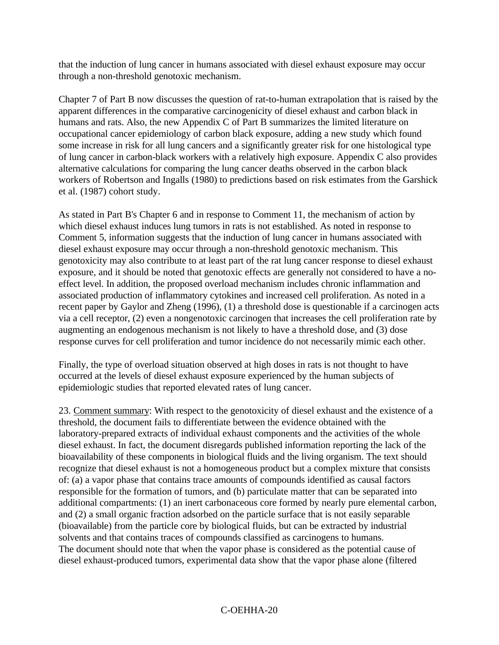that the induction of lung cancer in humans associated with diesel exhaust exposure may occur through a non-threshold genotoxic mechanism.

Chapter 7 of Part B now discusses the question of rat-to-human extrapolation that is raised by the apparent differences in the comparative carcinogenicity of diesel exhaust and carbon black in humans and rats. Also, the new Appendix C of Part B summarizes the limited literature on occupational cancer epidemiology of carbon black exposure, adding a new study which found some increase in risk for all lung cancers and a significantly greater risk for one histological type of lung cancer in carbon-black workers with a relatively high exposure. Appendix C also provides alternative calculations for comparing the lung cancer deaths observed in the carbon black workers of Robertson and Ingalls (1980) to predictions based on risk estimates from the Garshick et al. (1987) cohort study.

As stated in Part B's Chapter 6 and in response to Comment 11, the mechanism of action by which diesel exhaust induces lung tumors in rats is not established. As noted in response to Comment 5, information suggests that the induction of lung cancer in humans associated with diesel exhaust exposure may occur through a non-threshold genotoxic mechanism. This genotoxicity may also contribute to at least part of the rat lung cancer response to diesel exhaust exposure, and it should be noted that genotoxic effects are generally not considered to have a noeffect level. In addition, the proposed overload mechanism includes chronic inflammation and associated production of inflammatory cytokines and increased cell proliferation. As noted in a recent paper by Gaylor and Zheng (1996), (1) a threshold dose is questionable if a carcinogen acts via a cell receptor, (2) even a nongenotoxic carcinogen that increases the cell proliferation rate by augmenting an endogenous mechanism is not likely to have a threshold dose, and (3) dose response curves for cell proliferation and tumor incidence do not necessarily mimic each other.

Finally, the type of overload situation observed at high doses in rats is not thought to have occurred at the levels of diesel exhaust exposure experienced by the human subjects of epidemiologic studies that reported elevated rates of lung cancer.

23. Comment summary: With respect to the genotoxicity of diesel exhaust and the existence of a threshold, the document fails to differentiate between the evidence obtained with the laboratory-prepared extracts of individual exhaust components and the activities of the whole diesel exhaust. In fact, the document disregards published information reporting the lack of the bioavailability of these components in biological fluids and the living organism. The text should recognize that diesel exhaust is not a homogeneous product but a complex mixture that consists of: (a) a vapor phase that contains trace amounts of compounds identified as causal factors responsible for the formation of tumors, and (b) particulate matter that can be separated into additional compartments: (1) an inert carbonaceous core formed by nearly pure elemental carbon, and (2) a small organic fraction adsorbed on the particle surface that is not easily separable (bioavailable) from the particle core by biological fluids, but can be extracted by industrial solvents and that contains traces of compounds classified as carcinogens to humans. The document should note that when the vapor phase is considered as the potential cause of diesel exhaust-produced tumors, experimental data show that the vapor phase alone (filtered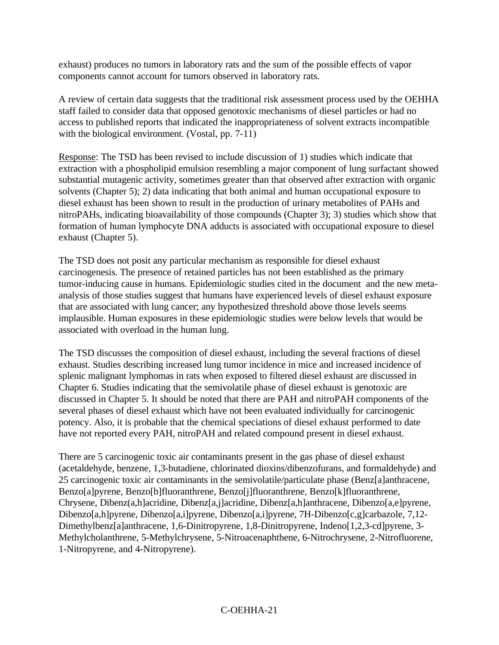exhaust) produces no tumors in laboratory rats and the sum of the possible effects of vapor components cannot account for tumors observed in laboratory rats.

A review of certain data suggests that the traditional risk assessment process used by the OEHHA staff failed to consider data that opposed genotoxic mechanisms of diesel particles or had no access to published reports that indicated the inappropriateness of solvent extracts incompatible with the biological environment. (Vostal, pp. 7-11)

Response: The TSD has been revised to include discussion of 1) studies which indicate that extraction with a phospholipid emulsion resembling a major component of lung surfactant showed substantial mutagenic activity, sometimes greater than that observed after extraction with organic solvents (Chapter 5); 2) data indicating that both animal and human occupational exposure to diesel exhaust has been shown to result in the production of urinary metabolites of PAHs and nitroPAHs, indicating bioavailability of those compounds (Chapter 3); 3) studies which show that formation of human lymphocyte DNA adducts is associated with occupational exposure to diesel exhaust (Chapter 5).

The TSD does not posit any particular mechanism as responsible for diesel exhaust carcinogenesis. The presence of retained particles has not been established as the primary tumor-inducing cause in humans. Epidemiologic studies cited in the document and the new metaanalysis of those studies suggest that humans have experienced levels of diesel exhaust exposure that are associated with lung cancer; any hypothesized threshold above those levels seems implausible. Human exposures in these epidemiologic studies were below levels that would be associated with overload in the human lung.

The TSD discusses the composition of diesel exhaust, including the several fractions of diesel exhaust. Studies describing increased lung tumor incidence in mice and increased incidence of splenic malignant lymphomas in rats when exposed to filtered diesel exhaust are discussed in Chapter 6. Studies indicating that the semivolatile phase of diesel exhaust is genotoxic are discussed in Chapter 5. It should be noted that there are PAH and nitroPAH components of the several phases of diesel exhaust which have not been evaluated individually for carcinogenic potency. Also, it is probable that the chemical speciations of diesel exhaust performed to date have not reported every PAH, nitroPAH and related compound present in diesel exhaust.

There are 5 carcinogenic toxic air contaminants present in the gas phase of diesel exhaust (acetaldehyde, benzene, 1,3-butadiene, chlorinated dioxins/dibenzofurans, and formaldehyde) and 25 carcinogenic toxic air contaminants in the semivolatile/particulate phase (Benz[a]anthracene, Benzo[a]pyrene, Benzo[b]fluoranthrene, Benzo[j]fluoranthrene, Benzo[k]fluoranthrene, Chrysene, Dibenz(a,h]acridine, Dibenz[a,j]acridine, Dibenz[a,h]anthracene, Dibenzo[a,e]pyrene, Dibenzo[a,h]pyrene, Dibenzo[a,i]pyrene, Dibenzo[a,i]pyrene, 7H-Dibenzo[c,g]carbazole, 7,12- Dimethylbenz[a]anthracene, 1,6-Dinitropyrene, 1,8-Dinitropyrene, Indeno[1,2,3-cd]pyrene, 3- Methylcholanthrene, 5-Methylchrysene, 5-Nitroacenaphthene, 6-Nitrochrysene, 2-Nitrofluorene, 1-Nitropyrene, and 4-Nitropyrene).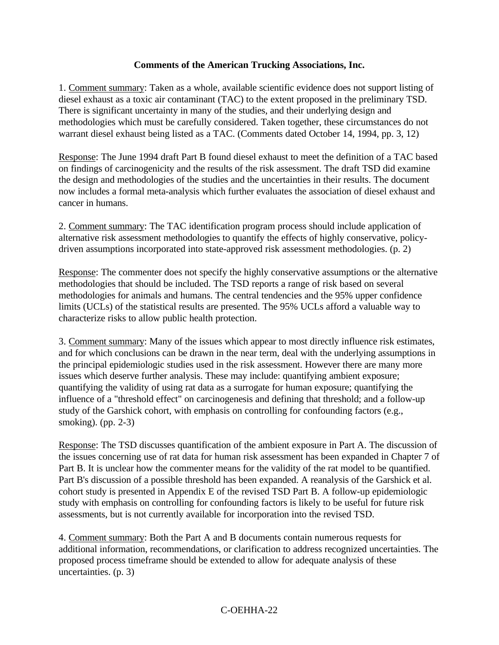### **Comments of the American Trucking Associations, Inc.**

1. Comment summary: Taken as a whole, available scientific evidence does not support listing of diesel exhaust as a toxic air contaminant (TAC) to the extent proposed in the preliminary TSD. There is significant uncertainty in many of the studies, and their underlying design and methodologies which must be carefully considered. Taken together, these circumstances do not warrant diesel exhaust being listed as a TAC. (Comments dated October 14, 1994, pp. 3, 12)

Response: The June 1994 draft Part B found diesel exhaust to meet the definition of a TAC based on findings of carcinogenicity and the results of the risk assessment. The draft TSD did examine the design and methodologies of the studies and the uncertainties in their results. The document now includes a formal meta-analysis which further evaluates the association of diesel exhaust and cancer in humans.

2. Comment summary: The TAC identification program process should include application of alternative risk assessment methodologies to quantify the effects of highly conservative, policydriven assumptions incorporated into state-approved risk assessment methodologies. (p. 2)

Response: The commenter does not specify the highly conservative assumptions or the alternative methodologies that should be included. The TSD reports a range of risk based on several methodologies for animals and humans. The central tendencies and the 95% upper confidence limits (UCLs) of the statistical results are presented. The 95% UCLs afford a valuable way to characterize risks to allow public health protection.

3. Comment summary: Many of the issues which appear to most directly influence risk estimates, and for which conclusions can be drawn in the near term, deal with the underlying assumptions in the principal epidemiologic studies used in the risk assessment. However there are many more issues which deserve further analysis. These may include: quantifying ambient exposure; quantifying the validity of using rat data as a surrogate for human exposure; quantifying the influence of a "threshold effect" on carcinogenesis and defining that threshold; and a follow-up study of the Garshick cohort, with emphasis on controlling for confounding factors (e.g., smoking). (pp. 2-3)

Response: The TSD discusses quantification of the ambient exposure in Part A. The discussion of the issues concerning use of rat data for human risk assessment has been expanded in Chapter 7 of Part B. It is unclear how the commenter means for the validity of the rat model to be quantified. Part B's discussion of a possible threshold has been expanded. A reanalysis of the Garshick et al. cohort study is presented in Appendix E of the revised TSD Part B. A follow-up epidemiologic study with emphasis on controlling for confounding factors is likely to be useful for future risk assessments, but is not currently available for incorporation into the revised TSD.

4. Comment summary: Both the Part A and B documents contain numerous requests for additional information, recommendations, or clarification to address recognized uncertainties. The proposed process timeframe should be extended to allow for adequate analysis of these uncertainties. (p. 3)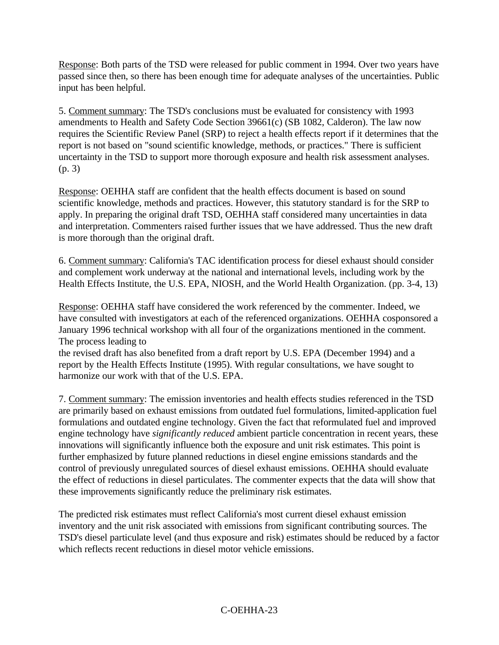Response: Both parts of the TSD were released for public comment in 1994. Over two years have passed since then, so there has been enough time for adequate analyses of the uncertainties. Public input has been helpful.

5. Comment summary: The TSD's conclusions must be evaluated for consistency with 1993 amendments to Health and Safety Code Section 39661(c) (SB 1082, Calderon). The law now requires the Scientific Review Panel (SRP) to reject a health effects report if it determines that the report is not based on "sound scientific knowledge, methods, or practices." There is sufficient uncertainty in the TSD to support more thorough exposure and health risk assessment analyses. (p. 3)

Response: OEHHA staff are confident that the health effects document is based on sound scientific knowledge, methods and practices. However, this statutory standard is for the SRP to apply. In preparing the original draft TSD, OEHHA staff considered many uncertainties in data and interpretation. Commenters raised further issues that we have addressed. Thus the new draft is more thorough than the original draft.

6. Comment summary: California's TAC identification process for diesel exhaust should consider and complement work underway at the national and international levels, including work by the Health Effects Institute, the U.S. EPA, NIOSH, and the World Health Organization. (pp. 3-4, 13)

Response: OEHHA staff have considered the work referenced by the commenter. Indeed, we have consulted with investigators at each of the referenced organizations. OEHHA cosponsored a January 1996 technical workshop with all four of the organizations mentioned in the comment. The process leading to

the revised draft has also benefited from a draft report by U.S. EPA (December 1994) and a report by the Health Effects Institute (1995). With regular consultations, we have sought to harmonize our work with that of the U.S. EPA.

7. Comment summary: The emission inventories and health effects studies referenced in the TSD are primarily based on exhaust emissions from outdated fuel formulations, limited-application fuel formulations and outdated engine technology. Given the fact that reformulated fuel and improved engine technology have *significantly reduced* ambient particle concentration in recent years, these innovations will significantly influence both the exposure and unit risk estimates. This point is further emphasized by future planned reductions in diesel engine emissions standards and the control of previously unregulated sources of diesel exhaust emissions. OEHHA should evaluate the effect of reductions in diesel particulates. The commenter expects that the data will show that these improvements significantly reduce the preliminary risk estimates.

The predicted risk estimates must reflect California's most current diesel exhaust emission inventory and the unit risk associated with emissions from significant contributing sources. The TSD's diesel particulate level (and thus exposure and risk) estimates should be reduced by a factor which reflects recent reductions in diesel motor vehicle emissions.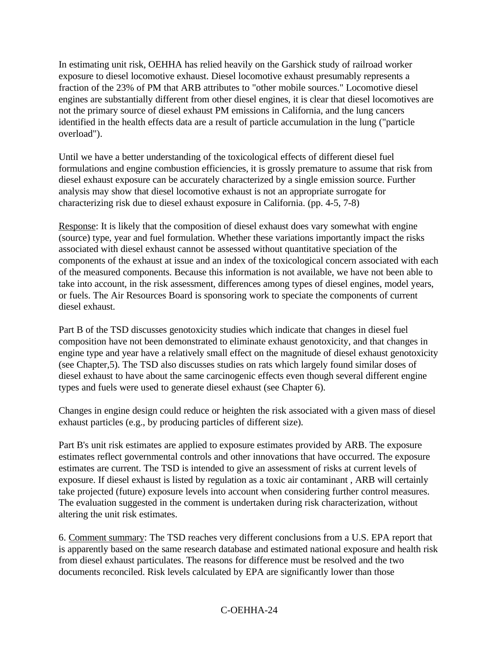In estimating unit risk, OEHHA has relied heavily on the Garshick study of railroad worker exposure to diesel locomotive exhaust. Diesel locomotive exhaust presumably represents a fraction of the 23% of PM that ARB attributes to "other mobile sources." Locomotive diesel engines are substantially different from other diesel engines, it is clear that diesel locomotives are not the primary source of diesel exhaust PM emissions in California, and the lung cancers identified in the health effects data are a result of particle accumulation in the lung ("particle overload").

Until we have a better understanding of the toxicological effects of different diesel fuel formulations and engine combustion efficiencies, it is grossly premature to assume that risk from diesel exhaust exposure can be accurately characterized by a single emission source. Further analysis may show that diesel locomotive exhaust is not an appropriate surrogate for characterizing risk due to diesel exhaust exposure in California. (pp. 4-5, 7-8)

Response: It is likely that the composition of diesel exhaust does vary somewhat with engine (source) type, year and fuel formulation. Whether these variations importantly impact the risks associated with diesel exhaust cannot be assessed without quantitative speciation of the components of the exhaust at issue and an index of the toxicological concern associated with each of the measured components. Because this information is not available, we have not been able to take into account, in the risk assessment, differences among types of diesel engines, model years, or fuels. The Air Resources Board is sponsoring work to speciate the components of current diesel exhaust.

Part B of the TSD discusses genotoxicity studies which indicate that changes in diesel fuel composition have not been demonstrated to eliminate exhaust genotoxicity, and that changes in engine type and year have a relatively small effect on the magnitude of diesel exhaust genotoxicity (see Chapter,5). The TSD also discusses studies on rats which largely found similar doses of diesel exhaust to have about the same carcinogenic effects even though several different engine types and fuels were used to generate diesel exhaust (see Chapter 6).

Changes in engine design could reduce or heighten the risk associated with a given mass of diesel exhaust particles (e.g., by producing particles of different size).

Part B's unit risk estimates are applied to exposure estimates provided by ARB. The exposure estimates reflect governmental controls and other innovations that have occurred. The exposure estimates are current. The TSD is intended to give an assessment of risks at current levels of exposure. If diesel exhaust is listed by regulation as a toxic air contaminant , ARB will certainly take projected (future) exposure levels into account when considering further control measures. The evaluation suggested in the comment is undertaken during risk characterization, without altering the unit risk estimates.

6. Comment summary: The TSD reaches very different conclusions from a U.S. EPA report that is apparently based on the same research database and estimated national exposure and health risk from diesel exhaust particulates. The reasons for difference must be resolved and the two documents reconciled. Risk levels calculated by EPA are significantly lower than those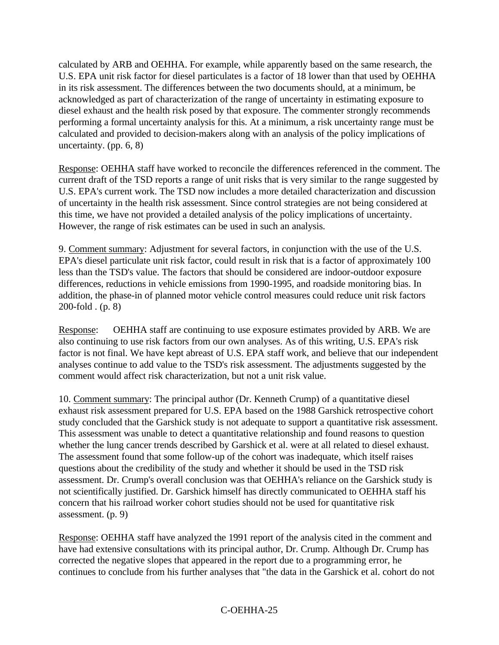calculated by ARB and OEHHA. For example, while apparently based on the same research, the U.S. EPA unit risk factor for diesel particulates is a factor of 18 lower than that used by OEHHA in its risk assessment. The differences between the two documents should, at a minimum, be acknowledged as part of characterization of the range of uncertainty in estimating exposure to diesel exhaust and the health risk posed by that exposure. The commenter strongly recommends performing a formal uncertainty analysis for this. At a minimum, a risk uncertainty range must be calculated and provided to decision-makers along with an analysis of the policy implications of uncertainty. (pp. 6, 8)

Response: OEHHA staff have worked to reconcile the differences referenced in the comment. The current draft of the TSD reports a range of unit risks that is very similar to the range suggested by U.S. EPA's current work. The TSD now includes a more detailed characterization and discussion of uncertainty in the health risk assessment. Since control strategies are not being considered at this time, we have not provided a detailed analysis of the policy implications of uncertainty. However, the range of risk estimates can be used in such an analysis.

9. Comment summary: Adjustment for several factors, in conjunction with the use of the U.S. EPA's diesel particulate unit risk factor, could result in risk that is a factor of approximately 100 less than the TSD's value. The factors that should be considered are indoor-outdoor exposure differences, reductions in vehicle emissions from 1990-1995, and roadside monitoring bias. In addition, the phase-in of planned motor vehicle control measures could reduce unit risk factors 200-fold . (p. 8)

Response: OEHHA staff are continuing to use exposure estimates provided by ARB. We are also continuing to use risk factors from our own analyses. As of this writing, U.S. EPA's risk factor is not final. We have kept abreast of U.S. EPA staff work, and believe that our independent analyses continue to add value to the TSD's risk assessment. The adjustments suggested by the comment would affect risk characterization, but not a unit risk value.

10. Comment summary: The principal author (Dr. Kenneth Crump) of a quantitative diesel exhaust risk assessment prepared for U.S. EPA based on the 1988 Garshick retrospective cohort study concluded that the Garshick study is not adequate to support a quantitative risk assessment. This assessment was unable to detect a quantitative relationship and found reasons to question whether the lung cancer trends described by Garshick et al. were at all related to diesel exhaust. The assessment found that some follow-up of the cohort was inadequate, which itself raises questions about the credibility of the study and whether it should be used in the TSD risk assessment. Dr. Crump's overall conclusion was that OEHHA's reliance on the Garshick study is not scientifically justified. Dr. Garshick himself has directly communicated to OEHHA staff his concern that his railroad worker cohort studies should not be used for quantitative risk assessment. (p. 9)

Response: OEHHA staff have analyzed the 1991 report of the analysis cited in the comment and have had extensive consultations with its principal author, Dr. Crump. Although Dr. Crump has corrected the negative slopes that appeared in the report due to a programming error, he continues to conclude from his further analyses that "the data in the Garshick et al. cohort do not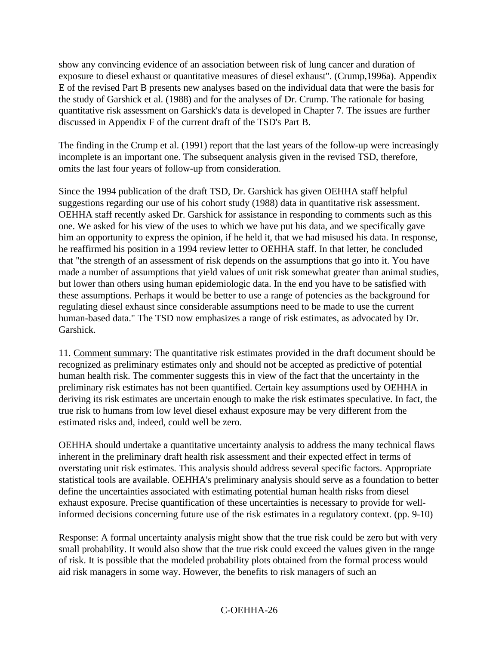show any convincing evidence of an association between risk of lung cancer and duration of exposure to diesel exhaust or quantitative measures of diesel exhaust". (Crump,1996a). Appendix E of the revised Part B presents new analyses based on the individual data that were the basis for the study of Garshick et al. (1988) and for the analyses of Dr. Crump. The rationale for basing quantitative risk assessment on Garshick's data is developed in Chapter 7. The issues are further discussed in Appendix F of the current draft of the TSD's Part B.

The finding in the Crump et al. (1991) report that the last years of the follow-up were increasingly incomplete is an important one. The subsequent analysis given in the revised TSD, therefore, omits the last four years of follow-up from consideration.

Since the 1994 publication of the draft TSD, Dr. Garshick has given OEHHA staff helpful suggestions regarding our use of his cohort study (1988) data in quantitative risk assessment. OEHHA staff recently asked Dr. Garshick for assistance in responding to comments such as this one. We asked for his view of the uses to which we have put his data, and we specifically gave him an opportunity to express the opinion, if he held it, that we had misused his data. In response, he reaffirmed his position in a 1994 review letter to OEHHA staff. In that letter, he concluded that "the strength of an assessment of risk depends on the assumptions that go into it. You have made a number of assumptions that yield values of unit risk somewhat greater than animal studies, but lower than others using human epidemiologic data. In the end you have to be satisfied with these assumptions. Perhaps it would be better to use a range of potencies as the background for regulating diesel exhaust since considerable assumptions need to be made to use the current human-based data." The TSD now emphasizes a range of risk estimates, as advocated by Dr. Garshick.

11. Comment summary: The quantitative risk estimates provided in the draft document should be recognized as preliminary estimates only and should not be accepted as predictive of potential human health risk. The commenter suggests this in view of the fact that the uncertainty in the preliminary risk estimates has not been quantified. Certain key assumptions used by OEHHA in deriving its risk estimates are uncertain enough to make the risk estimates speculative. In fact, the true risk to humans from low level diesel exhaust exposure may be very different from the estimated risks and, indeed, could well be zero.

OEHHA should undertake a quantitative uncertainty analysis to address the many technical flaws inherent in the preliminary draft health risk assessment and their expected effect in terms of overstating unit risk estimates. This analysis should address several specific factors. Appropriate statistical tools are available. OEHHA's preliminary analysis should serve as a foundation to better define the uncertainties associated with estimating potential human health risks from diesel exhaust exposure. Precise quantification of these uncertainties is necessary to provide for wellinformed decisions concerning future use of the risk estimates in a regulatory context. (pp. 9-10)

Response: A formal uncertainty analysis might show that the true risk could be zero but with very small probability. It would also show that the true risk could exceed the values given in the range of risk. It is possible that the modeled probability plots obtained from the formal process would aid risk managers in some way. However, the benefits to risk managers of such an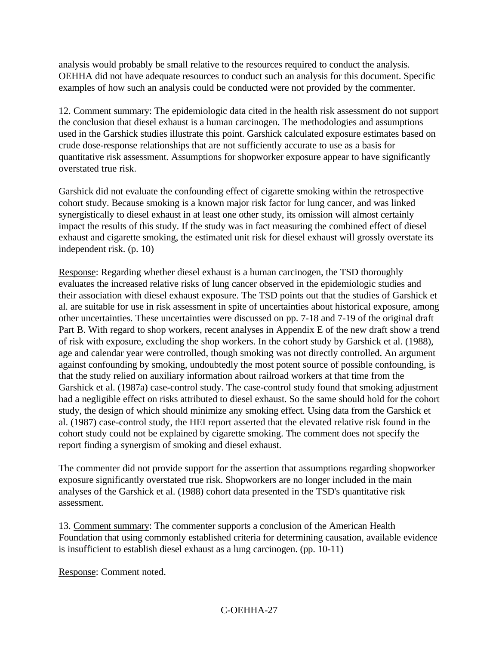analysis would probably be small relative to the resources required to conduct the analysis. OEHHA did not have adequate resources to conduct such an analysis for this document. Specific examples of how such an analysis could be conducted were not provided by the commenter.

12. Comment summary: The epidemiologic data cited in the health risk assessment do not support the conclusion that diesel exhaust is a human carcinogen. The methodologies and assumptions used in the Garshick studies illustrate this point. Garshick calculated exposure estimates based on crude dose-response relationships that are not sufficiently accurate to use as a basis for quantitative risk assessment. Assumptions for shopworker exposure appear to have significantly overstated true risk.

Garshick did not evaluate the confounding effect of cigarette smoking within the retrospective cohort study. Because smoking is a known major risk factor for lung cancer, and was linked synergistically to diesel exhaust in at least one other study, its omission will almost certainly impact the results of this study. If the study was in fact measuring the combined effect of diesel exhaust and cigarette smoking, the estimated unit risk for diesel exhaust will grossly overstate its independent risk. (p. 10)

Response: Regarding whether diesel exhaust is a human carcinogen, the TSD thoroughly evaluates the increased relative risks of lung cancer observed in the epidemiologic studies and their association with diesel exhaust exposure. The TSD points out that the studies of Garshick et al. are suitable for use in risk assessment in spite of uncertainties about historical exposure, among other uncertainties. These uncertainties were discussed on pp. 7-18 and 7-19 of the original draft Part B. With regard to shop workers, recent analyses in Appendix E of the new draft show a trend of risk with exposure, excluding the shop workers. In the cohort study by Garshick et al. (1988), age and calendar year were controlled, though smoking was not directly controlled. An argument against confounding by smoking, undoubtedly the most potent source of possible confounding, is that the study relied on auxiliary information about railroad workers at that time from the Garshick et al. (1987a) case-control study. The case-control study found that smoking adjustment had a negligible effect on risks attributed to diesel exhaust. So the same should hold for the cohort study, the design of which should minimize any smoking effect. Using data from the Garshick et al. (1987) case-control study, the HEI report asserted that the elevated relative risk found in the cohort study could not be explained by cigarette smoking. The comment does not specify the report finding a synergism of smoking and diesel exhaust.

The commenter did not provide support for the assertion that assumptions regarding shopworker exposure significantly overstated true risk. Shopworkers are no longer included in the main analyses of the Garshick et al. (1988) cohort data presented in the TSD's quantitative risk assessment.

13. Comment summary: The commenter supports a conclusion of the American Health Foundation that using commonly established criteria for determining causation, available evidence is insufficient to establish diesel exhaust as a lung carcinogen. (pp. 10-11)

Response: Comment noted.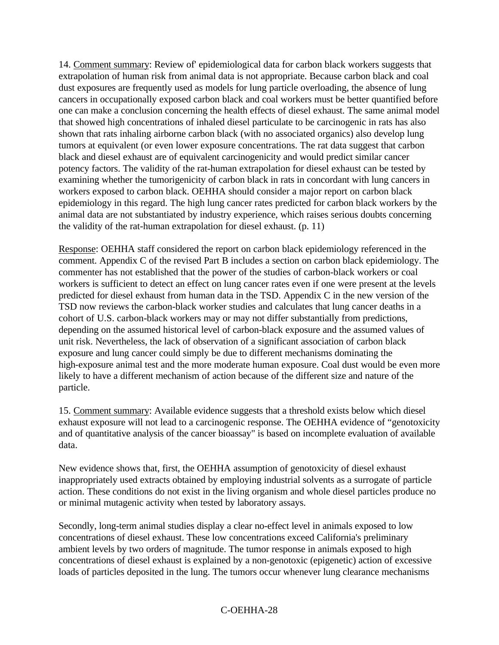14. Comment summary: Review of' epidemiological data for carbon black workers suggests that extrapolation of human risk from animal data is not appropriate. Because carbon black and coal dust exposures are frequently used as models for lung particle overloading, the absence of lung cancers in occupationally exposed carbon black and coal workers must be better quantified before one can make a conclusion concerning the health effects of diesel exhaust. The same animal model that showed high concentrations of inhaled diesel particulate to be carcinogenic in rats has also shown that rats inhaling airborne carbon black (with no associated organics) also develop lung tumors at equivalent (or even lower exposure concentrations. The rat data suggest that carbon black and diesel exhaust are of equivalent carcinogenicity and would predict similar cancer potency factors. The validity of the rat-human extrapolation for diesel exhaust can be tested by examining whether the tumorigenicity of carbon black in rats in concordant with lung cancers in workers exposed to carbon black. OEHHA should consider a major report on carbon black epidemiology in this regard. The high lung cancer rates predicted for carbon black workers by the animal data are not substantiated by industry experience, which raises serious doubts concerning the validity of the rat-human extrapolation for diesel exhaust. (p. 11)

Response: OEHHA staff considered the report on carbon black epidemiology referenced in the comment. Appendix C of the revised Part B includes a section on carbon black epidemiology. The commenter has not established that the power of the studies of carbon-black workers or coal workers is sufficient to detect an effect on lung cancer rates even if one were present at the levels predicted for diesel exhaust from human data in the TSD. Appendix C in the new version of the TSD now reviews the carbon-black worker studies and calculates that lung cancer deaths in a cohort of U.S. carbon-black workers may or may not differ substantially from predictions, depending on the assumed historical level of carbon-black exposure and the assumed values of unit risk. Nevertheless, the lack of observation of a significant association of carbon black exposure and lung cancer could simply be due to different mechanisms dominating the high-exposure animal test and the more moderate human exposure. Coal dust would be even more likely to have a different mechanism of action because of the different size and nature of the particle.

15. Comment summary: Available evidence suggests that a threshold exists below which diesel exhaust exposure will not lead to a carcinogenic response. The OEHHA evidence of "genotoxicity and of quantitative analysis of the cancer bioassay" is based on incomplete evaluation of available data.

New evidence shows that, first, the OEHHA assumption of genotoxicity of diesel exhaust inappropriately used extracts obtained by employing industrial solvents as a surrogate of particle action. These conditions do not exist in the living organism and whole diesel particles produce no or minimal mutagenic activity when tested by laboratory assays.

Secondly, long-term animal studies display a clear no-effect level in animals exposed to low concentrations of diesel exhaust. These low concentrations exceed California's preliminary ambient levels by two orders of magnitude. The tumor response in animals exposed to high concentrations of diesel exhaust is explained by a non-genotoxic (epigenetic) action of excessive loads of particles deposited in the lung. The tumors occur whenever lung clearance mechanisms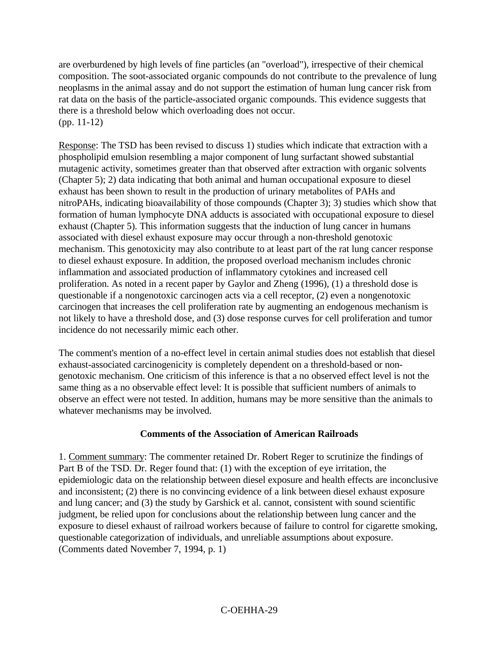are overburdened by high levels of fine particles (an "overload"), irrespective of their chemical composition. The soot-associated organic compounds do not contribute to the prevalence of lung neoplasms in the animal assay and do not support the estimation of human lung cancer risk from rat data on the basis of the particle-associated organic compounds. This evidence suggests that there is a threshold below which overloading does not occur. (pp. 11-12)

Response: The TSD has been revised to discuss 1) studies which indicate that extraction with a phospholipid emulsion resembling a major component of lung surfactant showed substantial mutagenic activity, sometimes greater than that observed after extraction with organic solvents (Chapter 5); 2) data indicating that both animal and human occupational exposure to diesel exhaust has been shown to result in the production of urinary metabolites of PAHs and nitroPAHs, indicating bioavailability of those compounds (Chapter 3); 3) studies which show that formation of human lymphocyte DNA adducts is associated with occupational exposure to diesel exhaust (Chapter 5). This information suggests that the induction of lung cancer in humans associated with diesel exhaust exposure may occur through a non-threshold genotoxic mechanism. This genotoxicity may also contribute to at least part of the rat lung cancer response to diesel exhaust exposure. In addition, the proposed overload mechanism includes chronic inflammation and associated production of inflammatory cytokines and increased cell proliferation. As noted in a recent paper by Gaylor and Zheng (1996), (1) a threshold dose is questionable if a nongenotoxic carcinogen acts via a cell receptor, (2) even a nongenotoxic carcinogen that increases the cell proliferation rate by augmenting an endogenous mechanism is not likely to have a threshold dose, and (3) dose response curves for cell proliferation and tumor incidence do not necessarily mimic each other.

The comment's mention of a no-effect level in certain animal studies does not establish that diesel exhaust-associated carcinogenicity is completely dependent on a threshold-based or nongenotoxic mechanism. One criticism of this inference is that a no observed effect level is not the same thing as a no observable effect level: It is possible that sufficient numbers of animals to observe an effect were not tested. In addition, humans may be more sensitive than the animals to whatever mechanisms may be involved.

### **Comments of the Association of American Railroads**

1. Comment summary: The commenter retained Dr. Robert Reger to scrutinize the findings of Part B of the TSD. Dr. Reger found that: (1) with the exception of eye irritation, the epidemiologic data on the relationship between diesel exposure and health effects are inconclusive and inconsistent; (2) there is no convincing evidence of a link between diesel exhaust exposure and lung cancer; and (3) the study by Garshick et al. cannot, consistent with sound scientific judgment, be relied upon for conclusions about the relationship between lung cancer and the exposure to diesel exhaust of railroad workers because of failure to control for cigarette smoking, questionable categorization of individuals, and unreliable assumptions about exposure. (Comments dated November 7, 1994, p. 1)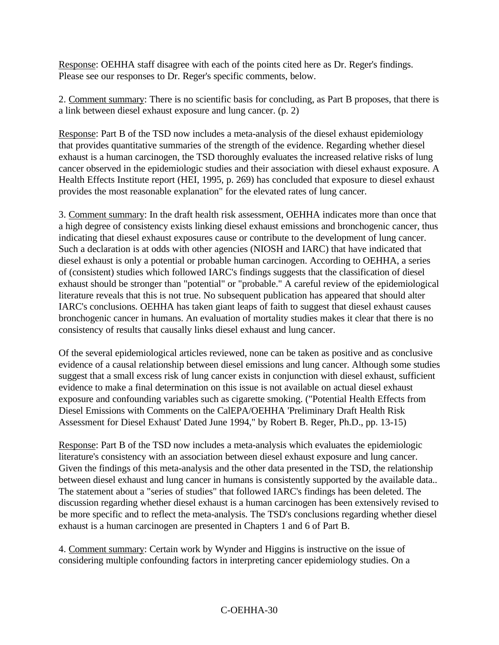Response: OEHHA staff disagree with each of the points cited here as Dr. Reger's findings. Please see our responses to Dr. Reger's specific comments, below.

2. Comment summary: There is no scientific basis for concluding, as Part B proposes, that there is a link between diesel exhaust exposure and lung cancer. (p. 2)

Response: Part B of the TSD now includes a meta-analysis of the diesel exhaust epidemiology that provides quantitative summaries of the strength of the evidence. Regarding whether diesel exhaust is a human carcinogen, the TSD thoroughly evaluates the increased relative risks of lung cancer observed in the epidemiologic studies and their association with diesel exhaust exposure. A Health Effects Institute report (HEI, 1995, p. 269) has concluded that exposure to diesel exhaust provides the most reasonable explanation" for the elevated rates of lung cancer.

3. Comment summary: In the draft health risk assessment, OEHHA indicates more than once that a high degree of consistency exists linking diesel exhaust emissions and bronchogenic cancer, thus indicating that diesel exhaust exposures cause or contribute to the development of lung cancer. Such a declaration is at odds with other agencies (NIOSH and IARC) that have indicated that diesel exhaust is only a potential or probable human carcinogen. According to OEHHA, a series of (consistent) studies which followed IARC's findings suggests that the classification of diesel exhaust should be stronger than "potential" or "probable." A careful review of the epidemiological literature reveals that this is not true. No subsequent publication has appeared that should alter IARC's conclusions. OEHHA has taken giant leaps of faith to suggest that diesel exhaust causes bronchogenic cancer in humans. An evaluation of mortality studies makes it clear that there is no consistency of results that causally links diesel exhaust and lung cancer.

Of the several epidemiological articles reviewed, none can be taken as positive and as conclusive evidence of a causal relationship between diesel emissions and lung cancer. Although some studies suggest that a small excess risk of lung cancer exists in conjunction with diesel exhaust, sufficient evidence to make a final determination on this issue is not available on actual diesel exhaust exposure and confounding variables such as cigarette smoking. ("Potential Health Effects from Diesel Emissions with Comments on the CalEPA/OEHHA 'Preliminary Draft Health Risk Assessment for Diesel Exhaust' Dated June 1994," by Robert B. Reger, Ph.D., pp. 13-15)

Response: Part B of the TSD now includes a meta-analysis which evaluates the epidemiologic literature's consistency with an association between diesel exhaust exposure and lung cancer. Given the findings of this meta-analysis and the other data presented in the TSD, the relationship between diesel exhaust and lung cancer in humans is consistently supported by the available data.. The statement about a "series of studies" that followed IARC's findings has been deleted. The discussion regarding whether diesel exhaust is a human carcinogen has been extensively revised to be more specific and to reflect the meta-analysis. The TSD's conclusions regarding whether diesel exhaust is a human carcinogen are presented in Chapters 1 and 6 of Part B.

4. Comment summary: Certain work by Wynder and Higgins is instructive on the issue of considering multiple confounding factors in interpreting cancer epidemiology studies. On a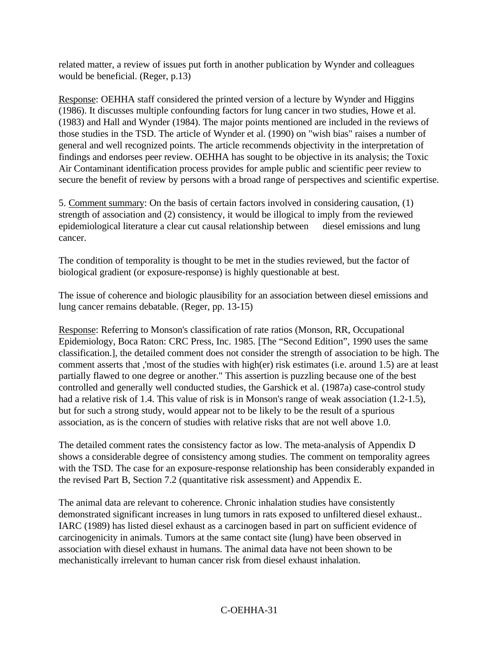related matter, a review of issues put forth in another publication by Wynder and colleagues would be beneficial. (Reger, p.13)

Response: OEHHA staff considered the printed version of a lecture by Wynder and Higgins (1986). It discusses multiple confounding factors for lung cancer in two studies, Howe et al. (1983) and Hall and Wynder (1984). The major points mentioned are included in the reviews of those studies in the TSD. The article of Wynder et al. (1990) on "wish bias" raises a number of general and well recognized points. The article recommends objectivity in the interpretation of findings and endorses peer review. OEHHA has sought to be objective in its analysis; the Toxic Air Contaminant identification process provides for ample public and scientific peer review to secure the benefit of review by persons with a broad range of perspectives and scientific expertise.

5. Comment summary: On the basis of certain factors involved in considering causation, (1) strength of association and (2) consistency, it would be illogical to imply from the reviewed epidemiological literature a clear cut causal relationship between diesel emissions and lung cancer.

The condition of temporality is thought to be met in the studies reviewed, but the factor of biological gradient (or exposure-response) is highly questionable at best.

The issue of coherence and biologic plausibility for an association between diesel emissions and lung cancer remains debatable. (Reger, pp. 13-15)

Response: Referring to Monson's classification of rate ratios (Monson, RR, Occupational Epidemiology, Boca Raton: CRC Press, Inc. 1985. [The "Second Edition", 1990 uses the same classification.], the detailed comment does not consider the strength of association to be high. The comment asserts that ,'most of the studies with high(er) risk estimates (i.e. around 1.5) are at least partially flawed to one degree or another." This assertion is puzzling because one of the best controlled and generally well conducted studies, the Garshick et al. (1987a) case-control study had a relative risk of 1.4. This value of risk is in Monson's range of weak association (1.2-1.5), but for such a strong study, would appear not to be likely to be the result of a spurious association, as is the concern of studies with relative risks that are not well above 1.0.

The detailed comment rates the consistency factor as low. The meta-analysis of Appendix D shows a considerable degree of consistency among studies. The comment on temporality agrees with the TSD. The case for an exposure-response relationship has been considerably expanded in the revised Part B, Section 7.2 (quantitative risk assessment) and Appendix E.

The animal data are relevant to coherence. Chronic inhalation studies have consistently demonstrated significant increases in lung tumors in rats exposed to unfiltered diesel exhaust.. IARC (1989) has listed diesel exhaust as a carcinogen based in part on sufficient evidence of carcinogenicity in animals. Tumors at the same contact site (lung) have been observed in association with diesel exhaust in humans. The animal data have not been shown to be mechanistically irrelevant to human cancer risk from diesel exhaust inhalation.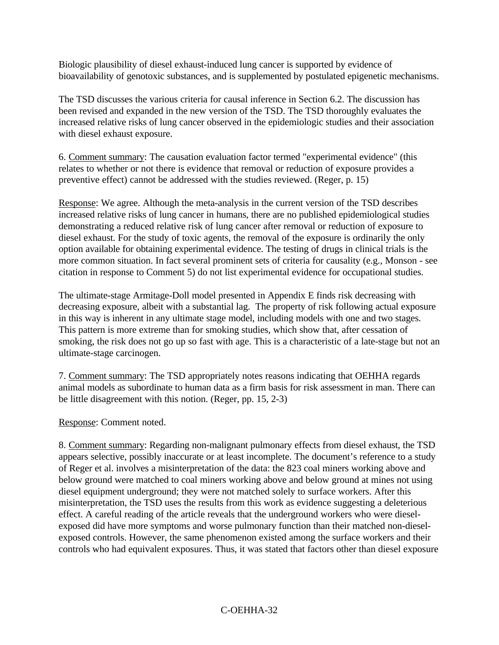Biologic plausibility of diesel exhaust-induced lung cancer is supported by evidence of bioavailability of genotoxic substances, and is supplemented by postulated epigenetic mechanisms.

The TSD discusses the various criteria for causal inference in Section 6.2. The discussion has been revised and expanded in the new version of the TSD. The TSD thoroughly evaluates the increased relative risks of lung cancer observed in the epidemiologic studies and their association with diesel exhaust exposure.

6. Comment summary: The causation evaluation factor termed "experimental evidence" (this relates to whether or not there is evidence that removal or reduction of exposure provides a preventive effect) cannot be addressed with the studies reviewed. (Reger, p. 15)

Response: We agree. Although the meta-analysis in the current version of the TSD describes increased relative risks of lung cancer in humans, there are no published epidemiological studies demonstrating a reduced relative risk of lung cancer after removal or reduction of exposure to diesel exhaust. For the study of toxic agents, the removal of the exposure is ordinarily the only option available for obtaining experimental evidence. The testing of drugs in clinical trials is the more common situation. In fact several prominent sets of criteria for causality (e.g., Monson - see citation in response to Comment 5) do not list experimental evidence for occupational studies.

The ultimate-stage Armitage-Doll model presented in Appendix E finds risk decreasing with decreasing exposure, albeit with a substantial lag. The property of risk following actual exposure in this way is inherent in any ultimate stage model, including models with one and two stages. This pattern is more extreme than for smoking studies, which show that, after cessation of smoking, the risk does not go up so fast with age. This is a characteristic of a late-stage but not an ultimate-stage carcinogen.

7. Comment summary: The TSD appropriately notes reasons indicating that OEHHA regards animal models as subordinate to human data as a firm basis for risk assessment in man. There can be little disagreement with this notion. (Reger, pp. 15, 2-3)

Response: Comment noted.

8. Comment summary: Regarding non-malignant pulmonary effects from diesel exhaust, the TSD appears selective, possibly inaccurate or at least incomplete. The document's reference to a study of Reger et al. involves a misinterpretation of the data: the 823 coal miners working above and below ground were matched to coal miners working above and below ground at mines not using diesel equipment underground; they were not matched solely to surface workers. After this misinterpretation, the TSD uses the results from this work as evidence suggesting a deleterious effect. A careful reading of the article reveals that the underground workers who were dieselexposed did have more symptoms and worse pulmonary function than their matched non-dieselexposed controls. However, the same phenomenon existed among the surface workers and their controls who had equivalent exposures. Thus, it was stated that factors other than diesel exposure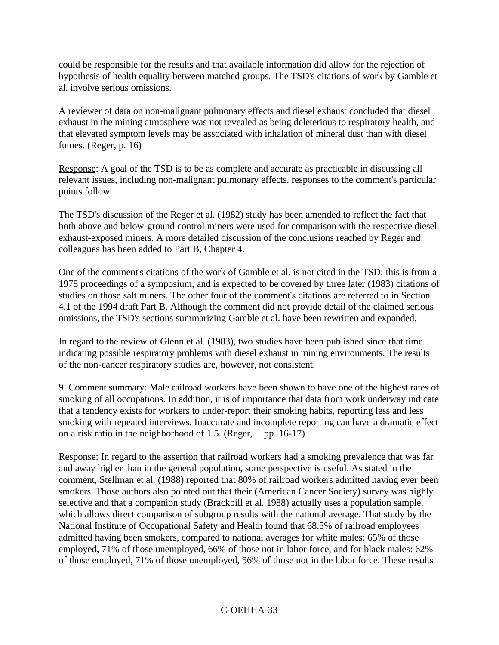could be responsible for the results and that available information did allow for the rejection of hypothesis of health equality between matched groups. The TSD's citations of work by Gamble et al. involve serious omissions.

A reviewer of data on non-malignant pulmonary effects and diesel exhaust concluded that diesel exhaust in the mining atmosphere was not revealed as being deleterious to respiratory health, and that elevated symptom levels may be associated with inhalation of mineral dust than with diesel fumes. (Reger, p. 16)

Response: A goal of the TSD is to be as complete and accurate as practicable in discussing all relevant issues, including non-malignant pulmonary effects. responses to the comment's particular points follow.

The TSD's discussion of the Reger et al. (1982) study has been amended to reflect the fact that both above and below-ground control miners were used for comparison with the respective diesel exhaust-exposed miners. A more detailed discussion of the conclusions reached by Reger and colleagues has been added to Part B, Chapter 4.

One of the comment's citations of the work of Gamble et al. is not cited in the TSD; this is from a 1978 proceedings of a symposium, and is expected to be covered by three later (1983) citations of studies on those salt miners. The other four of the comment's citations are referred to in Section 4.1 of the 1994 draft Part B. Although the comment did not provide detail of the claimed serious omissions, the TSD's sections summarizing Gamble et al. have been rewritten and expanded.

In regard to the review of Glenn et al. (1983), two studies have been published since that time indicating possible respiratory problems with diesel exhaust in mining environments. The results of the non-cancer respiratory studies are, however, not consistent.

9. Comment summary: Male railroad workers have been shown to have one of the highest rates of smoking of all occupations. In addition, it is of importance that data from work underway indicate that a tendency exists for workers to under-report their smoking habits, reporting less and less smoking with repeated interviews. Inaccurate and incomplete reporting can have a dramatic effect on a risk ratio in the neighborhood of 1.5. (Reger, pp. 16-17)

Response: In regard to the assertion that railroad workers had a smoking prevalence that was far and away higher than in the general population, some perspective is useful. As stated in the comment, Stellman et al. (1988) reported that 80% of railroad workers admitted having ever been smokers. Those authors also pointed out that their (American Cancer Society) survey was highly selective and that a companion study (Brackbill et al. 1988) actually uses a population sample, which allows direct comparison of subgroup results with the national average. That study by the National Institute of Occupational Safety and Health found that 68.5% of railroad employees admitted having been smokers, compared to national averages for white males: 65% of those employed, 71% of those unemployed, 66% of those not in labor force, and for black males: 62% of those employed, 71% of those unemployed, 56% of those not in the labor force. These results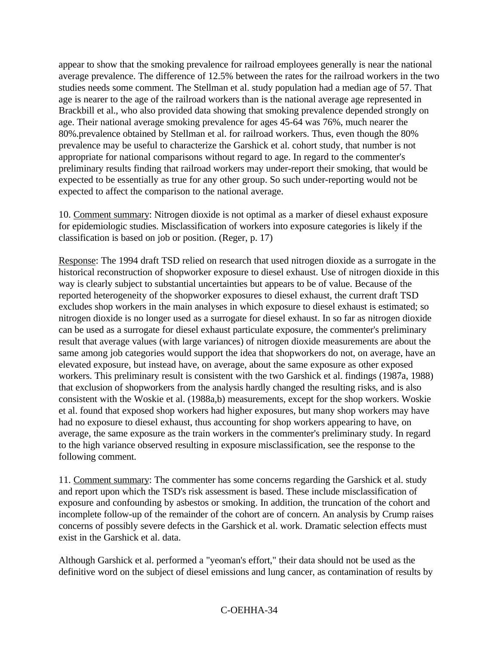appear to show that the smoking prevalence for railroad employees generally is near the national average prevalence. The difference of 12.5% between the rates for the railroad workers in the two studies needs some comment. The Stellman et al. study population had a median age of 57. That age is nearer to the age of the railroad workers than is the national average age represented in Brackbill et al., who also provided data showing that smoking prevalence depended strongly on age. Their national average smoking prevalence for ages 45-64 was 76%, much nearer the 80%.prevalence obtained by Stellman et al. for railroad workers. Thus, even though the 80% prevalence may be useful to characterize the Garshick et al. cohort study, that number is not appropriate for national comparisons without regard to age. In regard to the commenter's preliminary results finding that railroad workers may under-report their smoking, that would be expected to be essentially as true for any other group. So such under-reporting would not be expected to affect the comparison to the national average.

10. Comment summary: Nitrogen dioxide is not optimal as a marker of diesel exhaust exposure for epidemiologic studies. Misclassification of workers into exposure categories is likely if the classification is based on job or position. (Reger, p. 17)

Response: The 1994 draft TSD relied on research that used nitrogen dioxide as a surrogate in the historical reconstruction of shopworker exposure to diesel exhaust. Use of nitrogen dioxide in this way is clearly subject to substantial uncertainties but appears to be of value. Because of the reported heterogeneity of the shopworker exposures to diesel exhaust, the current draft TSD excludes shop workers in the main analyses in which exposure to diesel exhaust is estimated; so nitrogen dioxide is no longer used as a surrogate for diesel exhaust. In so far as nitrogen dioxide can be used as a surrogate for diesel exhaust particulate exposure, the commenter's preliminary result that average values (with large variances) of nitrogen dioxide measurements are about the same among job categories would support the idea that shopworkers do not, on average, have an elevated exposure, but instead have, on average, about the same exposure as other exposed workers. This preliminary result is consistent with the two Garshick et al. findings (1987a, 1988) that exclusion of shopworkers from the analysis hardly changed the resulting risks, and is also consistent with the Woskie et al. (1988a,b) measurements, except for the shop workers. Woskie et al. found that exposed shop workers had higher exposures, but many shop workers may have had no exposure to diesel exhaust, thus accounting for shop workers appearing to have, on average, the same exposure as the train workers in the commenter's preliminary study. In regard to the high variance observed resulting in exposure misclassification, see the response to the following comment.

11. Comment summary: The commenter has some concerns regarding the Garshick et al. study and report upon which the TSD's risk assessment is based. These include misclassification of exposure and confounding by asbestos or smoking. In addition, the truncation of the cohort and incomplete follow-up of the remainder of the cohort are of concern. An analysis by Crump raises concerns of possibly severe defects in the Garshick et al. work. Dramatic selection effects must exist in the Garshick et al. data.

Although Garshick et al. performed a "yeoman's effort," their data should not be used as the definitive word on the subject of diesel emissions and lung cancer, as contamination of results by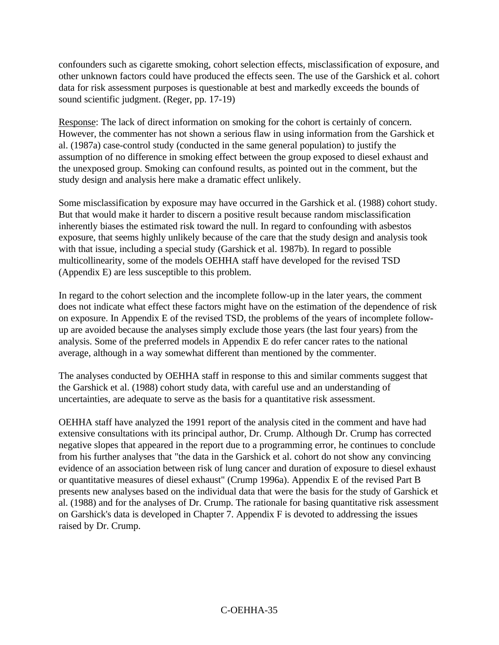confounders such as cigarette smoking, cohort selection effects, misclassification of exposure, and other unknown factors could have produced the effects seen. The use of the Garshick et al. cohort data for risk assessment purposes is questionable at best and markedly exceeds the bounds of sound scientific judgment. (Reger, pp. 17-19)

Response: The lack of direct information on smoking for the cohort is certainly of concern. However, the commenter has not shown a serious flaw in using information from the Garshick et al. (1987a) case-control study (conducted in the same general population) to justify the assumption of no difference in smoking effect between the group exposed to diesel exhaust and the unexposed group. Smoking can confound results, as pointed out in the comment, but the study design and analysis here make a dramatic effect unlikely.

Some misclassification by exposure may have occurred in the Garshick et al. (1988) cohort study. But that would make it harder to discern a positive result because random misclassification inherently biases the estimated risk toward the null. In regard to confounding with asbestos exposure, that seems highly unlikely because of the care that the study design and analysis took with that issue, including a special study (Garshick et al. 1987b). In regard to possible multicollinearity, some of the models OEHHA staff have developed for the revised TSD (Appendix E) are less susceptible to this problem.

In regard to the cohort selection and the incomplete follow-up in the later years, the comment does not indicate what effect these factors might have on the estimation of the dependence of risk on exposure. In Appendix E of the revised TSD, the problems of the years of incomplete followup are avoided because the analyses simply exclude those years (the last four years) from the analysis. Some of the preferred models in Appendix E do refer cancer rates to the national average, although in a way somewhat different than mentioned by the commenter.

The analyses conducted by OEHHA staff in response to this and similar comments suggest that the Garshick et al. (1988) cohort study data, with careful use and an understanding of uncertainties, are adequate to serve as the basis for a quantitative risk assessment.

OEHHA staff have analyzed the 1991 report of the analysis cited in the comment and have had extensive consultations with its principal author, Dr. Crump. Although Dr. Crump has corrected negative slopes that appeared in the report due to a programming error, he continues to conclude from his further analyses that "the data in the Garshick et al. cohort do not show any convincing evidence of an association between risk of lung cancer and duration of exposure to diesel exhaust or quantitative measures of diesel exhaust" (Crump 1996a). Appendix E of the revised Part B presents new analyses based on the individual data that were the basis for the study of Garshick et al. (1988) and for the analyses of Dr. Crump. The rationale for basing quantitative risk assessment on Garshick's data is developed in Chapter 7. Appendix F is devoted to addressing the issues raised by Dr. Crump.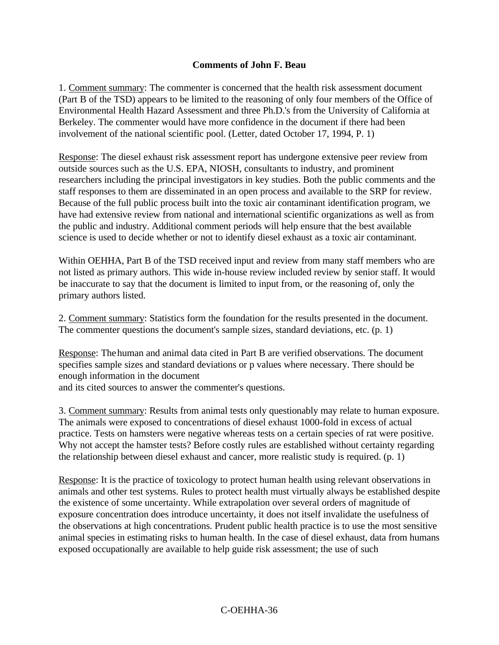#### **Comments of John F. Beau**

1. Comment summary: The commenter is concerned that the health risk assessment document (Part B of the TSD) appears to be limited to the reasoning of only four members of the Office of Environmental Health Hazard Assessment and three Ph.D.'s from the University of California at Berkeley. The commenter would have more confidence in the document if there had been involvement of the national scientific pool. (Letter, dated October 17, 1994, P. 1)

Response: The diesel exhaust risk assessment report has undergone extensive peer review from outside sources such as the U.S. EPA, NIOSH, consultants to industry, and prominent researchers including the principal investigators in key studies. Both the public comments and the staff responses to them are disseminated in an open process and available to the SRP for review. Because of the full public process built into the toxic air contaminant identification program, we have had extensive review from national and international scientific organizations as well as from the public and industry. Additional comment periods will help ensure that the best available science is used to decide whether or not to identify diesel exhaust as a toxic air contaminant.

Within OEHHA, Part B of the TSD received input and review from many staff members who are not listed as primary authors. This wide in-house review included review by senior staff. It would be inaccurate to say that the document is limited to input from, or the reasoning of, only the primary authors listed.

2. Comment summary: Statistics form the foundation for the results presented in the document. The commenter questions the document's sample sizes, standard deviations, etc. (p. 1)

Response: Thehuman and animal data cited in Part B are verified observations. The document specifies sample sizes and standard deviations or p values where necessary. There should be enough information in the document

and its cited sources to answer the commenter's questions.

3. Comment summary: Results from animal tests only questionably may relate to human exposure. The animals were exposed to concentrations of diesel exhaust 1000-fold in excess of actual practice. Tests on hamsters were negative whereas tests on a certain species of rat were positive. Why not accept the hamster tests? Before costly rules are established without certainty regarding the relationship between diesel exhaust and cancer, more realistic study is required. (p. 1)

Response: It is the practice of toxicology to protect human health using relevant observations in animals and other test systems. Rules to protect health must virtually always be established despite the existence of some uncertainty. While extrapolation over several orders of magnitude of exposure concentration does introduce uncertainty, it does not itself invalidate the usefulness of the observations at high concentrations. Prudent public health practice is to use the most sensitive animal species in estimating risks to human health. In the case of diesel exhaust, data from humans exposed occupationally are available to help guide risk assessment; the use of such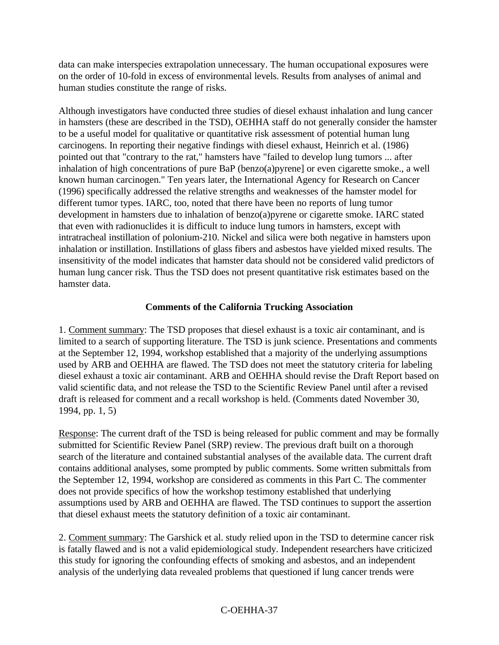data can make interspecies extrapolation unnecessary. The human occupational exposures were on the order of 10-fold in excess of environmental levels. Results from analyses of animal and human studies constitute the range of risks.

Although investigators have conducted three studies of diesel exhaust inhalation and lung cancer in hamsters (these are described in the TSD), OEHHA staff do not generally consider the hamster to be a useful model for qualitative or quantitative risk assessment of potential human lung carcinogens. In reporting their negative findings with diesel exhaust, Heinrich et al. (1986) pointed out that "contrary to the rat," hamsters have "failed to develop lung tumors ... after inhalation of high concentrations of pure BaP (benzo(a)pyrene] or even cigarette smoke., a well known human carcinogen." Ten years later, the International Agency for Research on Cancer (1996) specifically addressed the relative strengths and weaknesses of the hamster model for different tumor types. IARC, too, noted that there have been no reports of lung tumor development in hamsters due to inhalation of benzo(a)pyrene or cigarette smoke. IARC stated that even with radionuclides it is difficult to induce lung tumors in hamsters, except with intratracheal instillation of polonium-210. Nickel and silica were both negative in hamsters upon inhalation or instillation. Instillations of glass fibers and asbestos have yielded mixed results. The insensitivity of the model indicates that hamster data should not be considered valid predictors of human lung cancer risk. Thus the TSD does not present quantitative risk estimates based on the hamster data.

### **Comments of the California Trucking Association**

1. Comment summary: The TSD proposes that diesel exhaust is a toxic air contaminant, and is limited to a search of supporting literature. The TSD is junk science. Presentations and comments at the September 12, 1994, workshop established that a majority of the underlying assumptions used by ARB and OEHHA are flawed. The TSD does not meet the statutory criteria for labeling diesel exhaust a toxic air contaminant. ARB and OEHHA should revise the Draft Report based on valid scientific data, and not release the TSD to the Scientific Review Panel until after a revised draft is released for comment and a recall workshop is held. (Comments dated November 30, 1994, pp. 1, 5)

Response: The current draft of the TSD is being released for public comment and may be formally submitted for Scientific Review Panel (SRP) review. The previous draft built on a thorough search of the literature and contained substantial analyses of the available data. The current draft contains additional analyses, some prompted by public comments. Some written submittals from the September 12, 1994, workshop are considered as comments in this Part C. The commenter does not provide specifics of how the workshop testimony established that underlying assumptions used by ARB and OEHHA are flawed. The TSD continues to support the assertion that diesel exhaust meets the statutory definition of a toxic air contaminant.

2. Comment summary: The Garshick et al. study relied upon in the TSD to determine cancer risk is fatally flawed and is not a valid epidemiological study. Independent researchers have criticized this study for ignoring the confounding effects of smoking and asbestos, and an independent analysis of the underlying data revealed problems that questioned if lung cancer trends were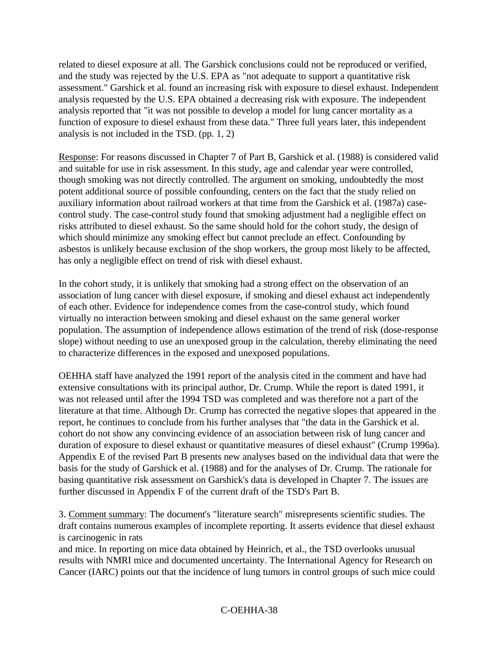related to diesel exposure at all. The Garshick conclusions could not be reproduced or verified, and the study was rejected by the U.S. EPA as "not adequate to support a quantitative risk assessment." Garshick et al. found an increasing risk with exposure to diesel exhaust. Independent analysis requested by the U.S. EPA obtained a decreasing risk with exposure. The independent analysis reported that "it was not possible to develop a model for lung cancer mortality as a function of exposure to diesel exhaust from these data." Three full years later, this independent analysis is not included in the TSD. (pp. 1, 2)

Response: For reasons discussed in Chapter 7 of Part B, Garshick et al. (1988) is considered valid and suitable for use in risk assessment. In this study, age and calendar year were controlled, though smoking was not directly controlled. The argument on smoking, undoubtedly the most potent additional source of possible confounding, centers on the fact that the study relied on auxiliary information about railroad workers at that time from the Garshick et al. (1987a) casecontrol study. The case-control study found that smoking adjustment had a negligible effect on risks attributed to diesel exhaust. So the same should hold for the cohort study, the design of which should minimize any smoking effect but cannot preclude an effect. Confounding by asbestos is unlikely because exclusion of the shop workers, the group most likely to be affected, has only a negligible effect on trend of risk with diesel exhaust.

In the cohort study, it is unlikely that smoking had a strong effect on the observation of an association of lung cancer with diesel exposure, if smoking and diesel exhaust act independently of each other. Evidence for independence comes from the case-control study, which found virtually no interaction between smoking and diesel exhaust on the same general worker population. The assumption of independence allows estimation of the trend of risk (dose-response slope) without needing to use an unexposed group in the calculation, thereby eliminating the need to characterize differences in the exposed and unexposed populations.

OEHHA staff have analyzed the 1991 report of the analysis cited in the comment and have had extensive consultations with its principal author, Dr. Crump. While the report is dated 1991, it was not released until after the 1994 TSD was completed and was therefore not a part of the literature at that time. Although Dr. Crump has corrected the negative slopes that appeared in the report, he continues to conclude from his further analyses that "the data in the Garshick et al. cohort do not show any convincing evidence of an association between risk of lung cancer and duration of exposure to diesel exhaust or quantitative measures of diesel exhaust" (Crump 1996a). Appendix E of the revised Part B presents new analyses based on the individual data that were the basis for the study of Garshick et al. (1988) and for the analyses of Dr. Crump. The rationale for basing quantitative risk assessment on Garshick's data is developed in Chapter 7. The issues are further discussed in Appendix F of the current draft of the TSD's Part B.

3. Comment summary: The document's "literature search" misrepresents scientific studies. The draft contains numerous examples of incomplete reporting. It asserts evidence that diesel exhaust is carcinogenic in rats

and mice. In reporting on mice data obtained by Heinrich, et al., the TSD overlooks unusual results with NMRI mice and documented uncertainty. The International Agency for Research on Cancer (IARC) points out that the incidence of lung tumors in control groups of such mice could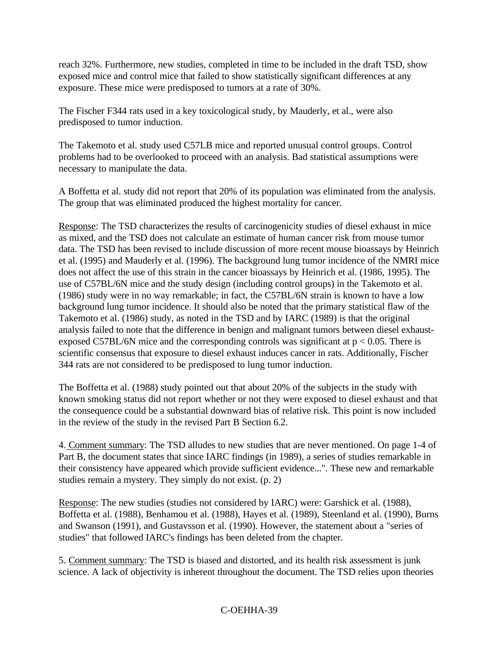reach 32%. Furthermore, new studies, completed in time to be included in the draft TSD, show exposed mice and control mice that failed to show statistically significant differences at any exposure. These mice were predisposed to tumors at a rate of 30%.

The Fischer F344 rats used in a key toxicological study, by Mauderly, et al., were also predisposed to tumor induction.

The Takemoto et al. study used C57LB mice and reported unusual control groups. Control problems had to be overlooked to proceed with an analysis. Bad statistical assumptions were necessary to manipulate the data.

A Boffetta et al. study did not report that 20% of its population was eliminated from the analysis. The group that was eliminated produced the highest mortality for cancer.

Response: The TSD characterizes the results of carcinogenicity studies of diesel exhaust in mice as mixed, and the TSD does not calculate an estimate of human cancer risk from mouse tumor data. The TSD has been revised to include discussion of more recent mouse bioassays by Heinrich et al. (1995) and Mauderly et al. (1996). The background lung tumor incidence of the NMRI mice does not affect the use of this strain in the cancer bioassays by Heinrich et al. (1986, 1995). The use of C57BL/6N mice and the study design (including control groups) in the Takemoto et al. (1986) study were in no way remarkable; in fact, the C57BL/6N strain is known to have a low background lung tumor incidence. It should also be noted that the primary statistical flaw of the Takemoto et al. (1986) study, as noted in the TSD and by IARC (1989) is that the original analysis failed to note that the difference in benign and malignant tumors between diesel exhaustexposed C57BL/6N mice and the corresponding controls was significant at  $p < 0.05$ . There is scientific consensus that exposure to diesel exhaust induces cancer in rats. Additionally, Fischer 344 rats are not considered to be predisposed to lung tumor induction.

The Boffetta et al. (1988) study pointed out that about 20% of the subjects in the study with known smoking status did not report whether or not they were exposed to diesel exhaust and that the consequence could be a substantial downward bias of relative risk. This point is now included in the review of the study in the revised Part B Section 6.2.

4. Comment summary: The TSD alludes to new studies that are never mentioned. On page 1-4 of Part B, the document states that since IARC findings (in 1989), a series of studies remarkable in their consistency have appeared which provide sufficient evidence...". These new and remarkable studies remain a mystery. They simply do not exist. (p. 2)

Response: The new studies (studies not considered by IARC) were: Garshick et al. (1988), Boffetta et al. (1988), Benhamou et al. (1988), Hayes et al. (1989), Steenland et al. (1990), Burns and Swanson (1991), and Gustavsson et al. (1990). However, the statement about a "series of studies" that followed IARC's findings has been deleted from the chapter.

5. Comment summary: The TSD is biased and distorted, and its health risk assessment is junk science. A lack of objectivity is inherent throughout the document. The TSD relies upon theories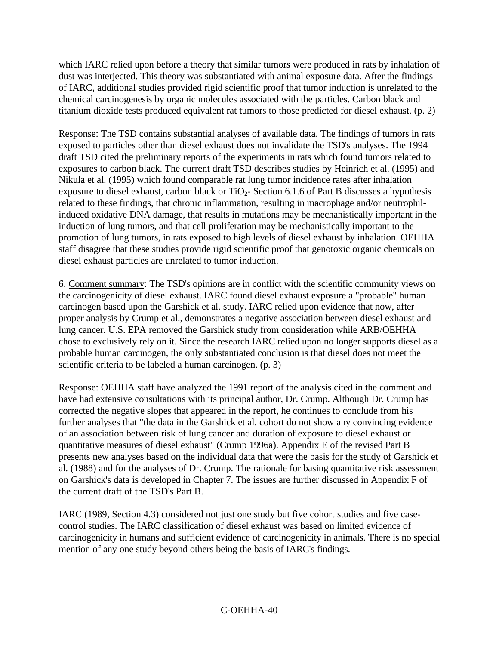which IARC relied upon before a theory that similar tumors were produced in rats by inhalation of dust was interjected. This theory was substantiated with animal exposure data. After the findings of IARC, additional studies provided rigid scientific proof that tumor induction is unrelated to the chemical carcinogenesis by organic molecules associated with the particles. Carbon black and titanium dioxide tests produced equivalent rat tumors to those predicted for diesel exhaust. (p. 2)

Response: The TSD contains substantial analyses of available data. The findings of tumors in rats exposed to particles other than diesel exhaust does not invalidate the TSD's analyses. The 1994 draft TSD cited the preliminary reports of the experiments in rats which found tumors related to exposures to carbon black. The current draft TSD describes studies by Heinrich et al. (1995) and Nikula et al. (1995) which found comparable rat lung tumor incidence rates after inhalation exposure to diesel exhaust, carbon black or  $TiO<sub>2</sub>$ - Section 6.1.6 of Part B discusses a hypothesis related to these findings, that chronic inflammation, resulting in macrophage and/or neutrophilinduced oxidative DNA damage, that results in mutations may be mechanistically important in the induction of lung tumors, and that cell proliferation may be mechanistically important to the promotion of lung tumors, in rats exposed to high levels of diesel exhaust by inhalation. OEHHA staff disagree that these studies provide rigid scientific proof that genotoxic organic chemicals on diesel exhaust particles are unrelated to tumor induction.

6. Comment summary: The TSD's opinions are in conflict with the scientific community views on the carcinogenicity of diesel exhaust. IARC found diesel exhaust exposure a "probable" human carcinogen based upon the Garshick et al. study. IARC relied upon evidence that now, after proper analysis by Crump et al., demonstrates a negative association between diesel exhaust and lung cancer. U.S. EPA removed the Garshick study from consideration while ARB/OEHHA chose to exclusively rely on it. Since the research IARC relied upon no longer supports diesel as a probable human carcinogen, the only substantiated conclusion is that diesel does not meet the scientific criteria to be labeled a human carcinogen. (p. 3)

Response: OEHHA staff have analyzed the 1991 report of the analysis cited in the comment and have had extensive consultations with its principal author, Dr. Crump. Although Dr. Crump has corrected the negative slopes that appeared in the report, he continues to conclude from his further analyses that "the data in the Garshick et al. cohort do not show any convincing evidence of an association between risk of lung cancer and duration of exposure to diesel exhaust or quantitative measures of diesel exhaust" (Crump 1996a). Appendix E of the revised Part B presents new analyses based on the individual data that were the basis for the study of Garshick et al. (1988) and for the analyses of Dr. Crump. The rationale for basing quantitative risk assessment on Garshick's data is developed in Chapter 7. The issues are further discussed in Appendix F of the current draft of the TSD's Part B.

IARC (1989, Section 4.3) considered not just one study but five cohort studies and five casecontrol studies. The IARC classification of diesel exhaust was based on limited evidence of carcinogenicity in humans and sufficient evidence of carcinogenicity in animals. There is no special mention of any one study beyond others being the basis of IARC's findings.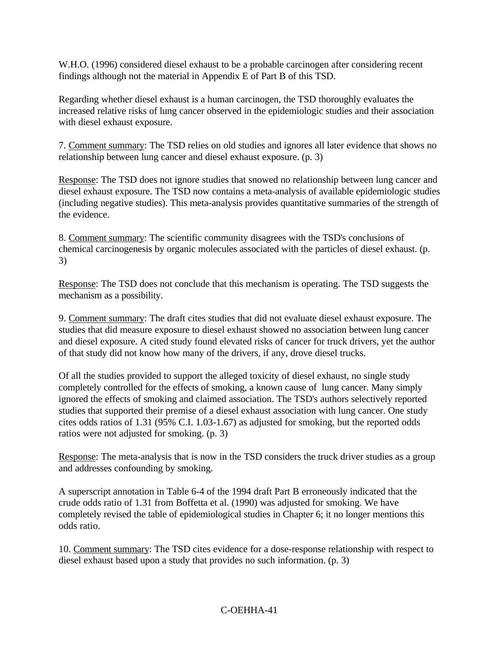W.H.O. (1996) considered diesel exhaust to be a probable carcinogen after considering recent findings although not the material in Appendix E of Part B of this TSD.

Regarding whether diesel exhaust is a human carcinogen, the TSD thoroughly evaluates the increased relative risks of lung cancer observed in the epidemiologic studies and their association with diesel exhaust exposure.

7. Comment summary: The TSD relies on old studies and ignores all later evidence that shows no relationship between lung cancer and diesel exhaust exposure. (p. 3)

Response: The TSD does not ignore studies that snowed no relationship between lung cancer and diesel exhaust exposure. The TSD now contains a meta-analysis of available epidemiologic studies (including negative studies). This meta-analysis provides quantitative summaries of the strength of the evidence.

8. Comment summary: The scientific community disagrees with the TSD's conclusions of chemical carcinogenesis by organic molecules associated with the particles of diesel exhaust. (p. 3)

Response: The TSD does not conclude that this mechanism is operating. The TSD suggests the mechanism as a possibility.

9. Comment summary: The draft cites studies that did not evaluate diesel exhaust exposure. The studies that did measure exposure to diesel exhaust showed no association between lung cancer and diesel exposure. A cited study found elevated risks of cancer for truck drivers, yet the author of that study did not know how many of the drivers, if any, drove diesel trucks.

Of all the studies provided to support the alleged toxicity of diesel exhaust, no single study completely controlled for the effects of smoking, a known cause of lung cancer. Many simply ignored the effects of smoking and claimed association. The TSD's authors selectively reported studies that supported their premise of a diesel exhaust association with lung cancer. One study cites odds ratios of 1.31 (95% C.I. 1.03-1.67) as adjusted for smoking, but the reported odds ratios were not adjusted for smoking. (p. 3)

Response: The meta-analysis that is now in the TSD considers the truck driver studies as a group and addresses confounding by smoking.

A superscript annotation in Table 6-4 of the 1994 draft Part B erroneously indicated that the crude odds ratio of 1.31 from Boffetta et al. (1990) was adjusted for smoking. We have completely revised the table of epidemiological studies in Chapter 6; it no longer mentions this odds ratio.

10. Comment summary: The TSD cites evidence for a dose-response relationship with respect to diesel exhaust based upon a study that provides no such information. (p. 3)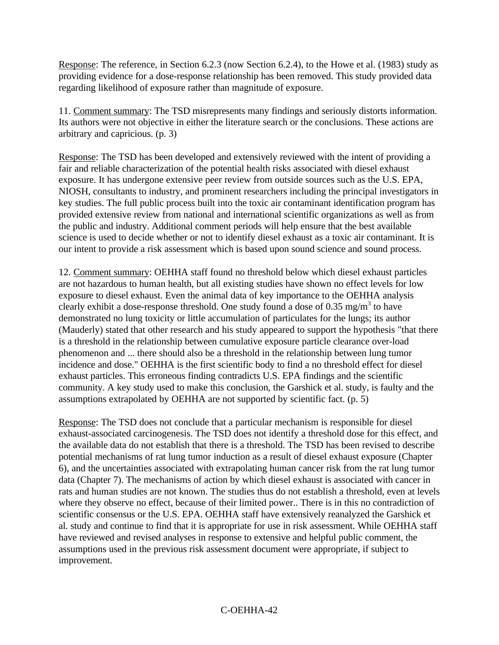Response: The reference, in Section 6.2.3 (now Section 6.2.4), to the Howe et al. (1983) study as providing evidence for a dose-response relationship has been removed. This study provided data regarding likelihood of exposure rather than magnitude of exposure.

11. Comment summary: The TSD misrepresents many findings and seriously distorts information. Its authors were not objective in either the literature search or the conclusions. These actions are arbitrary and capricious. (p. 3)

Response: The TSD has been developed and extensively reviewed with the intent of providing a fair and reliable characterization of the potential health risks associated with diesel exhaust exposure. It has undergone extensive peer review from outside sources such as the U.S. EPA, NIOSH, consultants to industry, and prominent researchers including the principal investigators in key studies. The full public process built into the toxic air contaminant identification program has provided extensive review from national and international scientific organizations as well as from the public and industry. Additional comment periods will help ensure that the best available science is used to decide whether or not to identify diesel exhaust as a toxic air contaminant. It is our intent to provide a risk assessment which is based upon sound science and sound process.

12. Comment summary: OEHHA staff found no threshold below which diesel exhaust particles are not hazardous to human health, but all existing studies have shown no effect levels for low exposure to diesel exhaust. Even the animal data of key importance to the OEHHA analysis clearly exhibit a dose-response threshold. One study found a dose of 0.35 mg/m<sup>3</sup> to have demonstrated no lung toxicity or little accumulation of particulates for the lungs; its author (Mauderly) stated that other research and his study appeared to support the hypothesis "that there is a threshold in the relationship between cumulative exposure particle clearance over-load phenomenon and ... there should also be a threshold in the relationship between lung tumor incidence and dose." OEHHA is the first scientific body to find a no threshold effect for diesel exhaust particles. This erroneous finding contradicts U.S. EPA findings and the scientific community. A key study used to make this conclusion, the Garshick et al. study, is faulty and the assumptions extrapolated by OEHHA are not supported by scientific fact. (p. 5)

Response: The TSD does not conclude that a particular mechanism is responsible for diesel exhaust-associated carcinogenesis. The TSD does not identify a threshold dose for this effect, and the available data do not establish that there is a threshold. The TSD has been revised to describe potential mechanisms of rat lung tumor induction as a result of diesel exhaust exposure (Chapter 6), and the uncertainties associated with extrapolating human cancer risk from the rat lung tumor data (Chapter 7). The mechanisms of action by which diesel exhaust is associated with cancer in rats and human studies are not known. The studies thus do not establish a threshold, even at levels where they observe no effect, because of their limited power.. There is in this no contradiction of scientific consensus or the U.S. EPA. OEHHA staff have extensively reanalyzed the Garshick et al. study and continue to find that it is appropriate for use in risk assessment. While OEHHA staff have reviewed and revised analyses in response to extensive and helpful public comment, the assumptions used in the previous risk assessment document were appropriate, if subject to improvement.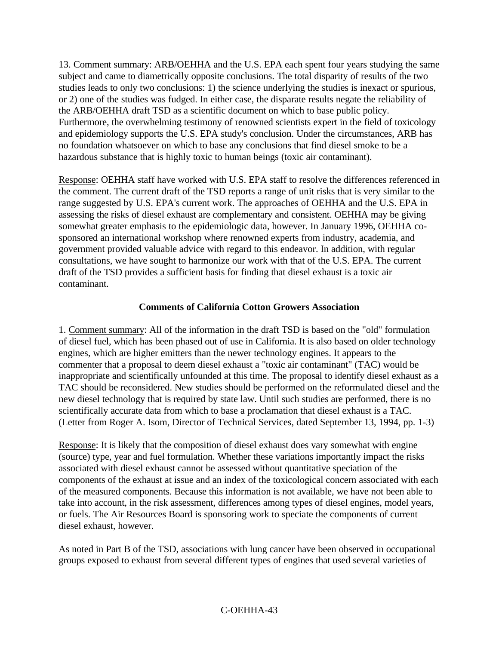13. Comment summary: ARB/OEHHA and the U.S. EPA each spent four years studying the same subject and came to diametrically opposite conclusions. The total disparity of results of the two studies leads to only two conclusions: 1) the science underlying the studies is inexact or spurious, or 2) one of the studies was fudged. In either case, the disparate results negate the reliability of the ARB/OEHHA draft TSD as a scientific document on which to base public policy. Furthermore, the overwhelming testimony of renowned scientists expert in the field of toxicology and epidemiology supports the U.S. EPA study's conclusion. Under the circumstances, ARB has no foundation whatsoever on which to base any conclusions that find diesel smoke to be a hazardous substance that is highly toxic to human beings (toxic air contaminant).

Response: OEHHA staff have worked with U.S. EPA staff to resolve the differences referenced in the comment. The current draft of the TSD reports a range of unit risks that is very similar to the range suggested by U.S. EPA's current work. The approaches of OEHHA and the U.S. EPA in assessing the risks of diesel exhaust are complementary and consistent. OEHHA may be giving somewhat greater emphasis to the epidemiologic data, however. In January 1996, OEHHA cosponsored an international workshop where renowned experts from industry, academia, and government provided valuable advice with regard to this endeavor. In addition, with regular consultations, we have sought to harmonize our work with that of the U.S. EPA. The current draft of the TSD provides a sufficient basis for finding that diesel exhaust is a toxic air contaminant.

#### **Comments of California Cotton Growers Association**

1. Comment summary: All of the information in the draft TSD is based on the "old" formulation of diesel fuel, which has been phased out of use in California. It is also based on older technology engines, which are higher emitters than the newer technology engines. It appears to the commenter that a proposal to deem diesel exhaust a "toxic air contaminant" (TAC) would be inappropriate and scientifically unfounded at this time. The proposal to identify diesel exhaust as a TAC should be reconsidered. New studies should be performed on the reformulated diesel and the new diesel technology that is required by state law. Until such studies are performed, there is no scientifically accurate data from which to base a proclamation that diesel exhaust is a TAC. (Letter from Roger A. Isom, Director of Technical Services, dated September 13, 1994, pp. 1-3)

Response: It is likely that the composition of diesel exhaust does vary somewhat with engine (source) type, year and fuel formulation. Whether these variations importantly impact the risks associated with diesel exhaust cannot be assessed without quantitative speciation of the components of the exhaust at issue and an index of the toxicological concern associated with each of the measured components. Because this information is not available, we have not been able to take into account, in the risk assessment, differences among types of diesel engines, model years, or fuels. The Air Resources Board is sponsoring work to speciate the components of current diesel exhaust, however.

As noted in Part B of the TSD, associations with lung cancer have been observed in occupational groups exposed to exhaust from several different types of engines that used several varieties of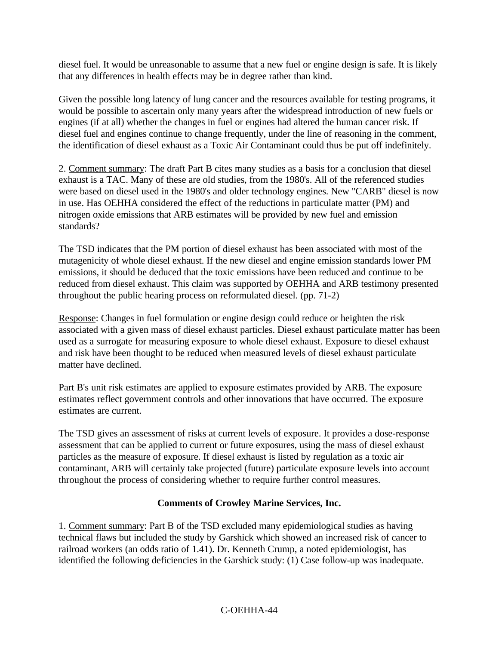diesel fuel. It would be unreasonable to assume that a new fuel or engine design is safe. It is likely that any differences in health effects may be in degree rather than kind.

Given the possible long latency of lung cancer and the resources available for testing programs, it would be possible to ascertain only many years after the widespread introduction of new fuels or engines (if at all) whether the changes in fuel or engines had altered the human cancer risk. If diesel fuel and engines continue to change frequently, under the line of reasoning in the comment, the identification of diesel exhaust as a Toxic Air Contaminant could thus be put off indefinitely.

2. Comment summary: The draft Part B cites many studies as a basis for a conclusion that diesel exhaust is a TAC. Many of these are old studies, from the 1980's. All of the referenced studies were based on diesel used in the 1980's and older technology engines. New "CARB" diesel is now in use. Has OEHHA considered the effect of the reductions in particulate matter (PM) and nitrogen oxide emissions that ARB estimates will be provided by new fuel and emission standards?

The TSD indicates that the PM portion of diesel exhaust has been associated with most of the mutagenicity of whole diesel exhaust. If the new diesel and engine emission standards lower PM emissions, it should be deduced that the toxic emissions have been reduced and continue to be reduced from diesel exhaust. This claim was supported by OEHHA and ARB testimony presented throughout the public hearing process on reformulated diesel. (pp. 71-2)

Response: Changes in fuel formulation or engine design could reduce or heighten the risk associated with a given mass of diesel exhaust particles. Diesel exhaust particulate matter has been used as a surrogate for measuring exposure to whole diesel exhaust. Exposure to diesel exhaust and risk have been thought to be reduced when measured levels of diesel exhaust particulate matter have declined.

Part B's unit risk estimates are applied to exposure estimates provided by ARB. The exposure estimates reflect government controls and other innovations that have occurred. The exposure estimates are current.

The TSD gives an assessment of risks at current levels of exposure. It provides a dose-response assessment that can be applied to current or future exposures, using the mass of diesel exhaust particles as the measure of exposure. If diesel exhaust is listed by regulation as a toxic air contaminant, ARB will certainly take projected (future) particulate exposure levels into account throughout the process of considering whether to require further control measures.

### **Comments of Crowley Marine Services, Inc.**

1. Comment summary: Part B of the TSD excluded many epidemiological studies as having technical flaws but included the study by Garshick which showed an increased risk of cancer to railroad workers (an odds ratio of 1.41). Dr. Kenneth Crump, a noted epidemiologist, has identified the following deficiencies in the Garshick study: (1) Case follow-up was inadequate.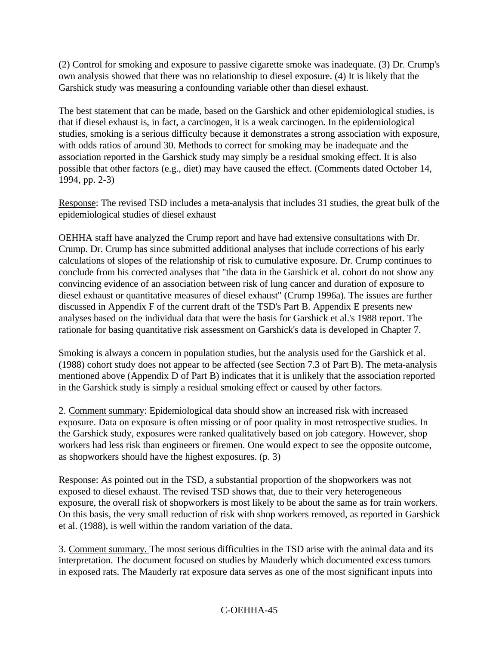(2) Control for smoking and exposure to passive cigarette smoke was inadequate. (3) Dr. Crump's own analysis showed that there was no relationship to diesel exposure. (4) It is likely that the Garshick study was measuring a confounding variable other than diesel exhaust.

The best statement that can be made, based on the Garshick and other epidemiological studies, is that if diesel exhaust is, in fact, a carcinogen, it is a weak carcinogen. In the epidemiological studies, smoking is a serious difficulty because it demonstrates a strong association with exposure, with odds ratios of around 30. Methods to correct for smoking may be inadequate and the association reported in the Garshick study may simply be a residual smoking effect. It is also possible that other factors (e.g., diet) may have caused the effect. (Comments dated October 14, 1994, pp. 2-3)

Response: The revised TSD includes a meta-analysis that includes 31 studies, the great bulk of the epidemiological studies of diesel exhaust

OEHHA staff have analyzed the Crump report and have had extensive consultations with Dr. Crump. Dr. Crump has since submitted additional analyses that include corrections of his early calculations of slopes of the relationship of risk to cumulative exposure. Dr. Crump continues to conclude from his corrected analyses that "the data in the Garshick et al. cohort do not show any convincing evidence of an association between risk of lung cancer and duration of exposure to diesel exhaust or quantitative measures of diesel exhaust" (Crump 1996a). The issues are further discussed in Appendix F of the current draft of the TSD's Part B. Appendix E presents new analyses based on the individual data that were the basis for Garshick et al.'s 1988 report. The rationale for basing quantitative risk assessment on Garshick's data is developed in Chapter 7.

Smoking is always a concern in population studies, but the analysis used for the Garshick et al. (1988) cohort study does not appear to be affected (see Section 7.3 of Part B). The meta-analysis mentioned above (Appendix D of Part B) indicates that it is unlikely that the association reported in the Garshick study is simply a residual smoking effect or caused by other factors.

2. Comment summary: Epidemiological data should show an increased risk with increased exposure. Data on exposure is often missing or of poor quality in most retrospective studies. In the Garshick study, exposures were ranked qualitatively based on job category. However, shop workers had less risk than engineers or firemen. One would expect to see the opposite outcome, as shopworkers should have the highest exposures. (p. 3)

Response: As pointed out in the TSD, a substantial proportion of the shopworkers was not exposed to diesel exhaust. The revised TSD shows that, due to their very heterogeneous exposure, the overall risk of shopworkers is most likely to be about the same as for train workers. On this basis, the very small reduction of risk with shop workers removed, as reported in Garshick et al. (1988), is well within the random variation of the data.

3. Comment summary. The most serious difficulties in the TSD arise with the animal data and its interpretation. The document focused on studies by Mauderly which documented excess tumors in exposed rats. The Mauderly rat exposure data serves as one of the most significant inputs into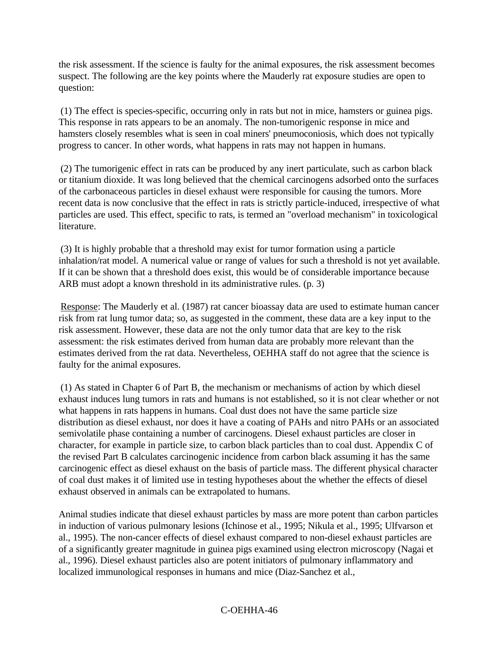the risk assessment. If the science is faulty for the animal exposures, the risk assessment becomes suspect. The following are the key points where the Mauderly rat exposure studies are open to question:

(1) The effect is species-specific, occurring only in rats but not in mice, hamsters or guinea pigs. This response in rats appears to be an anomaly. The non-tumorigenic response in mice and hamsters closely resembles what is seen in coal miners' pneumoconiosis, which does not typically progress to cancer. In other words, what happens in rats may not happen in humans.

(2) The tumorigenic effect in rats can be produced by any inert particulate, such as carbon black or titanium dioxide. It was long believed that the chemical carcinogens adsorbed onto the surfaces of the carbonaceous particles in diesel exhaust were responsible for causing the tumors. More recent data is now conclusive that the effect in rats is strictly particle-induced, irrespective of what particles are used. This effect, specific to rats, is termed an "overload mechanism" in toxicological literature.

(3) It is highly probable that a threshold may exist for tumor formation using a particle inhalation/rat model. A numerical value or range of values for such a threshold is not yet available. If it can be shown that a threshold does exist, this would be of considerable importance because ARB must adopt a known threshold in its administrative rules. (p. 3)

Response: The Mauderly et al. (1987) rat cancer bioassay data are used to estimate human cancer risk from rat lung tumor data; so, as suggested in the comment, these data are a key input to the risk assessment. However, these data are not the only tumor data that are key to the risk assessment: the risk estimates derived from human data are probably more relevant than the estimates derived from the rat data. Nevertheless, OEHHA staff do not agree that the science is faulty for the animal exposures.

(1) As stated in Chapter 6 of Part B, the mechanism or mechanisms of action by which diesel exhaust induces lung tumors in rats and humans is not established, so it is not clear whether or not what happens in rats happens in humans. Coal dust does not have the same particle size distribution as diesel exhaust, nor does it have a coating of PAHs and nitro PAHs or an associated semivolatile phase containing a number of carcinogens. Diesel exhaust particles are closer in character, for example in particle size, to carbon black particles than to coal dust. Appendix C of the revised Part B calculates carcinogenic incidence from carbon black assuming it has the same carcinogenic effect as diesel exhaust on the basis of particle mass. The different physical character of coal dust makes it of limited use in testing hypotheses about the whether the effects of diesel exhaust observed in animals can be extrapolated to humans.

Animal studies indicate that diesel exhaust particles by mass are more potent than carbon particles in induction of various pulmonary lesions (Ichinose et al., 1995; Nikula et al., 1995; Ulfvarson et al., 1995). The non-cancer effects of diesel exhaust compared to non-diesel exhaust particles are of a significantly greater magnitude in guinea pigs examined using electron microscopy (Nagai et al., 1996). Diesel exhaust particles also are potent initiators of pulmonary inflammatory and localized immunological responses in humans and mice (Diaz-Sanchez et al.,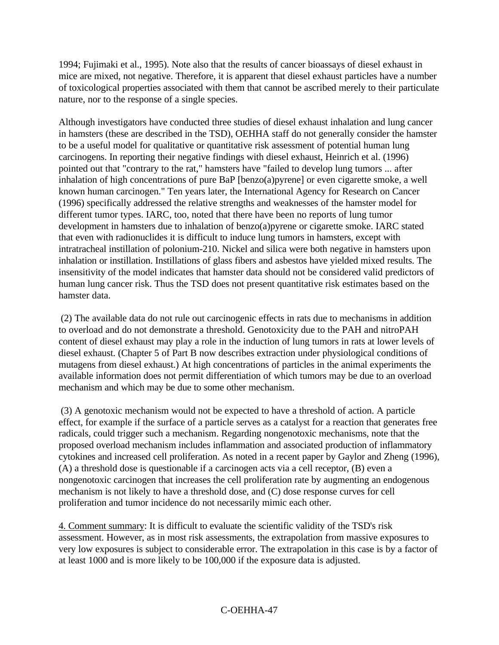1994; Fujimaki et al., 1995). Note also that the results of cancer bioassays of diesel exhaust in mice are mixed, not negative. Therefore, it is apparent that diesel exhaust particles have a number of toxicological properties associated with them that cannot be ascribed merely to their particulate nature, nor to the response of a single species.

Although investigators have conducted three studies of diesel exhaust inhalation and lung cancer in hamsters (these are described in the TSD), OEHHA staff do not generally consider the hamster to be a useful model for qualitative or quantitative risk assessment of potential human lung carcinogens. In reporting their negative findings with diesel exhaust, Heinrich et al. (1996) pointed out that "contrary to the rat," hamsters have "failed to develop lung tumors ... after inhalation of high concentrations of pure BaP [benzo(a)pyrene] or even cigarette smoke, a well known human carcinogen." Ten years later, the International Agency for Research on Cancer (1996) specifically addressed the relative strengths and weaknesses of the hamster model for different tumor types. IARC, too, noted that there have been no reports of lung tumor development in hamsters due to inhalation of benzo(a)pyrene or cigarette smoke. IARC stated that even with radionuclides it is difficult to induce lung tumors in hamsters, except with intratracheal instillation of polonium-210. Nickel and silica were both negative in hamsters upon inhalation or instillation. Instillations of glass fibers and asbestos have yielded mixed results. The insensitivity of the model indicates that hamster data should not be considered valid predictors of human lung cancer risk. Thus the TSD does not present quantitative risk estimates based on the hamster data.

(2) The available data do not rule out carcinogenic effects in rats due to mechanisms in addition to overload and do not demonstrate a threshold. Genotoxicity due to the PAH and nitroPAH content of diesel exhaust may play a role in the induction of lung tumors in rats at lower levels of diesel exhaust. (Chapter 5 of Part B now describes extraction under physiological conditions of mutagens from diesel exhaust.) At high concentrations of particles in the animal experiments the available information does not permit differentiation of which tumors may be due to an overload mechanism and which may be due to some other mechanism.

(3) A genotoxic mechanism would not be expected to have a threshold of action. A particle effect, for example if the surface of a particle serves as a catalyst for a reaction that generates free radicals, could trigger such a mechanism. Regarding nongenotoxic mechanisms, note that the proposed overload mechanism includes inflammation and associated production of inflammatory cytokines and increased cell proliferation. As noted in a recent paper by Gaylor and Zheng (1996), (A) a threshold dose is questionable if a carcinogen acts via a cell receptor, (B) even a nongenotoxic carcinogen that increases the cell proliferation rate by augmenting an endogenous mechanism is not likely to have a threshold dose, and (C) dose response curves for cell proliferation and tumor incidence do not necessarily mimic each other.

4. Comment summary: It is difficult to evaluate the scientific validity of the TSD's risk assessment. However, as in most risk assessments, the extrapolation from massive exposures to very low exposures is subject to considerable error. The extrapolation in this case is by a factor of at least 1000 and is more likely to be 100,000 if the exposure data is adjusted.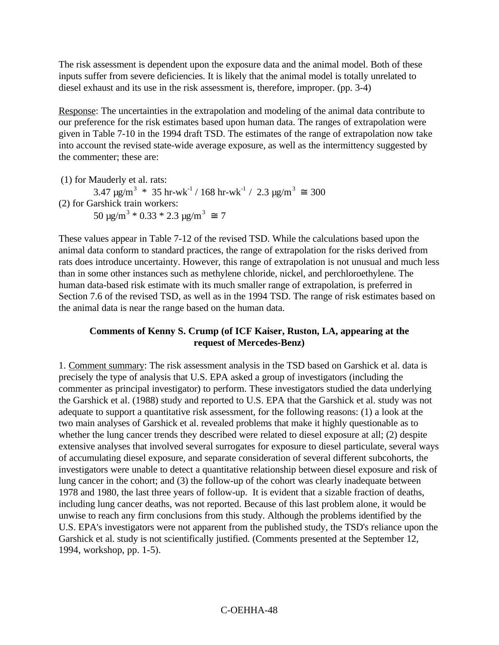The risk assessment is dependent upon the exposure data and the animal model. Both of these inputs suffer from severe deficiencies. It is likely that the animal model is totally unrelated to diesel exhaust and its use in the risk assessment is, therefore, improper. (pp. 3-4)

Response: The uncertainties in the extrapolation and modeling of the animal data contribute to our preference for the risk estimates based upon human data. The ranges of extrapolation were given in Table 7-10 in the 1994 draft TSD. The estimates of the range of extrapolation now take into account the revised state-wide average exposure, as well as the intermittency suggested by the commenter; these are:

(1) for Mauderly et al. rats: 3.47  $\mu$ g/m<sup>3</sup> \* 35 hr-wk<sup>-1</sup> / 168 hr-wk<sup>-1</sup> / 2.3  $\mu$ g/m<sup>3</sup>  $\approx$  300 (2) for Garshick train workers: 50  $\mu$ g/m<sup>3</sup> \* 0.33 \* 2.3  $\mu$ g/m<sup>3</sup>  $\approx$  7

These values appear in Table 7-12 of the revised TSD. While the calculations based upon the animal data conform to standard practices, the range of extrapolation for the risks derived from rats does introduce uncertainty. However, this range of extrapolation is not unusual and much less than in some other instances such as methylene chloride, nickel, and perchloroethylene. The human data-based risk estimate with its much smaller range of extrapolation, is preferred in Section 7.6 of the revised TSD, as well as in the 1994 TSD. The range of risk estimates based on the animal data is near the range based on the human data.

#### **Comments of Kenny S. Crump (of ICF Kaiser, Ruston, LA, appearing at the request of Mercedes-Benz)**

1. Comment summary: The risk assessment analysis in the TSD based on Garshick et al. data is precisely the type of analysis that U.S. EPA asked a group of investigators (including the commenter as principal investigator) to perform. These investigators studied the data underlying the Garshick et al. (1988) study and reported to U.S. EPA that the Garshick et al. study was not adequate to support a quantitative risk assessment, for the following reasons: (1) a look at the two main analyses of Garshick et al. revealed problems that make it highly questionable as to whether the lung cancer trends they described were related to diesel exposure at all; (2) despite extensive analyses that involved several surrogates for exposure to diesel particulate, several ways of accumulating diesel exposure, and separate consideration of several different subcohorts, the investigators were unable to detect a quantitative relationship between diesel exposure and risk of lung cancer in the cohort; and (3) the follow-up of the cohort was clearly inadequate between 1978 and 1980, the last three years of follow-up. It is evident that a sizable fraction of deaths, including lung cancer deaths, was not reported. Because of this last problem alone, it would be unwise to reach any firm conclusions from this study. Although the problems identified by the U.S. EPA's investigators were not apparent from the published study, the TSD's reliance upon the Garshick et al. study is not scientifically justified. (Comments presented at the September 12, 1994, workshop, pp. 1-5).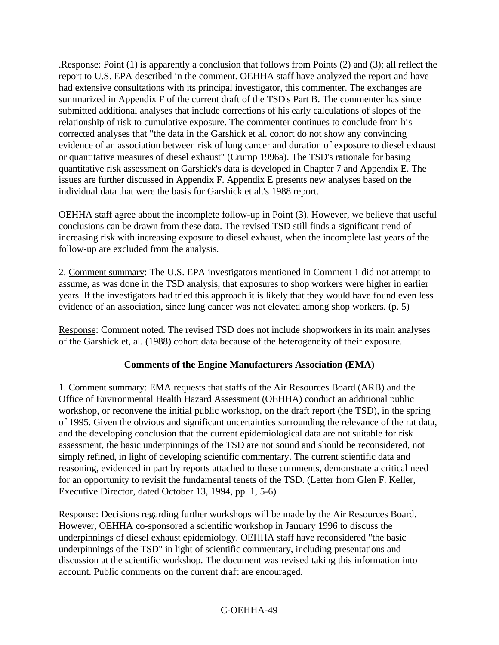.Response: Point (1) is apparently a conclusion that follows from Points (2) and (3); all reflect the report to U.S. EPA described in the comment. OEHHA staff have analyzed the report and have had extensive consultations with its principal investigator, this commenter. The exchanges are summarized in Appendix F of the current draft of the TSD's Part B. The commenter has since submitted additional analyses that include corrections of his early calculations of slopes of the relationship of risk to cumulative exposure. The commenter continues to conclude from his corrected analyses that "the data in the Garshick et al. cohort do not show any convincing evidence of an association between risk of lung cancer and duration of exposure to diesel exhaust or quantitative measures of diesel exhaust" (Crump 1996a). The TSD's rationale for basing quantitative risk assessment on Garshick's data is developed in Chapter 7 and Appendix E. The issues are further discussed in Appendix F. Appendix E presents new analyses based on the individual data that were the basis for Garshick et al.'s 1988 report.

OEHHA staff agree about the incomplete follow-up in Point (3). However, we believe that useful conclusions can be drawn from these data. The revised TSD still finds a significant trend of increasing risk with increasing exposure to diesel exhaust, when the incomplete last years of the follow-up are excluded from the analysis.

2. Comment summary: The U.S. EPA investigators mentioned in Comment 1 did not attempt to assume, as was done in the TSD analysis, that exposures to shop workers were higher in earlier years. If the investigators had tried this approach it is likely that they would have found even less evidence of an association, since lung cancer was not elevated among shop workers. (p. 5)

Response: Comment noted. The revised TSD does not include shopworkers in its main analyses of the Garshick et, al. (1988) cohort data because of the heterogeneity of their exposure.

### **Comments of the Engine Manufacturers Association (EMA)**

1. Comment summary: EMA requests that staffs of the Air Resources Board (ARB) and the Office of Environmental Health Hazard Assessment (OEHHA) conduct an additional public workshop, or reconvene the initial public workshop, on the draft report (the TSD), in the spring of 1995. Given the obvious and significant uncertainties surrounding the relevance of the rat data, and the developing conclusion that the current epidemiological data are not suitable for risk assessment, the basic underpinnings of the TSD are not sound and should be reconsidered, not simply refined, in light of developing scientific commentary. The current scientific data and reasoning, evidenced in part by reports attached to these comments, demonstrate a critical need for an opportunity to revisit the fundamental tenets of the TSD. (Letter from Glen F. Keller, Executive Director, dated October 13, 1994, pp. 1, 5-6)

Response: Decisions regarding further workshops will be made by the Air Resources Board. However, OEHHA co-sponsored a scientific workshop in January 1996 to discuss the underpinnings of diesel exhaust epidemiology. OEHHA staff have reconsidered "the basic underpinnings of the TSD" in light of scientific commentary, including presentations and discussion at the scientific workshop. The document was revised taking this information into account. Public comments on the current draft are encouraged.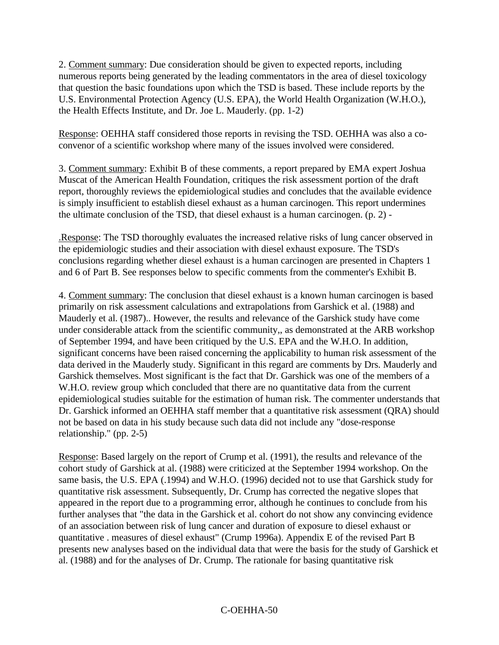2. Comment summary: Due consideration should be given to expected reports, including numerous reports being generated by the leading commentators in the area of diesel toxicology that question the basic foundations upon which the TSD is based. These include reports by the U.S. Environmental Protection Agency (U.S. EPA), the World Health Organization (W.H.O.), the Health Effects Institute, and Dr. Joe L. Mauderly. (pp. 1-2)

Response: OEHHA staff considered those reports in revising the TSD. OEHHA was also a coconvenor of a scientific workshop where many of the issues involved were considered.

3. Comment summary: Exhibit B of these comments, a report prepared by EMA expert Joshua Muscat of the American Health Foundation, critiques the risk assessment portion of the draft report, thoroughly reviews the epidemiological studies and concludes that the available evidence is simply insufficient to establish diesel exhaust as a human carcinogen. This report undermines the ultimate conclusion of the TSD, that diesel exhaust is a human carcinogen. (p. 2) -

.Response: The TSD thoroughly evaluates the increased relative risks of lung cancer observed in the epidemiologic studies and their association with diesel exhaust exposure. The TSD's conclusions regarding whether diesel exhaust is a human carcinogen are presented in Chapters 1 and 6 of Part B. See responses below to specific comments from the commenter's Exhibit B.

4. Comment summary: The conclusion that diesel exhaust is a known human carcinogen is based primarily on risk assessment calculations and extrapolations from Garshick et al. (1988) and Mauderly et al. (1987).. However, the results and relevance of the Garshick study have come under considerable attack from the scientific community,, as demonstrated at the ARB workshop of September 1994, and have been critiqued by the U.S. EPA and the W.H.O. In addition, significant concerns have been raised concerning the applicability to human risk assessment of the data derived in the Mauderly study. Significant in this regard are comments by Drs. Mauderly and Garshick themselves. Most significant is the fact that Dr. Garshick was one of the members of a W.H.O. review group which concluded that there are no quantitative data from the current epidemiological studies suitable for the estimation of human risk. The commenter understands that Dr. Garshick informed an OEHHA staff member that a quantitative risk assessment (QRA) should not be based on data in his study because such data did not include any "dose-response relationship." (pp. 2-5)

Response: Based largely on the report of Crump et al. (1991), the results and relevance of the cohort study of Garshick at al. (1988) were criticized at the September 1994 workshop. On the same basis, the U.S. EPA (.1994) and W.H.O. (1996) decided not to use that Garshick study for quantitative risk assessment. Subsequently, Dr. Crump has corrected the negative slopes that appeared in the report due to a programming error, although he continues to conclude from his further analyses that "the data in the Garshick et al. cohort do not show any convincing evidence of an association between risk of lung cancer and duration of exposure to diesel exhaust or quantitative . measures of diesel exhaust" (Crump 1996a). Appendix E of the revised Part B presents new analyses based on the individual data that were the basis for the study of Garshick et al. (1988) and for the analyses of Dr. Crump. The rationale for basing quantitative risk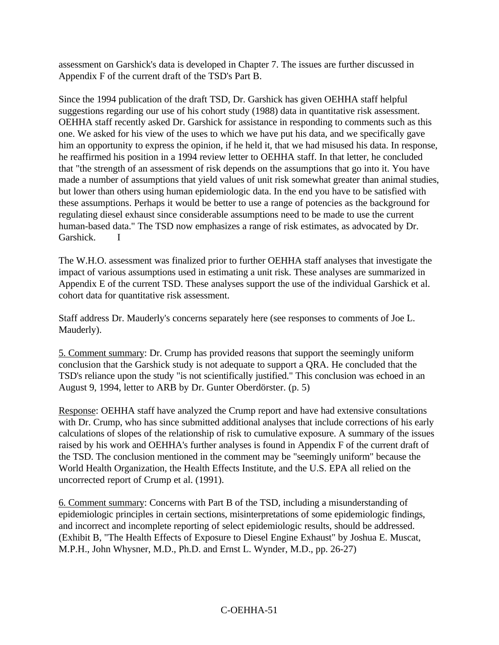assessment on Garshick's data is developed in Chapter 7. The issues are further discussed in Appendix F of the current draft of the TSD's Part B.

Since the 1994 publication of the draft TSD, Dr. Garshick has given OEHHA staff helpful suggestions regarding our use of his cohort study (1988) data in quantitative risk assessment. OEHHA staff recently asked Dr. Garshick for assistance in responding to comments such as this one. We asked for his view of the uses to which we have put his data, and we specifically gave him an opportunity to express the opinion, if he held it, that we had misused his data. In response, he reaffirmed his position in a 1994 review letter to OEHHA staff. In that letter, he concluded that "the strength of an assessment of risk depends on the assumptions that go into it. You have made a number of assumptions that yield values of unit risk somewhat greater than animal studies, but lower than others using human epidemiologic data. In the end you have to be satisfied with these assumptions. Perhaps it would be better to use a range of potencies as the background for regulating diesel exhaust since considerable assumptions need to be made to use the current human-based data." The TSD now emphasizes a range of risk estimates, as advocated by Dr. Garshick. I

The W.H.O. assessment was finalized prior to further OEHHA staff analyses that investigate the impact of various assumptions used in estimating a unit risk. These analyses are summarized in Appendix E of the current TSD. These analyses support the use of the individual Garshick et al. cohort data for quantitative risk assessment.

Staff address Dr. Mauderly's concerns separately here (see responses to comments of Joe L. Mauderly).

5. Comment summary: Dr. Crump has provided reasons that support the seemingly uniform conclusion that the Garshick study is not adequate to support a QRA. He concluded that the TSD's reliance upon the study "is not scientifically justified." This conclusion was echoed in an August 9, 1994, letter to ARB by Dr. Gunter Oberdörster. (p. 5)

Response: OEHHA staff have analyzed the Crump report and have had extensive consultations with Dr. Crump, who has since submitted additional analyses that include corrections of his early calculations of slopes of the relationship of risk to cumulative exposure. A summary of the issues raised by his work and OEHHA's further analyses is found in Appendix F of the current draft of the TSD. The conclusion mentioned in the comment may be "seemingly uniform" because the World Health Organization, the Health Effects Institute, and the U.S. EPA all relied on the uncorrected report of Crump et al. (1991).

6. Comment summary: Concerns with Part B of the TSD, including a misunderstanding of epidemiologic principles in certain sections, misinterpretations of some epidemiologic findings, and incorrect and incomplete reporting of select epidemiologic results, should be addressed. (Exhibit B, "The Health Effects of Exposure to Diesel Engine Exhaust" by Joshua E. Muscat, M.P.H., John Whysner, M.D., Ph.D. and Ernst L. Wynder, M.D., pp. 26-27)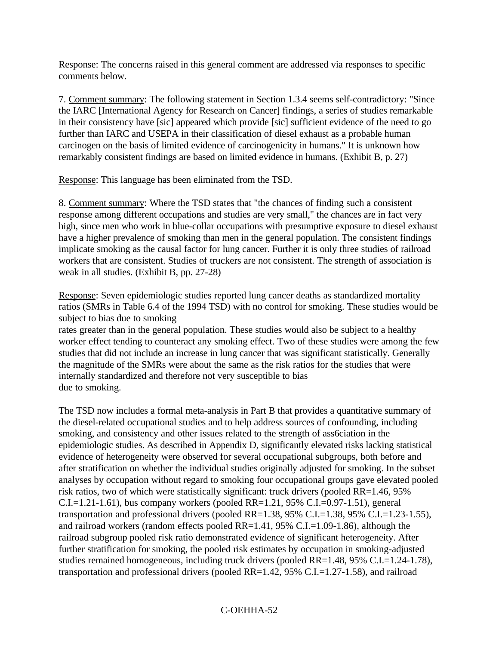Response: The concerns raised in this general comment are addressed via responses to specific comments below.

7. Comment summary: The following statement in Section 1.3.4 seems self-contradictory: "Since the IARC [International Agency for Research on Cancer] findings, a series of studies remarkable in their consistency have [sic] appeared which provide [sic] sufficient evidence of the need to go further than IARC and USEPA in their classification of diesel exhaust as a probable human carcinogen on the basis of limited evidence of carcinogenicity in humans." It is unknown how remarkably consistent findings are based on limited evidence in humans. (Exhibit B, p. 27)

Response: This language has been eliminated from the TSD.

8. Comment summary: Where the TSD states that "the chances of finding such a consistent response among different occupations and studies are very small," the chances are in fact very high, since men who work in blue-collar occupations with presumptive exposure to diesel exhaust have a higher prevalence of smoking than men in the general population. The consistent findings implicate smoking as the causal factor for lung cancer. Further it is only three studies of railroad workers that are consistent. Studies of truckers are not consistent. The strength of association is weak in all studies. (Exhibit B, pp. 27-28)

Response: Seven epidemiologic studies reported lung cancer deaths as standardized mortality ratios (SMRs in Table 6.4 of the 1994 TSD) with no control for smoking. These studies would be subject to bias due to smoking

rates greater than in the general population. These studies would also be subject to a healthy worker effect tending to counteract any smoking effect. Two of these studies were among the few studies that did not include an increase in lung cancer that was significant statistically. Generally the magnitude of the SMRs were about the same as the risk ratios for the studies that were internally standardized and therefore not very susceptible to bias due to smoking.

The TSD now includes a formal meta-analysis in Part B that provides a quantitative summary of the diesel-related occupational studies and to help address sources of confounding, including smoking, and consistency and other issues related to the strength of ass6ciation in the epidemiologic studies. As described in Appendix D, significantly elevated risks lacking statistical evidence of heterogeneity were observed for several occupational subgroups, both before and after stratification on whether the individual studies originally adjusted for smoking. In the subset analyses by occupation without regard to smoking four occupational groups gave elevated pooled risk ratios, two of which were statistically significant: truck drivers (pooled RR=1.46, 95% C.I.=1.21-1.61), bus company workers (pooled RR=1.21, 95% C.I.=0.97-1.51), general transportation and professional drivers (pooled RR=1.38, 95% C.I.=1.38, 95% C.I.=1.23-1.55), and railroad workers (random effects pooled RR=1.41, 95% C.I.=1.09-1.86), although the railroad subgroup pooled risk ratio demonstrated evidence of significant heterogeneity. After further stratification for smoking, the pooled risk estimates by occupation in smoking-adjusted studies remained homogeneous, including truck drivers (pooled RR=1.48, 95% C.I.=1.24-1.78), transportation and professional drivers (pooled RR=1.42, 95% C.I.=1.27-1.58), and railroad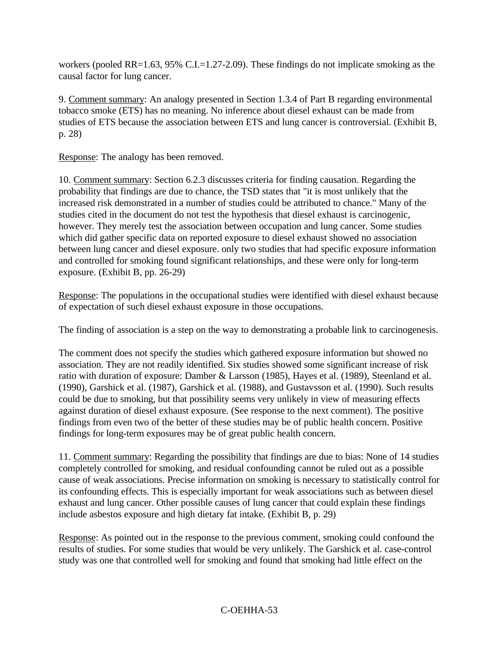workers (pooled RR=1.63, 95% C.I.=1.27-2.09). These findings do not implicate smoking as the causal factor for lung cancer.

9. Comment summary: An analogy presented in Section 1.3.4 of Part B regarding environmental tobacco smoke (ETS) has no meaning. No inference about diesel exhaust can be made from studies of ETS because the association between ETS and lung cancer is controversial. (Exhibit B, p. 28)

Response: The analogy has been removed.

10. Comment summary: Section 6.2.3 discusses criteria for finding causation. Regarding the probability that findings are due to chance, the TSD states that "it is most unlikely that the increased risk demonstrated in a number of studies could be attributed to chance." Many of the studies cited in the document do not test the hypothesis that diesel exhaust is carcinogenic, however. They merely test the association between occupation and lung cancer. Some studies which did gather specific data on reported exposure to diesel exhaust showed no association between lung cancer and diesel exposure. only two studies that had specific exposure information and controlled for smoking found significant relationships, and these were only for long-term exposure. (Exhibit B, pp. 26-29)

Response: The populations in the occupational studies were identified with diesel exhaust because of expectation of such diesel exhaust exposure in those occupations.

The finding of association is a step on the way to demonstrating a probable link to carcinogenesis.

The comment does not specify the studies which gathered exposure information but showed no association. They are not readily identified. Six studies showed some significant increase of risk ratio with duration of exposure: Damber & Larsson (1985), Hayes et al. (1989), Steenland et al. (1990), Garshick et al. (1987), Garshick et al. (1988), and Gustavsson et al. (1990). Such results could be due to smoking, but that possibility seems very unlikely in view of measuring effects against duration of diesel exhaust exposure. (See response to the next comment). The positive findings from even two of the better of these studies may be of public health concern. Positive findings for long-term exposures may be of great public health concern.

11. Comment summary: Regarding the possibility that findings are due to bias: None of 14 studies completely controlled for smoking, and residual confounding cannot be ruled out as a possible cause of weak associations. Precise information on smoking is necessary to statistically control for its confounding effects. This is especially important for weak associations such as between diesel exhaust and lung cancer. Other possible causes of lung cancer that could explain these findings include asbestos exposure and high dietary fat intake. (Exhibit B, p. 29)

Response: As pointed out in the response to the previous comment, smoking could confound the results of studies. For some studies that would be very unlikely. The Garshick et al. case-control study was one that controlled well for smoking and found that smoking had little effect on the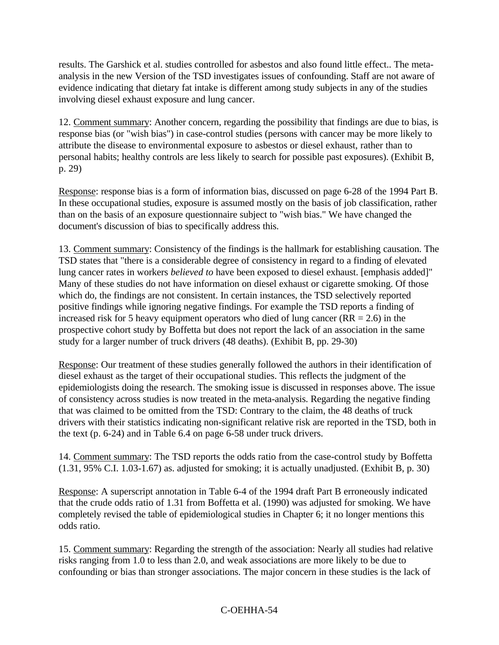results. The Garshick et al. studies controlled for asbestos and also found little effect.. The metaanalysis in the new Version of the TSD investigates issues of confounding. Staff are not aware of evidence indicating that dietary fat intake is different among study subjects in any of the studies involving diesel exhaust exposure and lung cancer.

12. Comment summary: Another concern, regarding the possibility that findings are due to bias, is response bias (or "wish bias") in case-control studies (persons with cancer may be more likely to attribute the disease to environmental exposure to asbestos or diesel exhaust, rather than to personal habits; healthy controls are less likely to search for possible past exposures). (Exhibit B, p. 29)

Response: response bias is a form of information bias, discussed on page 6-28 of the 1994 Part B. In these occupational studies, exposure is assumed mostly on the basis of job classification, rather than on the basis of an exposure questionnaire subject to "wish bias." We have changed the document's discussion of bias to specifically address this.

13. Comment summary: Consistency of the findings is the hallmark for establishing causation. The TSD states that "there is a considerable degree of consistency in regard to a finding of elevated lung cancer rates in workers *believed to* have been exposed to diesel exhaust. [emphasis added]" Many of these studies do not have information on diesel exhaust or cigarette smoking. Of those which do, the findings are not consistent. In certain instances, the TSD selectively reported positive findings while ignoring negative findings. For example the TSD reports a finding of increased risk for 5 heavy equipment operators who died of lung cancer ( $RR = 2.6$ ) in the prospective cohort study by Boffetta but does not report the lack of an association in the same study for a larger number of truck drivers (48 deaths). (Exhibit B, pp. 29-30)

Response: Our treatment of these studies generally followed the authors in their identification of diesel exhaust as the target of their occupational studies. This reflects the judgment of the epidemiologists doing the research. The smoking issue is discussed in responses above. The issue of consistency across studies is now treated in the meta-analysis. Regarding the negative finding that was claimed to be omitted from the TSD: Contrary to the claim, the 48 deaths of truck drivers with their statistics indicating non-significant relative risk are reported in the TSD, both in the text (p. 6-24) and in Table 6.4 on page 6-58 under truck drivers.

14. Comment summary: The TSD reports the odds ratio from the case-control study by Boffetta (1.31, 95% C.I. 1.03-1.67) as. adjusted for smoking; it is actually unadjusted. (Exhibit B, p. 30)

Response: A superscript annotation in Table 6-4 of the 1994 draft Part B erroneously indicated that the crude odds ratio of 1.31 from Boffetta et al. (1990) was adjusted for smoking. We have completely revised the table of epidemiological studies in Chapter 6; it no longer mentions this odds ratio.

15. Comment summary: Regarding the strength of the association: Nearly all studies had relative risks ranging from 1.0 to less than 2.0, and weak associations are more likely to be due to confounding or bias than stronger associations. The major concern in these studies is the lack of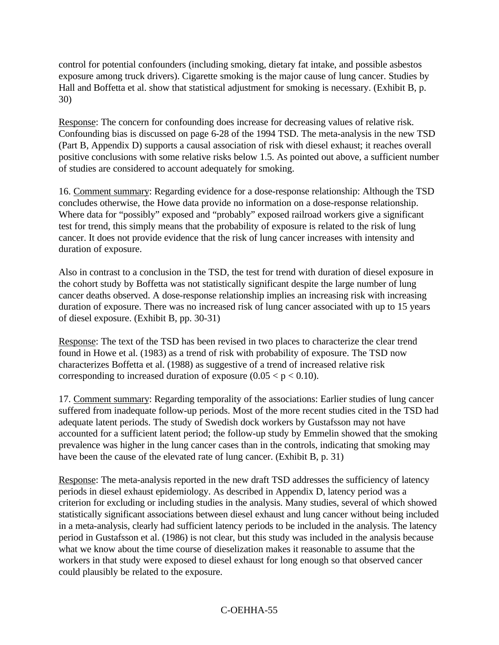control for potential confounders (including smoking, dietary fat intake, and possible asbestos exposure among truck drivers). Cigarette smoking is the major cause of lung cancer. Studies by Hall and Boffetta et al. show that statistical adjustment for smoking is necessary. (Exhibit B, p. 30)

Response: The concern for confounding does increase for decreasing values of relative risk. Confounding bias is discussed on page 6-28 of the 1994 TSD. The meta-analysis in the new TSD (Part B, Appendix D) supports a causal association of risk with diesel exhaust; it reaches overall positive conclusions with some relative risks below 1.5. As pointed out above, a sufficient number of studies are considered to account adequately for smoking.

16. Comment summary: Regarding evidence for a dose-response relationship: Although the TSD concludes otherwise, the Howe data provide no information on a dose-response relationship. Where data for "possibly" exposed and "probably" exposed railroad workers give a significant test for trend, this simply means that the probability of exposure is related to the risk of lung cancer. It does not provide evidence that the risk of lung cancer increases with intensity and duration of exposure.

Also in contrast to a conclusion in the TSD, the test for trend with duration of diesel exposure in the cohort study by Boffetta was not statistically significant despite the large number of lung cancer deaths observed. A dose-response relationship implies an increasing risk with increasing duration of exposure. There was no increased risk of lung cancer associated with up to 15 years of diesel exposure. (Exhibit B, pp. 30-31)

Response: The text of the TSD has been revised in two places to characterize the clear trend found in Howe et al. (1983) as a trend of risk with probability of exposure. The TSD now characterizes Boffetta et al. (1988) as suggestive of a trend of increased relative risk corresponding to increased duration of exposure  $(0.05 < p < 0.10)$ .

17. Comment summary: Regarding temporality of the associations: Earlier studies of lung cancer suffered from inadequate follow-up periods. Most of the more recent studies cited in the TSD had adequate latent periods. The study of Swedish dock workers by Gustafsson may not have accounted for a sufficient latent period; the follow-up study by Emmelin showed that the smoking prevalence was higher in the lung cancer cases than in the controls, indicating that smoking may have been the cause of the elevated rate of lung cancer. (Exhibit B, p. 31)

Response: The meta-analysis reported in the new draft TSD addresses the sufficiency of latency periods in diesel exhaust epidemiology. As described in Appendix D, latency period was a criterion for excluding or including studies in the analysis. Many studies, several of which showed statistically significant associations between diesel exhaust and lung cancer without being included in a meta-analysis, clearly had sufficient latency periods to be included in the analysis. The latency period in Gustafsson et al. (1986) is not clear, but this study was included in the analysis because what we know about the time course of dieselization makes it reasonable to assume that the workers in that study were exposed to diesel exhaust for long enough so that observed cancer could plausibly be related to the exposure.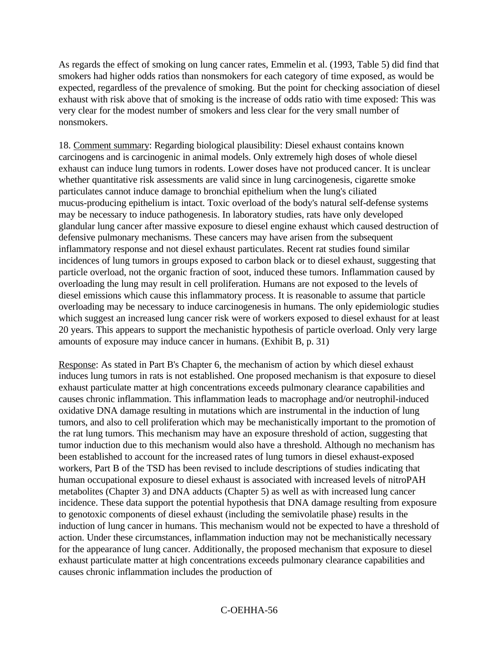As regards the effect of smoking on lung cancer rates, Emmelin et al. (1993, Table 5) did find that smokers had higher odds ratios than nonsmokers for each category of time exposed, as would be expected, regardless of the prevalence of smoking. But the point for checking association of diesel exhaust with risk above that of smoking is the increase of odds ratio with time exposed: This was very clear for the modest number of smokers and less clear for the very small number of nonsmokers.

18. Comment summary: Regarding biological plausibility: Diesel exhaust contains known carcinogens and is carcinogenic in animal models. Only extremely high doses of whole diesel exhaust can induce lung tumors in rodents. Lower doses have not produced cancer. It is unclear whether quantitative risk assessments are valid since in lung carcinogenesis, cigarette smoke particulates cannot induce damage to bronchial epithelium when the lung's ciliated mucus-producing epithelium is intact. Toxic overload of the body's natural self-defense systems may be necessary to induce pathogenesis. In laboratory studies, rats have only developed glandular lung cancer after massive exposure to diesel engine exhaust which caused destruction of defensive pulmonary mechanisms. These cancers may have arisen from the subsequent inflammatory response and not diesel exhaust particulates. Recent rat studies found similar incidences of lung tumors in groups exposed to carbon black or to diesel exhaust, suggesting that particle overload, not the organic fraction of soot, induced these tumors. Inflammation caused by overloading the lung may result in cell proliferation. Humans are not exposed to the levels of diesel emissions which cause this inflammatory process. It is reasonable to assume that particle overloading may be necessary to induce carcinogenesis in humans. The only epidemiologic studies which suggest an increased lung cancer risk were of workers exposed to diesel exhaust for at least 20 years. This appears to support the mechanistic hypothesis of particle overload. Only very large amounts of exposure may induce cancer in humans. (Exhibit B, p. 31)

Response: As stated in Part B's Chapter 6, the mechanism of action by which diesel exhaust induces lung tumors in rats is not established. One proposed mechanism is that exposure to diesel exhaust particulate matter at high concentrations exceeds pulmonary clearance capabilities and causes chronic inflammation. This inflammation leads to macrophage and/or neutrophil-induced oxidative DNA damage resulting in mutations which are instrumental in the induction of lung tumors, and also to cell proliferation which may be mechanistically important to the promotion of the rat lung tumors. This mechanism may have an exposure threshold of action, suggesting that tumor induction due to this mechanism would also have a threshold. Although no mechanism has been established to account for the increased rates of lung tumors in diesel exhaust-exposed workers, Part B of the TSD has been revised to include descriptions of studies indicating that human occupational exposure to diesel exhaust is associated with increased levels of nitroPAH metabolites (Chapter 3) and DNA adducts (Chapter 5) as well as with increased lung cancer incidence. These data support the potential hypothesis that DNA damage resulting from exposure to genotoxic components of diesel exhaust (including the semivolatile phase) results in the induction of lung cancer in humans. This mechanism would not be expected to have a threshold of action. Under these circumstances, inflammation induction may not be mechanistically necessary for the appearance of lung cancer. Additionally, the proposed mechanism that exposure to diesel exhaust particulate matter at high concentrations exceeds pulmonary clearance capabilities and causes chronic inflammation includes the production of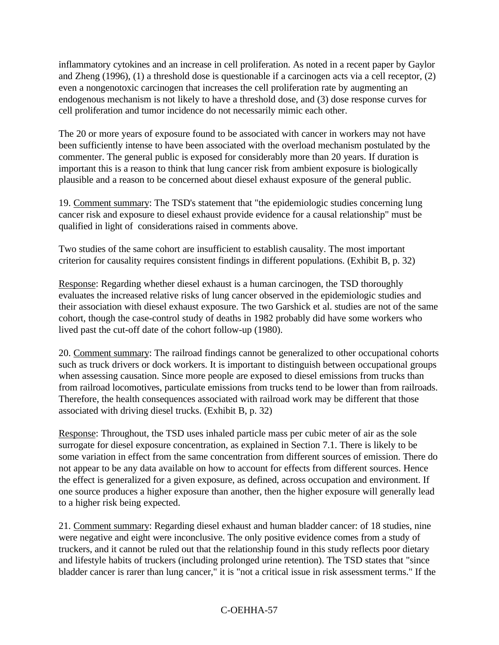inflammatory cytokines and an increase in cell proliferation. As noted in a recent paper by Gaylor and Zheng (1996), (1) a threshold dose is questionable if a carcinogen acts via a cell receptor, (2) even a nongenotoxic carcinogen that increases the cell proliferation rate by augmenting an endogenous mechanism is not likely to have a threshold dose, and (3) dose response curves for cell proliferation and tumor incidence do not necessarily mimic each other.

The 20 or more years of exposure found to be associated with cancer in workers may not have been sufficiently intense to have been associated with the overload mechanism postulated by the commenter. The general public is exposed for considerably more than 20 years. If duration is important this is a reason to think that lung cancer risk from ambient exposure is biologically plausible and a reason to be concerned about diesel exhaust exposure of the general public.

19. Comment summary: The TSD's statement that "the epidemiologic studies concerning lung cancer risk and exposure to diesel exhaust provide evidence for a causal relationship" must be qualified in light of considerations raised in comments above.

Two studies of the same cohort are insufficient to establish causality. The most important criterion for causality requires consistent findings in different populations. (Exhibit B, p. 32)

Response: Regarding whether diesel exhaust is a human carcinogen, the TSD thoroughly evaluates the increased relative risks of lung cancer observed in the epidemiologic studies and their association with diesel exhaust exposure. The two Garshick et al. studies are not of the same cohort, though the case-control study of deaths in 1982 probably did have some workers who lived past the cut-off date of the cohort follow-up (1980).

20. Comment summary: The railroad findings cannot be generalized to other occupational cohorts such as truck drivers or dock workers. It is important to distinguish between occupational groups when assessing causation. Since more people are exposed to diesel emissions from trucks than from railroad locomotives, particulate emissions from trucks tend to be lower than from railroads. Therefore, the health consequences associated with railroad work may be different that those associated with driving diesel trucks. (Exhibit B, p. 32)

Response: Throughout, the TSD uses inhaled particle mass per cubic meter of air as the sole surrogate for diesel exposure concentration, as explained in Section 7.1. There is likely to be some variation in effect from the same concentration from different sources of emission. There do not appear to be any data available on how to account for effects from different sources. Hence the effect is generalized for a given exposure, as defined, across occupation and environment. If one source produces a higher exposure than another, then the higher exposure will generally lead to a higher risk being expected.

21. Comment summary: Regarding diesel exhaust and human bladder cancer: of 18 studies, nine were negative and eight were inconclusive. The only positive evidence comes from a study of truckers, and it cannot be ruled out that the relationship found in this study reflects poor dietary and lifestyle habits of truckers (including prolonged urine retention). The TSD states that "since bladder cancer is rarer than lung cancer," it is "not a critical issue in risk assessment terms." If the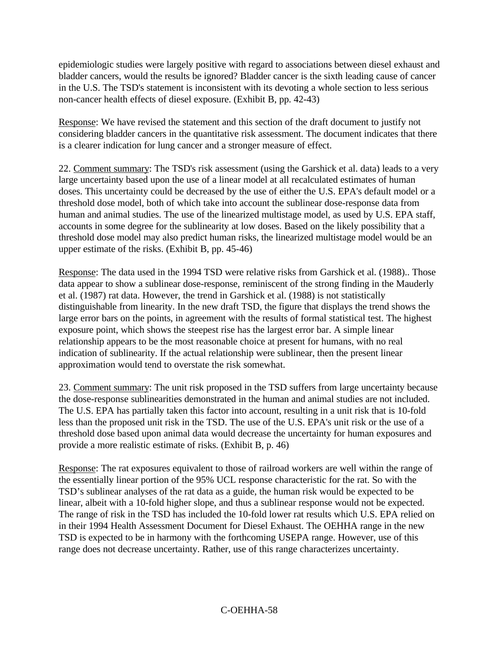epidemiologic studies were largely positive with regard to associations between diesel exhaust and bladder cancers, would the results be ignored? Bladder cancer is the sixth leading cause of cancer in the U.S. The TSD's statement is inconsistent with its devoting a whole section to less serious non-cancer health effects of diesel exposure. (Exhibit B, pp. 42-43)

Response: We have revised the statement and this section of the draft document to justify not considering bladder cancers in the quantitative risk assessment. The document indicates that there is a clearer indication for lung cancer and a stronger measure of effect.

22. Comment summary: The TSD's risk assessment (using the Garshick et al. data) leads to a very large uncertainty based upon the use of a linear model at all recalculated estimates of human doses. This uncertainty could be decreased by the use of either the U.S. EPA's default model or a threshold dose model, both of which take into account the sublinear dose-response data from human and animal studies. The use of the linearized multistage model, as used by U.S. EPA staff, accounts in some degree for the sublinearity at low doses. Based on the likely possibility that a threshold dose model may also predict human risks, the linearized multistage model would be an upper estimate of the risks. (Exhibit B, pp. 45-46)

Response: The data used in the 1994 TSD were relative risks from Garshick et al. (1988).. Those data appear to show a sublinear dose-response, reminiscent of the strong finding in the Mauderly et al. (1987) rat data. However, the trend in Garshick et al. (1988) is not statistically distinguishable from linearity. In the new draft TSD, the figure that displays the trend shows the large error bars on the points, in agreement with the results of formal statistical test. The highest exposure point, which shows the steepest rise has the largest error bar. A simple linear relationship appears to be the most reasonable choice at present for humans, with no real indication of sublinearity. If the actual relationship were sublinear, then the present linear approximation would tend to overstate the risk somewhat.

23. Comment summary: The unit risk proposed in the TSD suffers from large uncertainty because the dose-response sublinearities demonstrated in the human and animal studies are not included. The U.S. EPA has partially taken this factor into account, resulting in a unit risk that is 10-fold less than the proposed unit risk in the TSD. The use of the U.S. EPA's unit risk or the use of a threshold dose based upon animal data would decrease the uncertainty for human exposures and provide a more realistic estimate of risks. (Exhibit B, p. 46)

Response: The rat exposures equivalent to those of railroad workers are well within the range of the essentially linear portion of the 95% UCL response characteristic for the rat. So with the TSD's sublinear analyses of the rat data as a guide, the human risk would be expected to be linear, albeit with a 10-fold higher slope, and thus a sublinear response would not be expected. The range of risk in the TSD has included the 10-fold lower rat results which U.S. EPA relied on in their 1994 Health Assessment Document for Diesel Exhaust. The OEHHA range in the new TSD is expected to be in harmony with the forthcoming USEPA range. However, use of this range does not decrease uncertainty. Rather, use of this range characterizes uncertainty.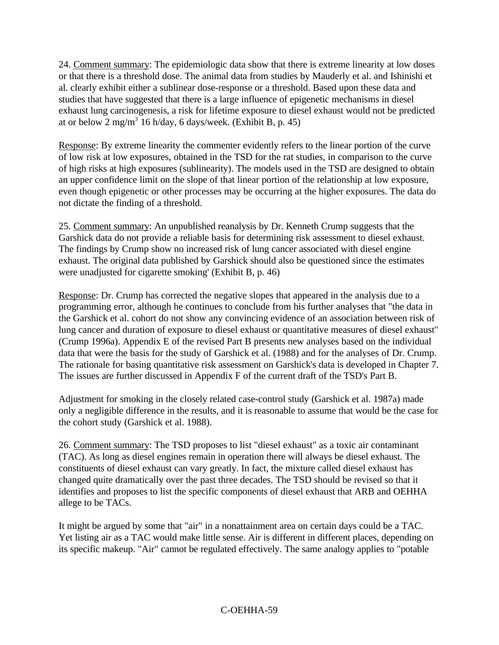24. Comment summary: The epidemiologic data show that there is extreme linearity at low doses or that there is a threshold dose. The animal data from studies by Mauderly et al. and Ishinishi et al. clearly exhibit either a sublinear dose-response or a threshold. Based upon these data and studies that have suggested that there is a large influence of epigenetic mechanisms in diesel exhaust lung carcinogenesis, a risk for lifetime exposure to diesel exhaust would not be predicted at or below  $2 \text{ mg/m}^3$  16 h/day, 6 days/week. (Exhibit B, p. 45)

Response: By extreme linearity the commenter evidently refers to the linear portion of the curve of low risk at low exposures, obtained in the TSD for the rat studies, in comparison to the curve of high risks at high exposures (sublinearity). The models used in the TSD are designed to obtain an upper confidence limit on the slope of that linear portion of the relationship at low exposure, even though epigenetic or other processes may be occurring at the higher exposures. The data do not dictate the finding of a threshold.

25. Comment summary: An unpublished reanalysis by Dr. Kenneth Crump suggests that the Garshick data do not provide a reliable basis for determining risk assessment to diesel exhaust. The findings by Crump show no increased risk of lung cancer associated with diesel engine exhaust. The original data published by Garshick should also be questioned since the estimates were unadjusted for cigarette smoking' (Exhibit B, p. 46)

Response: Dr. Crump has corrected the negative slopes that appeared in the analysis due to a programming error, although he continues to conclude from his further analyses that "the data in the Garshick et al. cohort do not show any convincing evidence of an association between risk of lung cancer and duration of exposure to diesel exhaust or quantitative measures of diesel exhaust" (Crump 1996a). Appendix E of the revised Part B presents new analyses based on the individual data that were the basis for the study of Garshick et al. (1988) and for the analyses of Dr. Crump. The rationale for basing quantitative risk assessment on Garshick's data is developed in Chapter 7. The issues are further discussed in Appendix F of the current draft of the TSD's Part B.

Adjustment for smoking in the closely related case-control study (Garshick et al. 1987a) made only a negligible difference in the results, and it is reasonable to assume that would be the case for the cohort study (Garshick et al. 1988).

26. Comment summary: The TSD proposes to list "diesel exhaust" as a toxic air contaminant (TAC). As long as diesel engines remain in operation there will always be diesel exhaust. The constituents of diesel exhaust can vary greatly. In fact, the mixture called diesel exhaust has changed quite dramatically over the past three decades. The TSD should be revised so that it identifies and proposes to list the specific components of diesel exhaust that ARB and OEHHA allege to be TACs.

It might be argued by some that "air" in a nonattainment area on certain days could be a TAC. Yet listing air as a TAC would make little sense. Air is different in different places, depending on its specific makeup. "Air" cannot be regulated effectively. The same analogy applies to "potable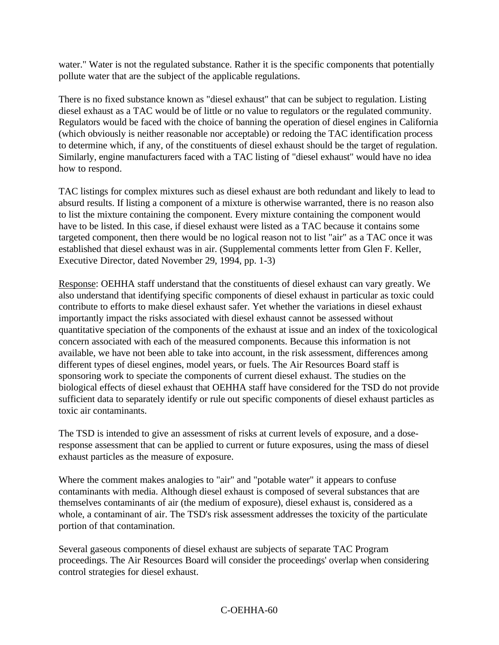water." Water is not the regulated substance. Rather it is the specific components that potentially pollute water that are the subject of the applicable regulations.

There is no fixed substance known as "diesel exhaust" that can be subject to regulation. Listing diesel exhaust as a TAC would be of little or no value to regulators or the regulated community. Regulators would be faced with the choice of banning the operation of diesel engines in California (which obviously is neither reasonable nor acceptable) or redoing the TAC identification process to determine which, if any, of the constituents of diesel exhaust should be the target of regulation. Similarly, engine manufacturers faced with a TAC listing of "diesel exhaust" would have no idea how to respond.

TAC listings for complex mixtures such as diesel exhaust are both redundant and likely to lead to absurd results. If listing a component of a mixture is otherwise warranted, there is no reason also to list the mixture containing the component. Every mixture containing the component would have to be listed. In this case, if diesel exhaust were listed as a TAC because it contains some targeted component, then there would be no logical reason not to list "air" as a TAC once it was established that diesel exhaust was in air. (Supplemental comments letter from Glen F. Keller, Executive Director, dated November 29, 1994, pp. 1-3)

Response: OEHHA staff understand that the constituents of diesel exhaust can vary greatly. We also understand that identifying specific components of diesel exhaust in particular as toxic could contribute to efforts to make diesel exhaust safer. Yet whether the variations in diesel exhaust importantly impact the risks associated with diesel exhaust cannot be assessed without quantitative speciation of the components of the exhaust at issue and an index of the toxicological concern associated with each of the measured components. Because this information is not available, we have not been able to take into account, in the risk assessment, differences among different types of diesel engines, model years, or fuels. The Air Resources Board staff is sponsoring work to speciate the components of current diesel exhaust. The studies on the biological effects of diesel exhaust that OEHHA staff have considered for the TSD do not provide sufficient data to separately identify or rule out specific components of diesel exhaust particles as toxic air contaminants.

The TSD is intended to give an assessment of risks at current levels of exposure, and a doseresponse assessment that can be applied to current or future exposures, using the mass of diesel exhaust particles as the measure of exposure.

Where the comment makes analogies to "air" and "potable water" it appears to confuse contaminants with media. Although diesel exhaust is composed of several substances that are themselves contaminants of air (the medium of exposure), diesel exhaust is, considered as a whole, a contaminant of air. The TSD's risk assessment addresses the toxicity of the particulate portion of that contamination.

Several gaseous components of diesel exhaust are subjects of separate TAC Program proceedings. The Air Resources Board will consider the proceedings' overlap when considering control strategies for diesel exhaust.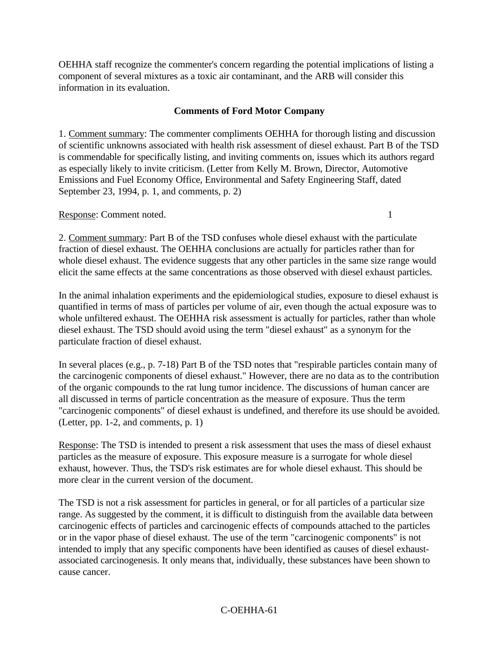OEHHA staff recognize the commenter's concern regarding the potential implications of listing a component of several mixtures as a toxic air contaminant, and the ARB will consider this information in its evaluation.

#### **Comments of Ford Motor Company**

1. Comment summary: The commenter compliments OEHHA for thorough listing and discussion of scientific unknowns associated with health risk assessment of diesel exhaust. Part B of the TSD is commendable for specifically listing, and inviting comments on, issues which its authors regard as especially likely to invite criticism. (Letter from Kelly M. Brown, Director, Automotive Emissions and Fuel Economy Office, Environmental and Safety Engineering Staff, dated September 23, 1994, p. 1, and comments, p. 2)

Response: Comment noted. 1

2. Comment summary: Part B of the TSD confuses whole diesel exhaust with the particulate fraction of diesel exhaust. The OEHHA conclusions are actually for particles rather than for whole diesel exhaust. The evidence suggests that any other particles in the same size range would elicit the same effects at the same concentrations as those observed with diesel exhaust particles.

In the animal inhalation experiments and the epidemiological studies, exposure to diesel exhaust is quantified in terms of mass of particles per volume of air, even though the actual exposure was to whole unfiltered exhaust. The OEHHA risk assessment is actually for particles, rather than whole diesel exhaust. The TSD should avoid using the term "diesel exhaust" as a synonym for the particulate fraction of diesel exhaust.

In several places (e.g., p. 7-18) Part B of the TSD notes that "respirable particles contain many of the carcinogenic components of diesel exhaust." However, there are no data as to the contribution of the organic compounds to the rat lung tumor incidence. The discussions of human cancer are all discussed in terms of particle concentration as the measure of exposure. Thus the term "carcinogenic components" of diesel exhaust is undefined, and therefore its use should be avoided. (Letter, pp. 1-2, and comments, p. 1)

Response: The TSD is intended to present a risk assessment that uses the mass of diesel exhaust particles as the measure of exposure. This exposure measure is a surrogate for whole diesel exhaust, however. Thus, the TSD's risk estimates are for whole diesel exhaust. This should be more clear in the current version of the document.

The TSD is not a risk assessment for particles in general, or for all particles of a particular size range. As suggested by the comment, it is difficult to distinguish from the available data between carcinogenic effects of particles and carcinogenic effects of compounds attached to the particles or in the vapor phase of diesel exhaust. The use of the term "carcinogenic components" is not intended to imply that any specific components have been identified as causes of diesel exhaustassociated carcinogenesis. It only means that, individually, these substances have been shown to cause cancer.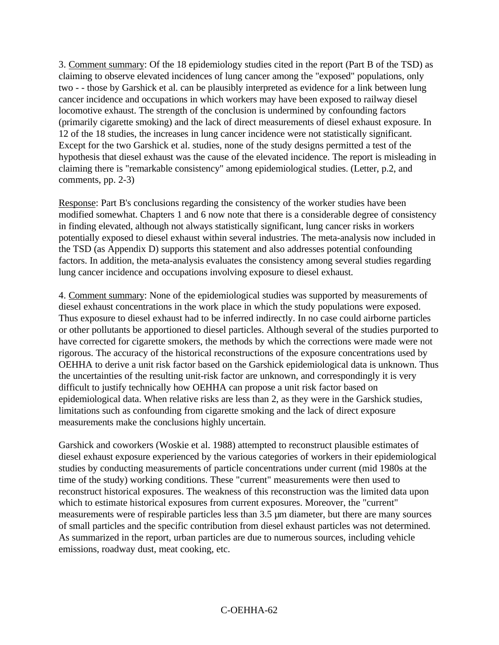3. Comment summary: Of the 18 epidemiology studies cited in the report (Part B of the TSD) as claiming to observe elevated incidences of lung cancer among the "exposed" populations, only two - - those by Garshick et al. can be plausibly interpreted as evidence for a link between lung cancer incidence and occupations in which workers may have been exposed to railway diesel locomotive exhaust. The strength of the conclusion is undermined by confounding factors (primarily cigarette smoking) and the lack of direct measurements of diesel exhaust exposure. In 12 of the 18 studies, the increases in lung cancer incidence were not statistically significant. Except for the two Garshick et al. studies, none of the study designs permitted a test of the hypothesis that diesel exhaust was the cause of the elevated incidence. The report is misleading in claiming there is "remarkable consistency" among epidemiological studies. (Letter, p.2, and comments, pp. 2-3)

Response: Part B's conclusions regarding the consistency of the worker studies have been modified somewhat. Chapters 1 and 6 now note that there is a considerable degree of consistency in finding elevated, although not always statistically significant, lung cancer risks in workers potentially exposed to diesel exhaust within several industries. The meta-analysis now included in the TSD (as Appendix D) supports this statement and also addresses potential confounding factors. In addition, the meta-analysis evaluates the consistency among several studies regarding lung cancer incidence and occupations involving exposure to diesel exhaust.

4. Comment summary: None of the epidemiological studies was supported by measurements of diesel exhaust concentrations in the work place in which the study populations were exposed. Thus exposure to diesel exhaust had to be inferred indirectly. In no case could airborne particles or other pollutants be apportioned to diesel particles. Although several of the studies purported to have corrected for cigarette smokers, the methods by which the corrections were made were not rigorous. The accuracy of the historical reconstructions of the exposure concentrations used by OEHHA to derive a unit risk factor based on the Garshick epidemiological data is unknown. Thus the uncertainties of the resulting unit-risk factor are unknown, and correspondingly it is very difficult to justify technically how OEHHA can propose a unit risk factor based on epidemiological data. When relative risks are less than 2, as they were in the Garshick studies, limitations such as confounding from cigarette smoking and the lack of direct exposure measurements make the conclusions highly uncertain.

Garshick and coworkers (Woskie et al. 1988) attempted to reconstruct plausible estimates of diesel exhaust exposure experienced by the various categories of workers in their epidemiological studies by conducting measurements of particle concentrations under current (mid 1980s at the time of the study) working conditions. These "current" measurements were then used to reconstruct historical exposures. The weakness of this reconstruction was the limited data upon which to estimate historical exposures from current exposures. Moreover, the "current" measurements were of respirable particles less than 3.5 µm diameter, but there are many sources of small particles and the specific contribution from diesel exhaust particles was not determined. As summarized in the report, urban particles are due to numerous sources, including vehicle emissions, roadway dust, meat cooking, etc.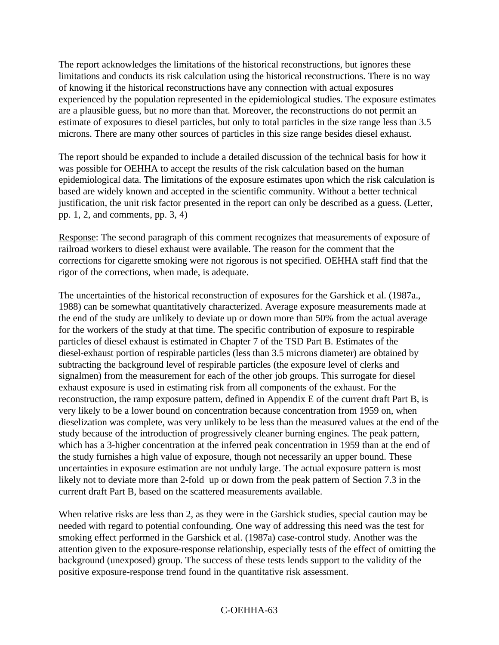The report acknowledges the limitations of the historical reconstructions, but ignores these limitations and conducts its risk calculation using the historical reconstructions. There is no way of knowing if the historical reconstructions have any connection with actual exposures experienced by the population represented in the epidemiological studies. The exposure estimates are a plausible guess, but no more than that. Moreover, the reconstructions do not permit an estimate of exposures to diesel particles, but only to total particles in the size range less than 3.5 microns. There are many other sources of particles in this size range besides diesel exhaust.

The report should be expanded to include a detailed discussion of the technical basis for how it was possible for OEHHA to accept the results of the risk calculation based on the human epidemiological data. The limitations of the exposure estimates upon which the risk calculation is based are widely known and accepted in the scientific community. Without a better technical justification, the unit risk factor presented in the report can only be described as a guess. (Letter, pp. 1, 2, and comments, pp. 3, 4)

Response: The second paragraph of this comment recognizes that measurements of exposure of railroad workers to diesel exhaust were available. The reason for the comment that the corrections for cigarette smoking were not rigorous is not specified. OEHHA staff find that the rigor of the corrections, when made, is adequate.

The uncertainties of the historical reconstruction of exposures for the Garshick et al. (1987a., 1988) can be somewhat quantitatively characterized. Average exposure measurements made at the end of the study are unlikely to deviate up or down more than 50% from the actual average for the workers of the study at that time. The specific contribution of exposure to respirable particles of diesel exhaust is estimated in Chapter 7 of the TSD Part B. Estimates of the diesel-exhaust portion of respirable particles (less than 3.5 microns diameter) are obtained by subtracting the background level of respirable particles (the exposure level of clerks and signalmen) from the measurement for each of the other job groups. This surrogate for diesel exhaust exposure is used in estimating risk from all components of the exhaust. For the reconstruction, the ramp exposure pattern, defined in Appendix E of the current draft Part B, is very likely to be a lower bound on concentration because concentration from 1959 on, when dieselization was complete, was very unlikely to be less than the measured values at the end of the study because of the introduction of progressively cleaner burning engines. The peak pattern, which has a 3-higher concentration at the inferred peak concentration in 1959 than at the end of the study furnishes a high value of exposure, though not necessarily an upper bound. These uncertainties in exposure estimation are not unduly large. The actual exposure pattern is most likely not to deviate more than 2-fold up or down from the peak pattern of Section 7.3 in the current draft Part B, based on the scattered measurements available.

When relative risks are less than 2, as they were in the Garshick studies, special caution may be needed with regard to potential confounding. One way of addressing this need was the test for smoking effect performed in the Garshick et al. (1987a) case-control study. Another was the attention given to the exposure-response relationship, especially tests of the effect of omitting the background (unexposed) group. The success of these tests lends support to the validity of the positive exposure-response trend found in the quantitative risk assessment.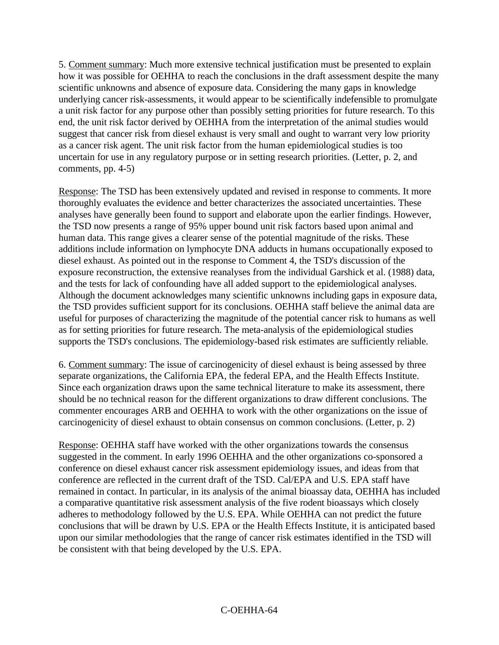5. Comment summary: Much more extensive technical justification must be presented to explain how it was possible for OEHHA to reach the conclusions in the draft assessment despite the many scientific unknowns and absence of exposure data. Considering the many gaps in knowledge underlying cancer risk-assessments, it would appear to be scientifically indefensible to promulgate a unit risk factor for any purpose other than possibly setting priorities for future research. To this end, the unit risk factor derived by OEHHA from the interpretation of the animal studies would suggest that cancer risk from diesel exhaust is very small and ought to warrant very low priority as a cancer risk agent. The unit risk factor from the human epidemiological studies is too uncertain for use in any regulatory purpose or in setting research priorities. (Letter, p. 2, and comments, pp. 4-5)

Response: The TSD has been extensively updated and revised in response to comments. It more thoroughly evaluates the evidence and better characterizes the associated uncertainties. These analyses have generally been found to support and elaborate upon the earlier findings. However, the TSD now presents a range of 95% upper bound unit risk factors based upon animal and human data. This range gives a clearer sense of the potential magnitude of the risks. These additions include information on lymphocyte DNA adducts in humans occupationally exposed to diesel exhaust. As pointed out in the response to Comment 4, the TSD's discussion of the exposure reconstruction, the extensive reanalyses from the individual Garshick et al. (1988) data, and the tests for lack of confounding have all added support to the epidemiological analyses. Although the document acknowledges many scientific unknowns including gaps in exposure data, the TSD provides sufficient support for its conclusions. OEHHA staff believe the animal data are useful for purposes of characterizing the magnitude of the potential cancer risk to humans as well as for setting priorities for future research. The meta-analysis of the epidemiological studies supports the TSD's conclusions. The epidemiology-based risk estimates are sufficiently reliable.

6. Comment summary: The issue of carcinogenicity of diesel exhaust is being assessed by three separate organizations, the California EPA, the federal EPA, and the Health Effects Institute. Since each organization draws upon the same technical literature to make its assessment, there should be no technical reason for the different organizations to draw different conclusions. The commenter encourages ARB and OEHHA to work with the other organizations on the issue of carcinogenicity of diesel exhaust to obtain consensus on common conclusions. (Letter, p. 2)

Response: OEHHA staff have worked with the other organizations towards the consensus suggested in the comment. In early 1996 OEHHA and the other organizations co-sponsored a conference on diesel exhaust cancer risk assessment epidemiology issues, and ideas from that conference are reflected in the current draft of the TSD. Cal/EPA and U.S. EPA staff have remained in contact. In particular, in its analysis of the animal bioassay data, OEHHA has included a comparative quantitative risk assessment analysis of the five rodent bioassays which closely adheres to methodology followed by the U.S. EPA. While OEHHA can not predict the future conclusions that will be drawn by U.S. EPA or the Health Effects Institute, it is anticipated based upon our similar methodologies that the range of cancer risk estimates identified in the TSD will be consistent with that being developed by the U.S. EPA.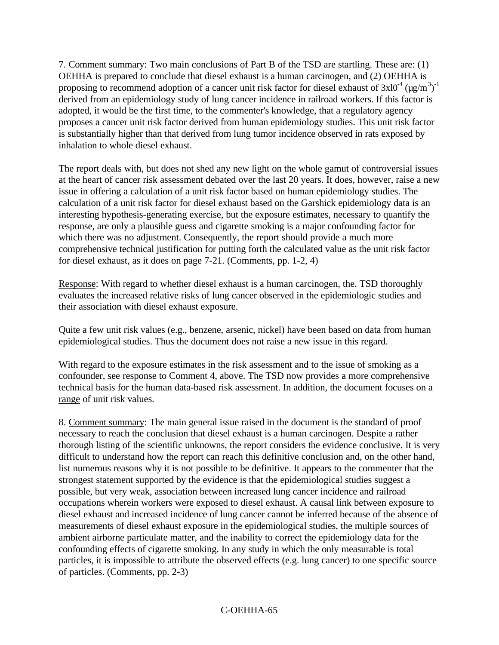7. Comment summary: Two main conclusions of Part B of the TSD are startling. These are: (1) OEHHA is prepared to conclude that diesel exhaust is a human carcinogen, and (2) OEHHA is proposing to recommend adoption of a cancer unit risk factor for diesel exhaust of  $3x10^{-4}$  (µg/m<sup>3</sup>)<sup>-1</sup> derived from an epidemiology study of lung cancer incidence in railroad workers. If this factor is adopted, it would be the first time, to the commenter's knowledge, that a regulatory agency proposes a cancer unit risk factor derived from human epidemiology studies. This unit risk factor is substantially higher than that derived from lung tumor incidence observed in rats exposed by inhalation to whole diesel exhaust.

The report deals with, but does not shed any new light on the whole gamut of controversial issues at the heart of cancer risk assessment debated over the last 20 years. It does, however, raise a new issue in offering a calculation of a unit risk factor based on human epidemiology studies. The calculation of a unit risk factor for diesel exhaust based on the Garshick epidemiology data is an interesting hypothesis-generating exercise, but the exposure estimates, necessary to quantify the response, are only a plausible guess and cigarette smoking is a major confounding factor for which there was no adjustment. Consequently, the report should provide a much more comprehensive technical justification for putting forth the calculated value as the unit risk factor for diesel exhaust, as it does on page 7-21. (Comments, pp. 1-2, 4)

Response: With regard to whether diesel exhaust is a human carcinogen, the. TSD thoroughly evaluates the increased relative risks of lung cancer observed in the epidemiologic studies and their association with diesel exhaust exposure.

Quite a few unit risk values (e.g., benzene, arsenic, nickel) have been based on data from human epidemiological studies. Thus the document does not raise a new issue in this regard.

With regard to the exposure estimates in the risk assessment and to the issue of smoking as a confounder, see response to Comment 4, above. The TSD now provides a more comprehensive technical basis for the human data-based risk assessment. In addition, the document focuses on a range of unit risk values.

8. Comment summary: The main general issue raised in the document is the standard of proof necessary to reach the conclusion that diesel exhaust is a human carcinogen. Despite a rather thorough listing of the scientific unknowns, the report considers the evidence conclusive. It is very difficult to understand how the report can reach this definitive conclusion and, on the other hand, list numerous reasons why it is not possible to be definitive. It appears to the commenter that the strongest statement supported by the evidence is that the epidemiological studies suggest a possible, but very weak, association between increased lung cancer incidence and railroad occupations wherein workers were exposed to diesel exhaust. A causal link between exposure to diesel exhaust and increased incidence of lung cancer cannot be inferred because of the absence of measurements of diesel exhaust exposure in the epidemiological studies, the multiple sources of ambient airborne particulate matter, and the inability to correct the epidemiology data for the confounding effects of cigarette smoking. In any study in which the only measurable is total particles, it is impossible to attribute the observed effects (e.g. lung cancer) to one specific source of particles. (Comments, pp. 2-3)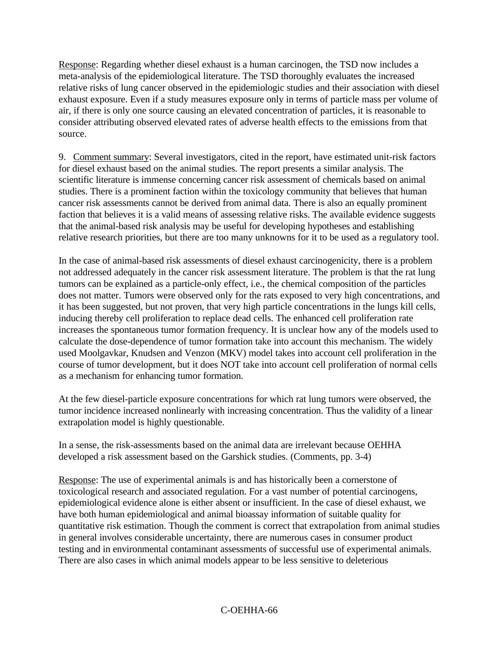Response: Regarding whether diesel exhaust is a human carcinogen, the TSD now includes a meta-analysis of the epidemiological literature. The TSD thoroughly evaluates the increased relative risks of lung cancer observed in the epidemiologic studies and their association with diesel exhaust exposure. Even if a study measures exposure only in terms of particle mass per volume of air, if there is only one source causing an elevated concentration of particles, it is reasonable to consider attributing observed elevated rates of adverse health effects to the emissions from that source.

9. Comment summary: Several investigators, cited in the report, have estimated unit-risk factors for diesel exhaust based on the animal studies. The report presents a similar analysis. The scientific literature is immense concerning cancer risk assessment of chemicals based on animal studies. There is a prominent faction within the toxicology community that believes that human cancer risk assessments cannot be derived from animal data. There is also an equally prominent faction that believes it is a valid means of assessing relative risks. The available evidence suggests that the animal-based risk analysis may be useful for developing hypotheses and establishing relative research priorities, but there are too many unknowns for it to be used as a regulatory tool.

In the case of animal-based risk assessments of diesel exhaust carcinogenicity, there is a problem not addressed adequately in the cancer risk assessment literature. The problem is that the rat lung tumors can be explained as a particle-only effect, i.e., the chemical composition of the particles does not matter. Tumors were observed only for the rats exposed to very high concentrations, and it has been suggested, but not proven, that very high particle concentrations in the lungs kill cells, inducing thereby cell proliferation to replace dead cells. The enhanced cell proliferation rate increases the spontaneous tumor formation frequency. It is unclear how any of the models used to calculate the dose-dependence of tumor formation take into account this mechanism. The widely used Moolgavkar, Knudsen and Venzon (MKV) model takes into account cell proliferation in the course of tumor development, but it does NOT take into account cell proliferation of normal cells as a mechanism for enhancing tumor formation.

At the few diesel-particle exposure concentrations for which rat lung tumors were observed, the tumor incidence increased nonlinearly with increasing concentration. Thus the validity of a linear extrapolation model is highly questionable.

In a sense, the risk-assessments based on the animal data are irrelevant because OEHHA developed a risk assessment based on the Garshick studies. (Comments, pp. 3-4)

Response: The use of experimental animals is and has historically been a cornerstone of toxicological research and associated regulation. For a vast number of potential carcinogens, epidemiological evidence alone is either absent or insufficient. In the case of diesel exhaust, we have both human epidemiological and animal bioassay information of suitable quality for quantitative risk estimation. Though the comment is correct that extrapolation from animal studies in general involves considerable uncertainty, there are numerous cases in consumer product testing and in environmental contaminant assessments of successful use of experimental animals. There are also cases in which animal models appear to be less sensitive to deleterious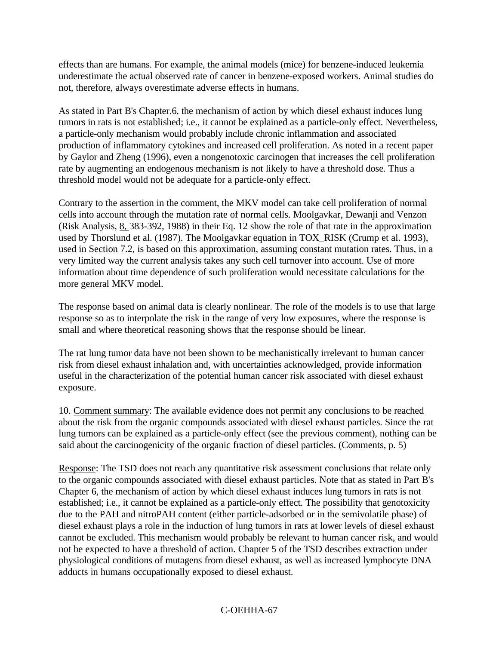effects than are humans. For example, the animal models (mice) for benzene-induced leukemia underestimate the actual observed rate of cancer in benzene-exposed workers. Animal studies do not, therefore, always overestimate adverse effects in humans.

As stated in Part B's Chapter.6, the mechanism of action by which diesel exhaust induces lung tumors in rats is not established; i.e., it cannot be explained as a particle-only effect. Nevertheless, a particle-only mechanism would probably include chronic inflammation and associated production of inflammatory cytokines and increased cell proliferation. As noted in a recent paper by Gaylor and Zheng (1996), even a nongenotoxic carcinogen that increases the cell proliferation rate by augmenting an endogenous mechanism is not likely to have a threshold dose. Thus a threshold model would not be adequate for a particle-only effect.

Contrary to the assertion in the comment, the MKV model can take cell proliferation of normal cells into account through the mutation rate of normal cells. Moolgavkar, Dewanji and Venzon (Risk Analysis, 8, 383-392, 1988) in their Eq. 12 show the role of that rate in the approximation used by Thorslund et al. (1987). The Moolgavkar equation in TOX\_RISK (Crump et al. 1993), used in Section 7.2, is based on this approximation, assuming constant mutation rates. Thus, in a very limited way the current analysis takes any such cell turnover into account. Use of more information about time dependence of such proliferation would necessitate calculations for the more general MKV model.

The response based on animal data is clearly nonlinear. The role of the models is to use that large response so as to interpolate the risk in the range of very low exposures, where the response is small and where theoretical reasoning shows that the response should be linear.

The rat lung tumor data have not been shown to be mechanistically irrelevant to human cancer risk from diesel exhaust inhalation and, with uncertainties acknowledged, provide information useful in the characterization of the potential human cancer risk associated with diesel exhaust exposure.

10. Comment summary: The available evidence does not permit any conclusions to be reached about the risk from the organic compounds associated with diesel exhaust particles. Since the rat lung tumors can be explained as a particle-only effect (see the previous comment), nothing can be said about the carcinogenicity of the organic fraction of diesel particles. (Comments, p. 5)

Response: The TSD does not reach any quantitative risk assessment conclusions that relate only to the organic compounds associated with diesel exhaust particles. Note that as stated in Part B's Chapter 6, the mechanism of action by which diesel exhaust induces lung tumors in rats is not established; i.e., it cannot be explained as a particle-only effect. The possibility that genotoxicity due to the PAH and nitroPAH content (either particle-adsorbed or in the semivolatile phase) of diesel exhaust plays a role in the induction of lung tumors in rats at lower levels of diesel exhaust cannot be excluded. This mechanism would probably be relevant to human cancer risk, and would not be expected to have a threshold of action. Chapter 5 of the TSD describes extraction under physiological conditions of mutagens from diesel exhaust, as well as increased lymphocyte DNA adducts in humans occupationally exposed to diesel exhaust.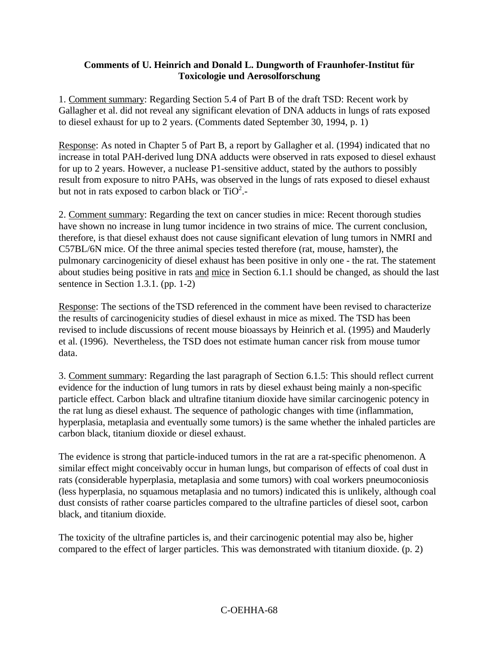### **Comments of U. Heinrich and Donald L. Dungworth of Fraunhofer-Institut für Toxicologie und Aerosolforschung**

1. Comment summary: Regarding Section 5.4 of Part B of the draft TSD: Recent work by Gallagher et al. did not reveal any significant elevation of DNA adducts in lungs of rats exposed to diesel exhaust for up to 2 years. (Comments dated September 30, 1994, p. 1)

Response: As noted in Chapter 5 of Part B, a report by Gallagher et al. (1994) indicated that no increase in total PAH-derived lung DNA adducts were observed in rats exposed to diesel exhaust for up to 2 years. However, a nuclease P1-sensitive adduct, stated by the authors to possibly result from exposure to nitro PAHs, was observed in the lungs of rats exposed to diesel exhaust but not in rats exposed to carbon black or  $TiO^2$ .

2. Comment summary: Regarding the text on cancer studies in mice: Recent thorough studies have shown no increase in lung tumor incidence in two strains of mice. The current conclusion, therefore, is that diesel exhaust does not cause significant elevation of lung tumors in NMRI and C57BL/6N mice. Of the three animal species tested therefore (rat, mouse, hamster), the pulmonary carcinogenicity of diesel exhaust has been positive in only one - the rat. The statement about studies being positive in rats and mice in Section 6.1.1 should be changed, as should the last sentence in Section 1.3.1. (pp. 1-2)

Response: The sections of theTSD referenced in the comment have been revised to characterize the results of carcinogenicity studies of diesel exhaust in mice as mixed. The TSD has been revised to include discussions of recent mouse bioassays by Heinrich et al. (1995) and Mauderly et al. (1996). Nevertheless, the TSD does not estimate human cancer risk from mouse tumor data.

3. Comment summary: Regarding the last paragraph of Section 6.1.5: This should reflect current evidence for the induction of lung tumors in rats by diesel exhaust being mainly a non-specific particle effect. Carbon black and ultrafine titanium dioxide have similar carcinogenic potency in the rat lung as diesel exhaust. The sequence of pathologic changes with time (inflammation, hyperplasia, metaplasia and eventually some tumors) is the same whether the inhaled particles are carbon black, titanium dioxide or diesel exhaust.

The evidence is strong that particle-induced tumors in the rat are a rat-specific phenomenon. A similar effect might conceivably occur in human lungs, but comparison of effects of coal dust in rats (considerable hyperplasia, metaplasia and some tumors) with coal workers pneumoconiosis (less hyperplasia, no squamous metaplasia and no tumors) indicated this is unlikely, although coal dust consists of rather coarse particles compared to the ultrafine particles of diesel soot, carbon black, and titanium dioxide.

The toxicity of the ultrafine particles is, and their carcinogenic potential may also be, higher compared to the effect of larger particles. This was demonstrated with titanium dioxide. (p. 2)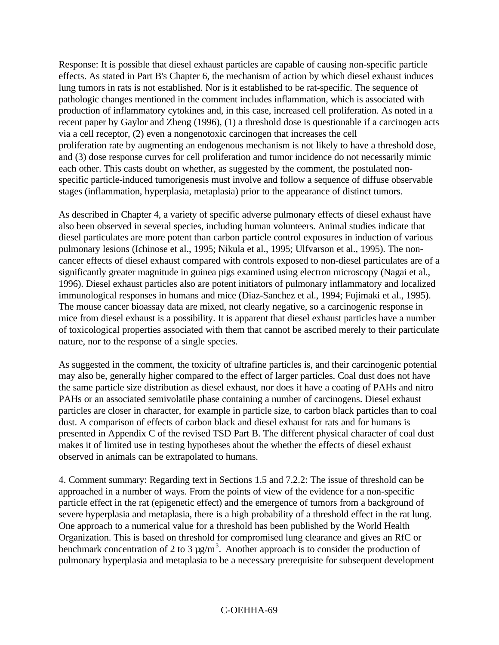Response: It is possible that diesel exhaust particles are capable of causing non-specific particle effects. As stated in Part B's Chapter 6, the mechanism of action by which diesel exhaust induces lung tumors in rats is not established. Nor is it established to be rat-specific. The sequence of pathologic changes mentioned in the comment includes inflammation, which is associated with production of inflammatory cytokines and, in this case, increased cell proliferation. As noted in a recent paper by Gaylor and Zheng (1996), (1) a threshold dose is questionable if a carcinogen acts via a cell receptor, (2) even a nongenotoxic carcinogen that increases the cell proliferation rate by augmenting an endogenous mechanism is not likely to have a threshold dose, and (3) dose response curves for cell proliferation and tumor incidence do not necessarily mimic each other. This casts doubt on whether, as suggested by the comment, the postulated nonspecific particle-induced tumorigenesis must involve and follow a sequence of diffuse observable stages (inflammation, hyperplasia, metaplasia) prior to the appearance of distinct tumors.

As described in Chapter 4, a variety of specific adverse pulmonary effects of diesel exhaust have also been observed in several species, including human volunteers. Animal studies indicate that diesel particulates are more potent than carbon particle control exposures in induction of various pulmonary lesions (Ichinose et al., 1995; Nikula et al., 1995; Ulfvarson et al., 1995). The noncancer effects of diesel exhaust compared with controls exposed to non-diesel particulates are of a significantly greater magnitude in guinea pigs examined using electron microscopy (Nagai et al., 1996). Diesel exhaust particles also are potent initiators of pulmonary inflammatory and localized immunological responses in humans and mice (Diaz-Sanchez et al., 1994; Fujimaki et al., 1995). The mouse cancer bioassay data are mixed, not clearly negative, so a carcinogenic response in mice from diesel exhaust is a possibility. It is apparent that diesel exhaust particles have a number of toxicological properties associated with them that cannot be ascribed merely to their particulate nature, nor to the response of a single species.

As suggested in the comment, the toxicity of ultrafine particles is, and their carcinogenic potential may also be, generally higher compared to the effect of larger particles. Coal dust does not have the same particle size distribution as diesel exhaust, nor does it have a coating of PAHs and nitro PAHs or an associated semivolatile phase containing a number of carcinogens. Diesel exhaust particles are closer in character, for example in particle size, to carbon black particles than to coal dust. A comparison of effects of carbon black and diesel exhaust for rats and for humans is presented in Appendix C of the revised TSD Part B. The different physical character of coal dust makes it of limited use in testing hypotheses about the whether the effects of diesel exhaust observed in animals can be extrapolated to humans.

4. Comment summary: Regarding text in Sections 1.5 and 7.2.2: The issue of threshold can be approached in a number of ways. From the points of view of the evidence for a non-specific particle effect in the rat (epigenetic effect) and the emergence of tumors from a background of severe hyperplasia and metaplasia, there is a high probability of a threshold effect in the rat lung. One approach to a numerical value for a threshold has been published by the World Health Organization. This is based on threshold for compromised lung clearance and gives an RfC or benchmark concentration of 2 to 3  $\mu$ g/m<sup>3</sup>. Another approach is to consider the production of pulmonary hyperplasia and metaplasia to be a necessary prerequisite for subsequent development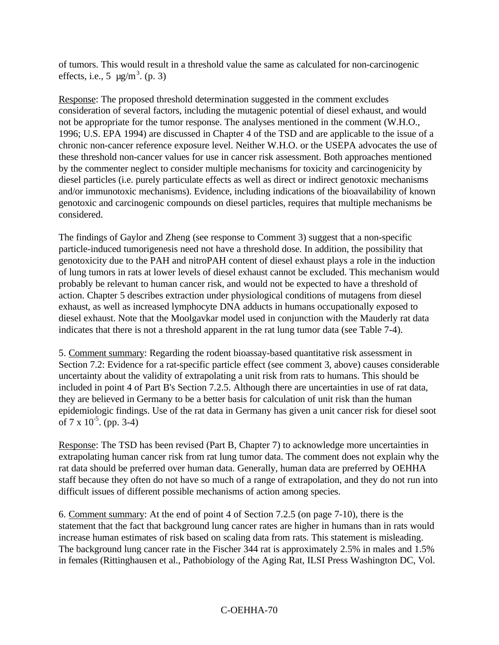of tumors. This would result in a threshold value the same as calculated for non-carcinogenic effects, i.e., 5  $\mu$ g/m<sup>3</sup>. (p. 3)

Response: The proposed threshold determination suggested in the comment excludes consideration of several factors, including the mutagenic potential of diesel exhaust, and would not be appropriate for the tumor response. The analyses mentioned in the comment (W.H.O., 1996; U.S. EPA 1994) are discussed in Chapter 4 of the TSD and are applicable to the issue of a chronic non-cancer reference exposure level. Neither W.H.O. or the USEPA advocates the use of these threshold non-cancer values for use in cancer risk assessment. Both approaches mentioned by the commenter neglect to consider multiple mechanisms for toxicity and carcinogenicity by diesel particles (i.e. purely particulate effects as well as direct or indirect genotoxic mechanisms and/or immunotoxic mechanisms). Evidence, including indications of the bioavailability of known genotoxic and carcinogenic compounds on diesel particles, requires that multiple mechanisms be considered.

The findings of Gaylor and Zheng (see response to Comment 3) suggest that a non-specific particle-induced tumorigenesis need not have a threshold dose. In addition, the possibility that genotoxicity due to the PAH and nitroPAH content of diesel exhaust plays a role in the induction of lung tumors in rats at lower levels of diesel exhaust cannot be excluded. This mechanism would probably be relevant to human cancer risk, and would not be expected to have a threshold of action. Chapter 5 describes extraction under physiological conditions of mutagens from diesel exhaust, as well as increased lymphocyte DNA adducts in humans occupationally exposed to diesel exhaust. Note that the Moolgavkar model used in conjunction with the Mauderly rat data indicates that there is not a threshold apparent in the rat lung tumor data (see Table 7-4).

5. Comment summary: Regarding the rodent bioassay-based quantitative risk assessment in Section 7.2: Evidence for a rat-specific particle effect (see comment 3, above) causes considerable uncertainty about the validity of extrapolating a unit risk from rats to humans. This should be included in point 4 of Part B's Section 7.2.5. Although there are uncertainties in use of rat data, they are believed in Germany to be a better basis for calculation of unit risk than the human epidemiologic findings. Use of the rat data in Germany has given a unit cancer risk for diesel soot of 7 x  $10^{-5}$ . (pp. 3-4)

Response: The TSD has been revised (Part B, Chapter 7) to acknowledge more uncertainties in extrapolating human cancer risk from rat lung tumor data. The comment does not explain why the rat data should be preferred over human data. Generally, human data are preferred by OEHHA staff because they often do not have so much of a range of extrapolation, and they do not run into difficult issues of different possible mechanisms of action among species.

6. Comment summary: At the end of point 4 of Section 7.2.5 (on page 7-10), there is the statement that the fact that background lung cancer rates are higher in humans than in rats would increase human estimates of risk based on scaling data from rats. This statement is misleading. The background lung cancer rate in the Fischer 344 rat is approximately 2.5% in males and 1.5% in females (Rittinghausen et al., Pathobiology of the Aging Rat, ILSI Press Washington DC, Vol.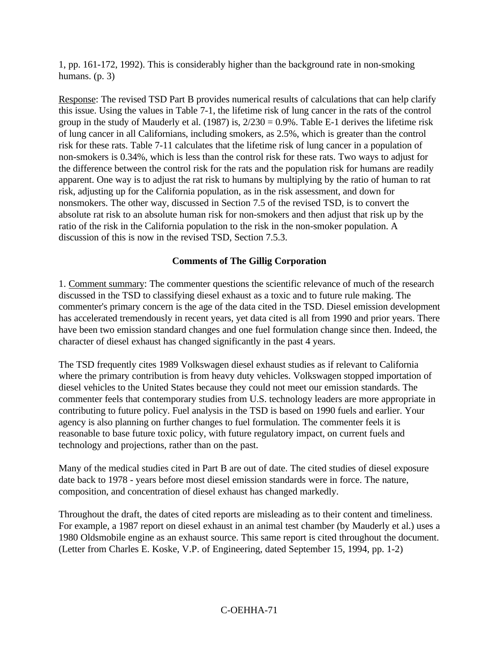1, pp. 161-172, 1992). This is considerably higher than the background rate in non-smoking humans. (p. 3)

Response: The revised TSD Part B provides numerical results of calculations that can help clarify this issue. Using the values in Table 7-1, the lifetime risk of lung cancer in the rats of the control group in the study of Mauderly et al. (1987) is,  $2/230 = 0.9\%$ . Table E-1 derives the lifetime risk of lung cancer in all Californians, including smokers, as 2.5%, which is greater than the control risk for these rats. Table 7-11 calculates that the lifetime risk of lung cancer in a population of non-smokers is 0.34%, which is less than the control risk for these rats. Two ways to adjust for the difference between the control risk for the rats and the population risk for humans are readily apparent. One way is to adjust the rat risk to humans by multiplying by the ratio of human to rat risk, adjusting up for the California population, as in the risk assessment, and down for nonsmokers. The other way, discussed in Section 7.5 of the revised TSD, is to convert the absolute rat risk to an absolute human risk for non-smokers and then adjust that risk up by the ratio of the risk in the California population to the risk in the non-smoker population. A discussion of this is now in the revised TSD, Section 7.5.3.

#### **Comments of The Gillig Corporation**

1. Comment summary: The commenter questions the scientific relevance of much of the research discussed in the TSD to classifying diesel exhaust as a toxic and to future rule making. The commenter's primary concern is the age of the data cited in the TSD. Diesel emission development has accelerated tremendously in recent years, yet data cited is all from 1990 and prior years. There have been two emission standard changes and one fuel formulation change since then. Indeed, the character of diesel exhaust has changed significantly in the past 4 years.

The TSD frequently cites 1989 Volkswagen diesel exhaust studies as if relevant to California where the primary contribution is from heavy duty vehicles. Volkswagen stopped importation of diesel vehicles to the United States because they could not meet our emission standards. The commenter feels that contemporary studies from U.S. technology leaders are more appropriate in contributing to future policy. Fuel analysis in the TSD is based on 1990 fuels and earlier. Your agency is also planning on further changes to fuel formulation. The commenter feels it is reasonable to base future toxic policy, with future regulatory impact, on current fuels and technology and projections, rather than on the past.

Many of the medical studies cited in Part B are out of date. The cited studies of diesel exposure date back to 1978 - years before most diesel emission standards were in force. The nature, composition, and concentration of diesel exhaust has changed markedly.

Throughout the draft, the dates of cited reports are misleading as to their content and timeliness. For example, a 1987 report on diesel exhaust in an animal test chamber (by Mauderly et al.) uses a 1980 Oldsmobile engine as an exhaust source. This same report is cited throughout the document. (Letter from Charles E. Koske, V.P. of Engineering, dated September 15, 1994, pp. 1-2)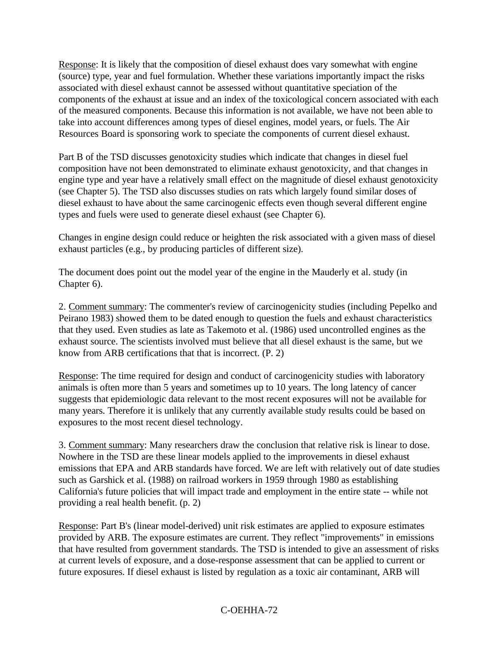Response: It is likely that the composition of diesel exhaust does vary somewhat with engine (source) type, year and fuel formulation. Whether these variations importantly impact the risks associated with diesel exhaust cannot be assessed without quantitative speciation of the components of the exhaust at issue and an index of the toxicological concern associated with each of the measured components. Because this information is not available, we have not been able to take into account differences among types of diesel engines, model years, or fuels. The Air Resources Board is sponsoring work to speciate the components of current diesel exhaust.

Part B of the TSD discusses genotoxicity studies which indicate that changes in diesel fuel composition have not been demonstrated to eliminate exhaust genotoxicity, and that changes in engine type and year have a relatively small effect on the magnitude of diesel exhaust genotoxicity (see Chapter 5). The TSD also discusses studies on rats which largely found similar doses of diesel exhaust to have about the same carcinogenic effects even though several different engine types and fuels were used to generate diesel exhaust (see Chapter 6).

Changes in engine design could reduce or heighten the risk associated with a given mass of diesel exhaust particles (e.g., by producing particles of different size).

The document does point out the model year of the engine in the Mauderly et al. study (in Chapter 6).

2. Comment summary: The commenter's review of carcinogenicity studies (including Pepelko and Peirano 1983) showed them to be dated enough to question the fuels and exhaust characteristics that they used. Even studies as late as Takemoto et al. (1986) used uncontrolled engines as the exhaust source. The scientists involved must believe that all diesel exhaust is the same, but we know from ARB certifications that that is incorrect. (P. 2)

Response: The time required for design and conduct of carcinogenicity studies with laboratory animals is often more than 5 years and sometimes up to 10 years. The long latency of cancer suggests that epidemiologic data relevant to the most recent exposures will not be available for many years. Therefore it is unlikely that any currently available study results could be based on exposures to the most recent diesel technology.

3. Comment summary: Many researchers draw the conclusion that relative risk is linear to dose. Nowhere in the TSD are these linear models applied to the improvements in diesel exhaust emissions that EPA and ARB standards have forced. We are left with relatively out of date studies such as Garshick et al. (1988) on railroad workers in 1959 through 1980 as establishing California's future policies that will impact trade and employment in the entire state -- while not providing a real health benefit. (p. 2)

Response: Part B's (linear model-derived) unit risk estimates are applied to exposure estimates provided by ARB. The exposure estimates are current. They reflect "improvements" in emissions that have resulted from government standards. The TSD is intended to give an assessment of risks at current levels of exposure, and a dose-response assessment that can be applied to current or future exposures. If diesel exhaust is listed by regulation as a toxic air contaminant, ARB will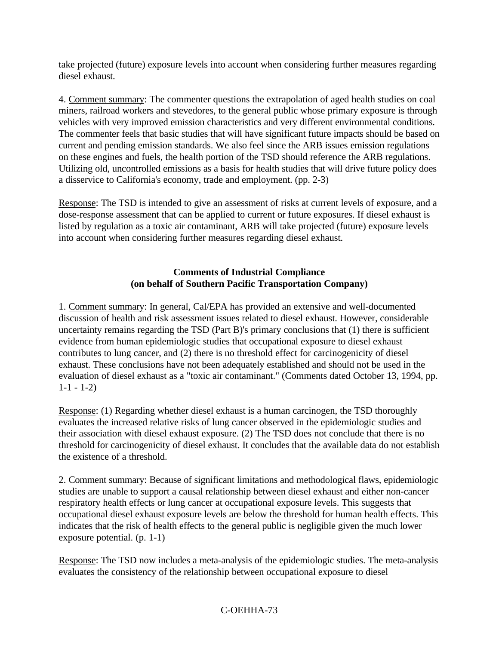take projected (future) exposure levels into account when considering further measures regarding diesel exhaust.

4. Comment summary: The commenter questions the extrapolation of aged health studies on coal miners, railroad workers and stevedores, to the general public whose primary exposure is through vehicles with very improved emission characteristics and very different environmental conditions. The commenter feels that basic studies that will have significant future impacts should be based on current and pending emission standards. We also feel since the ARB issues emission regulations on these engines and fuels, the health portion of the TSD should reference the ARB regulations. Utilizing old, uncontrolled emissions as a basis for health studies that will drive future policy does a disservice to California's economy, trade and employment. (pp. 2-3)

Response: The TSD is intended to give an assessment of risks at current levels of exposure, and a dose-response assessment that can be applied to current or future exposures. If diesel exhaust is listed by regulation as a toxic air contaminant, ARB will take projected (future) exposure levels into account when considering further measures regarding diesel exhaust.

### **Comments of Industrial Compliance (on behalf of Southern Pacific Transportation Company)**

1. Comment summary: In general, Cal/EPA has provided an extensive and well-documented discussion of health and risk assessment issues related to diesel exhaust. However, considerable uncertainty remains regarding the TSD (Part B)'s primary conclusions that (1) there is sufficient evidence from human epidemiologic studies that occupational exposure to diesel exhaust contributes to lung cancer, and (2) there is no threshold effect for carcinogenicity of diesel exhaust. These conclusions have not been adequately established and should not be used in the evaluation of diesel exhaust as a "toxic air contaminant." (Comments dated October 13, 1994, pp.  $1-1-1-2$ 

Response: (1) Regarding whether diesel exhaust is a human carcinogen, the TSD thoroughly evaluates the increased relative risks of lung cancer observed in the epidemiologic studies and their association with diesel exhaust exposure. (2) The TSD does not conclude that there is no threshold for carcinogenicity of diesel exhaust. It concludes that the available data do not establish the existence of a threshold.

2. Comment summary: Because of significant limitations and methodological flaws, epidemiologic studies are unable to support a causal relationship between diesel exhaust and either non-cancer respiratory health effects or lung cancer at occupational exposure levels. This suggests that occupational diesel exhaust exposure levels are below the threshold for human health effects. This indicates that the risk of health effects to the general public is negligible given the much lower exposure potential. (p. 1-1)

Response: The TSD now includes a meta-analysis of the epidemiologic studies. The meta-analysis evaluates the consistency of the relationship between occupational exposure to diesel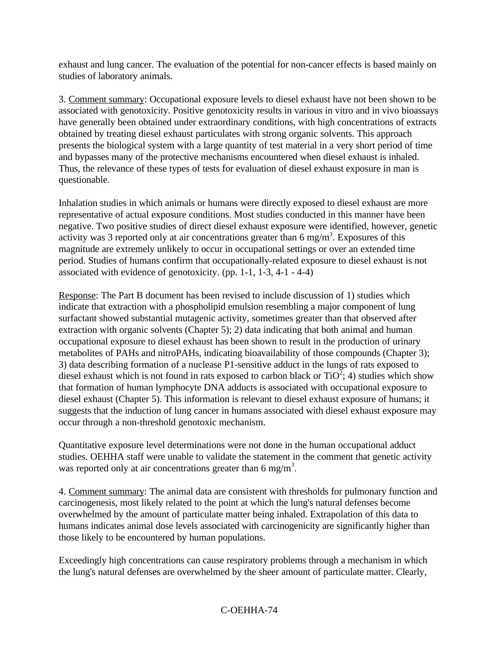exhaust and lung cancer. The evaluation of the potential for non-cancer effects is based mainly on studies of laboratory animals.

3. Comment summary: Occupational exposure levels to diesel exhaust have not been shown to be associated with genotoxicity. Positive genotoxicity results in various in vitro and in vivo bioassays have generally been obtained under extraordinary conditions, with high concentrations of extracts obtained by treating diesel exhaust particulates with strong organic solvents. This approach presents the biological system with a large quantity of test material in a very short period of time and bypasses many of the protective mechanisms encountered when diesel exhaust is inhaled. Thus, the relevance of these types of tests for evaluation of diesel exhaust exposure in man is questionable.

Inhalation studies in which animals or humans were directly exposed to diesel exhaust are more representative of actual exposure conditions. Most studies conducted in this manner have been negative. Two positive studies of direct diesel exhaust exposure were identified, however, genetic activity was 3 reported only at air concentrations greater than 6 mg/m<sup>3</sup>. Exposures of this magnitude are extremely unlikely to occur in occupational settings or over an extended time period. Studies of humans confirm that occupationally-related exposure to diesel exhaust is not associated with evidence of genotoxicity. (pp. 1-1, 1-3, 4-1 - 4-4)

Response: The Part B document has been revised to include discussion of 1) studies which indicate that extraction with a phospholipid emulsion resembling a major component of lung surfactant showed substantial mutagenic activity, sometimes greater than that observed after extraction with organic solvents (Chapter 5); 2) data indicating that both animal and human occupational exposure to diesel exhaust has been shown to result in the production of urinary metabolites of PAHs and nitroPAHs, indicating bioavailability of those compounds (Chapter 3); 3) data describing formation of a nuclease P1-sensitive adduct in the lungs of rats exposed to diesel exhaust which is not found in rats exposed to carbon black or  $TiO<sup>2</sup>$ ; 4) studies which show that formation of human lymphocyte DNA adducts is associated with occupational exposure to diesel exhaust (Chapter 5). This information is relevant to diesel exhaust exposure of humans; it suggests that the induction of lung cancer in humans associated with diesel exhaust exposure may occur through a non-threshold genotoxic mechanism.

Quantitative exposure level determinations were not done in the human occupational adduct studies. OEHHA staff were unable to validate the statement in the comment that genetic activity was reported only at air concentrations greater than 6 mg/m<sup>3</sup>.

4. Comment summary: The animal data are consistent with thresholds for pulmonary function and carcinogenesis, most likely related to the point at which the lung's natural defenses become overwhelmed by the amount of particulate matter being inhaled. Extrapolation of this data to humans indicates animal dose levels associated with carcinogenicity are significantly higher than those likely to be encountered by human populations.

Exceedingly high concentrations can cause respiratory problems through a mechanism in which the lung's natural defenses are overwhelmed by the sheer amount of particulate matter. Clearly,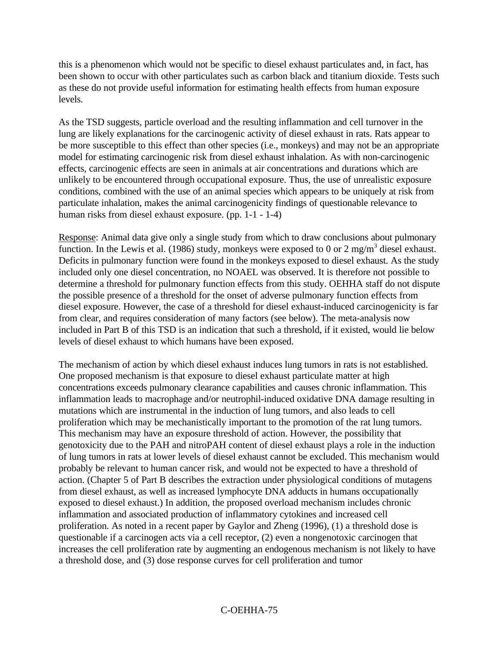this is a phenomenon which would not be specific to diesel exhaust particulates and, in fact, has been shown to occur with other particulates such as carbon black and titanium dioxide. Tests such as these do not provide useful information for estimating health effects from human exposure levels.

As the TSD suggests, particle overload and the resulting inflammation and cell turnover in the lung are likely explanations for the carcinogenic activity of diesel exhaust in rats. Rats appear to be more susceptible to this effect than other species (i.e., monkeys) and may not be an appropriate model for estimating carcinogenic risk from diesel exhaust inhalation. As with non-carcinogenic effects, carcinogenic effects are seen in animals at air concentrations and durations which are unlikely to be encountered through occupational exposure. Thus, the use of unrealistic exposure conditions, combined with the use of an animal species which appears to be uniquely at risk from particulate inhalation, makes the animal carcinogenicity findings of questionable relevance to human risks from diesel exhaust exposure. (pp. 1-1 - 1-4)

Response: Animal data give only a single study from which to draw conclusions about pulmonary function. In the Lewis et al. (1986) study, monkeys were exposed to 0 or 2 mg/m<sup>3</sup> diesel exhaust. Deficits in pulmonary function were found in the monkeys exposed to diesel exhaust. As the study included only one diesel concentration, no NOAEL was observed. It is therefore not possible to determine a threshold for pulmonary function effects from this study. OEHHA staff do not dispute the possible presence of a threshold for the onset of adverse pulmonary function effects from diesel exposure. However, the case of a threshold for diesel exhaust-induced carcinogenicity is far from clear, and requires consideration of many factors (see below). The meta-analysis now included in Part B of this TSD is an indication that such a threshold, if it existed, would lie below levels of diesel exhaust to which humans have been exposed.

The mechanism of action by which diesel exhaust induces lung tumors in rats is not established. One proposed mechanism is that exposure to diesel exhaust particulate matter at high concentrations exceeds pulmonary clearance capabilities and causes chronic inflammation. This inflammation leads to macrophage and/or neutrophil-induced oxidative DNA damage resulting in mutations which are instrumental in the induction of lung tumors, and also leads to cell proliferation which may be mechanistically important to the promotion of the rat lung tumors. This mechanism may have an exposure threshold of action. However, the possibility that genotoxicity due to the PAH and nitroPAH content of diesel exhaust plays a role in the induction of lung tumors in rats at lower levels of diesel exhaust cannot be excluded. This mechanism would probably be relevant to human cancer risk, and would not be expected to have a threshold of action. (Chapter 5 of Part B describes the extraction under physiological conditions of mutagens from diesel exhaust, as well as increased lymphocyte DNA adducts in humans occupationally exposed to diesel exhaust.) In addition, the proposed overload mechanism includes chronic inflammation and associated production of inflammatory cytokines and increased cell proliferation. As noted in a recent paper by Gaylor and Zheng (1996), (1) a threshold dose is questionable if a carcinogen acts via a cell receptor, (2) even a nongenotoxic carcinogen that increases the cell proliferation rate by augmenting an endogenous mechanism is not likely to have a threshold dose, and (3) dose response curves for cell proliferation and tumor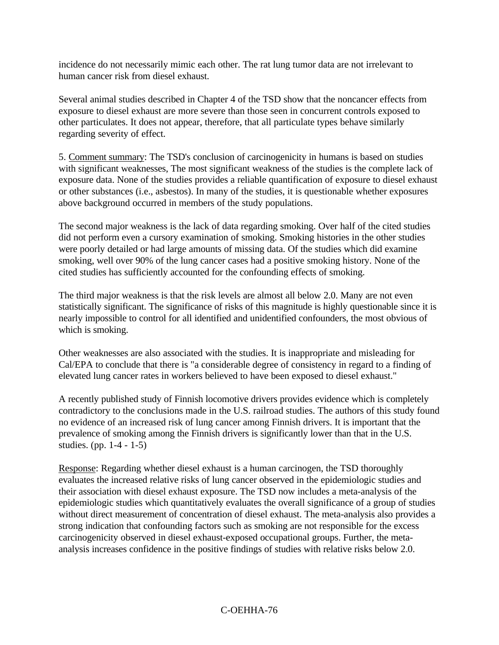incidence do not necessarily mimic each other. The rat lung tumor data are not irrelevant to human cancer risk from diesel exhaust.

Several animal studies described in Chapter 4 of the TSD show that the noncancer effects from exposure to diesel exhaust are more severe than those seen in concurrent controls exposed to other particulates. It does not appear, therefore, that all particulate types behave similarly regarding severity of effect.

5. Comment summary: The TSD's conclusion of carcinogenicity in humans is based on studies with significant weaknesses, The most significant weakness of the studies is the complete lack of exposure data. None of the studies provides a reliable quantification of exposure to diesel exhaust or other substances (i.e., asbestos). In many of the studies, it is questionable whether exposures above background occurred in members of the study populations.

The second major weakness is the lack of data regarding smoking. Over half of the cited studies did not perform even a cursory examination of smoking. Smoking histories in the other studies were poorly detailed or had large amounts of missing data. Of the studies which did examine smoking, well over 90% of the lung cancer cases had a positive smoking history. None of the cited studies has sufficiently accounted for the confounding effects of smoking.

The third major weakness is that the risk levels are almost all below 2.0. Many are not even statistically significant. The significance of risks of this magnitude is highly questionable since it is nearly impossible to control for all identified and unidentified confounders, the most obvious of which is smoking.

Other weaknesses are also associated with the studies. It is inappropriate and misleading for Cal/EPA to conclude that there is "a considerable degree of consistency in regard to a finding of elevated lung cancer rates in workers believed to have been exposed to diesel exhaust."

A recently published study of Finnish locomotive drivers provides evidence which is completely contradictory to the conclusions made in the U.S. railroad studies. The authors of this study found no evidence of an increased risk of lung cancer among Finnish drivers. It is important that the prevalence of smoking among the Finnish drivers is significantly lower than that in the U.S. studies. (pp. 1-4 - 1-5)

Response: Regarding whether diesel exhaust is a human carcinogen, the TSD thoroughly evaluates the increased relative risks of lung cancer observed in the epidemiologic studies and their association with diesel exhaust exposure. The TSD now includes a meta-analysis of the epidemiologic studies which quantitatively evaluates the overall significance of a group of studies without direct measurement of concentration of diesel exhaust. The meta-analysis also provides a strong indication that confounding factors such as smoking are not responsible for the excess carcinogenicity observed in diesel exhaust-exposed occupational groups. Further, the metaanalysis increases confidence in the positive findings of studies with relative risks below 2.0.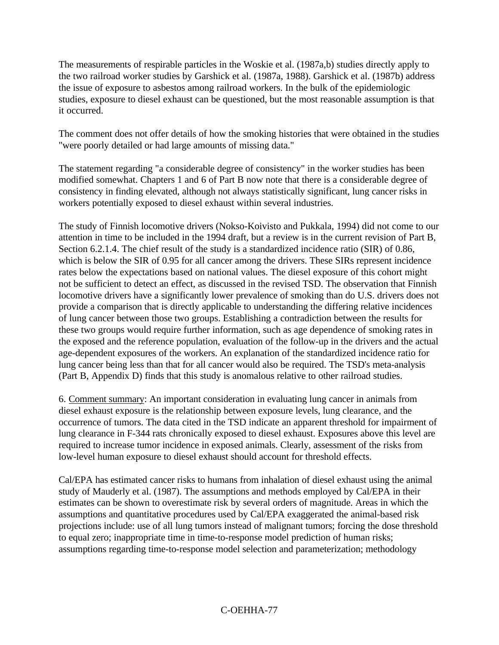The measurements of respirable particles in the Woskie et al. (1987a,b) studies directly apply to the two railroad worker studies by Garshick et al. (1987a, 1988). Garshick et al. (1987b) address the issue of exposure to asbestos among railroad workers. In the bulk of the epidemiologic studies, exposure to diesel exhaust can be questioned, but the most reasonable assumption is that it occurred.

The comment does not offer details of how the smoking histories that were obtained in the studies "were poorly detailed or had large amounts of missing data."

The statement regarding "a considerable degree of consistency" in the worker studies has been modified somewhat. Chapters 1 and 6 of Part B now note that there is a considerable degree of consistency in finding elevated, although not always statistically significant, lung cancer risks in workers potentially exposed to diesel exhaust within several industries.

The study of Finnish locomotive drivers (Nokso-Koivisto and Pukkala, 1994) did not come to our attention in time to be included in the 1994 draft, but a review is in the current revision of Part B, Section 6.2.1.4. The chief result of the study is a standardized incidence ratio (SIR) of 0.86, which is below the SIR of 0.95 for all cancer among the drivers. These SIRs represent incidence rates below the expectations based on national values. The diesel exposure of this cohort might not be sufficient to detect an effect, as discussed in the revised TSD. The observation that Finnish locomotive drivers have a significantly lower prevalence of smoking than do U.S. drivers does not provide a comparison that is directly applicable to understanding the differing relative incidences of lung cancer between those two groups. Establishing a contradiction between the results for these two groups would require further information, such as age dependence of smoking rates in the exposed and the reference population, evaluation of the follow-up in the drivers and the actual age-dependent exposures of the workers. An explanation of the standardized incidence ratio for lung cancer being less than that for all cancer would also be required. The TSD's meta-analysis (Part B, Appendix D) finds that this study is anomalous relative to other railroad studies.

6. Comment summary: An important consideration in evaluating lung cancer in animals from diesel exhaust exposure is the relationship between exposure levels, lung clearance, and the occurrence of tumors. The data cited in the TSD indicate an apparent threshold for impairment of lung clearance in F-344 rats chronically exposed to diesel exhaust. Exposures above this level are required to increase tumor incidence in exposed animals. Clearly, assessment of the risks from low-level human exposure to diesel exhaust should account for threshold effects.

Cal/EPA has estimated cancer risks to humans from inhalation of diesel exhaust using the animal study of Mauderly et al. (1987). The assumptions and methods employed by Cal/EPA in their estimates can be shown to overestimate risk by several orders of magnitude. Areas in which the assumptions and quantitative procedures used by Cal/EPA exaggerated the animal-based risk projections include: use of all lung tumors instead of malignant tumors; forcing the dose threshold to equal zero; inappropriate time in time-to-response model prediction of human risks; assumptions regarding time-to-response model selection and parameterization; methodology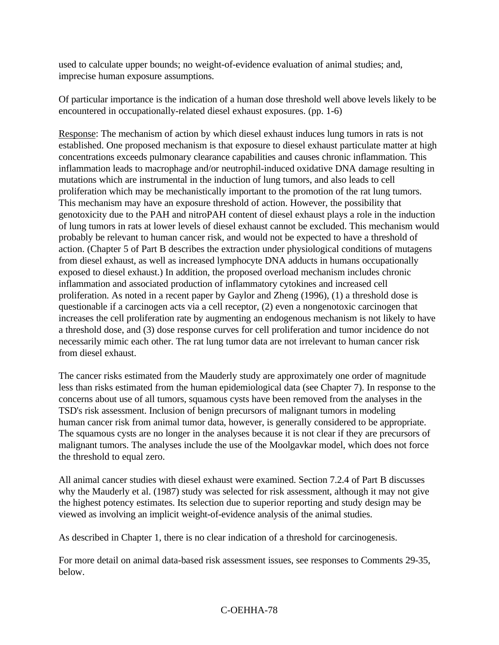used to calculate upper bounds; no weight-of-evidence evaluation of animal studies; and, imprecise human exposure assumptions.

Of particular importance is the indication of a human dose threshold well above levels likely to be encountered in occupationally-related diesel exhaust exposures. (pp. 1-6)

Response: The mechanism of action by which diesel exhaust induces lung tumors in rats is not established. One proposed mechanism is that exposure to diesel exhaust particulate matter at high concentrations exceeds pulmonary clearance capabilities and causes chronic inflammation. This inflammation leads to macrophage and/or neutrophil-induced oxidative DNA damage resulting in mutations which are instrumental in the induction of lung tumors, and also leads to cell proliferation which may be mechanistically important to the promotion of the rat lung tumors. This mechanism may have an exposure threshold of action. However, the possibility that genotoxicity due to the PAH and nitroPAH content of diesel exhaust plays a role in the induction of lung tumors in rats at lower levels of diesel exhaust cannot be excluded. This mechanism would probably be relevant to human cancer risk, and would not be expected to have a threshold of action. (Chapter 5 of Part B describes the extraction under physiological conditions of mutagens from diesel exhaust, as well as increased lymphocyte DNA adducts in humans occupationally exposed to diesel exhaust.) In addition, the proposed overload mechanism includes chronic inflammation and associated production of inflammatory cytokines and increased cell proliferation. As noted in a recent paper by Gaylor and Zheng (1996), (1) a threshold dose is questionable if a carcinogen acts via a cell receptor, (2) even a nongenotoxic carcinogen that increases the cell proliferation rate by augmenting an endogenous mechanism is not likely to have a threshold dose, and (3) dose response curves for cell proliferation and tumor incidence do not necessarily mimic each other. The rat lung tumor data are not irrelevant to human cancer risk from diesel exhaust.

The cancer risks estimated from the Mauderly study are approximately one order of magnitude less than risks estimated from the human epidemiological data (see Chapter 7). In response to the concerns about use of all tumors, squamous cysts have been removed from the analyses in the TSD's risk assessment. Inclusion of benign precursors of malignant tumors in modeling human cancer risk from animal tumor data, however, is generally considered to be appropriate. The squamous cysts are no longer in the analyses because it is not clear if they are precursors of malignant tumors. The analyses include the use of the Moolgavkar model, which does not force the threshold to equal zero.

All animal cancer studies with diesel exhaust were examined. Section 7.2.4 of Part B discusses why the Mauderly et al. (1987) study was selected for risk assessment, although it may not give the highest potency estimates. Its selection due to superior reporting and study design may be viewed as involving an implicit weight-of-evidence analysis of the animal studies.

As described in Chapter 1, there is no clear indication of a threshold for carcinogenesis.

For more detail on animal data-based risk assessment issues, see responses to Comments 29-35, below.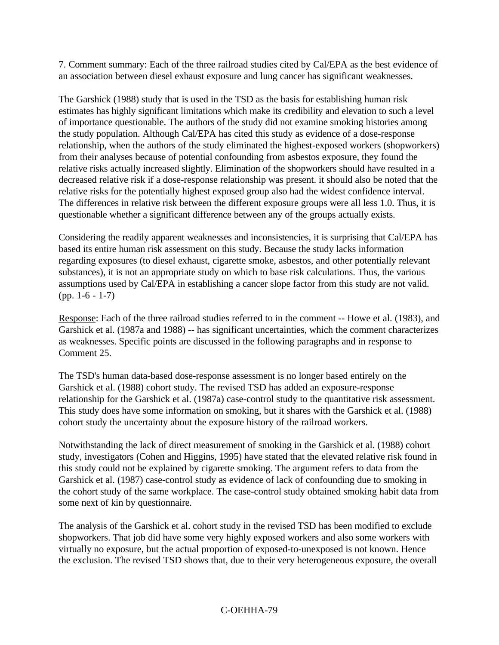7. Comment summary: Each of the three railroad studies cited by Cal/EPA as the best evidence of an association between diesel exhaust exposure and lung cancer has significant weaknesses.

The Garshick (1988) study that is used in the TSD as the basis for establishing human risk estimates has highly significant limitations which make its credibility and elevation to such a level of importance questionable. The authors of the study did not examine smoking histories among the study population. Although Cal/EPA has cited this study as evidence of a dose-response relationship, when the authors of the study eliminated the highest-exposed workers (shopworkers) from their analyses because of potential confounding from asbestos exposure, they found the relative risks actually increased slightly. Elimination of the shopworkers should have resulted in a decreased relative risk if a dose-response relationship was present. it should also be noted that the relative risks for the potentially highest exposed group also had the widest confidence interval. The differences in relative risk between the different exposure groups were all less 1.0. Thus, it is questionable whether a significant difference between any of the groups actually exists.

Considering the readily apparent weaknesses and inconsistencies, it is surprising that Cal/EPA has based its entire human risk assessment on this study. Because the study lacks information regarding exposures (to diesel exhaust, cigarette smoke, asbestos, and other potentially relevant substances), it is not an appropriate study on which to base risk calculations. Thus, the various assumptions used by Cal/EPA in establishing a cancer slope factor from this study are not valid. (pp. 1-6 - 1-7)

Response: Each of the three railroad studies referred to in the comment -- Howe et al. (1983), and Garshick et al. (1987a and 1988) -- has significant uncertainties, which the comment characterizes as weaknesses. Specific points are discussed in the following paragraphs and in response to Comment 25.

The TSD's human data-based dose-response assessment is no longer based entirely on the Garshick et al. (1988) cohort study. The revised TSD has added an exposure-response relationship for the Garshick et al. (1987a) case-control study to the quantitative risk assessment. This study does have some information on smoking, but it shares with the Garshick et al. (1988) cohort study the uncertainty about the exposure history of the railroad workers.

Notwithstanding the lack of direct measurement of smoking in the Garshick et al. (1988) cohort study, investigators (Cohen and Higgins, 1995) have stated that the elevated relative risk found in this study could not be explained by cigarette smoking. The argument refers to data from the Garshick et al. (1987) case-control study as evidence of lack of confounding due to smoking in the cohort study of the same workplace. The case-control study obtained smoking habit data from some next of kin by questionnaire.

The analysis of the Garshick et al. cohort study in the revised TSD has been modified to exclude shopworkers. That job did have some very highly exposed workers and also some workers with virtually no exposure, but the actual proportion of exposed-to-unexposed is not known. Hence the exclusion. The revised TSD shows that, due to their very heterogeneous exposure, the overall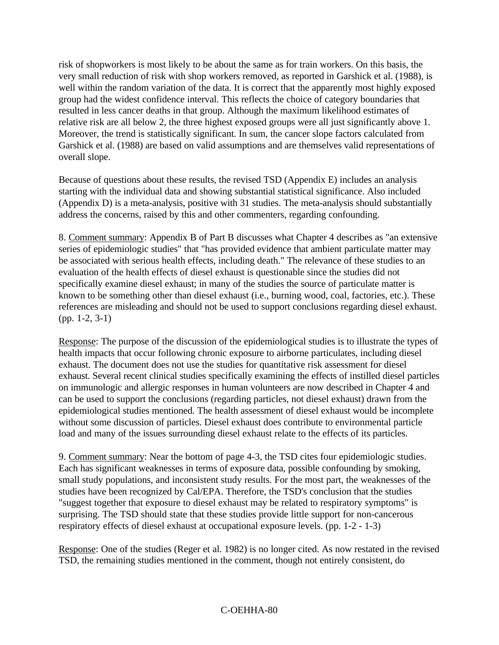risk of shopworkers is most likely to be about the same as for train workers. On this basis, the very small reduction of risk with shop workers removed, as reported in Garshick et al. (1988), is well within the random variation of the data. It is correct that the apparently most highly exposed group had the widest confidence interval. This reflects the choice of category boundaries that resulted in less cancer deaths in that group. Although the maximum likelihood estimates of relative risk are all below 2, the three highest exposed groups were all just significantly above 1. Moreover, the trend is statistically significant. In sum, the cancer slope factors calculated from Garshick et al. (1988) are based on valid assumptions and are themselves valid representations of overall slope.

Because of questions about these results, the revised TSD (Appendix E) includes an analysis starting with the individual data and showing substantial statistical significance. Also included (Appendix D) is a meta-analysis, positive with 31 studies. The meta-analysis should substantially address the concerns, raised by this and other commenters, regarding confounding.

8. Comment summary: Appendix B of Part B discusses what Chapter 4 describes as "an extensive series of epidemiologic studies" that "has provided evidence that ambient particulate matter may be associated with serious health effects, including death." The relevance of these studies to an evaluation of the health effects of diesel exhaust is questionable since the studies did not specifically examine diesel exhaust; in many of the studies the source of particulate matter is known to be something other than diesel exhaust (i.e., burning wood, coal, factories, etc.). These references are misleading and should not be used to support conclusions regarding diesel exhaust. (pp. 1-2, 3-1)

Response: The purpose of the discussion of the epidemiological studies is to illustrate the types of health impacts that occur following chronic exposure to airborne particulates, including diesel exhaust. The document does not use the studies for quantitative risk assessment for diesel exhaust. Several recent clinical studies specifically examining the effects of instilled diesel particles on immunologic and allergic responses in human volunteers are now described in Chapter 4 and can be used to support the conclusions (regarding particles, not diesel exhaust) drawn from the epidemiological studies mentioned. The health assessment of diesel exhaust would be incomplete without some discussion of particles. Diesel exhaust does contribute to environmental particle load and many of the issues surrounding diesel exhaust relate to the effects of its particles.

9. Comment summary: Near the bottom of page 4-3, the TSD cites four epidemiologic studies. Each has significant weaknesses in terms of exposure data, possible confounding by smoking, small study populations, and inconsistent study results. For the most part, the weaknesses of the studies have been recognized by Cal/EPA. Therefore, the TSD's conclusion that the studies "suggest together that exposure to diesel exhaust may be related to respiratory symptoms" is surprising. The TSD should state that these studies provide little support for non-cancerous respiratory effects of diesel exhaust at occupational exposure levels. (pp. 1-2 - 1-3)

Response: One of the studies (Reger et al. 1982) is no longer cited. As now restated in the revised TSD, the remaining studies mentioned in the comment, though not entirely consistent, do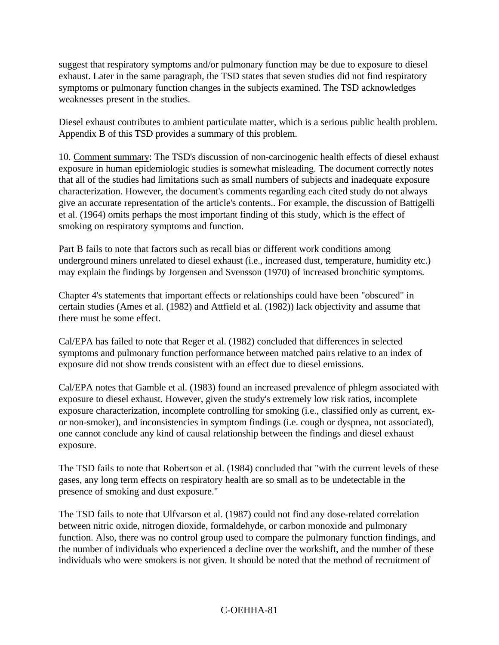suggest that respiratory symptoms and/or pulmonary function may be due to exposure to diesel exhaust. Later in the same paragraph, the TSD states that seven studies did not find respiratory symptoms or pulmonary function changes in the subjects examined. The TSD acknowledges weaknesses present in the studies.

Diesel exhaust contributes to ambient particulate matter, which is a serious public health problem. Appendix B of this TSD provides a summary of this problem.

10. Comment summary: The TSD's discussion of non-carcinogenic health effects of diesel exhaust exposure in human epidemiologic studies is somewhat misleading. The document correctly notes that all of the studies had limitations such as small numbers of subjects and inadequate exposure characterization. However, the document's comments regarding each cited study do not always give an accurate representation of the article's contents.. For example, the discussion of Battigelli et al. (1964) omits perhaps the most important finding of this study, which is the effect of smoking on respiratory symptoms and function.

Part B fails to note that factors such as recall bias or different work conditions among underground miners unrelated to diesel exhaust (i.e., increased dust, temperature, humidity etc.) may explain the findings by Jorgensen and Svensson (1970) of increased bronchitic symptoms.

Chapter 4's statements that important effects or relationships could have been "obscured" in certain studies (Ames et al. (1982) and Attfield et al. (1982)) lack objectivity and assume that there must be some effect.

Cal/EPA has failed to note that Reger et al. (1982) concluded that differences in selected symptoms and pulmonary function performance between matched pairs relative to an index of exposure did not show trends consistent with an effect due to diesel emissions.

Cal/EPA notes that Gamble et al. (1983) found an increased prevalence of phlegm associated with exposure to diesel exhaust. However, given the study's extremely low risk ratios, incomplete exposure characterization, incomplete controlling for smoking (i.e., classified only as current, exor non-smoker), and inconsistencies in symptom findings (i.e. cough or dyspnea, not associated), one cannot conclude any kind of causal relationship between the findings and diesel exhaust exposure.

The TSD fails to note that Robertson et al. (1984) concluded that "with the current levels of these gases, any long term effects on respiratory health are so small as to be undetectable in the presence of smoking and dust exposure."

The TSD fails to note that Ulfvarson et al. (1987) could not find any dose-related correlation between nitric oxide, nitrogen dioxide, formaldehyde, or carbon monoxide and pulmonary function. Also, there was no control group used to compare the pulmonary function findings, and the number of individuals who experienced a decline over the workshift, and the number of these individuals who were smokers is not given. It should be noted that the method of recruitment of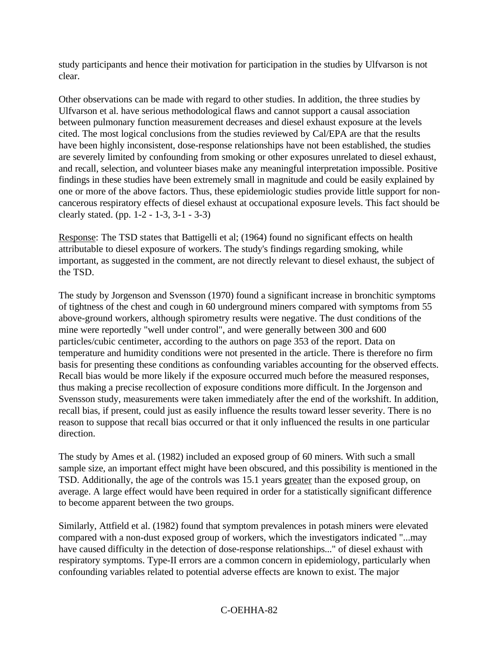study participants and hence their motivation for participation in the studies by Ulfvarson is not clear.

Other observations can be made with regard to other studies. In addition, the three studies by Ulfvarson et al. have serious methodological flaws and cannot support a causal association between pulmonary function measurement decreases and diesel exhaust exposure at the levels cited. The most logical conclusions from the studies reviewed by Cal/EPA are that the results have been highly inconsistent, dose-response relationships have not been established, the studies are severely limited by confounding from smoking or other exposures unrelated to diesel exhaust, and recall, selection, and volunteer biases make any meaningful interpretation impossible. Positive findings in these studies have been extremely small in magnitude and could be easily explained by one or more of the above factors. Thus, these epidemiologic studies provide little support for noncancerous respiratory effects of diesel exhaust at occupational exposure levels. This fact should be clearly stated. (pp. 1-2 - 1-3, 3-1 - 3-3)

Response: The TSD states that Battigelli et al; (1964) found no significant effects on health attributable to diesel exposure of workers. The study's findings regarding smoking, while important, as suggested in the comment, are not directly relevant to diesel exhaust, the subject of the TSD.

The study by Jorgenson and Svensson (1970) found a significant increase in bronchitic symptoms of tightness of the chest and cough in 60 underground miners compared with symptoms from 55 above-ground workers, although spirometry results were negative. The dust conditions of the mine were reportedly "well under control", and were generally between 300 and 600 particles/cubic centimeter, according to the authors on page 353 of the report. Data on temperature and humidity conditions were not presented in the article. There is therefore no firm basis for presenting these conditions as confounding variables accounting for the observed effects. Recall bias would be more likely if the exposure occurred much before the measured responses, thus making a precise recollection of exposure conditions more difficult. In the Jorgenson and Svensson study, measurements were taken immediately after the end of the workshift. In addition, recall bias, if present, could just as easily influence the results toward lesser severity. There is no reason to suppose that recall bias occurred or that it only influenced the results in one particular direction.

The study by Ames et al. (1982) included an exposed group of 60 miners. With such a small sample size, an important effect might have been obscured, and this possibility is mentioned in the TSD. Additionally, the age of the controls was 15.1 years greater than the exposed group, on average. A large effect would have been required in order for a statistically significant difference to become apparent between the two groups.

Similarly, Attfield et al. (1982) found that symptom prevalences in potash miners were elevated compared with a non-dust exposed group of workers, which the investigators indicated "...may have caused difficulty in the detection of dose-response relationships..." of diesel exhaust with respiratory symptoms. Type-II errors are a common concern in epidemiology, particularly when confounding variables related to potential adverse effects are known to exist. The major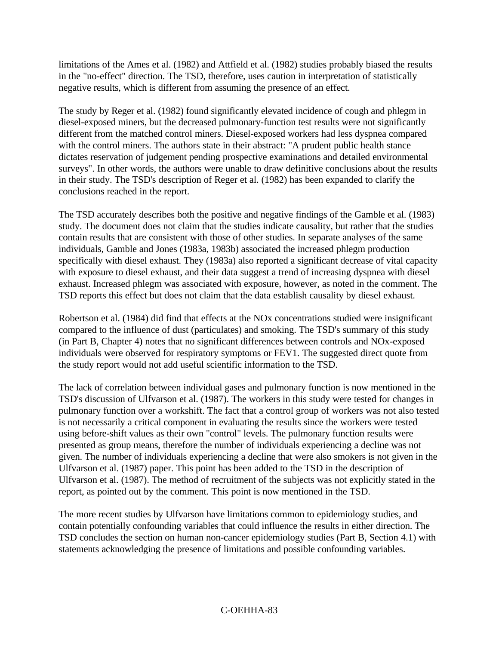limitations of the Ames et al. (1982) and Attfield et al. (1982) studies probably biased the results in the "no-effect" direction. The TSD, therefore, uses caution in interpretation of statistically negative results, which is different from assuming the presence of an effect.

The study by Reger et al. (1982) found significantly elevated incidence of cough and phlegm in diesel-exposed miners, but the decreased pulmonary-function test results were not significantly different from the matched control miners. Diesel-exposed workers had less dyspnea compared with the control miners. The authors state in their abstract: "A prudent public health stance dictates reservation of judgement pending prospective examinations and detailed environmental surveys". In other words, the authors were unable to draw definitive conclusions about the results in their study. The TSD's description of Reger et al. (1982) has been expanded to clarify the conclusions reached in the report.

The TSD accurately describes both the positive and negative findings of the Gamble et al. (1983) study. The document does not claim that the studies indicate causality, but rather that the studies contain results that are consistent with those of other studies. In separate analyses of the same individuals, Gamble and Jones (1983a, 1983b) associated the increased phlegm production specifically with diesel exhaust. They (1983a) also reported a significant decrease of vital capacity with exposure to diesel exhaust, and their data suggest a trend of increasing dyspnea with diesel exhaust. Increased phlegm was associated with exposure, however, as noted in the comment. The TSD reports this effect but does not claim that the data establish causality by diesel exhaust.

Robertson et al. (1984) did find that effects at the NOx concentrations studied were insignificant compared to the influence of dust (particulates) and smoking. The TSD's summary of this study (in Part B, Chapter 4) notes that no significant differences between controls and NOx-exposed individuals were observed for respiratory symptoms or FEV1. The suggested direct quote from the study report would not add useful scientific information to the TSD.

The lack of correlation between individual gases and pulmonary function is now mentioned in the TSD's discussion of Ulfvarson et al. (1987). The workers in this study were tested for changes in pulmonary function over a workshift. The fact that a control group of workers was not also tested is not necessarily a critical component in evaluating the results since the workers were tested using before-shift values as their own "control" levels. The pulmonary function results were presented as group means, therefore the number of individuals experiencing a decline was not given. The number of individuals experiencing a decline that were also smokers is not given in the Ulfvarson et al. (1987) paper. This point has been added to the TSD in the description of Ulfvarson et al. (1987). The method of recruitment of the subjects was not explicitly stated in the report, as pointed out by the comment. This point is now mentioned in the TSD.

The more recent studies by Ulfvarson have limitations common to epidemiology studies, and contain potentially confounding variables that could influence the results in either direction. The TSD concludes the section on human non-cancer epidemiology studies (Part B, Section 4.1) with statements acknowledging the presence of limitations and possible confounding variables.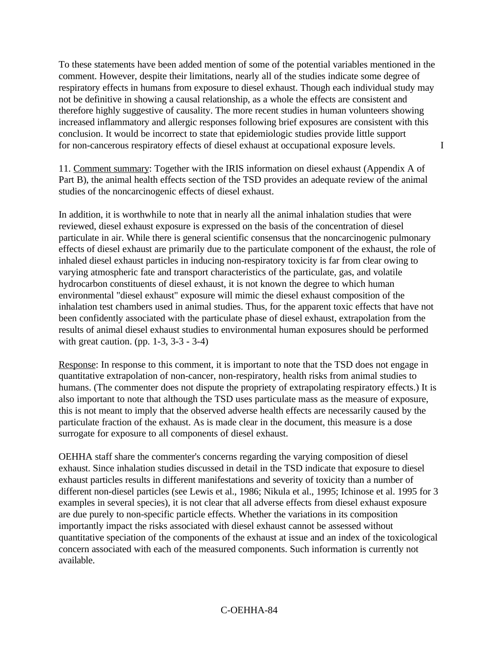To these statements have been added mention of some of the potential variables mentioned in the comment. However, despite their limitations, nearly all of the studies indicate some degree of respiratory effects in humans from exposure to diesel exhaust. Though each individual study may not be definitive in showing a causal relationship, as a whole the effects are consistent and therefore highly suggestive of causality. The more recent studies in human volunteers showing increased inflammatory and allergic responses following brief exposures are consistent with this conclusion. It would be incorrect to state that epidemiologic studies provide little support for non-cancerous respiratory effects of diesel exhaust at occupational exposure levels. I

11. Comment summary: Together with the IRIS information on diesel exhaust (Appendix A of Part B), the animal health effects section of the TSD provides an adequate review of the animal studies of the noncarcinogenic effects of diesel exhaust.

In addition, it is worthwhile to note that in nearly all the animal inhalation studies that were reviewed, diesel exhaust exposure is expressed on the basis of the concentration of diesel particulate in air. While there is general scientific consensus that the noncarcinogenic pulmonary effects of diesel exhaust are primarily due to the particulate component of the exhaust, the role of inhaled diesel exhaust particles in inducing non-respiratory toxicity is far from clear owing to varying atmospheric fate and transport characteristics of the particulate, gas, and volatile hydrocarbon constituents of diesel exhaust, it is not known the degree to which human environmental "diesel exhaust" exposure will mimic the diesel exhaust composition of the inhalation test chambers used in animal studies. Thus, for the apparent toxic effects that have not been confidently associated with the particulate phase of diesel exhaust, extrapolation from the results of animal diesel exhaust studies to environmental human exposures should be performed with great caution. (pp. 1-3, 3-3 - 3-4)

Response: In response to this comment, it is important to note that the TSD does not engage in quantitative extrapolation of non-cancer, non-respiratory, health risks from animal studies to humans. (The commenter does not dispute the propriety of extrapolating respiratory effects.) It is also important to note that although the TSD uses particulate mass as the measure of exposure, this is not meant to imply that the observed adverse health effects are necessarily caused by the particulate fraction of the exhaust. As is made clear in the document, this measure is a dose surrogate for exposure to all components of diesel exhaust.

OEHHA staff share the commenter's concerns regarding the varying composition of diesel exhaust. Since inhalation studies discussed in detail in the TSD indicate that exposure to diesel exhaust particles results in different manifestations and severity of toxicity than a number of different non-diesel particles (see Lewis et al., 1986; Nikula et al., 1995; Ichinose et al. 1995 for 3 examples in several species), it is not clear that all adverse effects from diesel exhaust exposure are due purely to non-specific particle effects. Whether the variations in its composition importantly impact the risks associated with diesel exhaust cannot be assessed without quantitative speciation of the components of the exhaust at issue and an index of the toxicological concern associated with each of the measured components. Such information is currently not available.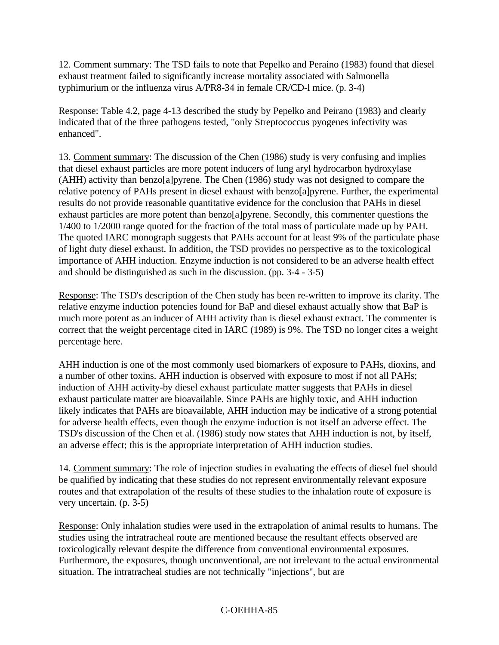12. Comment summary: The TSD fails to note that Pepelko and Peraino (1983) found that diesel exhaust treatment failed to significantly increase mortality associated with Salmonella typhimurium or the influenza virus A/PR8-34 in female CR/CD-l mice. (p. 3-4)

Response: Table 4.2, page 4-13 described the study by Pepelko and Peirano (1983) and clearly indicated that of the three pathogens tested, "only Streptococcus pyogenes infectivity was enhanced".

13. Comment summary: The discussion of the Chen (1986) study is very confusing and implies that diesel exhaust particles are more potent inducers of lung aryl hydrocarbon hydroxylase (AHH) activity than benzo[a]pyrene. The Chen (1986) study was not designed to compare the relative potency of PAHs present in diesel exhaust with benzo[a]pyrene. Further, the experimental results do not provide reasonable quantitative evidence for the conclusion that PAHs in diesel exhaust particles are more potent than benzo[a]pyrene. Secondly, this commenter questions the 1/400 to 1/2000 range quoted for the fraction of the total mass of particulate made up by PAH. The quoted IARC monograph suggests that PAHs account for at least 9% of the particulate phase of light duty diesel exhaust. In addition, the TSD provides no perspective as to the toxicological importance of AHH induction. Enzyme induction is not considered to be an adverse health effect and should be distinguished as such in the discussion. (pp. 3-4 - 3-5)

Response: The TSD's description of the Chen study has been re-written to improve its clarity. The relative enzyme induction potencies found for BaP and diesel exhaust actually show that BaP is much more potent as an inducer of AHH activity than is diesel exhaust extract. The commenter is correct that the weight percentage cited in IARC (1989) is 9%. The TSD no longer cites a weight percentage here.

AHH induction is one of the most commonly used biomarkers of exposure to PAHs, dioxins, and a number of other toxins. AHH induction is observed with exposure to most if not all PAHs; induction of AHH activity-by diesel exhaust particulate matter suggests that PAHs in diesel exhaust particulate matter are bioavailable. Since PAHs are highly toxic, and AHH induction likely indicates that PAHs are bioavailable, AHH induction may be indicative of a strong potential for adverse health effects, even though the enzyme induction is not itself an adverse effect. The TSD's discussion of the Chen et al. (1986) study now states that AHH induction is not, by itself, an adverse effect; this is the appropriate interpretation of AHH induction studies.

14. Comment summary: The role of injection studies in evaluating the effects of diesel fuel should be qualified by indicating that these studies do not represent environmentally relevant exposure routes and that extrapolation of the results of these studies to the inhalation route of exposure is very uncertain. (p. 3-5)

Response: Only inhalation studies were used in the extrapolation of animal results to humans. The studies using the intratracheal route are mentioned because the resultant effects observed are toxicologically relevant despite the difference from conventional environmental exposures. Furthermore, the exposures, though unconventional, are not irrelevant to the actual environmental situation. The intratracheal studies are not technically "injections", but are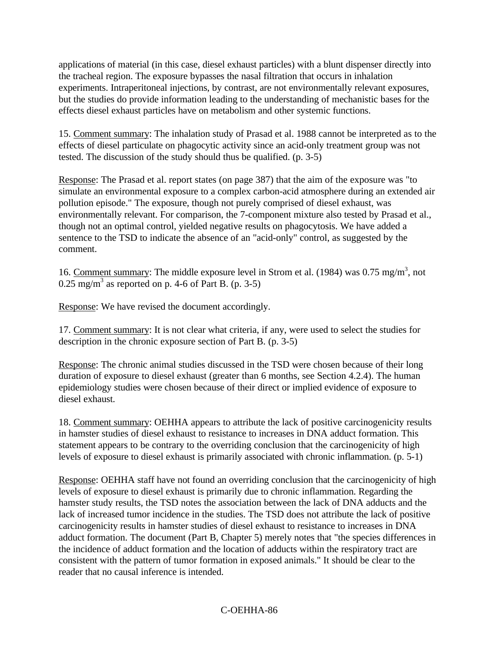applications of material (in this case, diesel exhaust particles) with a blunt dispenser directly into the tracheal region. The exposure bypasses the nasal filtration that occurs in inhalation experiments. Intraperitoneal injections, by contrast, are not environmentally relevant exposures, but the studies do provide information leading to the understanding of mechanistic bases for the effects diesel exhaust particles have on metabolism and other systemic functions.

15. Comment summary: The inhalation study of Prasad et al. 1988 cannot be interpreted as to the effects of diesel particulate on phagocytic activity since an acid-only treatment group was not tested. The discussion of the study should thus be qualified. (p. 3-5)

Response: The Prasad et al. report states (on page 387) that the aim of the exposure was "to simulate an environmental exposure to a complex carbon-acid atmosphere during an extended air pollution episode." The exposure, though not purely comprised of diesel exhaust, was environmentally relevant. For comparison, the 7-component mixture also tested by Prasad et al., though not an optimal control, yielded negative results on phagocytosis. We have added a sentence to the TSD to indicate the absence of an "acid-only" control, as suggested by the comment.

16. Comment summary: The middle exposure level in Strom et al. (1984) was 0.75 mg/m<sup>3</sup>, not 0.25 mg/m<sup>3</sup> as reported on p. 4-6 of Part B. (p. 3-5)

Response: We have revised the document accordingly.

17. Comment summary: It is not clear what criteria, if any, were used to select the studies for description in the chronic exposure section of Part B. (p. 3-5)

Response: The chronic animal studies discussed in the TSD were chosen because of their long duration of exposure to diesel exhaust (greater than 6 months, see Section 4.2.4). The human epidemiology studies were chosen because of their direct or implied evidence of exposure to diesel exhaust.

18. Comment summary: OEHHA appears to attribute the lack of positive carcinogenicity results in hamster studies of diesel exhaust to resistance to increases in DNA adduct formation. This statement appears to be contrary to the overriding conclusion that the carcinogenicity of high levels of exposure to diesel exhaust is primarily associated with chronic inflammation. (p. 5-1)

Response: OEHHA staff have not found an overriding conclusion that the carcinogenicity of high levels of exposure to diesel exhaust is primarily due to chronic inflammation. Regarding the hamster study results, the TSD notes the association between the lack of DNA adducts and the lack of increased tumor incidence in the studies. The TSD does not attribute the lack of positive carcinogenicity results in hamster studies of diesel exhaust to resistance to increases in DNA adduct formation. The document (Part B, Chapter 5) merely notes that "the species differences in the incidence of adduct formation and the location of adducts within the respiratory tract are consistent with the pattern of tumor formation in exposed animals." It should be clear to the reader that no causal inference is intended.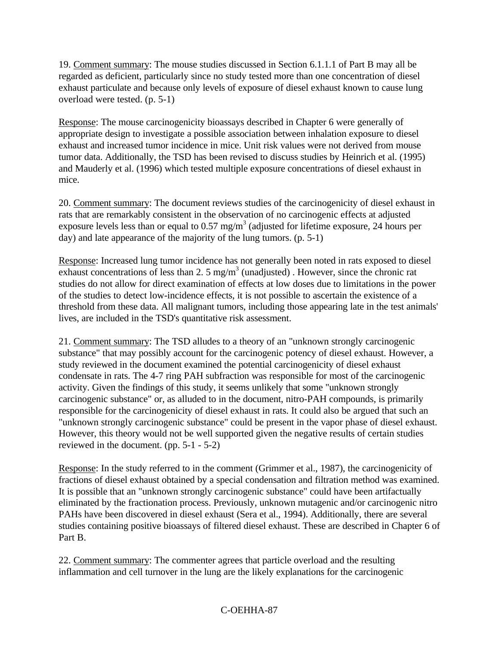19. Comment summary: The mouse studies discussed in Section 6.1.1.1 of Part B may all be regarded as deficient, particularly since no study tested more than one concentration of diesel exhaust particulate and because only levels of exposure of diesel exhaust known to cause lung overload were tested. (p. 5-1)

Response: The mouse carcinogenicity bioassays described in Chapter 6 were generally of appropriate design to investigate a possible association between inhalation exposure to diesel exhaust and increased tumor incidence in mice. Unit risk values were not derived from mouse tumor data. Additionally, the TSD has been revised to discuss studies by Heinrich et al. (1995) and Mauderly et al. (1996) which tested multiple exposure concentrations of diesel exhaust in mice.

20. Comment summary: The document reviews studies of the carcinogenicity of diesel exhaust in rats that are remarkably consistent in the observation of no carcinogenic effects at adjusted exposure levels less than or equal to 0.57 mg/m<sup>3</sup> (adjusted for lifetime exposure, 24 hours per day) and late appearance of the majority of the lung tumors. (p. 5-1)

Response: Increased lung tumor incidence has not generally been noted in rats exposed to diesel exhaust concentrations of less than 2. 5 mg/m<sup>3</sup> (unadjusted). However, since the chronic rat studies do not allow for direct examination of effects at low doses due to limitations in the power of the studies to detect low-incidence effects, it is not possible to ascertain the existence of a threshold from these data. All malignant tumors, including those appearing late in the test animals' lives, are included in the TSD's quantitative risk assessment.

21. Comment summary: The TSD alludes to a theory of an "unknown strongly carcinogenic substance" that may possibly account for the carcinogenic potency of diesel exhaust. However, a study reviewed in the document examined the potential carcinogenicity of diesel exhaust condensate in rats. The 4-7 ring PAH subfraction was responsible for most of the carcinogenic activity. Given the findings of this study, it seems unlikely that some "unknown strongly carcinogenic substance" or, as alluded to in the document, nitro-PAH compounds, is primarily responsible for the carcinogenicity of diesel exhaust in rats. It could also be argued that such an "unknown strongly carcinogenic substance" could be present in the vapor phase of diesel exhaust. However, this theory would not be well supported given the negative results of certain studies reviewed in the document. (pp. 5-1 - 5-2)

Response: In the study referred to in the comment (Grimmer et al., 1987), the carcinogenicity of fractions of diesel exhaust obtained by a special condensation and filtration method was examined. It is possible that an "unknown strongly carcinogenic substance" could have been artifactually eliminated by the fractionation process. Previously, unknown mutagenic and/or carcinogenic nitro PAHs have been discovered in diesel exhaust (Sera et al., 1994). Additionally, there are several studies containing positive bioassays of filtered diesel exhaust. These are described in Chapter 6 of Part B.

22. Comment summary: The commenter agrees that particle overload and the resulting inflammation and cell turnover in the lung are the likely explanations for the carcinogenic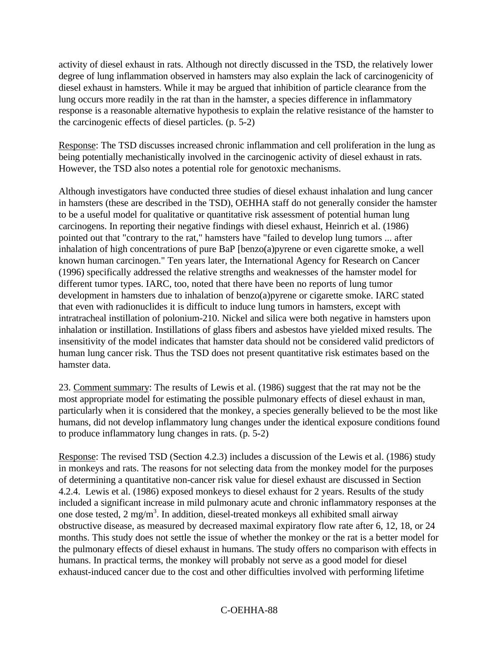activity of diesel exhaust in rats. Although not directly discussed in the TSD, the relatively lower degree of lung inflammation observed in hamsters may also explain the lack of carcinogenicity of diesel exhaust in hamsters. While it may be argued that inhibition of particle clearance from the lung occurs more readily in the rat than in the hamster, a species difference in inflammatory response is a reasonable alternative hypothesis to explain the relative resistance of the hamster to the carcinogenic effects of diesel particles. (p. 5-2)

Response: The TSD discusses increased chronic inflammation and cell proliferation in the lung as being potentially mechanistically involved in the carcinogenic activity of diesel exhaust in rats. However, the TSD also notes a potential role for genotoxic mechanisms.

Although investigators have conducted three studies of diesel exhaust inhalation and lung cancer in hamsters (these are described in the TSD), OEHHA staff do not generally consider the hamster to be a useful model for qualitative or quantitative risk assessment of potential human lung carcinogens. In reporting their negative findings with diesel exhaust, Heinrich et al. (1986) pointed out that "contrary to the rat," hamsters have "failed to develop lung tumors ... after inhalation of high concentrations of pure BaP [benzo(a)pyrene or even cigarette smoke, a well known human carcinogen." Ten years later, the International Agency for Research on Cancer (1996) specifically addressed the relative strengths and weaknesses of the hamster model for different tumor types. IARC, too, noted that there have been no reports of lung tumor development in hamsters due to inhalation of benzo(a)pyrene or cigarette smoke. IARC stated that even with radionuclides it is difficult to induce lung tumors in hamsters, except with intratracheal instillation of polonium-210. Nickel and silica were both negative in hamsters upon inhalation or instillation. Instillations of glass fibers and asbestos have yielded mixed results. The insensitivity of the model indicates that hamster data should not be considered valid predictors of human lung cancer risk. Thus the TSD does not present quantitative risk estimates based on the hamster data.

23. Comment summary: The results of Lewis et al. (1986) suggest that the rat may not be the most appropriate model for estimating the possible pulmonary effects of diesel exhaust in man, particularly when it is considered that the monkey, a species generally believed to be the most like humans, did not develop inflammatory lung changes under the identical exposure conditions found to produce inflammatory lung changes in rats. (p. 5-2)

Response: The revised TSD (Section 4.2.3) includes a discussion of the Lewis et al. (1986) study in monkeys and rats. The reasons for not selecting data from the monkey model for the purposes of determining a quantitative non-cancer risk value for diesel exhaust are discussed in Section 4.2.4. Lewis et al. (1986) exposed monkeys to diesel exhaust for 2 years. Results of the study included a significant increase in mild pulmonary acute and chronic inflammatory responses at the one dose tested,  $2 \text{ mg/m}^3$ . In addition, diesel-treated monkeys all exhibited small airway obstructive disease, as measured by decreased maximal expiratory flow rate after 6, 12, 18, or 24 months. This study does not settle the issue of whether the monkey or the rat is a better model for the pulmonary effects of diesel exhaust in humans. The study offers no comparison with effects in humans. In practical terms, the monkey will probably not serve as a good model for diesel exhaust-induced cancer due to the cost and other difficulties involved with performing lifetime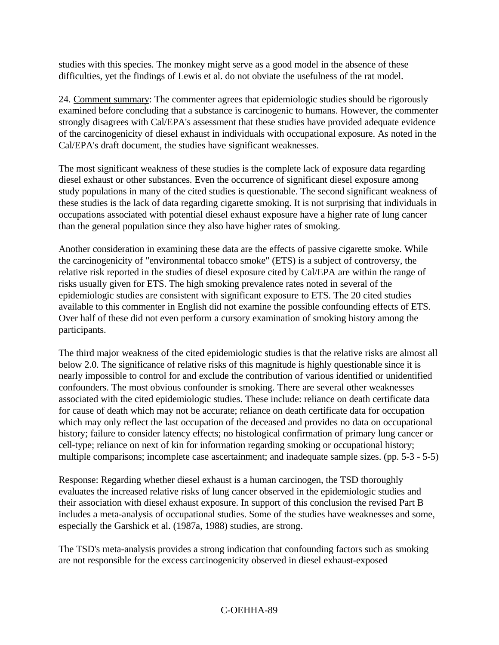studies with this species. The monkey might serve as a good model in the absence of these difficulties, yet the findings of Lewis et al. do not obviate the usefulness of the rat model.

24. Comment summary: The commenter agrees that epidemiologic studies should be rigorously examined before concluding that a substance is carcinogenic to humans. However, the commenter strongly disagrees with Cal/EPA's assessment that these studies have provided adequate evidence of the carcinogenicity of diesel exhaust in individuals with occupational exposure. As noted in the Cal/EPA's draft document, the studies have significant weaknesses.

The most significant weakness of these studies is the complete lack of exposure data regarding diesel exhaust or other substances. Even the occurrence of significant diesel exposure among study populations in many of the cited studies is questionable. The second significant weakness of these studies is the lack of data regarding cigarette smoking. It is not surprising that individuals in occupations associated with potential diesel exhaust exposure have a higher rate of lung cancer than the general population since they also have higher rates of smoking.

Another consideration in examining these data are the effects of passive cigarette smoke. While the carcinogenicity of "environmental tobacco smoke" (ETS) is a subject of controversy, the relative risk reported in the studies of diesel exposure cited by Cal/EPA are within the range of risks usually given for ETS. The high smoking prevalence rates noted in several of the epidemiologic studies are consistent with significant exposure to ETS. The 20 cited studies available to this commenter in English did not examine the possible confounding effects of ETS. Over half of these did not even perform a cursory examination of smoking history among the participants.

The third major weakness of the cited epidemiologic studies is that the relative risks are almost all below 2.0. The significance of relative risks of this magnitude is highly questionable since it is nearly impossible to control for and exclude the contribution of various identified or unidentified confounders. The most obvious confounder is smoking. There are several other weaknesses associated with the cited epidemiologic studies. These include: reliance on death certificate data for cause of death which may not be accurate; reliance on death certificate data for occupation which may only reflect the last occupation of the deceased and provides no data on occupational history; failure to consider latency effects; no histological confirmation of primary lung cancer or cell-type; reliance on next of kin for information regarding smoking or occupational history; multiple comparisons; incomplete case ascertainment; and inadequate sample sizes. (pp. 5-3 - 5-5)

Response: Regarding whether diesel exhaust is a human carcinogen, the TSD thoroughly evaluates the increased relative risks of lung cancer observed in the epidemiologic studies and their association with diesel exhaust exposure. In support of this conclusion the revised Part B includes a meta-analysis of occupational studies. Some of the studies have weaknesses and some, especially the Garshick et al. (1987a, 1988) studies, are strong.

The TSD's meta-analysis provides a strong indication that confounding factors such as smoking are not responsible for the excess carcinogenicity observed in diesel exhaust-exposed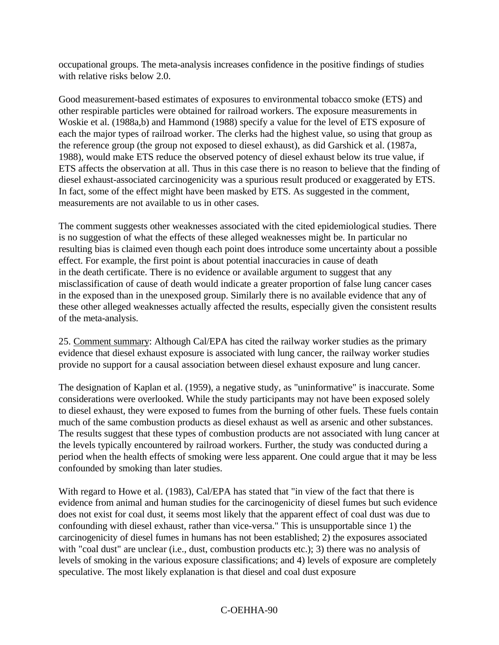occupational groups. The meta-analysis increases confidence in the positive findings of studies with relative risks below 2.0.

Good measurement-based estimates of exposures to environmental tobacco smoke (ETS) and other respirable particles were obtained for railroad workers. The exposure measurements in Woskie et al. (1988a,b) and Hammond (1988) specify a value for the level of ETS exposure of each the major types of railroad worker. The clerks had the highest value, so using that group as the reference group (the group not exposed to diesel exhaust), as did Garshick et al. (1987a, 1988), would make ETS reduce the observed potency of diesel exhaust below its true value, if ETS affects the observation at all. Thus in this case there is no reason to believe that the finding of diesel exhaust-associated carcinogenicity was a spurious result produced or exaggerated by ETS. In fact, some of the effect might have been masked by ETS. As suggested in the comment, measurements are not available to us in other cases.

The comment suggests other weaknesses associated with the cited epidemiological studies. There is no suggestion of what the effects of these alleged weaknesses might be. In particular no resulting bias is claimed even though each point does introduce some uncertainty about a possible effect. For example, the first point is about potential inaccuracies in cause of death in the death certificate. There is no evidence or available argument to suggest that any misclassification of cause of death would indicate a greater proportion of false lung cancer cases in the exposed than in the unexposed group. Similarly there is no available evidence that any of these other alleged weaknesses actually affected the results, especially given the consistent results of the meta-analysis.

25. Comment summary: Although Cal/EPA has cited the railway worker studies as the primary evidence that diesel exhaust exposure is associated with lung cancer, the railway worker studies provide no support for a causal association between diesel exhaust exposure and lung cancer.

The designation of Kaplan et al. (1959), a negative study, as "uninformative" is inaccurate. Some considerations were overlooked. While the study participants may not have been exposed solely to diesel exhaust, they were exposed to fumes from the burning of other fuels. These fuels contain much of the same combustion products as diesel exhaust as well as arsenic and other substances. The results suggest that these types of combustion products are not associated with lung cancer at the levels typically encountered by railroad workers. Further, the study was conducted during a period when the health effects of smoking were less apparent. One could argue that it may be less confounded by smoking than later studies.

With regard to Howe et al. (1983), Cal/EPA has stated that "in view of the fact that there is evidence from animal and human studies for the carcinogenicity of diesel fumes but such evidence does not exist for coal dust, it seems most likely that the apparent effect of coal dust was due to confounding with diesel exhaust, rather than vice-versa." This is unsupportable since 1) the carcinogenicity of diesel fumes in humans has not been established; 2) the exposures associated with "coal dust" are unclear (i.e., dust, combustion products etc.); 3) there was no analysis of levels of smoking in the various exposure classifications; and 4) levels of exposure are completely speculative. The most likely explanation is that diesel and coal dust exposure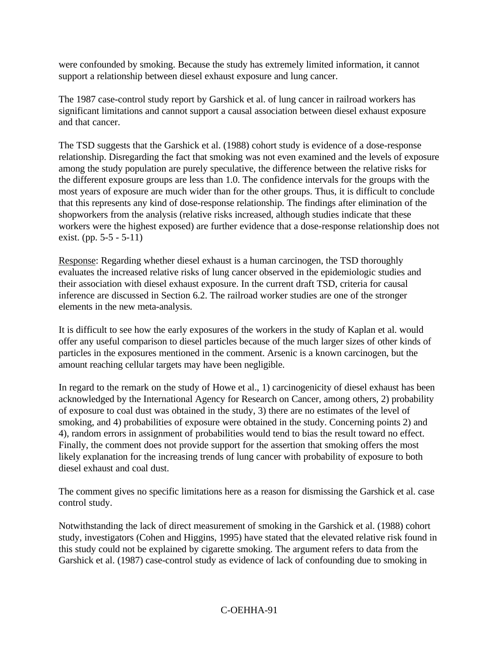were confounded by smoking. Because the study has extremely limited information, it cannot support a relationship between diesel exhaust exposure and lung cancer.

The 1987 case-control study report by Garshick et al. of lung cancer in railroad workers has significant limitations and cannot support a causal association between diesel exhaust exposure and that cancer.

The TSD suggests that the Garshick et al. (1988) cohort study is evidence of a dose-response relationship. Disregarding the fact that smoking was not even examined and the levels of exposure among the study population are purely speculative, the difference between the relative risks for the different exposure groups are less than 1.0. The confidence intervals for the groups with the most years of exposure are much wider than for the other groups. Thus, it is difficult to conclude that this represents any kind of dose-response relationship. The findings after elimination of the shopworkers from the analysis (relative risks increased, although studies indicate that these workers were the highest exposed) are further evidence that a dose-response relationship does not exist. (pp. 5-5 - 5-11)

Response: Regarding whether diesel exhaust is a human carcinogen, the TSD thoroughly evaluates the increased relative risks of lung cancer observed in the epidemiologic studies and their association with diesel exhaust exposure. In the current draft TSD, criteria for causal inference are discussed in Section 6.2. The railroad worker studies are one of the stronger elements in the new meta-analysis.

It is difficult to see how the early exposures of the workers in the study of Kaplan et al. would offer any useful comparison to diesel particles because of the much larger sizes of other kinds of particles in the exposures mentioned in the comment. Arsenic is a known carcinogen, but the amount reaching cellular targets may have been negligible.

In regard to the remark on the study of Howe et al., 1) carcinogenicity of diesel exhaust has been acknowledged by the International Agency for Research on Cancer, among others, 2) probability of exposure to coal dust was obtained in the study, 3) there are no estimates of the level of smoking, and 4) probabilities of exposure were obtained in the study. Concerning points 2) and 4), random errors in assignment of probabilities would tend to bias the result toward no effect. Finally, the comment does not provide support for the assertion that smoking offers the most likely explanation for the increasing trends of lung cancer with probability of exposure to both diesel exhaust and coal dust.

The comment gives no specific limitations here as a reason for dismissing the Garshick et al. case control study.

Notwithstanding the lack of direct measurement of smoking in the Garshick et al. (1988) cohort study, investigators (Cohen and Higgins, 1995) have stated that the elevated relative risk found in this study could not be explained by cigarette smoking. The argument refers to data from the Garshick et al. (1987) case-control study as evidence of lack of confounding due to smoking in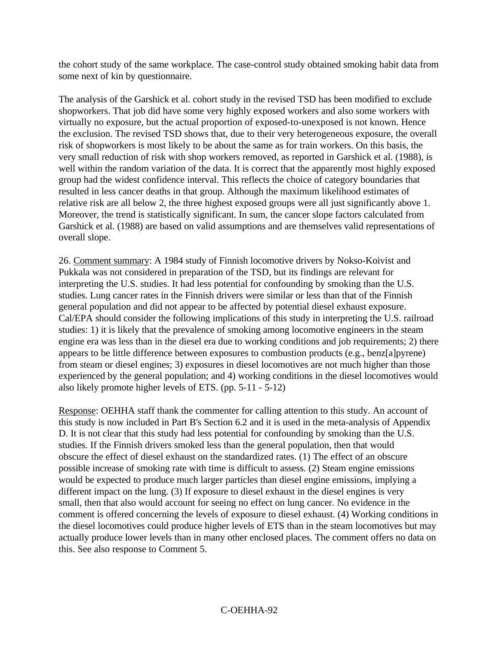the cohort study of the same workplace. The case-control study obtained smoking habit data from some next of kin by questionnaire.

The analysis of the Garshick et al. cohort study in the revised TSD has been modified to exclude shopworkers. That job did have some very highly exposed workers and also some workers with virtually no exposure, but the actual proportion of exposed-to-unexposed is not known. Hence the exclusion. The revised TSD shows that, due to their very heterogeneous exposure, the overall risk of shopworkers is most likely to be about the same as for train workers. On this basis, the very small reduction of risk with shop workers removed, as reported in Garshick et al. (1988), is well within the random variation of the data. It is correct that the apparently most highly exposed group had the widest confidence interval. This reflects the choice of category boundaries that resulted in less cancer deaths in that group. Although the maximum likelihood estimates of relative risk are all below 2, the three highest exposed groups were all just significantly above 1. Moreover, the trend is statistically significant. In sum, the cancer slope factors calculated from Garshick et al. (1988) are based on valid assumptions and are themselves valid representations of overall slope.

26. Comment summary: A 1984 study of Finnish locomotive drivers by Nokso-Koivist and Pukkala was not considered in preparation of the TSD, but its findings are relevant for interpreting the U.S. studies. It had less potential for confounding by smoking than the U.S. studies. Lung cancer rates in the Finnish drivers were similar or less than that of the Finnish general population and did not appear to be affected by potential diesel exhaust exposure. Cal/EPA should consider the following implications of this study in interpreting the U.S. railroad studies: 1) it is likely that the prevalence of smoking among locomotive engineers in the steam engine era was less than in the diesel era due to working conditions and job requirements; 2) there appears to be little difference between exposures to combustion products (e.g., benz[a]pyrene) from steam or diesel engines; 3) exposures in diesel locomotives are not much higher than those experienced by the general population; and 4) working conditions in the diesel locomotives would also likely promote higher levels of ETS. (pp. 5-11 - 5-12)

Response: OEHHA staff thank the commenter for calling attention to this study. An account of this study is now included in Part B's Section 6.2 and it is used in the meta-analysis of Appendix D. It is not clear that this study had less potential for confounding by smoking than the U.S. studies. If the Finnish drivers smoked less than the general population, then that would obscure the effect of diesel exhaust on the standardized rates. (1) The effect of an obscure possible increase of smoking rate with time is difficult to assess. (2) Steam engine emissions would be expected to produce much larger particles than diesel engine emissions, implying a different impact on the lung. (3) If exposure to diesel exhaust in the diesel engines is very small, then that also would account for seeing no effect on lung cancer. No evidence in the comment is offered concerning the levels of exposure to diesel exhaust. (4) Working conditions in the diesel locomotives could produce higher levels of ETS than in the steam locomotives but may actually produce lower levels than in many other enclosed places. The comment offers no data on this. See also response to Comment 5.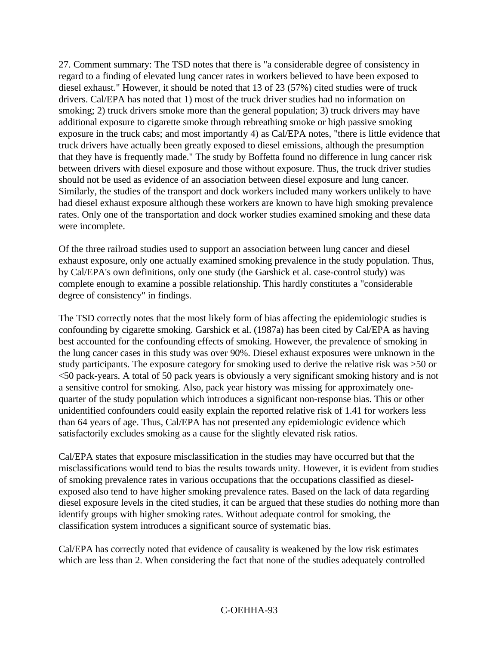27. Comment summary: The TSD notes that there is "a considerable degree of consistency in regard to a finding of elevated lung cancer rates in workers believed to have been exposed to diesel exhaust." However, it should be noted that 13 of 23 (57%) cited studies were of truck drivers. Cal/EPA has noted that 1) most of the truck driver studies had no information on smoking; 2) truck drivers smoke more than the general population; 3) truck drivers may have additional exposure to cigarette smoke through rebreathing smoke or high passive smoking exposure in the truck cabs; and most importantly 4) as Cal/EPA notes, "there is little evidence that truck drivers have actually been greatly exposed to diesel emissions, although the presumption that they have is frequently made." The study by Boffetta found no difference in lung cancer risk between drivers with diesel exposure and those without exposure. Thus, the truck driver studies should not be used as evidence of an association between diesel exposure and lung cancer. Similarly, the studies of the transport and dock workers included many workers unlikely to have had diesel exhaust exposure although these workers are known to have high smoking prevalence rates. Only one of the transportation and dock worker studies examined smoking and these data were incomplete.

Of the three railroad studies used to support an association between lung cancer and diesel exhaust exposure, only one actually examined smoking prevalence in the study population. Thus, by Cal/EPA's own definitions, only one study (the Garshick et al. case-control study) was complete enough to examine a possible relationship. This hardly constitutes a "considerable degree of consistency" in findings.

The TSD correctly notes that the most likely form of bias affecting the epidemiologic studies is confounding by cigarette smoking. Garshick et al. (1987a) has been cited by Cal/EPA as having best accounted for the confounding effects of smoking. However, the prevalence of smoking in the lung cancer cases in this study was over 90%. Diesel exhaust exposures were unknown in the study participants. The exposure category for smoking used to derive the relative risk was >50 or <50 pack-years. A total of 50 pack years is obviously a very significant smoking history and is not a sensitive control for smoking. Also, pack year history was missing for approximately onequarter of the study population which introduces a significant non-response bias. This or other unidentified confounders could easily explain the reported relative risk of 1.41 for workers less than 64 years of age. Thus, Cal/EPA has not presented any epidemiologic evidence which satisfactorily excludes smoking as a cause for the slightly elevated risk ratios.

Cal/EPA states that exposure misclassification in the studies may have occurred but that the misclassifications would tend to bias the results towards unity. However, it is evident from studies of smoking prevalence rates in various occupations that the occupations classified as dieselexposed also tend to have higher smoking prevalence rates. Based on the lack of data regarding diesel exposure levels in the cited studies, it can be argued that these studies do nothing more than identify groups with higher smoking rates. Without adequate control for smoking, the classification system introduces a significant source of systematic bias.

Cal/EPA has correctly noted that evidence of causality is weakened by the low risk estimates which are less than 2. When considering the fact that none of the studies adequately controlled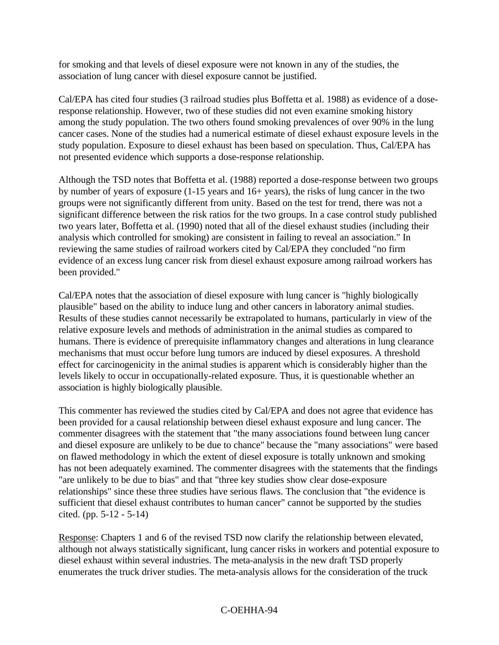for smoking and that levels of diesel exposure were not known in any of the studies, the association of lung cancer with diesel exposure cannot be justified.

Cal/EPA has cited four studies (3 railroad studies plus Boffetta et al. 1988) as evidence of a doseresponse relationship. However, two of these studies did not even examine smoking history among the study population. The two others found smoking prevalences of over 90% in the lung cancer cases. None of the studies had a numerical estimate of diesel exhaust exposure levels in the study population. Exposure to diesel exhaust has been based on speculation. Thus, Cal/EPA has not presented evidence which supports a dose-response relationship.

Although the TSD notes that Boffetta et al. (1988) reported a dose-response between two groups by number of years of exposure (1-15 years and 16+ years), the risks of lung cancer in the two groups were not significantly different from unity. Based on the test for trend, there was not a significant difference between the risk ratios for the two groups. In a case control study published two years later, Boffetta et al. (1990) noted that all of the diesel exhaust studies (including their analysis which controlled for smoking) are consistent in failing to reveal an association." In reviewing the same studies of railroad workers cited by Cal/EPA they concluded "no firm evidence of an excess lung cancer risk from diesel exhaust exposure among railroad workers has been provided."

Cal/EPA notes that the association of diesel exposure with lung cancer is "highly biologically plausible" based on the ability to induce lung and other cancers in laboratory animal studies. Results of these studies cannot necessarily be extrapolated to humans, particularly in view of the relative exposure levels and methods of administration in the animal studies as compared to humans. There is evidence of prerequisite inflammatory changes and alterations in lung clearance mechanisms that must occur before lung tumors are induced by diesel exposures. A threshold effect for carcinogenicity in the animal studies is apparent which is considerably higher than the levels likely to occur in occupationally-related exposure. Thus, it is questionable whether an association is highly biologically plausible.

This commenter has reviewed the studies cited by Cal/EPA and does not agree that evidence has been provided for a causal relationship between diesel exhaust exposure and lung cancer. The commenter disagrees with the statement that "the many associations found between lung cancer and diesel exposure are unlikely to be due to chance" because the "many associations" were based on flawed methodology in which the extent of diesel exposure is totally unknown and smoking has not been adequately examined. The commenter disagrees with the statements that the findings "are unlikely to be due to bias" and that "three key studies show clear dose-exposure relationships" since these three studies have serious flaws. The conclusion that "the evidence is sufficient that diesel exhaust contributes to human cancer" cannot be supported by the studies cited. (pp. 5-12 - 5-14)

Response: Chapters 1 and 6 of the revised TSD now clarify the relationship between elevated, although not always statistically significant, lung cancer risks in workers and potential exposure to diesel exhaust within several industries. The meta-analysis in the new draft TSD properly enumerates the truck driver studies. The meta-analysis allows for the consideration of the truck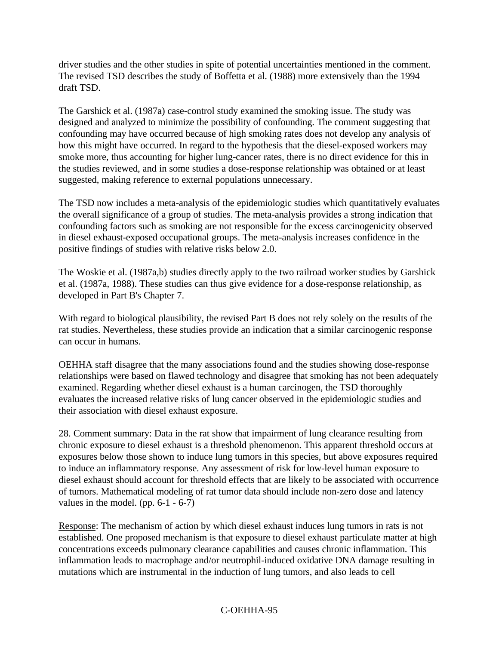driver studies and the other studies in spite of potential uncertainties mentioned in the comment. The revised TSD describes the study of Boffetta et al. (1988) more extensively than the 1994 draft TSD.

The Garshick et al. (1987a) case-control study examined the smoking issue. The study was designed and analyzed to minimize the possibility of confounding. The comment suggesting that confounding may have occurred because of high smoking rates does not develop any analysis of how this might have occurred. In regard to the hypothesis that the diesel-exposed workers may smoke more, thus accounting for higher lung-cancer rates, there is no direct evidence for this in the studies reviewed, and in some studies a dose-response relationship was obtained or at least suggested, making reference to external populations unnecessary.

The TSD now includes a meta-analysis of the epidemiologic studies which quantitatively evaluates the overall significance of a group of studies. The meta-analysis provides a strong indication that confounding factors such as smoking are not responsible for the excess carcinogenicity observed in diesel exhaust-exposed occupational groups. The meta-analysis increases confidence in the positive findings of studies with relative risks below 2.0.

The Woskie et al. (1987a,b) studies directly apply to the two railroad worker studies by Garshick et al. (1987a, 1988). These studies can thus give evidence for a dose-response relationship, as developed in Part B's Chapter 7.

With regard to biological plausibility, the revised Part B does not rely solely on the results of the rat studies. Nevertheless, these studies provide an indication that a similar carcinogenic response can occur in humans.

OEHHA staff disagree that the many associations found and the studies showing dose-response relationships were based on flawed technology and disagree that smoking has not been adequately examined. Regarding whether diesel exhaust is a human carcinogen, the TSD thoroughly evaluates the increased relative risks of lung cancer observed in the epidemiologic studies and their association with diesel exhaust exposure.

28. Comment summary: Data in the rat show that impairment of lung clearance resulting from chronic exposure to diesel exhaust is a threshold phenomenon. This apparent threshold occurs at exposures below those shown to induce lung tumors in this species, but above exposures required to induce an inflammatory response. Any assessment of risk for low-level human exposure to diesel exhaust should account for threshold effects that are likely to be associated with occurrence of tumors. Mathematical modeling of rat tumor data should include non-zero dose and latency values in the model. (pp.  $6-1 - 6-7$ )

Response: The mechanism of action by which diesel exhaust induces lung tumors in rats is not established. One proposed mechanism is that exposure to diesel exhaust particulate matter at high concentrations exceeds pulmonary clearance capabilities and causes chronic inflammation. This inflammation leads to macrophage and/or neutrophil-induced oxidative DNA damage resulting in mutations which are instrumental in the induction of lung tumors, and also leads to cell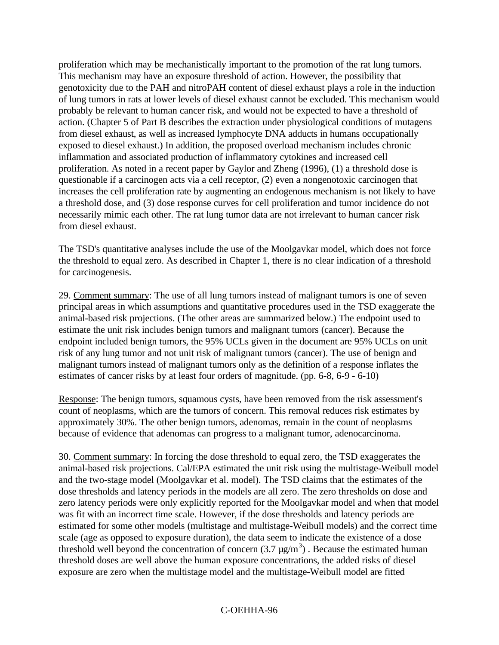proliferation which may be mechanistically important to the promotion of the rat lung tumors. This mechanism may have an exposure threshold of action. However, the possibility that genotoxicity due to the PAH and nitroPAH content of diesel exhaust plays a role in the induction of lung tumors in rats at lower levels of diesel exhaust cannot be excluded. This mechanism would probably be relevant to human cancer risk, and would not be expected to have a threshold of action. (Chapter 5 of Part B describes the extraction under physiological conditions of mutagens from diesel exhaust, as well as increased lymphocyte DNA adducts in humans occupationally exposed to diesel exhaust.) In addition, the proposed overload mechanism includes chronic inflammation and associated production of inflammatory cytokines and increased cell proliferation. As noted in a recent paper by Gaylor and Zheng (1996), (1) a threshold dose is questionable if a carcinogen acts via a cell receptor, (2) even a nongenotoxic carcinogen that increases the cell proliferation rate by augmenting an endogenous mechanism is not likely to have a threshold dose, and (3) dose response curves for cell proliferation and tumor incidence do not necessarily mimic each other. The rat lung tumor data are not irrelevant to human cancer risk from diesel exhaust.

The TSD's quantitative analyses include the use of the Moolgavkar model, which does not force the threshold to equal zero. As described in Chapter 1, there is no clear indication of a threshold for carcinogenesis.

29. Comment summary: The use of all lung tumors instead of malignant tumors is one of seven principal areas in which assumptions and quantitative procedures used in the TSD exaggerate the animal-based risk projections. (The other areas are summarized below.) The endpoint used to estimate the unit risk includes benign tumors and malignant tumors (cancer). Because the endpoint included benign tumors, the 95% UCLs given in the document are 95% UCLs on unit risk of any lung tumor and not unit risk of malignant tumors (cancer). The use of benign and malignant tumors instead of malignant tumors only as the definition of a response inflates the estimates of cancer risks by at least four orders of magnitude. (pp. 6-8, 6-9 - 6-10)

Response: The benign tumors, squamous cysts, have been removed from the risk assessment's count of neoplasms, which are the tumors of concern. This removal reduces risk estimates by approximately 30%. The other benign tumors, adenomas, remain in the count of neoplasms because of evidence that adenomas can progress to a malignant tumor, adenocarcinoma.

30. Comment summary: In forcing the dose threshold to equal zero, the TSD exaggerates the animal-based risk projections. Cal/EPA estimated the unit risk using the multistage-Weibull model and the two-stage model (Moolgavkar et al. model). The TSD claims that the estimates of the dose thresholds and latency periods in the models are all zero. The zero thresholds on dose and zero latency periods were only explicitly reported for the Moolgavkar model and when that model was fit with an incorrect time scale. However, if the dose thresholds and latency periods are estimated for some other models (multistage and multistage-Weibull models) and the correct time scale (age as opposed to exposure duration), the data seem to indicate the existence of a dose threshold well beyond the concentration of concern  $(3.7 \,\mu\text{g/m}^3)$ . Because the estimated human threshold doses are well above the human exposure concentrations, the added risks of diesel exposure are zero when the multistage model and the multistage-Weibull model are fitted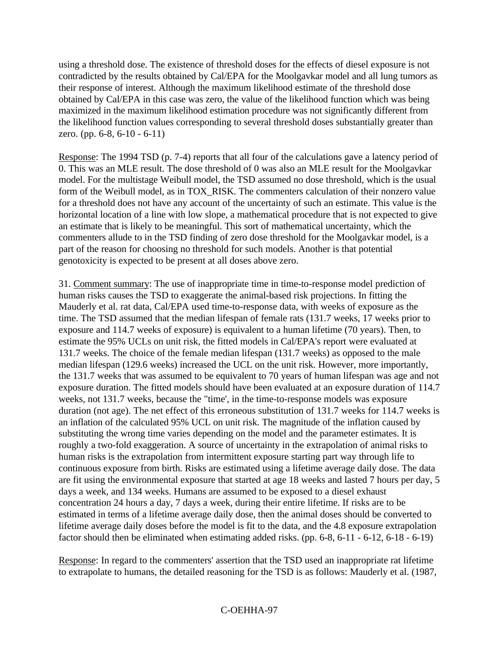using a threshold dose. The existence of threshold doses for the effects of diesel exposure is not contradicted by the results obtained by Cal/EPA for the Moolgavkar model and all lung tumors as their response of interest. Although the maximum likelihood estimate of the threshold dose obtained by Cal/EPA in this case was zero, the value of the likelihood function which was being maximized in the maximum likelihood estimation procedure was not significantly different from the likelihood function values corresponding to several threshold doses substantially greater than zero. (pp. 6-8, 6-10 - 6-11)

Response: The 1994 TSD (p. 7-4) reports that all four of the calculations gave a latency period of 0. This was an MLE result. The dose threshold of 0 was also an MLE result for the Moolgavkar model. For the multistage Weibull model, the TSD assumed no dose threshold, which is the usual form of the Weibull model, as in TOX\_RISK. The commenters calculation of their nonzero value for a threshold does not have any account of the uncertainty of such an estimate. This value is the horizontal location of a line with low slope, a mathematical procedure that is not expected to give an estimate that is likely to be meaningful. This sort of mathematical uncertainty, which the commenters allude to in the TSD finding of zero dose threshold for the Moolgavkar model, is a part of the reason for choosing no threshold for such models. Another is that potential genotoxicity is expected to be present at all doses above zero.

31. Comment summary: The use of inappropriate time in time-to-response model prediction of human risks causes the TSD to exaggerate the animal-based risk projections. In fitting the Mauderly et al. rat data, Cal/EPA used time-to-response data, with weeks of exposure as the time. The TSD assumed that the median lifespan of female rats (131.7 weeks, 17 weeks prior to exposure and 114.7 weeks of exposure) is equivalent to a human lifetime (70 years). Then, to estimate the 95% UCLs on unit risk, the fitted models in Cal/EPA's report were evaluated at 131.7 weeks. The choice of the female median lifespan (131.7 weeks) as opposed to the male median lifespan (129.6 weeks) increased the UCL on the unit risk. However, more importantly, the 131.7 weeks that was assumed to be equivalent to 70 years of human lifespan was age and not exposure duration. The fitted models should have been evaluated at an exposure duration of 114.7 weeks, not 131.7 weeks, because the "time', in the time-to-response models was exposure duration (not age). The net effect of this erroneous substitution of 131.7 weeks for 114.7 weeks is an inflation of the calculated 95% UCL on unit risk. The magnitude of the inflation caused by substituting the wrong time varies depending on the model and the parameter estimates. It is roughly a two-fold exaggeration. A source of uncertainty in the extrapolation of animal risks to human risks is the extrapolation from intermittent exposure starting part way through life to continuous exposure from birth. Risks are estimated using a lifetime average daily dose. The data are fit using the environmental exposure that started at age 18 weeks and lasted 7 hours per day, 5 days a week, and 134 weeks. Humans are assumed to be exposed to a diesel exhaust concentration 24 hours a day, 7 days a week, during their entire lifetime. If risks are to be estimated in terms of a lifetime average daily dose, then the animal doses should be converted to lifetime average daily doses before the model is fit to the data, and the 4.8 exposure extrapolation factor should then be eliminated when estimating added risks. (pp. 6-8, 6-11 - 6-12, 6-18 - 6-19)

Response: In regard to the commenters' assertion that the TSD used an inappropriate rat lifetime to extrapolate to humans, the detailed reasoning for the TSD is as follows: Mauderly et al. (1987,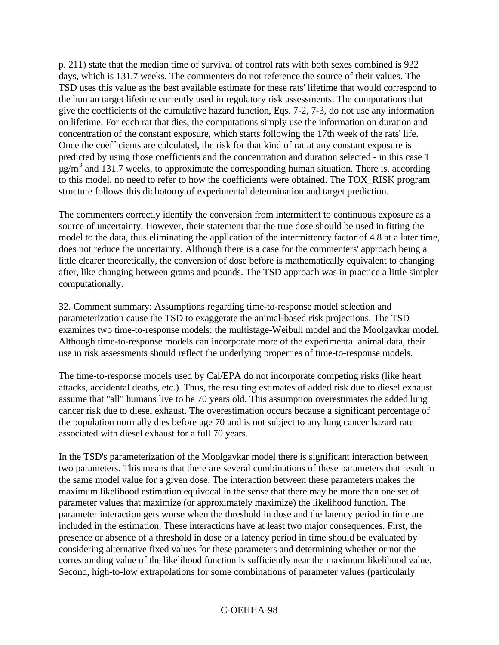p. 211) state that the median time of survival of control rats with both sexes combined is 922 days, which is 131.7 weeks. The commenters do not reference the source of their values. The TSD uses this value as the best available estimate for these rats' lifetime that would correspond to the human target lifetime currently used in regulatory risk assessments. The computations that give the coefficients of the cumulative hazard function, Eqs. 7-2, 7-3, do not use any information on lifetime. For each rat that dies, the computations simply use the information on duration and concentration of the constant exposure, which starts following the 17th week of the rats' life. Once the coefficients are calculated, the risk for that kind of rat at any constant exposure is predicted by using those coefficients and the concentration and duration selected - in this case 1  $\mu$ g/m<sup>3</sup> and 131.7 weeks, to approximate the corresponding human situation. There is, according to this model, no need to refer to how the coefficients were obtained. The TOX\_RISK program structure follows this dichotomy of experimental determination and target prediction.

The commenters correctly identify the conversion from intermittent to continuous exposure as a source of uncertainty. However, their statement that the true dose should be used in fitting the model to the data, thus eliminating the application of the intermittency factor of 4.8 at a later time, does not reduce the uncertainty. Although there is a case for the commenters' approach being a little clearer theoretically, the conversion of dose before is mathematically equivalent to changing after, like changing between grams and pounds. The TSD approach was in practice a little simpler computationally.

32. Comment summary: Assumptions regarding time-to-response model selection and parameterization cause the TSD to exaggerate the animal-based risk projections. The TSD examines two time-to-response models: the multistage-Weibull model and the Moolgavkar model. Although time-to-response models can incorporate more of the experimental animal data, their use in risk assessments should reflect the underlying properties of time-to-response models.

The time-to-response models used by Cal/EPA do not incorporate competing risks (like heart attacks, accidental deaths, etc.). Thus, the resulting estimates of added risk due to diesel exhaust assume that "all" humans live to be 70 years old. This assumption overestimates the added lung cancer risk due to diesel exhaust. The overestimation occurs because a significant percentage of the population normally dies before age 70 and is not subject to any lung cancer hazard rate associated with diesel exhaust for a full 70 years.

In the TSD's parameterization of the Moolgavkar model there is significant interaction between two parameters. This means that there are several combinations of these parameters that result in the same model value for a given dose. The interaction between these parameters makes the maximum likelihood estimation equivocal in the sense that there may be more than one set of parameter values that maximize (or approximately maximize) the likelihood function. The parameter interaction gets worse when the threshold in dose and the latency period in time are included in the estimation. These interactions have at least two major consequences. First, the presence or absence of a threshold in dose or a latency period in time should be evaluated by considering alternative fixed values for these parameters and determining whether or not the corresponding value of the likelihood function is sufficiently near the maximum likelihood value. Second, high-to-low extrapolations for some combinations of parameter values (particularly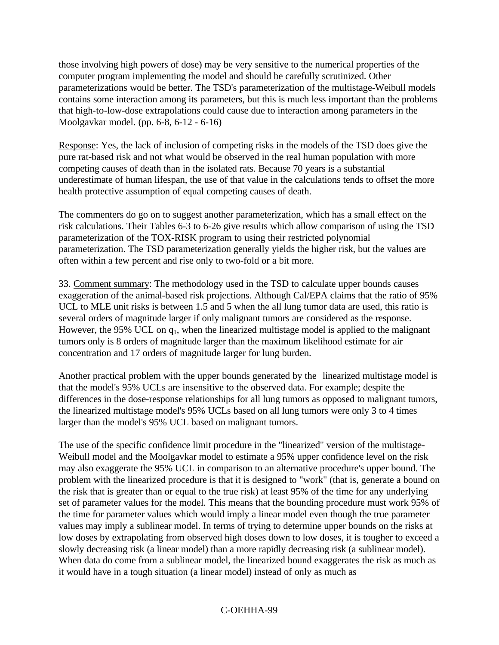those involving high powers of dose) may be very sensitive to the numerical properties of the computer program implementing the model and should be carefully scrutinized. Other parameterizations would be better. The TSD's parameterization of the multistage-Weibull models contains some interaction among its parameters, but this is much less important than the problems that high-to-low-dose extrapolations could cause due to interaction among parameters in the Moolgavkar model. (pp. 6-8, 6-12 - 6-16)

Response: Yes, the lack of inclusion of competing risks in the models of the TSD does give the pure rat-based risk and not what would be observed in the real human population with more competing causes of death than in the isolated rats. Because 70 years is a substantial underestimate of human lifespan, the use of that value in the calculations tends to offset the more health protective assumption of equal competing causes of death.

The commenters do go on to suggest another parameterization, which has a small effect on the risk calculations. Their Tables 6-3 to 6-26 give results which allow comparison of using the TSD parameterization of the TOX-RISK program to using their restricted polynomial parameterization. The TSD parameterization generally yields the higher risk, but the values are often within a few percent and rise only to two-fold or a bit more.

33. Comment summary: The methodology used in the TSD to calculate upper bounds causes exaggeration of the animal-based risk projections. Although Cal/EPA claims that the ratio of 95% UCL to MLE unit risks is between 1.5 and 5 when the all lung tumor data are used, this ratio is several orders of magnitude larger if only malignant tumors are considered as the response. However, the 95% UCL on q<sub>1</sub>, when the linearized multistage model is applied to the malignant tumors only is 8 orders of magnitude larger than the maximum likelihood estimate for air concentration and 17 orders of magnitude larger for lung burden.

Another practical problem with the upper bounds generated by the linearized multistage model is that the model's 95% UCLs are insensitive to the observed data. For example; despite the differences in the dose-response relationships for all lung tumors as opposed to malignant tumors, the linearized multistage model's 95% UCLs based on all lung tumors were only 3 to 4 times larger than the model's 95% UCL based on malignant tumors.

The use of the specific confidence limit procedure in the "linearized" version of the multistage-Weibull model and the Moolgavkar model to estimate a 95% upper confidence level on the risk may also exaggerate the 95% UCL in comparison to an alternative procedure's upper bound. The problem with the linearized procedure is that it is designed to "work" (that is, generate a bound on the risk that is greater than or equal to the true risk) at least 95% of the time for any underlying set of parameter values for the model. This means that the bounding procedure must work 95% of the time for parameter values which would imply a linear model even though the true parameter values may imply a sublinear model. In terms of trying to determine upper bounds on the risks at low doses by extrapolating from observed high doses down to low doses, it is tougher to exceed a slowly decreasing risk (a linear model) than a more rapidly decreasing risk (a sublinear model). When data do come from a sublinear model, the linearized bound exaggerates the risk as much as it would have in a tough situation (a linear model) instead of only as much as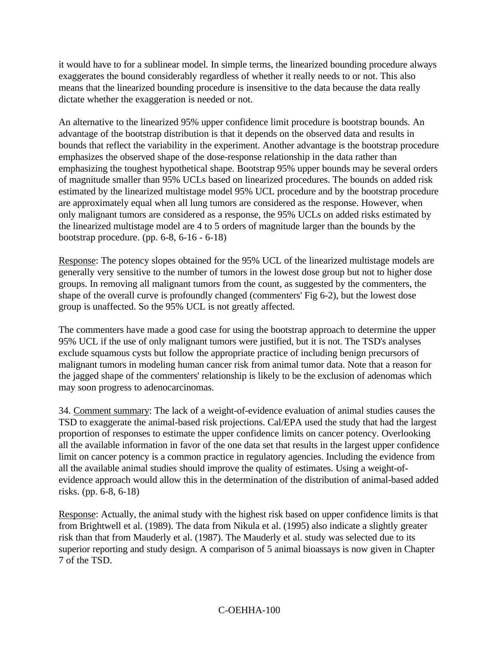it would have to for a sublinear model. In simple terms, the linearized bounding procedure always exaggerates the bound considerably regardless of whether it really needs to or not. This also means that the linearized bounding procedure is insensitive to the data because the data really dictate whether the exaggeration is needed or not.

An alternative to the linearized 95% upper confidence limit procedure is bootstrap bounds. An advantage of the bootstrap distribution is that it depends on the observed data and results in bounds that reflect the variability in the experiment. Another advantage is the bootstrap procedure emphasizes the observed shape of the dose-response relationship in the data rather than emphasizing the toughest hypothetical shape. Bootstrap 95% upper bounds may be several orders of magnitude smaller than 95% UCLs based on linearized procedures. The bounds on added risk estimated by the linearized multistage model 95% UCL procedure and by the bootstrap procedure are approximately equal when all lung tumors are considered as the response. However, when only malignant tumors are considered as a response, the 95% UCLs on added risks estimated by the linearized multistage model are 4 to 5 orders of magnitude larger than the bounds by the bootstrap procedure. (pp. 6-8, 6-16 - 6-18)

Response: The potency slopes obtained for the 95% UCL of the linearized multistage models are generally very sensitive to the number of tumors in the lowest dose group but not to higher dose groups. In removing all malignant tumors from the count, as suggested by the commenters, the shape of the overall curve is profoundly changed (commenters' Fig 6-2), but the lowest dose group is unaffected. So the 95% UCL is not greatly affected.

The commenters have made a good case for using the bootstrap approach to determine the upper 95% UCL if the use of only malignant tumors were justified, but it is not. The TSD's analyses exclude squamous cysts but follow the appropriate practice of including benign precursors of malignant tumors in modeling human cancer risk from animal tumor data. Note that a reason for the jagged shape of the commenters' relationship is likely to be the exclusion of adenomas which may soon progress to adenocarcinomas.

34. Comment summary: The lack of a weight-of-evidence evaluation of animal studies causes the TSD to exaggerate the animal-based risk projections. Cal/EPA used the study that had the largest proportion of responses to estimate the upper confidence limits on cancer potency. Overlooking all the available information in favor of the one data set that results in the largest upper confidence limit on cancer potency is a common practice in regulatory agencies. Including the evidence from all the available animal studies should improve the quality of estimates. Using a weight-ofevidence approach would allow this in the determination of the distribution of animal-based added risks. (pp. 6-8, 6-18)

Response: Actually, the animal study with the highest risk based on upper confidence limits is that from Brightwell et al. (1989). The data from Nikula et al. (1995) also indicate a slightly greater risk than that from Mauderly et al. (1987). The Mauderly et al. study was selected due to its superior reporting and study design. A comparison of 5 animal bioassays is now given in Chapter 7 of the TSD.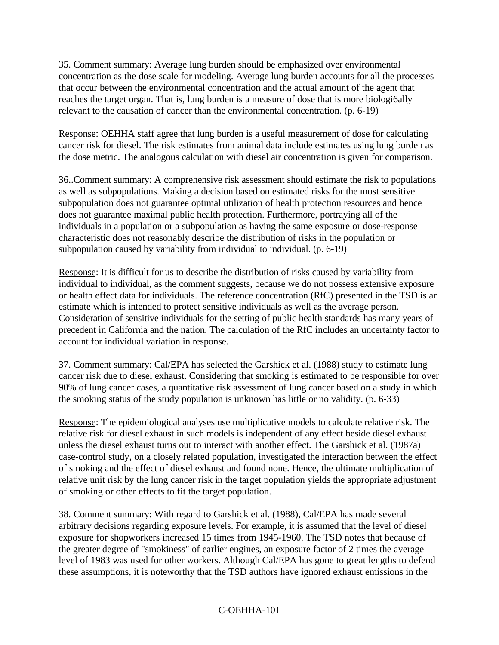35. Comment summary: Average lung burden should be emphasized over environmental concentration as the dose scale for modeling. Average lung burden accounts for all the processes that occur between the environmental concentration and the actual amount of the agent that reaches the target organ. That is, lung burden is a measure of dose that is more biologi6ally relevant to the causation of cancer than the environmental concentration. (p. 6-19)

Response: OEHHA staff agree that lung burden is a useful measurement of dose for calculating cancer risk for diesel. The risk estimates from animal data include estimates using lung burden as the dose metric. The analogous calculation with diesel air concentration is given for comparison.

36..Comment summary: A comprehensive risk assessment should estimate the risk to populations as well as subpopulations. Making a decision based on estimated risks for the most sensitive subpopulation does not guarantee optimal utilization of health protection resources and hence does not guarantee maximal public health protection. Furthermore, portraying all of the individuals in a population or a subpopulation as having the same exposure or dose-response characteristic does not reasonably describe the distribution of risks in the population or subpopulation caused by variability from individual to individual. (p. 6-19)

Response: It is difficult for us to describe the distribution of risks caused by variability from individual to individual, as the comment suggests, because we do not possess extensive exposure or health effect data for individuals. The reference concentration (RfC) presented in the TSD is an estimate which is intended to protect sensitive individuals as well as the average person. Consideration of sensitive individuals for the setting of public health standards has many years of precedent in California and the nation. The calculation of the RfC includes an uncertainty factor to account for individual variation in response.

37. Comment summary: Cal/EPA has selected the Garshick et al. (1988) study to estimate lung cancer risk due to diesel exhaust. Considering that smoking is estimated to be responsible for over 90% of lung cancer cases, a quantitative risk assessment of lung cancer based on a study in which the smoking status of the study population is unknown has little or no validity. (p. 6-33)

Response: The epidemiological analyses use multiplicative models to calculate relative risk. The relative risk for diesel exhaust in such models is independent of any effect beside diesel exhaust unless the diesel exhaust turns out to interact with another effect. The Garshick et al. (1987a) case-control study, on a closely related population, investigated the interaction between the effect of smoking and the effect of diesel exhaust and found none. Hence, the ultimate multiplication of relative unit risk by the lung cancer risk in the target population yields the appropriate adjustment of smoking or other effects to fit the target population.

38. Comment summary: With regard to Garshick et al. (1988), Cal/EPA has made several arbitrary decisions regarding exposure levels. For example, it is assumed that the level of diesel exposure for shopworkers increased 15 times from 1945-1960. The TSD notes that because of the greater degree of "smokiness" of earlier engines, an exposure factor of 2 times the average level of 1983 was used for other workers. Although Cal/EPA has gone to great lengths to defend these assumptions, it is noteworthy that the TSD authors have ignored exhaust emissions in the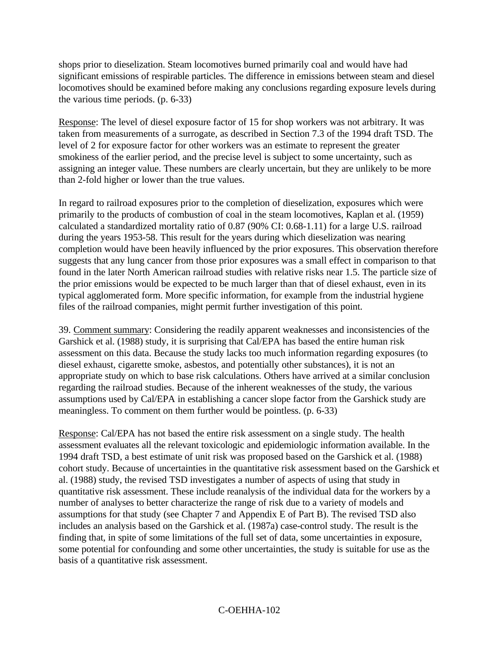shops prior to dieselization. Steam locomotives burned primarily coal and would have had significant emissions of respirable particles. The difference in emissions between steam and diesel locomotives should be examined before making any conclusions regarding exposure levels during the various time periods. (p. 6-33)

Response: The level of diesel exposure factor of 15 for shop workers was not arbitrary. It was taken from measurements of a surrogate, as described in Section 7.3 of the 1994 draft TSD. The level of 2 for exposure factor for other workers was an estimate to represent the greater smokiness of the earlier period, and the precise level is subject to some uncertainty, such as assigning an integer value. These numbers are clearly uncertain, but they are unlikely to be more than 2-fold higher or lower than the true values.

In regard to railroad exposures prior to the completion of dieselization, exposures which were primarily to the products of combustion of coal in the steam locomotives, Kaplan et al. (1959) calculated a standardized mortality ratio of 0.87 (90% CI: 0.68-1.11) for a large U.S. railroad during the years 1953-58. This result for the years during which dieselization was nearing completion would have been heavily influenced by the prior exposures. This observation therefore suggests that any lung cancer from those prior exposures was a small effect in comparison to that found in the later North American railroad studies with relative risks near 1.5. The particle size of the prior emissions would be expected to be much larger than that of diesel exhaust, even in its typical agglomerated form. More specific information, for example from the industrial hygiene files of the railroad companies, might permit further investigation of this point.

39. Comment summary: Considering the readily apparent weaknesses and inconsistencies of the Garshick et al. (1988) study, it is surprising that Cal/EPA has based the entire human risk assessment on this data. Because the study lacks too much information regarding exposures (to diesel exhaust, cigarette smoke, asbestos, and potentially other substances), it is not an appropriate study on which to base risk calculations. Others have arrived at a similar conclusion regarding the railroad studies. Because of the inherent weaknesses of the study, the various assumptions used by Cal/EPA in establishing a cancer slope factor from the Garshick study are meaningless. To comment on them further would be pointless. (p. 6-33)

Response: Cal/EPA has not based the entire risk assessment on a single study. The health assessment evaluates all the relevant toxicologic and epidemiologic information available. In the 1994 draft TSD, a best estimate of unit risk was proposed based on the Garshick et al. (1988) cohort study. Because of uncertainties in the quantitative risk assessment based on the Garshick et al. (1988) study, the revised TSD investigates a number of aspects of using that study in quantitative risk assessment. These include reanalysis of the individual data for the workers by a number of analyses to better characterize the range of risk due to a variety of models and assumptions for that study (see Chapter 7 and Appendix E of Part B). The revised TSD also includes an analysis based on the Garshick et al. (1987a) case-control study. The result is the finding that, in spite of some limitations of the full set of data, some uncertainties in exposure, some potential for confounding and some other uncertainties, the study is suitable for use as the basis of a quantitative risk assessment.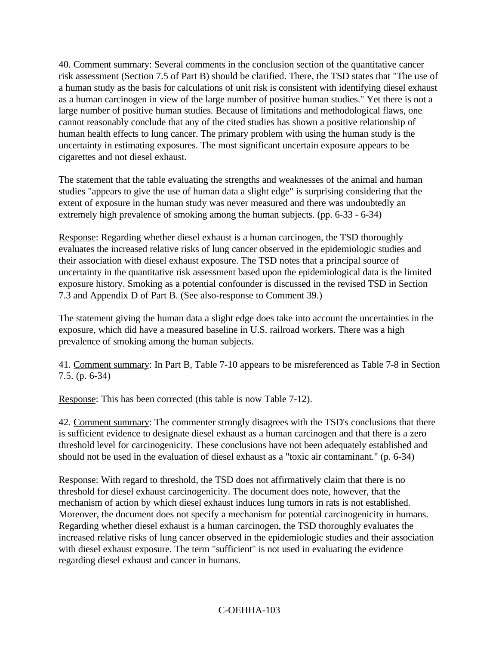40. Comment summary: Several comments in the conclusion section of the quantitative cancer risk assessment (Section 7.5 of Part B) should be clarified. There, the TSD states that "The use of a human study as the basis for calculations of unit risk is consistent with identifying diesel exhaust as a human carcinogen in view of the large number of positive human studies." Yet there is not a large number of positive human studies. Because of limitations and methodological flaws, one cannot reasonably conclude that any of the cited studies has shown a positive relationship of human health effects to lung cancer. The primary problem with using the human study is the uncertainty in estimating exposures. The most significant uncertain exposure appears to be cigarettes and not diesel exhaust.

The statement that the table evaluating the strengths and weaknesses of the animal and human studies "appears to give the use of human data a slight edge" is surprising considering that the extent of exposure in the human study was never measured and there was undoubtedly an extremely high prevalence of smoking among the human subjects. (pp. 6-33 - 6-34)

Response: Regarding whether diesel exhaust is a human carcinogen, the TSD thoroughly evaluates the increased relative risks of lung cancer observed in the epidemiologic studies and their association with diesel exhaust exposure. The TSD notes that a principal source of uncertainty in the quantitative risk assessment based upon the epidemiological data is the limited exposure history. Smoking as a potential confounder is discussed in the revised TSD in Section 7.3 and Appendix D of Part B. (See also-response to Comment 39.)

The statement giving the human data a slight edge does take into account the uncertainties in the exposure, which did have a measured baseline in U.S. railroad workers. There was a high prevalence of smoking among the human subjects.

41. Comment summary: In Part B, Table 7-10 appears to be misreferenced as Table 7-8 in Section 7.5. (p. 6-34)

Response: This has been corrected (this table is now Table 7-12).

42. Comment summary: The commenter strongly disagrees with the TSD's conclusions that there is sufficient evidence to designate diesel exhaust as a human carcinogen and that there is a zero threshold level for carcinogenicity. These conclusions have not been adequately established and should not be used in the evaluation of diesel exhaust as a "toxic air contaminant." (p. 6-34)

Response: With regard to threshold, the TSD does not affirmatively claim that there is no threshold for diesel exhaust carcinogenicity. The document does note, however, that the mechanism of action by which diesel exhaust induces lung tumors in rats is not established. Moreover, the document does not specify a mechanism for potential carcinogenicity in humans. Regarding whether diesel exhaust is a human carcinogen, the TSD thoroughly evaluates the increased relative risks of lung cancer observed in the epidemiologic studies and their association with diesel exhaust exposure. The term "sufficient" is not used in evaluating the evidence regarding diesel exhaust and cancer in humans.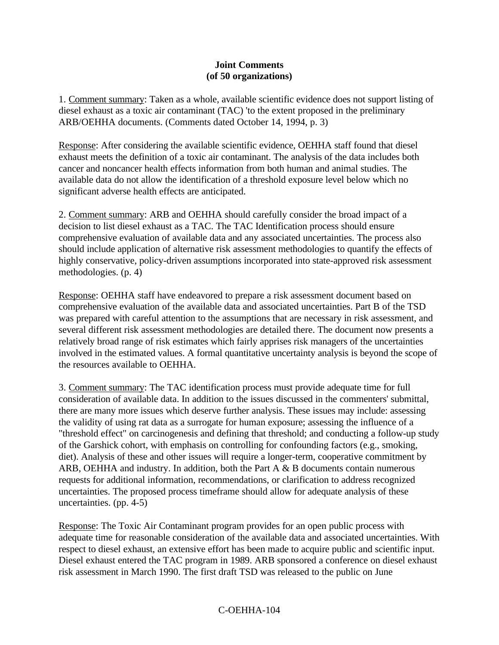#### **Joint Comments (of 50 organizations)**

1. Comment summary: Taken as a whole, available scientific evidence does not support listing of diesel exhaust as a toxic air contaminant (TAC) 'to the extent proposed in the preliminary ARB/OEHHA documents. (Comments dated October 14, 1994, p. 3)

Response: After considering the available scientific evidence, OEHHA staff found that diesel exhaust meets the definition of a toxic air contaminant. The analysis of the data includes both cancer and noncancer health effects information from both human and animal studies. The available data do not allow the identification of a threshold exposure level below which no significant adverse health effects are anticipated.

2. Comment summary: ARB and OEHHA should carefully consider the broad impact of a decision to list diesel exhaust as a TAC. The TAC Identification process should ensure comprehensive evaluation of available data and any associated uncertainties. The process also should include application of alternative risk assessment methodologies to quantify the effects of highly conservative, policy-driven assumptions incorporated into state-approved risk assessment methodologies. (p. 4)

Response: OEHHA staff have endeavored to prepare a risk assessment document based on comprehensive evaluation of the available data and associated uncertainties. Part B of the TSD was prepared with careful attention to the assumptions that are necessary in risk assessment, and several different risk assessment methodologies are detailed there. The document now presents a relatively broad range of risk estimates which fairly apprises risk managers of the uncertainties involved in the estimated values. A formal quantitative uncertainty analysis is beyond the scope of the resources available to OEHHA.

3. Comment summary: The TAC identification process must provide adequate time for full consideration of available data. In addition to the issues discussed in the commenters' submittal, there are many more issues which deserve further analysis. These issues may include: assessing the validity of using rat data as a surrogate for human exposure; assessing the influence of a "threshold effect" on carcinogenesis and defining that threshold; and conducting a follow-up study of the Garshick cohort, with emphasis on controlling for confounding factors (e.g., smoking, diet). Analysis of these and other issues will require a longer-term, cooperative commitment by ARB, OEHHA and industry. In addition, both the Part A & B documents contain numerous requests for additional information, recommendations, or clarification to address recognized uncertainties. The proposed process timeframe should allow for adequate analysis of these uncertainties. (pp. 4-5)

Response: The Toxic Air Contaminant program provides for an open public process with adequate time for reasonable consideration of the available data and associated uncertainties. With respect to diesel exhaust, an extensive effort has been made to acquire public and scientific input. Diesel exhaust entered the TAC program in 1989. ARB sponsored a conference on diesel exhaust risk assessment in March 1990. The first draft TSD was released to the public on June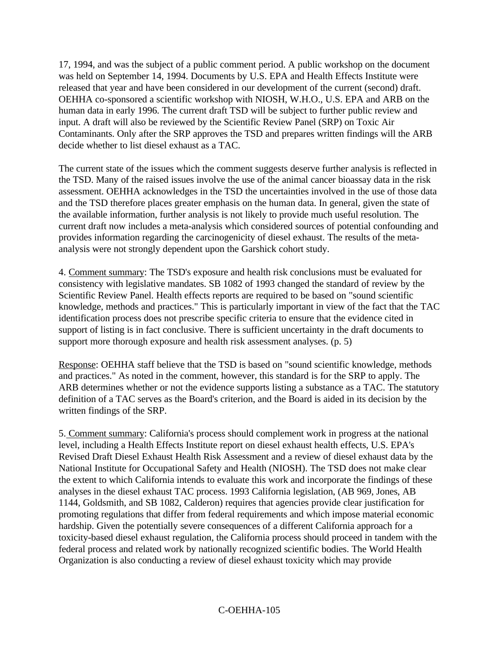17, 1994, and was the subject of a public comment period. A public workshop on the document was held on September 14, 1994. Documents by U.S. EPA and Health Effects Institute were released that year and have been considered in our development of the current (second) draft. OEHHA co-sponsored a scientific workshop with NIOSH, W.H.O., U.S. EPA and ARB on the human data in early 1996. The current draft TSD will be subject to further public review and input. A draft will also be reviewed by the Scientific Review Panel (SRP) on Toxic Air Contaminants. Only after the SRP approves the TSD and prepares written findings will the ARB decide whether to list diesel exhaust as a TAC.

The current state of the issues which the comment suggests deserve further analysis is reflected in the TSD. Many of the raised issues involve the use of the animal cancer bioassay data in the risk assessment. OEHHA acknowledges in the TSD the uncertainties involved in the use of those data and the TSD therefore places greater emphasis on the human data. In general, given the state of the available information, further analysis is not likely to provide much useful resolution. The current draft now includes a meta-analysis which considered sources of potential confounding and provides information regarding the carcinogenicity of diesel exhaust. The results of the metaanalysis were not strongly dependent upon the Garshick cohort study.

4. Comment summary: The TSD's exposure and health risk conclusions must be evaluated for consistency with legislative mandates. SB 1082 of 1993 changed the standard of review by the Scientific Review Panel. Health effects reports are required to be based on "sound scientific knowledge, methods and practices." This is particularly important in view of the fact that the TAC identification process does not prescribe specific criteria to ensure that the evidence cited in support of listing is in fact conclusive. There is sufficient uncertainty in the draft documents to support more thorough exposure and health risk assessment analyses. (p. 5)

Response: OEHHA staff believe that the TSD is based on "sound scientific knowledge, methods and practices." As noted in the comment, however, this standard is for the SRP to apply. The ARB determines whether or not the evidence supports listing a substance as a TAC. The statutory definition of a TAC serves as the Board's criterion, and the Board is aided in its decision by the written findings of the SRP.

5. Comment summary: California's process should complement work in progress at the national level, including a Health Effects Institute report on diesel exhaust health effects, U.S. EPA's Revised Draft Diesel Exhaust Health Risk Assessment and a review of diesel exhaust data by the National Institute for Occupational Safety and Health (NIOSH). The TSD does not make clear the extent to which California intends to evaluate this work and incorporate the findings of these analyses in the diesel exhaust TAC process. 1993 California legislation, (AB 969, Jones, AB 1144, Goldsmith, and SB 1082, Calderon) requires that agencies provide clear justification for promoting regulations that differ from federal requirements and which impose material economic hardship. Given the potentially severe consequences of a different California approach for a toxicity-based diesel exhaust regulation, the California process should proceed in tandem with the federal process and related work by nationally recognized scientific bodies. The World Health Organization is also conducting a review of diesel exhaust toxicity which may provide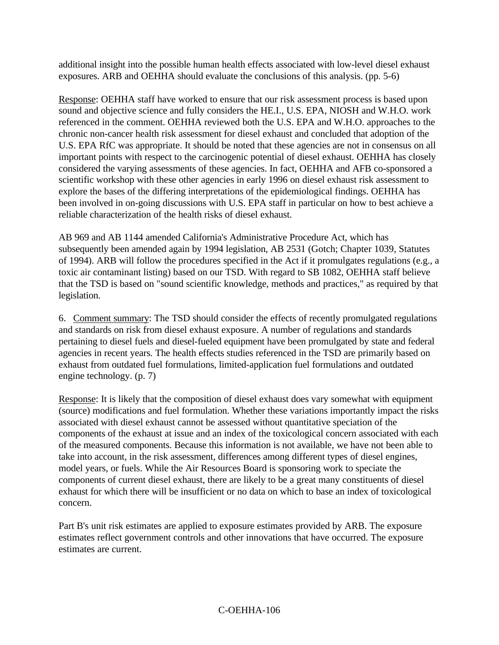additional insight into the possible human health effects associated with low-level diesel exhaust exposures. ARB and OEHHA should evaluate the conclusions of this analysis. (pp. 5-6)

Response: OEHHA staff have worked to ensure that our risk assessment process is based upon sound and objective science and fully considers the HE.I., U.S. EPA, NIOSH and W.H.O. work referenced in the comment. OEHHA reviewed both the U.S. EPA and W.H.O. approaches to the chronic non-cancer health risk assessment for diesel exhaust and concluded that adoption of the U.S. EPA RfC was appropriate. It should be noted that these agencies are not in consensus on all important points with respect to the carcinogenic potential of diesel exhaust. OEHHA has closely considered the varying assessments of these agencies. In fact, OEHHA and AFB co-sponsored a scientific workshop with these other agencies in early 1996 on diesel exhaust risk assessment to explore the bases of the differing interpretations of the epidemiological findings. OEHHA has been involved in on-going discussions with U.S. EPA staff in particular on how to best achieve a reliable characterization of the health risks of diesel exhaust.

AB 969 and AB 1144 amended California's Administrative Procedure Act, which has subsequently been amended again by 1994 legislation, AB 2531 (Gotch; Chapter 1039, Statutes of 1994). ARB will follow the procedures specified in the Act if it promulgates regulations (e.g., a toxic air contaminant listing) based on our TSD. With regard to SB 1082, OEHHA staff believe that the TSD is based on "sound scientific knowledge, methods and practices," as required by that legislation.

6. Comment summary: The TSD should consider the effects of recently promulgated regulations and standards on risk from diesel exhaust exposure. A number of regulations and standards pertaining to diesel fuels and diesel-fueled equipment have been promulgated by state and federal agencies in recent years. The health effects studies referenced in the TSD are primarily based on exhaust from outdated fuel formulations, limited-application fuel formulations and outdated engine technology. (p. 7)

Response: It is likely that the composition of diesel exhaust does vary somewhat with equipment (source) modifications and fuel formulation. Whether these variations importantly impact the risks associated with diesel exhaust cannot be assessed without quantitative speciation of the components of the exhaust at issue and an index of the toxicological concern associated with each of the measured components. Because this information is not available, we have not been able to take into account, in the risk assessment, differences among different types of diesel engines, model years, or fuels. While the Air Resources Board is sponsoring work to speciate the components of current diesel exhaust, there are likely to be a great many constituents of diesel exhaust for which there will be insufficient or no data on which to base an index of toxicological concern.

Part B's unit risk estimates are applied to exposure estimates provided by ARB. The exposure estimates reflect government controls and other innovations that have occurred. The exposure estimates are current.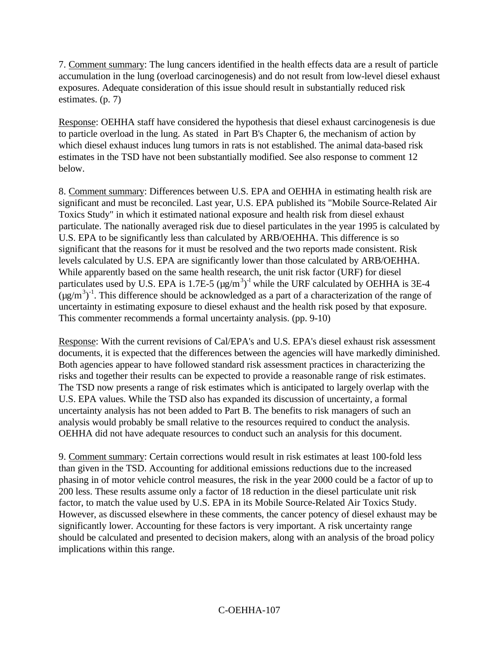7. Comment summary: The lung cancers identified in the health effects data are a result of particle accumulation in the lung (overload carcinogenesis) and do not result from low-level diesel exhaust exposures. Adequate consideration of this issue should result in substantially reduced risk estimates. (p. 7)

Response: OEHHA staff have considered the hypothesis that diesel exhaust carcinogenesis is due to particle overload in the lung. As stated in Part B's Chapter 6, the mechanism of action by which diesel exhaust induces lung tumors in rats is not established. The animal data-based risk estimates in the TSD have not been substantially modified. See also response to comment 12 below.

8. Comment summary: Differences between U.S. EPA and OEHHA in estimating health risk are significant and must be reconciled. Last year, U.S. EPA published its "Mobile Source-Related Air Toxics Study" in which it estimated national exposure and health risk from diesel exhaust particulate. The nationally averaged risk due to diesel particulates in the year 1995 is calculated by U.S. EPA to be significantly less than calculated by ARB/OEHHA. This difference is so significant that the reasons for it must be resolved and the two reports made consistent. Risk levels calculated by U.S. EPA are significantly lower than those calculated by ARB/OEHHA. While apparently based on the same health research, the unit risk factor (URF) for diesel particulates used by U.S. EPA is 1.7E-5 ( $\mu$ g/m<sup>3</sup>)<sup>-1</sup> while the URF calculated by OEHHA is 3E-4  $(\mu g/m^3)^{-1}$ . This difference should be acknowledged as a part of a characterization of the range of uncertainty in estimating exposure to diesel exhaust and the health risk posed by that exposure. This commenter recommends a formal uncertainty analysis. (pp. 9-10)

Response: With the current revisions of Cal/EPA's and U.S. EPA's diesel exhaust risk assessment documents, it is expected that the differences between the agencies will have markedly diminished. Both agencies appear to have followed standard risk assessment practices in characterizing the risks and together their results can be expected to provide a reasonable range of risk estimates. The TSD now presents a range of risk estimates which is anticipated to largely overlap with the U.S. EPA values. While the TSD also has expanded its discussion of uncertainty, a formal uncertainty analysis has not been added to Part B. The benefits to risk managers of such an analysis would probably be small relative to the resources required to conduct the analysis. OEHHA did not have adequate resources to conduct such an analysis for this document.

9. Comment summary: Certain corrections would result in risk estimates at least 100-fold less than given in the TSD. Accounting for additional emissions reductions due to the increased phasing in of motor vehicle control measures, the risk in the year 2000 could be a factor of up to 200 less. These results assume only a factor of 18 reduction in the diesel particulate unit risk factor, to match the value used by U.S. EPA in its Mobile Source-Related Air Toxics Study. However, as discussed elsewhere in these comments, the cancer potency of diesel exhaust may be significantly lower. Accounting for these factors is very important. A risk uncertainty range should be calculated and presented to decision makers, along with an analysis of the broad policy implications within this range.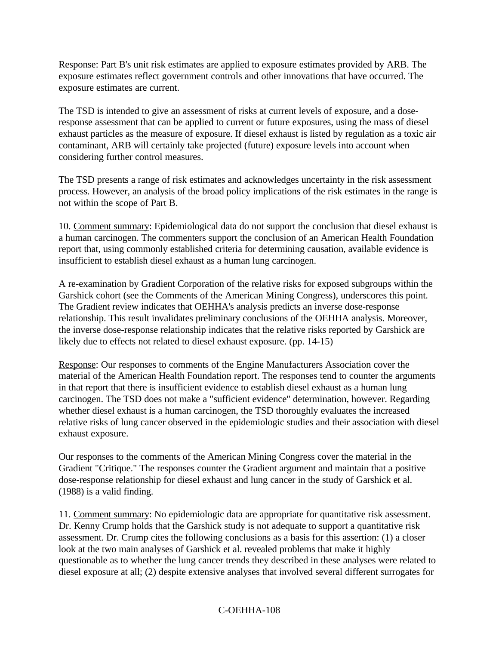Response: Part B's unit risk estimates are applied to exposure estimates provided by ARB. The exposure estimates reflect government controls and other innovations that have occurred. The exposure estimates are current.

The TSD is intended to give an assessment of risks at current levels of exposure, and a doseresponse assessment that can be applied to current or future exposures, using the mass of diesel exhaust particles as the measure of exposure. If diesel exhaust is listed by regulation as a toxic air contaminant, ARB will certainly take projected (future) exposure levels into account when considering further control measures.

The TSD presents a range of risk estimates and acknowledges uncertainty in the risk assessment process. However, an analysis of the broad policy implications of the risk estimates in the range is not within the scope of Part B.

10. Comment summary: Epidemiological data do not support the conclusion that diesel exhaust is a human carcinogen. The commenters support the conclusion of an American Health Foundation report that, using commonly established criteria for determining causation, available evidence is insufficient to establish diesel exhaust as a human lung carcinogen.

A re-examination by Gradient Corporation of the relative risks for exposed subgroups within the Garshick cohort (see the Comments of the American Mining Congress), underscores this point. The Gradient review indicates that OEHHA's analysis predicts an inverse dose-response relationship. This result invalidates preliminary conclusions of the OEHHA analysis. Moreover, the inverse dose-response relationship indicates that the relative risks reported by Garshick are likely due to effects not related to diesel exhaust exposure. (pp. 14-15)

Response: Our responses to comments of the Engine Manufacturers Association cover the material of the American Health Foundation report. The responses tend to counter the arguments in that report that there is insufficient evidence to establish diesel exhaust as a human lung carcinogen. The TSD does not make a "sufficient evidence" determination, however. Regarding whether diesel exhaust is a human carcinogen, the TSD thoroughly evaluates the increased relative risks of lung cancer observed in the epidemiologic studies and their association with diesel exhaust exposure.

Our responses to the comments of the American Mining Congress cover the material in the Gradient "Critique." The responses counter the Gradient argument and maintain that a positive dose-response relationship for diesel exhaust and lung cancer in the study of Garshick et al. (1988) is a valid finding.

11. Comment summary: No epidemiologic data are appropriate for quantitative risk assessment. Dr. Kenny Crump holds that the Garshick study is not adequate to support a quantitative risk assessment. Dr. Crump cites the following conclusions as a basis for this assertion: (1) a closer look at the two main analyses of Garshick et al. revealed problems that make it highly questionable as to whether the lung cancer trends they described in these analyses were related to diesel exposure at all; (2) despite extensive analyses that involved several different surrogates for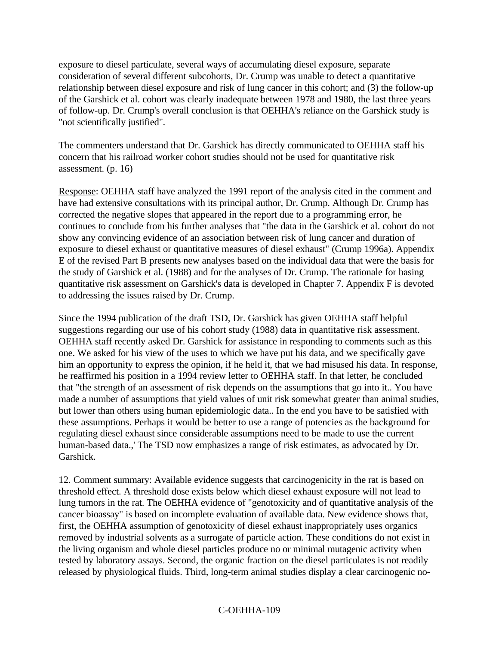exposure to diesel particulate, several ways of accumulating diesel exposure, separate consideration of several different subcohorts, Dr. Crump was unable to detect a quantitative relationship between diesel exposure and risk of lung cancer in this cohort; and (3) the follow-up of the Garshick et al. cohort was clearly inadequate between 1978 and 1980, the last three years of follow-up. Dr. Crump's overall conclusion is that OEHHA's reliance on the Garshick study is "not scientifically justified".

The commenters understand that Dr. Garshick has directly communicated to OEHHA staff his concern that his railroad worker cohort studies should not be used for quantitative risk assessment. (p. 16)

Response: OEHHA staff have analyzed the 1991 report of the analysis cited in the comment and have had extensive consultations with its principal author, Dr. Crump. Although Dr. Crump has corrected the negative slopes that appeared in the report due to a programming error, he continues to conclude from his further analyses that "the data in the Garshick et al. cohort do not show any convincing evidence of an association between risk of lung cancer and duration of exposure to diesel exhaust or quantitative measures of diesel exhaust" (Crump 1996a). Appendix E of the revised Part B presents new analyses based on the individual data that were the basis for the study of Garshick et al. (1988) and for the analyses of Dr. Crump. The rationale for basing quantitative risk assessment on Garshick's data is developed in Chapter 7. Appendix F is devoted to addressing the issues raised by Dr. Crump.

Since the 1994 publication of the draft TSD, Dr. Garshick has given OEHHA staff helpful suggestions regarding our use of his cohort study (1988) data in quantitative risk assessment. OEHHA staff recently asked Dr. Garshick for assistance in responding to comments such as this one. We asked for his view of the uses to which we have put his data, and we specifically gave him an opportunity to express the opinion, if he held it, that we had misused his data. In response, he reaffirmed his position in a 1994 review letter to OEHHA staff. In that letter, he concluded that "the strength of an assessment of risk depends on the assumptions that go into it.. You have made a number of assumptions that yield values of unit risk somewhat greater than animal studies, but lower than others using human epidemiologic data.. In the end you have to be satisfied with these assumptions. Perhaps it would be better to use a range of potencies as the background for regulating diesel exhaust since considerable assumptions need to be made to use the current human-based data.,' The TSD now emphasizes a range of risk estimates, as advocated by Dr. Garshick.

12. Comment summary: Available evidence suggests that carcinogenicity in the rat is based on threshold effect. A threshold dose exists below which diesel exhaust exposure will not lead to lung tumors in the rat. The OEHHA evidence of "genotoxicity and of quantitative analysis of the cancer bioassay" is based on incomplete evaluation of available data. New evidence shows that, first, the OEHHA assumption of genotoxicity of diesel exhaust inappropriately uses organics removed by industrial solvents as a surrogate of particle action. These conditions do not exist in the living organism and whole diesel particles produce no or minimal mutagenic activity when tested by laboratory assays. Second, the organic fraction on the diesel particulates is not readily released by physiological fluids. Third, long-term animal studies display a clear carcinogenic no-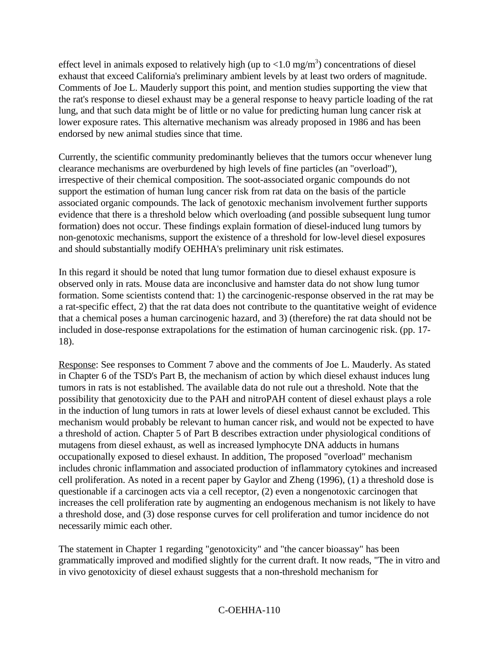effect level in animals exposed to relatively high (up to  $\langle 1.0 \text{ mg/m}^3 \rangle$ ) concentrations of diesel exhaust that exceed California's preliminary ambient levels by at least two orders of magnitude. Comments of Joe L. Mauderly support this point, and mention studies supporting the view that the rat's response to diesel exhaust may be a general response to heavy particle loading of the rat lung, and that such data might be of little or no value for predicting human lung cancer risk at lower exposure rates. This alternative mechanism was already proposed in 1986 and has been endorsed by new animal studies since that time.

Currently, the scientific community predominantly believes that the tumors occur whenever lung clearance mechanisms are overburdened by high levels of fine particles (an "overload"), irrespective of their chemical composition. The soot-associated organic compounds do not support the estimation of human lung cancer risk from rat data on the basis of the particle associated organic compounds. The lack of genotoxic mechanism involvement further supports evidence that there is a threshold below which overloading (and possible subsequent lung tumor formation) does not occur. These findings explain formation of diesel-induced lung tumors by non-genotoxic mechanisms, support the existence of a threshold for low-level diesel exposures and should substantially modify OEHHA's preliminary unit risk estimates.

In this regard it should be noted that lung tumor formation due to diesel exhaust exposure is observed only in rats. Mouse data are inconclusive and hamster data do not show lung tumor formation. Some scientists contend that: 1) the carcinogenic-response observed in the rat may be a rat-specific effect, 2) that the rat data does not contribute to the quantitative weight of evidence that a chemical poses a human carcinogenic hazard, and 3) (therefore) the rat data should not be included in dose-response extrapolations for the estimation of human carcinogenic risk. (pp. 17- 18).

Response: See responses to Comment 7 above and the comments of Joe L. Mauderly. As stated in Chapter 6 of the TSD's Part B, the mechanism of action by which diesel exhaust induces lung tumors in rats is not established. The available data do not rule out a threshold. Note that the possibility that genotoxicity due to the PAH and nitroPAH content of diesel exhaust plays a role in the induction of lung tumors in rats at lower levels of diesel exhaust cannot be excluded. This mechanism would probably be relevant to human cancer risk, and would not be expected to have a threshold of action. Chapter 5 of Part B describes extraction under physiological conditions of mutagens from diesel exhaust, as well as increased lymphocyte DNA adducts in humans occupationally exposed to diesel exhaust. In addition, The proposed "overload" mechanism includes chronic inflammation and associated production of inflammatory cytokines and increased cell proliferation. As noted in a recent paper by Gaylor and Zheng (1996), (1) a threshold dose is questionable if a carcinogen acts via a cell receptor, (2) even a nongenotoxic carcinogen that increases the cell proliferation rate by augmenting an endogenous mechanism is not likely to have a threshold dose, and (3) dose response curves for cell proliferation and tumor incidence do not necessarily mimic each other.

The statement in Chapter 1 regarding "genotoxicity" and "the cancer bioassay" has been grammatically improved and modified slightly for the current draft. It now reads, "The in vitro and in vivo genotoxicity of diesel exhaust suggests that a non-threshold mechanism for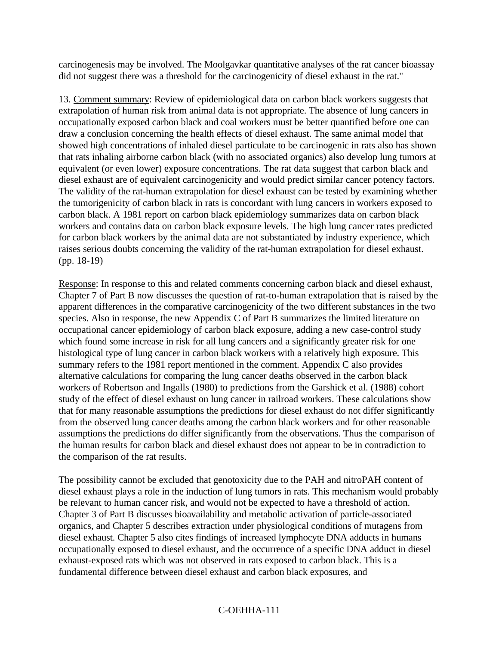carcinogenesis may be involved. The Moolgavkar quantitative analyses of the rat cancer bioassay did not suggest there was a threshold for the carcinogenicity of diesel exhaust in the rat."

13. Comment summary: Review of epidemiological data on carbon black workers suggests that extrapolation of human risk from animal data is not appropriate. The absence of lung cancers in occupationally exposed carbon black and coal workers must be better quantified before one can draw a conclusion concerning the health effects of diesel exhaust. The same animal model that showed high concentrations of inhaled diesel particulate to be carcinogenic in rats also has shown that rats inhaling airborne carbon black (with no associated organics) also develop lung tumors at equivalent (or even lower) exposure concentrations. The rat data suggest that carbon black and diesel exhaust are of equivalent carcinogenicity and would predict similar cancer potency factors. The validity of the rat-human extrapolation for diesel exhaust can be tested by examining whether the tumorigenicity of carbon black in rats is concordant with lung cancers in workers exposed to carbon black. A 1981 report on carbon black epidemiology summarizes data on carbon black workers and contains data on carbon black exposure levels. The high lung cancer rates predicted for carbon black workers by the animal data are not substantiated by industry experience, which raises serious doubts concerning the validity of the rat-human extrapolation for diesel exhaust. (pp. 18-19)

Response: In response to this and related comments concerning carbon black and diesel exhaust, Chapter 7 of Part B now discusses the question of rat-to-human extrapolation that is raised by the apparent differences in the comparative carcinogenicity of the two different substances in the two species. Also in response, the new Appendix C of Part B summarizes the limited literature on occupational cancer epidemiology of carbon black exposure, adding a new case-control study which found some increase in risk for all lung cancers and a significantly greater risk for one histological type of lung cancer in carbon black workers with a relatively high exposure. This summary refers to the 1981 report mentioned in the comment. Appendix C also provides alternative calculations for comparing the lung cancer deaths observed in the carbon black workers of Robertson and Ingalls (1980) to predictions from the Garshick et al. (1988) cohort study of the effect of diesel exhaust on lung cancer in railroad workers. These calculations show that for many reasonable assumptions the predictions for diesel exhaust do not differ significantly from the observed lung cancer deaths among the carbon black workers and for other reasonable assumptions the predictions do differ significantly from the observations. Thus the comparison of the human results for carbon black and diesel exhaust does not appear to be in contradiction to the comparison of the rat results.

The possibility cannot be excluded that genotoxicity due to the PAH and nitroPAH content of diesel exhaust plays a role in the induction of lung tumors in rats. This mechanism would probably be relevant to human cancer risk, and would not be expected to have a threshold of action. Chapter 3 of Part B discusses bioavailability and metabolic activation of particle-associated organics, and Chapter 5 describes extraction under physiological conditions of mutagens from diesel exhaust. Chapter 5 also cites findings of increased lymphocyte DNA adducts in humans occupationally exposed to diesel exhaust, and the occurrence of a specific DNA adduct in diesel exhaust-exposed rats which was not observed in rats exposed to carbon black. This is a fundamental difference between diesel exhaust and carbon black exposures, and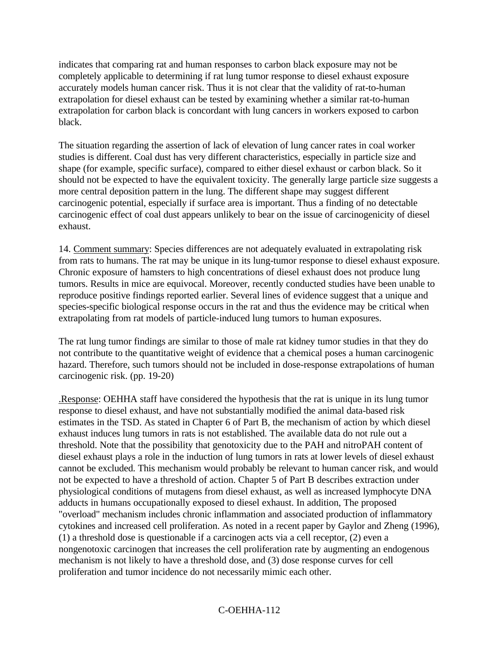indicates that comparing rat and human responses to carbon black exposure may not be completely applicable to determining if rat lung tumor response to diesel exhaust exposure accurately models human cancer risk. Thus it is not clear that the validity of rat-to-human extrapolation for diesel exhaust can be tested by examining whether a similar rat-to-human extrapolation for carbon black is concordant with lung cancers in workers exposed to carbon black.

The situation regarding the assertion of lack of elevation of lung cancer rates in coal worker studies is different. Coal dust has very different characteristics, especially in particle size and shape (for example, specific surface), compared to either diesel exhaust or carbon black. So it should not be expected to have the equivalent toxicity. The generally large particle size suggests a more central deposition pattern in the lung. The different shape may suggest different carcinogenic potential, especially if surface area is important. Thus a finding of no detectable carcinogenic effect of coal dust appears unlikely to bear on the issue of carcinogenicity of diesel exhaust.

14. Comment summary: Species differences are not adequately evaluated in extrapolating risk from rats to humans. The rat may be unique in its lung-tumor response to diesel exhaust exposure. Chronic exposure of hamsters to high concentrations of diesel exhaust does not produce lung tumors. Results in mice are equivocal. Moreover, recently conducted studies have been unable to reproduce positive findings reported earlier. Several lines of evidence suggest that a unique and species-specific biological response occurs in the rat and thus the evidence may be critical when extrapolating from rat models of particle-induced lung tumors to human exposures.

The rat lung tumor findings are similar to those of male rat kidney tumor studies in that they do not contribute to the quantitative weight of evidence that a chemical poses a human carcinogenic hazard. Therefore, such tumors should not be included in dose-response extrapolations of human carcinogenic risk. (pp. 19-20)

.Response: OEHHA staff have considered the hypothesis that the rat is unique in its lung tumor response to diesel exhaust, and have not substantially modified the animal data-based risk estimates in the TSD. As stated in Chapter 6 of Part B, the mechanism of action by which diesel exhaust induces lung tumors in rats is not established. The available data do not rule out a threshold. Note that the possibility that genotoxicity due to the PAH and nitroPAH content of diesel exhaust plays a role in the induction of lung tumors in rats at lower levels of diesel exhaust cannot be excluded. This mechanism would probably be relevant to human cancer risk, and would not be expected to have a threshold of action. Chapter 5 of Part B describes extraction under physiological conditions of mutagens from diesel exhaust, as well as increased lymphocyte DNA adducts in humans occupationally exposed to diesel exhaust. In addition, The proposed "overload" mechanism includes chronic inflammation and associated production of inflammatory cytokines and increased cell proliferation. As noted in a recent paper by Gaylor and Zheng (1996), (1) a threshold dose is questionable if a carcinogen acts via a cell receptor, (2) even a nongenotoxic carcinogen that increases the cell proliferation rate by augmenting an endogenous mechanism is not likely to have a threshold dose, and (3) dose response curves for cell proliferation and tumor incidence do not necessarily mimic each other.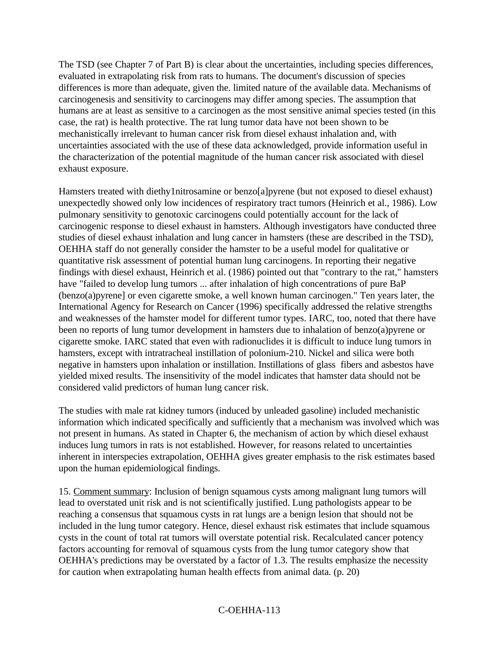The TSD (see Chapter 7 of Part B) is clear about the uncertainties, including species differences, evaluated in extrapolating risk from rats to humans. The document's discussion of species differences is more than adequate, given the. limited nature of the available data. Mechanisms of carcinogenesis and sensitivity to carcinogens may differ among species. The assumption that humans are at least as sensitive to a carcinogen as the most sensitive animal species tested (in this case, the rat) is health protective. The rat lung tumor data have not been shown to be mechanistically irrelevant to human cancer risk from diesel exhaust inhalation and, with uncertainties associated with the use of these data acknowledged, provide information useful in the characterization of the potential magnitude of the human cancer risk associated with diesel exhaust exposure.

Hamsters treated with diethy1nitrosamine or benzo[a]pyrene (but not exposed to diesel exhaust) unexpectedly showed only low incidences of respiratory tract tumors (Heinrich et al., 1986). Low pulmonary sensitivity to genotoxic carcinogens could potentially account for the lack of carcinogenic response to diesel exhaust in hamsters. Although investigators have conducted three studies of diesel exhaust inhalation and lung cancer in hamsters (these are described in the TSD), OEHHA staff do not generally consider the hamster to be a useful model for qualitative or quantitative risk assessment of potential human lung carcinogens. In reporting their negative findings with diesel exhaust, Heinrich et al. (1986) pointed out that "contrary to the rat," hamsters have "failed to develop lung tumors ... after inhalation of high concentrations of pure BaP (benzo(a)pyrene] or even cigarette smoke, a well known human carcinogen." Ten years later, the International Agency for Research on Cancer (1996) specifically addressed the relative strengths and weaknesses of the hamster model for different tumor types. IARC, too, noted that there have been no reports of lung tumor development in hamsters due to inhalation of benzo(a)pyrene or cigarette smoke. IARC stated that even with radionuclides it is difficult to induce lung tumors in hamsters, except with intratracheal instillation of polonium-210. Nickel and silica were both negative in hamsters upon inhalation or instillation. Instillations of glass fibers and asbestos have yielded mixed results. The insensitivity of the model indicates that hamster data should not be considered valid predictors of human lung cancer risk.

The studies with male rat kidney tumors (induced by unleaded gasoline) included mechanistic information which indicated specifically and sufficiently that a mechanism was involved which was not present in humans. As stated in Chapter 6, the mechanism of action by which diesel exhaust induces lung tumors in rats is not established. However, for reasons related to uncertainties inherent in interspecies extrapolation, OEHHA gives greater emphasis to the risk estimates based upon the human epidemiological findings.

15. Comment summary: Inclusion of benign squamous cysts among malignant lung tumors will lead to overstated unit risk and is not scientifically justified. Lung pathologists appear to be reaching a consensus that squamous cysts in rat lungs are a benign lesion that should not be included in the lung tumor category. Hence, diesel exhaust risk estimates that include squamous cysts in the count of total rat tumors will overstate potential risk. Recalculated cancer potency factors accounting for removal of squamous cysts from the lung tumor category show that OEHHA's predictions may be overstated by a factor of 1.3. The results emphasize the necessity for caution when extrapolating human health effects from animal data. (p. 20)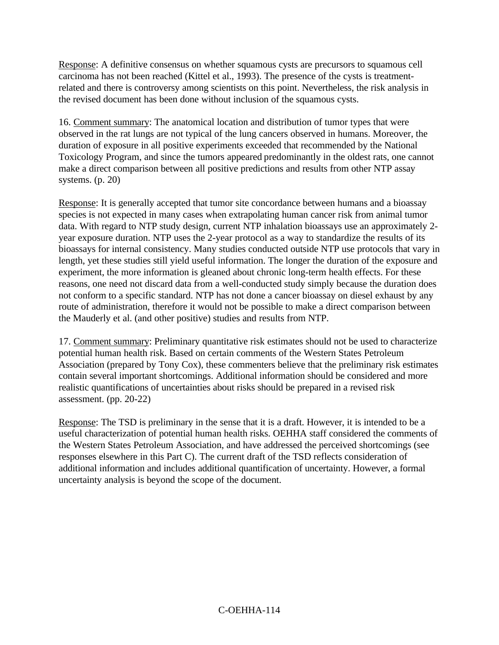Response: A definitive consensus on whether squamous cysts are precursors to squamous cell carcinoma has not been reached (Kittel et al., 1993). The presence of the cysts is treatmentrelated and there is controversy among scientists on this point. Nevertheless, the risk analysis in the revised document has been done without inclusion of the squamous cysts.

16. Comment summary: The anatomical location and distribution of tumor types that were observed in the rat lungs are not typical of the lung cancers observed in humans. Moreover, the duration of exposure in all positive experiments exceeded that recommended by the National Toxicology Program, and since the tumors appeared predominantly in the oldest rats, one cannot make a direct comparison between all positive predictions and results from other NTP assay systems. (p. 20)

Response: It is generally accepted that tumor site concordance between humans and a bioassay species is not expected in many cases when extrapolating human cancer risk from animal tumor data. With regard to NTP study design, current NTP inhalation bioassays use an approximately 2 year exposure duration. NTP uses the 2-year protocol as a way to standardize the results of its bioassays for internal consistency. Many studies conducted outside NTP use protocols that vary in length, yet these studies still yield useful information. The longer the duration of the exposure and experiment, the more information is gleaned about chronic long-term health effects. For these reasons, one need not discard data from a well-conducted study simply because the duration does not conform to a specific standard. NTP has not done a cancer bioassay on diesel exhaust by any route of administration, therefore it would not be possible to make a direct comparison between the Mauderly et al. (and other positive) studies and results from NTP.

17. Comment summary: Preliminary quantitative risk estimates should not be used to characterize potential human health risk. Based on certain comments of the Western States Petroleum Association (prepared by Tony Cox), these commenters believe that the preliminary risk estimates contain several important shortcomings. Additional information should be considered and more realistic quantifications of uncertainties about risks should be prepared in a revised risk assessment. (pp. 20-22)

Response: The TSD is preliminary in the sense that it is a draft. However, it is intended to be a useful characterization of potential human health risks. OEHHA staff considered the comments of the Western States Petroleum Association, and have addressed the perceived shortcomings (see responses elsewhere in this Part C). The current draft of the TSD reflects consideration of additional information and includes additional quantification of uncertainty. However, a formal uncertainty analysis is beyond the scope of the document.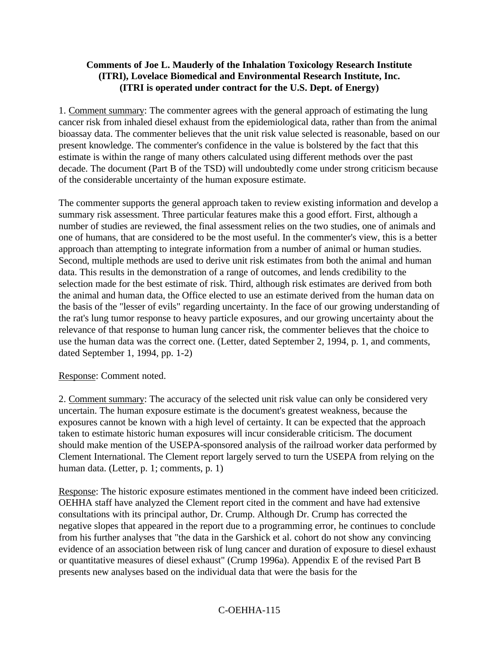#### **Comments of Joe L. Mauderly of the Inhalation Toxicology Research Institute (ITRI), Lovelace Biomedical and Environmental Research Institute, Inc. (ITRI is operated under contract for the U.S. Dept. of Energy)**

1. Comment summary: The commenter agrees with the general approach of estimating the lung cancer risk from inhaled diesel exhaust from the epidemiological data, rather than from the animal bioassay data. The commenter believes that the unit risk value selected is reasonable, based on our present knowledge. The commenter's confidence in the value is bolstered by the fact that this estimate is within the range of many others calculated using different methods over the past decade. The document (Part B of the TSD) will undoubtedly come under strong criticism because of the considerable uncertainty of the human exposure estimate.

The commenter supports the general approach taken to review existing information and develop a summary risk assessment. Three particular features make this a good effort. First, although a number of studies are reviewed, the final assessment relies on the two studies, one of animals and one of humans, that are considered to be the most useful. In the commenter's view, this is a better approach than attempting to integrate information from a number of animal or human studies. Second, multiple methods are used to derive unit risk estimates from both the animal and human data. This results in the demonstration of a range of outcomes, and lends credibility to the selection made for the best estimate of risk. Third, although risk estimates are derived from both the animal and human data, the Office elected to use an estimate derived from the human data on the basis of the "lesser of evils" regarding uncertainty. In the face of our growing understanding of the rat's lung tumor response to heavy particle exposures, and our growing uncertainty about the relevance of that response to human lung cancer risk, the commenter believes that the choice to use the human data was the correct one. (Letter, dated September 2, 1994, p. 1, and comments, dated September 1, 1994, pp. 1-2)

#### Response: Comment noted.

2. Comment summary: The accuracy of the selected unit risk value can only be considered very uncertain. The human exposure estimate is the document's greatest weakness, because the exposures cannot be known with a high level of certainty. It can be expected that the approach taken to estimate historic human exposures will incur considerable criticism. The document should make mention of the USEPA-sponsored analysis of the railroad worker data performed by Clement International. The Clement report largely served to turn the USEPA from relying on the human data. (Letter, p. 1; comments, p. 1)

Response: The historic exposure estimates mentioned in the comment have indeed been criticized. OEHHA staff have analyzed the Clement report cited in the comment and have had extensive consultations with its principal author, Dr. Crump. Although Dr. Crump has corrected the negative slopes that appeared in the report due to a programming error, he continues to conclude from his further analyses that "the data in the Garshick et al. cohort do not show any convincing evidence of an association between risk of lung cancer and duration of exposure to diesel exhaust or quantitative measures of diesel exhaust" (Crump 1996a). Appendix E of the revised Part B presents new analyses based on the individual data that were the basis for the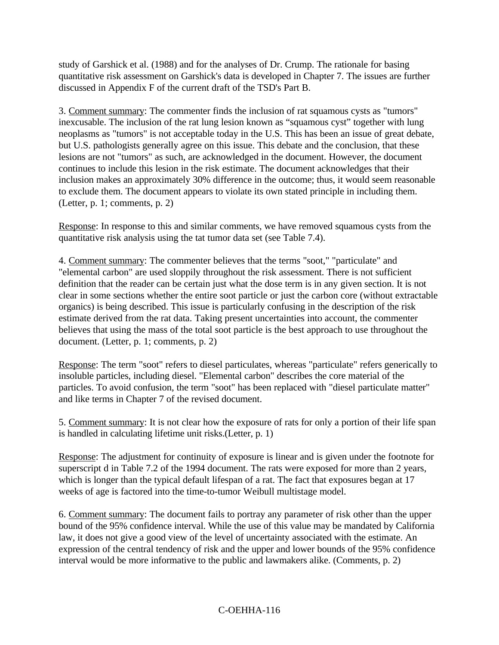study of Garshick et al. (1988) and for the analyses of Dr. Crump. The rationale for basing quantitative risk assessment on Garshick's data is developed in Chapter 7. The issues are further discussed in Appendix F of the current draft of the TSD's Part B.

3. Comment summary: The commenter finds the inclusion of rat squamous cysts as "tumors" inexcusable. The inclusion of the rat lung lesion known as "squamous cyst" together with lung neoplasms as "tumors" is not acceptable today in the U.S. This has been an issue of great debate, but U.S. pathologists generally agree on this issue. This debate and the conclusion, that these lesions are not "tumors" as such, are acknowledged in the document. However, the document continues to include this lesion in the risk estimate. The document acknowledges that their inclusion makes an approximately 30% difference in the outcome; thus, it would seem reasonable to exclude them. The document appears to violate its own stated principle in including them. (Letter, p. 1; comments, p. 2)

Response: In response to this and similar comments, we have removed squamous cysts from the quantitative risk analysis using the tat tumor data set (see Table 7.4).

4. Comment summary: The commenter believes that the terms "soot," "particulate" and "elemental carbon" are used sloppily throughout the risk assessment. There is not sufficient definition that the reader can be certain just what the dose term is in any given section. It is not clear in some sections whether the entire soot particle or just the carbon core (without extractable organics) is being described. This issue is particularly confusing in the description of the risk estimate derived from the rat data. Taking present uncertainties into account, the commenter believes that using the mass of the total soot particle is the best approach to use throughout the document. (Letter, p. 1; comments, p. 2)

Response: The term "soot" refers to diesel particulates, whereas "particulate" refers generically to insoluble particles, including diesel. "Elemental carbon" describes the core material of the particles. To avoid confusion, the term "soot" has been replaced with "diesel particulate matter" and like terms in Chapter 7 of the revised document.

5. Comment summary: It is not clear how the exposure of rats for only a portion of their life span is handled in calculating lifetime unit risks.(Letter, p. 1)

Response: The adjustment for continuity of exposure is linear and is given under the footnote for superscript d in Table 7.2 of the 1994 document. The rats were exposed for more than 2 years, which is longer than the typical default lifespan of a rat. The fact that exposures began at 17 weeks of age is factored into the time-to-tumor Weibull multistage model.

6. Comment summary: The document fails to portray any parameter of risk other than the upper bound of the 95% confidence interval. While the use of this value may be mandated by California law, it does not give a good view of the level of uncertainty associated with the estimate. An expression of the central tendency of risk and the upper and lower bounds of the 95% confidence interval would be more informative to the public and lawmakers alike. (Comments, p. 2)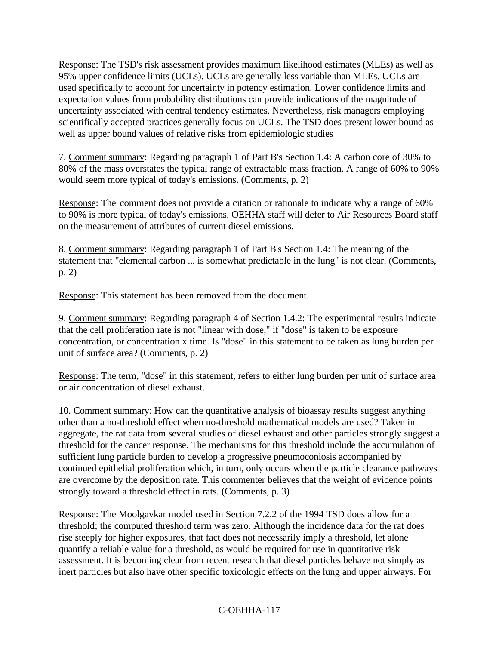Response: The TSD's risk assessment provides maximum likelihood estimates (MLEs) as well as 95% upper confidence limits (UCLs). UCLs are generally less variable than MLEs. UCLs are used specifically to account for uncertainty in potency estimation. Lower confidence limits and expectation values from probability distributions can provide indications of the magnitude of uncertainty associated with central tendency estimates. Nevertheless, risk managers employing scientifically accepted practices generally focus on UCLs. The TSD does present lower bound as well as upper bound values of relative risks from epidemiologic studies

7. Comment summary: Regarding paragraph 1 of Part B's Section 1.4: A carbon core of 30% to 80% of the mass overstates the typical range of extractable mass fraction. A range of 60% to 90% would seem more typical of today's emissions. (Comments, p. 2)

Response: The comment does not provide a citation or rationale to indicate why a range of 60% to 90% is more typical of today's emissions. OEHHA staff will defer to Air Resources Board staff on the measurement of attributes of current diesel emissions.

8. Comment summary: Regarding paragraph 1 of Part B's Section 1.4: The meaning of the statement that "elemental carbon ... is somewhat predictable in the lung" is not clear. (Comments, p. 2)

Response: This statement has been removed from the document.

9. Comment summary: Regarding paragraph 4 of Section 1.4.2: The experimental results indicate that the cell proliferation rate is not "linear with dose," if "dose" is taken to be exposure concentration, or concentration x time. Is "dose" in this statement to be taken as lung burden per unit of surface area? (Comments, p. 2)

Response: The term, "dose" in this statement, refers to either lung burden per unit of surface area or air concentration of diesel exhaust.

10. Comment summary: How can the quantitative analysis of bioassay results suggest anything other than a no-threshold effect when no-threshold mathematical models are used? Taken in aggregate, the rat data from several studies of diesel exhaust and other particles strongly suggest a threshold for the cancer response. The mechanisms for this threshold include the accumulation of sufficient lung particle burden to develop a progressive pneumoconiosis accompanied by continued epithelial proliferation which, in turn, only occurs when the particle clearance pathways are overcome by the deposition rate. This commenter believes that the weight of evidence points strongly toward a threshold effect in rats. (Comments, p. 3)

Response: The Moolgavkar model used in Section 7.2.2 of the 1994 TSD does allow for a threshold; the computed threshold term was zero. Although the incidence data for the rat does rise steeply for higher exposures, that fact does not necessarily imply a threshold, let alone quantify a reliable value for a threshold, as would be required for use in quantitative risk assessment. It is becoming clear from recent research that diesel particles behave not simply as inert particles but also have other specific toxicologic effects on the lung and upper airways. For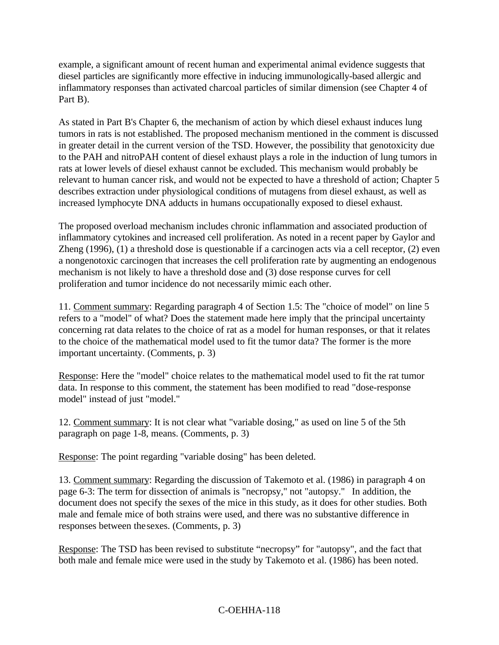example, a significant amount of recent human and experimental animal evidence suggests that diesel particles are significantly more effective in inducing immunologically-based allergic and inflammatory responses than activated charcoal particles of similar dimension (see Chapter 4 of Part B).

As stated in Part B's Chapter 6, the mechanism of action by which diesel exhaust induces lung tumors in rats is not established. The proposed mechanism mentioned in the comment is discussed in greater detail in the current version of the TSD. However, the possibility that genotoxicity due to the PAH and nitroPAH content of diesel exhaust plays a role in the induction of lung tumors in rats at lower levels of diesel exhaust cannot be excluded. This mechanism would probably be relevant to human cancer risk, and would not be expected to have a threshold of action; Chapter 5 describes extraction under physiological conditions of mutagens from diesel exhaust, as well as increased lymphocyte DNA adducts in humans occupationally exposed to diesel exhaust.

The proposed overload mechanism includes chronic inflammation and associated production of inflammatory cytokines and increased cell proliferation. As noted in a recent paper by Gaylor and Zheng (1996), (1) a threshold dose is questionable if a carcinogen acts via a cell receptor, (2) even a nongenotoxic carcinogen that increases the cell proliferation rate by augmenting an endogenous mechanism is not likely to have a threshold dose and (3) dose response curves for cell proliferation and tumor incidence do not necessarily mimic each other.

11. Comment summary: Regarding paragraph 4 of Section 1.5: The "choice of model" on line 5 refers to a "model" of what? Does the statement made here imply that the principal uncertainty concerning rat data relates to the choice of rat as a model for human responses, or that it relates to the choice of the mathematical model used to fit the tumor data? The former is the more important uncertainty. (Comments, p. 3)

Response: Here the "model" choice relates to the mathematical model used to fit the rat tumor data. In response to this comment, the statement has been modified to read "dose-response model" instead of just "model."

12. Comment summary: It is not clear what "variable dosing," as used on line 5 of the 5th paragraph on page 1-8, means. (Comments, p. 3)

Response: The point regarding "variable dosing" has been deleted.

13. Comment summary: Regarding the discussion of Takemoto et al. (1986) in paragraph 4 on page 6-3: The term for dissection of animals is "necropsy," not "autopsy." In addition, the document does not specify the sexes of the mice in this study, as it does for other studies. Both male and female mice of both strains were used, and there was no substantive difference in responses between thesexes. (Comments, p. 3)

Response: The TSD has been revised to substitute "necropsy" for "autopsy", and the fact that both male and female mice were used in the study by Takemoto et al. (1986) has been noted.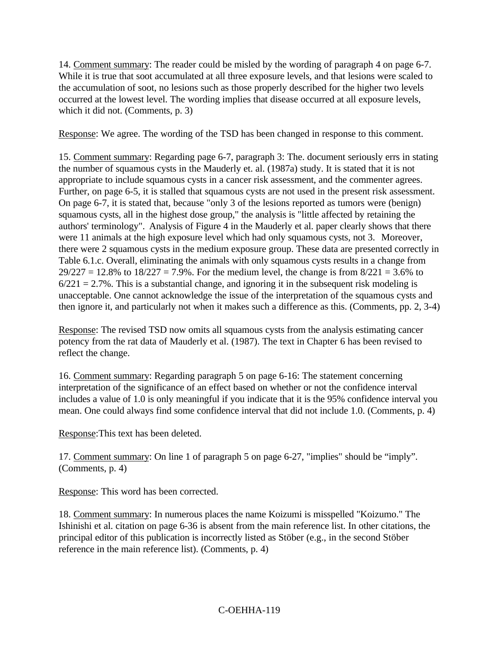14. Comment summary: The reader could be misled by the wording of paragraph 4 on page 6-7. While it is true that soot accumulated at all three exposure levels, and that lesions were scaled to the accumulation of soot, no lesions such as those properly described for the higher two levels occurred at the lowest level. The wording implies that disease occurred at all exposure levels, which it did not. (Comments, p. 3)

Response: We agree. The wording of the TSD has been changed in response to this comment.

15. Comment summary: Regarding page 6-7, paragraph 3: The. document seriously errs in stating the number of squamous cysts in the Mauderly et. al. (1987a) study. It is stated that it is not appropriate to include squamous cysts in a cancer risk assessment, and the commenter agrees. Further, on page 6-5, it is stalled that squamous cysts are not used in the present risk assessment. On page 6-7, it is stated that, because "only 3 of the lesions reported as tumors were (benign) squamous cysts, all in the highest dose group," the analysis is "little affected by retaining the authors' terminology". Analysis of Figure 4 in the Mauderly et al. paper clearly shows that there were 11 animals at the high exposure level which had only squamous cysts, not 3. Moreover, there were 2 squamous cysts in the medium exposure group. These data are presented correctly in Table 6.1.c. Overall, eliminating the animals with only squamous cysts results in a change from  $29/227 = 12.8\%$  to  $18/227 = 7.9\%$ . For the medium level, the change is from  $8/221 = 3.6\%$  to  $6/221 = 2.7\%$ . This is a substantial change, and ignoring it in the subsequent risk modeling is unacceptable. One cannot acknowledge the issue of the interpretation of the squamous cysts and then ignore it, and particularly not when it makes such a difference as this. (Comments, pp. 2, 3-4)

Response: The revised TSD now omits all squamous cysts from the analysis estimating cancer potency from the rat data of Mauderly et al. (1987). The text in Chapter 6 has been revised to reflect the change.

16. Comment summary: Regarding paragraph 5 on page 6-16: The statement concerning interpretation of the significance of an effect based on whether or not the confidence interval includes a value of 1.0 is only meaningful if you indicate that it is the 95% confidence interval you mean. One could always find some confidence interval that did not include 1.0. (Comments, p. 4)

Response:This text has been deleted.

17. Comment summary: On line 1 of paragraph 5 on page 6-27, "implies" should be "imply". (Comments, p. 4)

Response: This word has been corrected.

18. Comment summary: In numerous places the name Koizumi is misspelled "Koizumo." The Ishinishi et al. citation on page 6-36 is absent from the main reference list. In other citations, the principal editor of this publication is incorrectly listed as Stöber (e.g., in the second Stöber reference in the main reference list). (Comments, p. 4)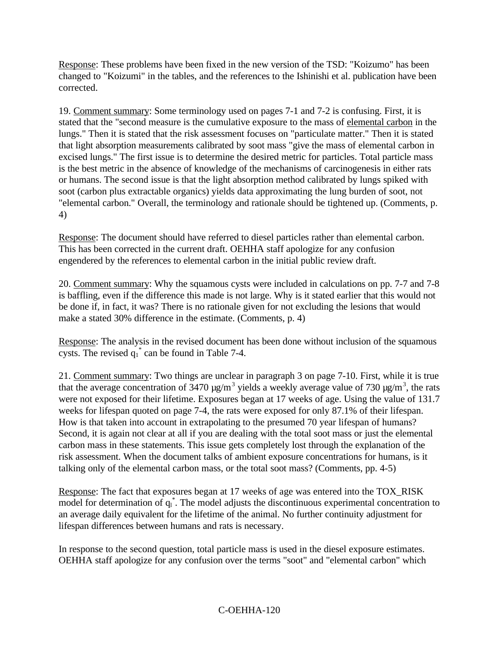Response: These problems have been fixed in the new version of the TSD: "Koizumo" has been changed to "Koizumi" in the tables, and the references to the Ishinishi et al. publication have been corrected.

19. Comment summary: Some terminology used on pages 7-1 and 7-2 is confusing. First, it is stated that the "second measure is the cumulative exposure to the mass of elemental carbon in the lungs." Then it is stated that the risk assessment focuses on "particulate matter." Then it is stated that light absorption measurements calibrated by soot mass "give the mass of elemental carbon in excised lungs." The first issue is to determine the desired metric for particles. Total particle mass is the best metric in the absence of knowledge of the mechanisms of carcinogenesis in either rats or humans. The second issue is that the light absorption method calibrated by lungs spiked with soot (carbon plus extractable organics) yields data approximating the lung burden of soot, not "elemental carbon." Overall, the terminology and rationale should be tightened up. (Comments, p. 4)

Response: The document should have referred to diesel particles rather than elemental carbon. This has been corrected in the current draft. OEHHA staff apologize for any confusion engendered by the references to elemental carbon in the initial public review draft.

20. Comment summary: Why the squamous cysts were included in calculations on pp. 7-7 and 7-8 is baffling, even if the difference this made is not large. Why is it stated earlier that this would not be done if, in fact, it was? There is no rationale given for not excluding the lesions that would make a stated 30% difference in the estimate. (Comments, p. 4)

Response: The analysis in the revised document has been done without inclusion of the squamous cysts. The revised  $q_1^*$  can be found in Table 7-4.

21. Comment summary: Two things are unclear in paragraph 3 on page 7-10. First, while it is true that the average concentration of 3470  $\mu$ g/m<sup>3</sup> yields a weekly average value of 730  $\mu$ g/m<sup>3</sup>, the rats were not exposed for their lifetime. Exposures began at 17 weeks of age. Using the value of 131.7 weeks for lifespan quoted on page 7-4, the rats were exposed for only 87.1% of their lifespan. How is that taken into account in extrapolating to the presumed 70 year lifespan of humans? Second, it is again not clear at all if you are dealing with the total soot mass or just the elemental carbon mass in these statements. This issue gets completely lost through the explanation of the risk assessment. When the document talks of ambient exposure concentrations for humans, is it talking only of the elemental carbon mass, or the total soot mass? (Comments, pp. 4-5)

Response: The fact that exposures began at 17 weeks of age was entered into the TOX\_RISK model for determination of  $q_1^*$ . The model adjusts the discontinuous experimental concentration to an average daily equivalent for the lifetime of the animal. No further continuity adjustment for lifespan differences between humans and rats is necessary.

In response to the second question, total particle mass is used in the diesel exposure estimates. OEHHA staff apologize for any confusion over the terms "soot" and "elemental carbon" which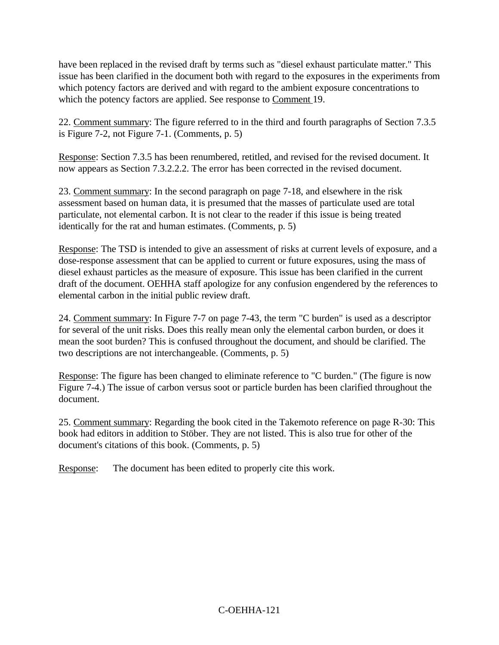have been replaced in the revised draft by terms such as "diesel exhaust particulate matter." This issue has been clarified in the document both with regard to the exposures in the experiments from which potency factors are derived and with regard to the ambient exposure concentrations to which the potency factors are applied. See response to Comment 19.

22. Comment summary: The figure referred to in the third and fourth paragraphs of Section 7.3.5 is Figure 7-2, not Figure 7-1. (Comments, p. 5)

Response: Section 7.3.5 has been renumbered, retitled, and revised for the revised document. It now appears as Section 7.3.2.2.2. The error has been corrected in the revised document.

23. Comment summary: In the second paragraph on page 7-18, and elsewhere in the risk assessment based on human data, it is presumed that the masses of particulate used are total particulate, not elemental carbon. It is not clear to the reader if this issue is being treated identically for the rat and human estimates. (Comments, p. 5)

Response: The TSD is intended to give an assessment of risks at current levels of exposure, and a dose-response assessment that can be applied to current or future exposures, using the mass of diesel exhaust particles as the measure of exposure. This issue has been clarified in the current draft of the document. OEHHA staff apologize for any confusion engendered by the references to elemental carbon in the initial public review draft.

24. Comment summary: In Figure 7-7 on page 7-43, the term "C burden" is used as a descriptor for several of the unit risks. Does this really mean only the elemental carbon burden, or does it mean the soot burden? This is confused throughout the document, and should be clarified. The two descriptions are not interchangeable. (Comments, p. 5)

Response: The figure has been changed to eliminate reference to "C burden." (The figure is now Figure 7-4.) The issue of carbon versus soot or particle burden has been clarified throughout the document.

25. Comment summary: Regarding the book cited in the Takemoto reference on page R-30: This book had editors in addition to Stöber. They are not listed. This is also true for other of the document's citations of this book. (Comments, p. 5)

Response: The document has been edited to properly cite this work.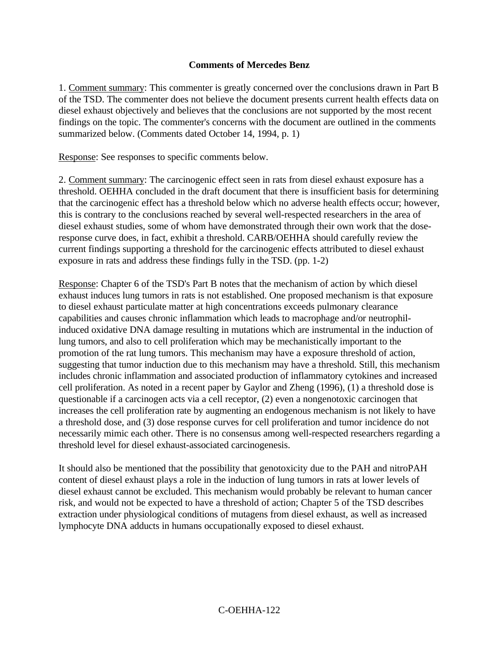#### **Comments of Mercedes Benz**

1. Comment summary: This commenter is greatly concerned over the conclusions drawn in Part B of the TSD. The commenter does not believe the document presents current health effects data on diesel exhaust objectively and believes that the conclusions are not supported by the most recent findings on the topic. The commenter's concerns with the document are outlined in the comments summarized below. (Comments dated October 14, 1994, p. 1)

Response: See responses to specific comments below.

2. Comment summary: The carcinogenic effect seen in rats from diesel exhaust exposure has a threshold. OEHHA concluded in the draft document that there is insufficient basis for determining that the carcinogenic effect has a threshold below which no adverse health effects occur; however, this is contrary to the conclusions reached by several well-respected researchers in the area of diesel exhaust studies, some of whom have demonstrated through their own work that the doseresponse curve does, in fact, exhibit a threshold. CARB/OEHHA should carefully review the current findings supporting a threshold for the carcinogenic effects attributed to diesel exhaust exposure in rats and address these findings fully in the TSD. (pp. 1-2)

Response: Chapter 6 of the TSD's Part B notes that the mechanism of action by which diesel exhaust induces lung tumors in rats is not established. One proposed mechanism is that exposure to diesel exhaust particulate matter at high concentrations exceeds pulmonary clearance capabilities and causes chronic inflammation which leads to macrophage and/or neutrophilinduced oxidative DNA damage resulting in mutations which are instrumental in the induction of lung tumors, and also to cell proliferation which may be mechanistically important to the promotion of the rat lung tumors. This mechanism may have a exposure threshold of action, suggesting that tumor induction due to this mechanism may have a threshold. Still, this mechanism includes chronic inflammation and associated production of inflammatory cytokines and increased cell proliferation. As noted in a recent paper by Gaylor and Zheng (1996), (1) a threshold dose is questionable if a carcinogen acts via a cell receptor, (2) even a nongenotoxic carcinogen that increases the cell proliferation rate by augmenting an endogenous mechanism is not likely to have a threshold dose, and (3) dose response curves for cell proliferation and tumor incidence do not necessarily mimic each other. There is no consensus among well-respected researchers regarding a threshold level for diesel exhaust-associated carcinogenesis.

It should also be mentioned that the possibility that genotoxicity due to the PAH and nitroPAH content of diesel exhaust plays a role in the induction of lung tumors in rats at lower levels of diesel exhaust cannot be excluded. This mechanism would probably be relevant to human cancer risk, and would not be expected to have a threshold of action; Chapter 5 of the TSD describes extraction under physiological conditions of mutagens from diesel exhaust, as well as increased lymphocyte DNA adducts in humans occupationally exposed to diesel exhaust.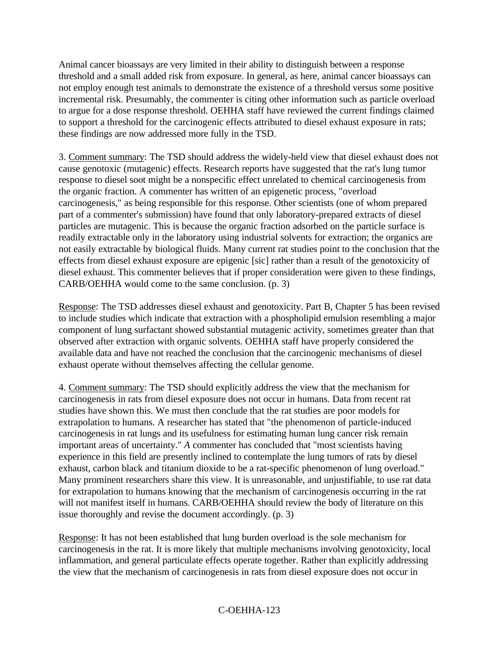Animal cancer bioassays are very limited in their ability to distinguish between a response threshold and a small added risk from exposure. In general, as here, animal cancer bioassays can not employ enough test animals to demonstrate the existence of a threshold versus some positive incremental risk. Presumably, the commenter is citing other information such as particle overload to argue for a dose response threshold. OEHHA staff have reviewed the current findings claimed to support a threshold for the carcinogenic effects attributed to diesel exhaust exposure in rats; these findings are now addressed more fully in the TSD.

3. Comment summary: The TSD should address the widely-held view that diesel exhaust does not cause genotoxic (mutagenic) effects. Research reports have suggested that the rat's lung tumor response to diesel soot might be a nonspecific effect unrelated to chemical carcinogenesis from the organic fraction. A commenter has written of an epigenetic process, "overload carcinogenesis," as being responsible for this response. Other scientists (one of whom prepared part of a commenter's submission) have found that only laboratory-prepared extracts of diesel particles are mutagenic. This is because the organic fraction adsorbed on the particle surface is readily extractable only in the laboratory using industrial solvents for extraction; the organics are not easily extractable by biological fluids. Many current rat studies point to the conclusion that the effects from diesel exhaust exposure are epigenic [sic] rather than a result of the genotoxicity of diesel exhaust. This commenter believes that if proper consideration were given to these findings, CARB/OEHHA would come to the same conclusion. (p. 3)

Response: The TSD addresses diesel exhaust and genotoxicity. Part B, Chapter 5 has been revised to include studies which indicate that extraction with a phospholipid emulsion resembling a major component of lung surfactant showed substantial mutagenic activity, sometimes greater than that observed after extraction with organic solvents. OEHHA staff have properly considered the available data and have not reached the conclusion that the carcinogenic mechanisms of diesel exhaust operate without themselves affecting the cellular genome.

4. Comment summary: The TSD should explicitly address the view that the mechanism for carcinogenesis in rats from diesel exposure does not occur in humans. Data from recent rat studies have shown this. We must then conclude that the rat studies are poor models for extrapolation to humans. A researcher has stated that "the phenomenon of particle-induced carcinogenesis in rat lungs and its usefulness for estimating human lung cancer risk remain important areas of uncertainty." *A* commenter has concluded that "most scientists having experience in this field are presently inclined to contemplate the lung tumors of rats by diesel exhaust, carbon black and titanium dioxide to be a rat-specific phenomenon of lung overload." Many prominent researchers share this view. It is unreasonable, and unjustifiable, to use rat data for extrapolation to humans knowing that the mechanism of carcinogenesis occurring in the rat will not manifest itself in humans. CARB/OEHHA should review the body of literature on this issue thoroughly and revise the document accordingly. (p. 3)

Response: It has not been established that lung burden overload is the sole mechanism for carcinogenesis in the rat. It is more likely that multiple mechanisms involving genotoxicity, local inflammation, and general particulate effects operate together. Rather than explicitly addressing the view that the mechanism of carcinogenesis in rats from diesel exposure does not occur in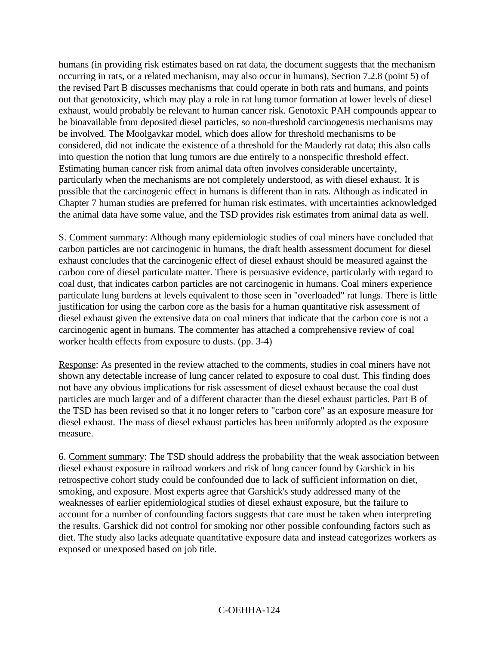humans (in providing risk estimates based on rat data, the document suggests that the mechanism occurring in rats, or a related mechanism, may also occur in humans), Section 7.2.8 (point 5) of the revised Part B discusses mechanisms that could operate in both rats and humans, and points out that genotoxicity, which may play a role in rat lung tumor formation at lower levels of diesel exhaust, would probably be relevant to human cancer risk. Genotoxic PAH compounds appear to be bioavailable from deposited diesel particles, so non-threshold carcinogenesis mechanisms may be involved. The Moolgavkar model, which does allow for threshold mechanisms to be considered, did not indicate the existence of a threshold for the Mauderly rat data; this also calls into question the notion that lung tumors are due entirely to a nonspecific threshold effect. Estimating human cancer risk from animal data often involves considerable uncertainty, particularly when the mechanisms are not completely understood, as with diesel exhaust. It is possible that the carcinogenic effect in humans is different than in rats. Although as indicated in Chapter 7 human studies are preferred for human risk estimates, with uncertainties acknowledged the animal data have some value, and the TSD provides risk estimates from animal data as well.

S. Comment summary: Although many epidemiologic studies of coal miners have concluded that carbon particles are not carcinogenic in humans, the draft health assessment document for diesel exhaust concludes that the carcinogenic effect of diesel exhaust should be measured against the carbon core of diesel particulate matter. There is persuasive evidence, particularly with regard to coal dust, that indicates carbon particles are not carcinogenic in humans. Coal miners experience particulate lung burdens at levels equivalent to those seen in "overloaded" rat lungs. There is little justification for using the carbon core as the basis for a human quantitative risk assessment of diesel exhaust given the extensive data on coal miners that indicate that the carbon core is not a carcinogenic agent in humans. The commenter has attached a comprehensive review of coal worker health effects from exposure to dusts. (pp. 3-4)

Response: As presented in the review attached to the comments, studies in coal miners have not shown any detectable increase of lung cancer related to exposure to coal dust. This finding does not have any obvious implications for risk assessment of diesel exhaust because the coal dust particles are much larger and of a different character than the diesel exhaust particles. Part B of the TSD has been revised so that it no longer refers to "carbon core" as an exposure measure for diesel exhaust. The mass of diesel exhaust particles has been uniformly adopted as the exposure measure.

6. Comment summary: The TSD should address the probability that the weak association between diesel exhaust exposure in railroad workers and risk of lung cancer found by Garshick in his retrospective cohort study could be confounded due to lack of sufficient information on diet, smoking, and exposure. Most experts agree that Garshick's study addressed many of the weaknesses of earlier epidemiological studies of diesel exhaust exposure, but the failure to account for a number of confounding factors suggests that care must be taken when interpreting the results. Garshick did not control for smoking nor other possible confounding factors such as diet. The study also lacks adequate quantitative exposure data and instead categorizes workers as exposed or unexposed based on job title.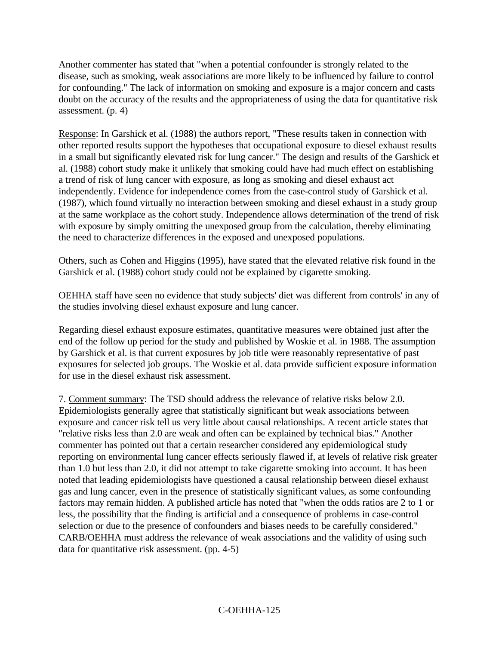Another commenter has stated that "when a potential confounder is strongly related to the disease, such as smoking, weak associations are more likely to be influenced by failure to control for confounding." The lack of information on smoking and exposure is a major concern and casts doubt on the accuracy of the results and the appropriateness of using the data for quantitative risk assessment. (p. 4)

Response: In Garshick et al. (1988) the authors report, "These results taken in connection with other reported results support the hypotheses that occupational exposure to diesel exhaust results in a small but significantly elevated risk for lung cancer." The design and results of the Garshick et al. (1988) cohort study make it unlikely that smoking could have had much effect on establishing a trend of risk of lung cancer with exposure, as long as smoking and diesel exhaust act independently. Evidence for independence comes from the case-control study of Garshick et al. (1987), which found virtually no interaction between smoking and diesel exhaust in a study group at the same workplace as the cohort study. Independence allows determination of the trend of risk with exposure by simply omitting the unexposed group from the calculation, thereby eliminating the need to characterize differences in the exposed and unexposed populations.

Others, such as Cohen and Higgins (1995), have stated that the elevated relative risk found in the Garshick et al. (1988) cohort study could not be explained by cigarette smoking.

OEHHA staff have seen no evidence that study subjects' diet was different from controls' in any of the studies involving diesel exhaust exposure and lung cancer.

Regarding diesel exhaust exposure estimates, quantitative measures were obtained just after the end of the follow up period for the study and published by Woskie et al. in 1988. The assumption by Garshick et al. is that current exposures by job title were reasonably representative of past exposures for selected job groups. The Woskie et al. data provide sufficient exposure information for use in the diesel exhaust risk assessment.

7. Comment summary: The TSD should address the relevance of relative risks below 2.0. Epidemiologists generally agree that statistically significant but weak associations between exposure and cancer risk tell us very little about causal relationships. A recent article states that "relative risks less than 2.0 are weak and often can be explained by technical bias." Another commenter has pointed out that a certain researcher considered any epidemiological study reporting on environmental lung cancer effects seriously flawed if, at levels of relative risk greater than 1.0 but less than 2.0, it did not attempt to take cigarette smoking into account. It has been noted that leading epidemiologists have questioned a causal relationship between diesel exhaust gas and lung cancer, even in the presence of statistically significant values, as some confounding factors may remain hidden. A published article has noted that "when the odds ratios are 2 to 1 or less, the possibility that the finding is artificial and a consequence of problems in case-control selection or due to the presence of confounders and biases needs to be carefully considered." CARB/OEHHA must address the relevance of weak associations and the validity of using such data for quantitative risk assessment. (pp. 4-5)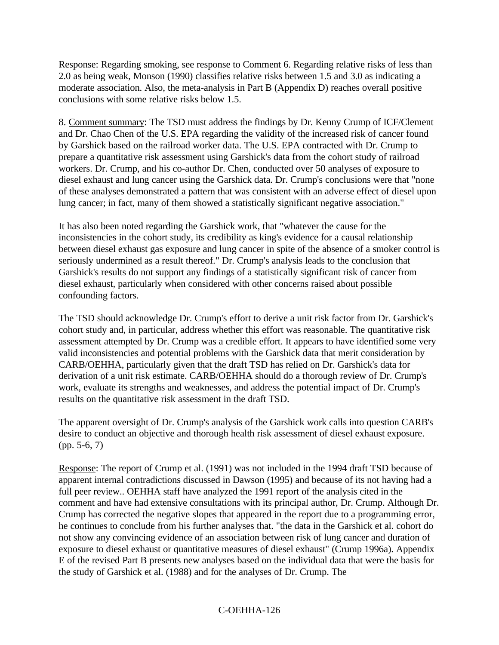Response: Regarding smoking, see response to Comment 6. Regarding relative risks of less than 2.0 as being weak, Monson (1990) classifies relative risks between 1.5 and 3.0 as indicating a moderate association. Also, the meta-analysis in Part B (Appendix D) reaches overall positive conclusions with some relative risks below 1.5.

8. Comment summary: The TSD must address the findings by Dr. Kenny Crump of ICF/Clement and Dr. Chao Chen of the U.S. EPA regarding the validity of the increased risk of cancer found by Garshick based on the railroad worker data. The U.S. EPA contracted with Dr. Crump to prepare a quantitative risk assessment using Garshick's data from the cohort study of railroad workers. Dr. Crump, and his co-author Dr. Chen, conducted over 50 analyses of exposure to diesel exhaust and lung cancer using the Garshick data. Dr. Crump's conclusions were that "none of these analyses demonstrated a pattern that was consistent with an adverse effect of diesel upon lung cancer; in fact, many of them showed a statistically significant negative association."

It has also been noted regarding the Garshick work, that "whatever the cause for the inconsistencies in the cohort study, its credibility as king's evidence for a causal relationship between diesel exhaust gas exposure and lung cancer in spite of the absence of a smoker control is seriously undermined as a result thereof." Dr. Crump's analysis leads to the conclusion that Garshick's results do not support any findings of a statistically significant risk of cancer from diesel exhaust, particularly when considered with other concerns raised about possible confounding factors.

The TSD should acknowledge Dr. Crump's effort to derive a unit risk factor from Dr. Garshick's cohort study and, in particular, address whether this effort was reasonable. The quantitative risk assessment attempted by Dr. Crump was a credible effort. It appears to have identified some very valid inconsistencies and potential problems with the Garshick data that merit consideration by CARB/OEHHA, particularly given that the draft TSD has relied on Dr. Garshick's data for derivation of a unit risk estimate. CARB/OEHHA should do a thorough review of Dr. Crump's work, evaluate its strengths and weaknesses, and address the potential impact of Dr. Crump's results on the quantitative risk assessment in the draft TSD.

The apparent oversight of Dr. Crump's analysis of the Garshick work calls into question CARB's desire to conduct an objective and thorough health risk assessment of diesel exhaust exposure. (pp. 5-6, 7)

Response: The report of Crump et al. (1991) was not included in the 1994 draft TSD because of apparent internal contradictions discussed in Dawson (1995) and because of its not having had a full peer review.. OEHHA staff have analyzed the 1991 report of the analysis cited in the comment and have had extensive consultations with its principal author, Dr. Crump. Although Dr. Crump has corrected the negative slopes that appeared in the report due to a programming error, he continues to conclude from his further analyses that. "the data in the Garshick et al. cohort do not show any convincing evidence of an association between risk of lung cancer and duration of exposure to diesel exhaust or quantitative measures of diesel exhaust" (Crump 1996a). Appendix E of the revised Part B presents new analyses based on the individual data that were the basis for the study of Garshick et al. (1988) and for the analyses of Dr. Crump. The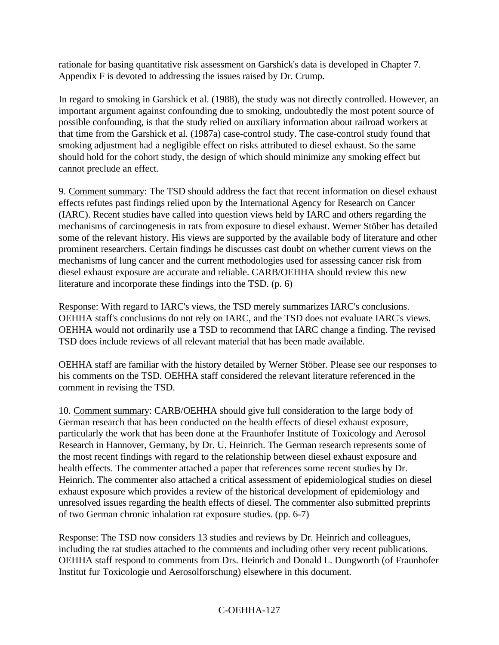rationale for basing quantitative risk assessment on Garshick's data is developed in Chapter 7. Appendix F is devoted to addressing the issues raised by Dr. Crump.

In regard to smoking in Garshick et al. (1988), the study was not directly controlled. However, an important argument against confounding due to smoking, undoubtedly the most potent source of possible confounding, is that the study relied on auxiliary information about railroad workers at that time from the Garshick et al. (1987a) case-control study. The case-control study found that smoking adjustment had a negligible effect on risks attributed to diesel exhaust. So the same should hold for the cohort study, the design of which should minimize any smoking effect but cannot preclude an effect.

9. Comment summary: The TSD should address the fact that recent information on diesel exhaust effects refutes past findings relied upon by the International Agency for Research on Cancer (IARC). Recent studies have called into question views held by IARC and others regarding the mechanisms of carcinogenesis in rats from exposure to diesel exhaust. Werner Stöber has detailed some of the relevant history. His views are supported by the available body of literature and other prominent researchers. Certain findings he discusses cast doubt on whether current views on the mechanisms of lung cancer and the current methodologies used for assessing cancer risk from diesel exhaust exposure are accurate and reliable. CARB/OEHHA should review this new literature and incorporate these findings into the TSD. (p. 6)

Response: With regard to IARC's views, the TSD merely summarizes IARC's conclusions. OEHHA staff's conclusions do not rely on IARC, and the TSD does not evaluate IARC's views. OEHHA would not ordinarily use a TSD to recommend that IARC change a finding. The revised TSD does include reviews of all relevant material that has been made available.

OEHHA staff are familiar with the history detailed by Werner Stöber. Please see our responses to his comments on the TSD. OEHHA staff considered the relevant literature referenced in the comment in revising the TSD.

10. Comment summary: CARB/OEHHA should give full consideration to the large body of German research that has been conducted on the health effects of diesel exhaust exposure, particularly the work that has been done at the Fraunhofer Institute of Toxicology and Aerosol Research in Hannover, Germany, by Dr. U. Heinrich. The German research represents some of the most recent findings with regard to the relationship between diesel exhaust exposure and health effects. The commenter attached a paper that references some recent studies by Dr. Heinrich. The commenter also attached a critical assessment of epidemiological studies on diesel exhaust exposure which provides a review of the historical development of epidemiology and unresolved issues regarding the health effects of diesel. The commenter also submitted preprints of two German chronic inhalation rat exposure studies. (pp. 6-7)

Response: The TSD now considers 13 studies and reviews by Dr. Heinrich and colleagues, including the rat studies attached to the comments and including other very recent publications. OEHHA staff respond to comments from Drs. Heinrich and Donald L. Dungworth (of Fraunhofer Institut fur Toxicologie und Aerosolforschung) elsewhere in this document.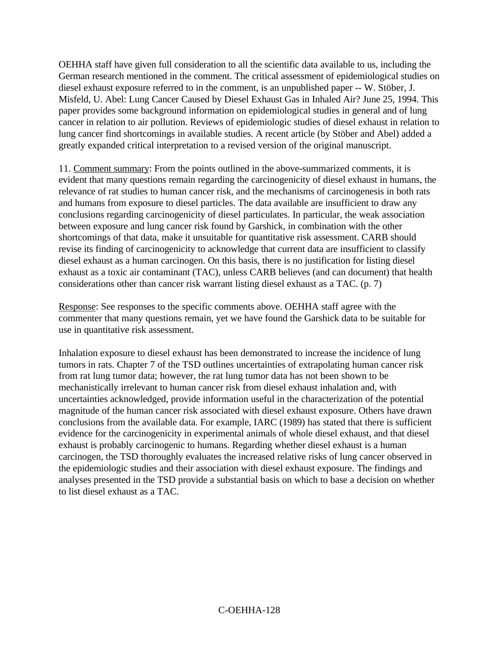OEHHA staff have given full consideration to all the scientific data available to us, including the German research mentioned in the comment. The critical assessment of epidemiological studies on diesel exhaust exposure referred to in the comment, is an unpublished paper -- W. Stöber, J. Misfeld, U. Abel: Lung Cancer Caused by Diesel Exhaust Gas in Inhaled Air? June 25, 1994. This paper provides some background information on epidemiological studies in general and of lung cancer in relation to air pollution. Reviews of epidemiologic studies of diesel exhaust in relation to lung cancer find shortcomings in available studies. A recent article (by Stöber and Abel) added a greatly expanded critical interpretation to a revised version of the original manuscript.

11. Comment summary: From the points outlined in the above-summarized comments, it is evident that many questions remain regarding the carcinogenicity of diesel exhaust in humans, the relevance of rat studies to human cancer risk, and the mechanisms of carcinogenesis in both rats and humans from exposure to diesel particles. The data available are insufficient to draw any conclusions regarding carcinogenicity of diesel particulates. In particular, the weak association between exposure and lung cancer risk found by Garshick, in combination with the other shortcomings of that data, make it unsuitable for quantitative risk assessment. CARB should revise its finding of carcinogenicity to acknowledge that current data are insufficient to classify diesel exhaust as a human carcinogen. On this basis, there is no justification for listing diesel exhaust as a toxic air contaminant (TAC), unless CARB believes (and can document) that health considerations other than cancer risk warrant listing diesel exhaust as a TAC. (p. 7)

Response: See responses to the specific comments above. OEHHA staff agree with the commenter that many questions remain, yet we have found the Garshick data to be suitable for use in quantitative risk assessment.

Inhalation exposure to diesel exhaust has been demonstrated to increase the incidence of lung tumors in rats. Chapter 7 of the TSD outlines uncertainties of extrapolating human cancer risk from rat lung tumor data; however, the rat lung tumor data has not been shown to be mechanistically irrelevant to human cancer risk from diesel exhaust inhalation and, with uncertainties acknowledged, provide information useful in the characterization of the potential magnitude of the human cancer risk associated with diesel exhaust exposure. Others have drawn conclusions from the available data. For example, IARC (1989) has stated that there is sufficient evidence for the carcinogenicity in experimental animals of whole diesel exhaust, and that diesel exhaust is probably carcinogenic to humans. Regarding whether diesel exhaust is a human carcinogen, the TSD thoroughly evaluates the increased relative risks of lung cancer observed in the epidemiologic studies and their association with diesel exhaust exposure. The findings and analyses presented in the TSD provide a substantial basis on which to base a decision on whether to list diesel exhaust as a TAC.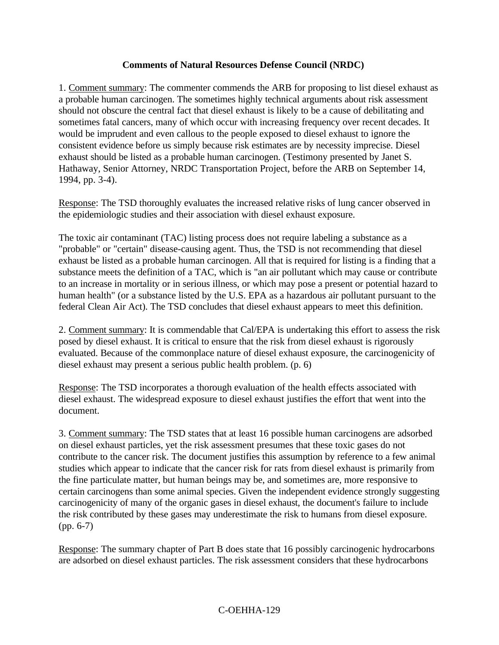#### **Comments of Natural Resources Defense Council (NRDC)**

1. Comment summary: The commenter commends the ARB for proposing to list diesel exhaust as a probable human carcinogen. The sometimes highly technical arguments about risk assessment should not obscure the central fact that diesel exhaust is likely to be a cause of debilitating and sometimes fatal cancers, many of which occur with increasing frequency over recent decades. It would be imprudent and even callous to the people exposed to diesel exhaust to ignore the consistent evidence before us simply because risk estimates are by necessity imprecise. Diesel exhaust should be listed as a probable human carcinogen. (Testimony presented by Janet S. Hathaway, Senior Attorney, NRDC Transportation Project, before the ARB on September 14, 1994, pp. 3-4).

Response: The TSD thoroughly evaluates the increased relative risks of lung cancer observed in the epidemiologic studies and their association with diesel exhaust exposure.

The toxic air contaminant (TAC) listing process does not require labeling a substance as a "probable" or "certain" disease-causing agent. Thus, the TSD is not recommending that diesel exhaust be listed as a probable human carcinogen. All that is required for listing is a finding that a substance meets the definition of a TAC, which is "an air pollutant which may cause or contribute to an increase in mortality or in serious illness, or which may pose a present or potential hazard to human health" (or a substance listed by the U.S. EPA as a hazardous air pollutant pursuant to the federal Clean Air Act). The TSD concludes that diesel exhaust appears to meet this definition.

2. Comment summary: It is commendable that Cal/EPA is undertaking this effort to assess the risk posed by diesel exhaust. It is critical to ensure that the risk from diesel exhaust is rigorously evaluated. Because of the commonplace nature of diesel exhaust exposure, the carcinogenicity of diesel exhaust may present a serious public health problem. (p. 6)

Response: The TSD incorporates a thorough evaluation of the health effects associated with diesel exhaust. The widespread exposure to diesel exhaust justifies the effort that went into the document.

3. Comment summary: The TSD states that at least 16 possible human carcinogens are adsorbed on diesel exhaust particles, yet the risk assessment presumes that these toxic gases do not contribute to the cancer risk. The document justifies this assumption by reference to a few animal studies which appear to indicate that the cancer risk for rats from diesel exhaust is primarily from the fine particulate matter, but human beings may be, and sometimes are, more responsive to certain carcinogens than some animal species. Given the independent evidence strongly suggesting carcinogenicity of many of the organic gases in diesel exhaust, the document's failure to include the risk contributed by these gases may underestimate the risk to humans from diesel exposure. (pp. 6-7)

Response: The summary chapter of Part B does state that 16 possibly carcinogenic hydrocarbons are adsorbed on diesel exhaust particles. The risk assessment considers that these hydrocarbons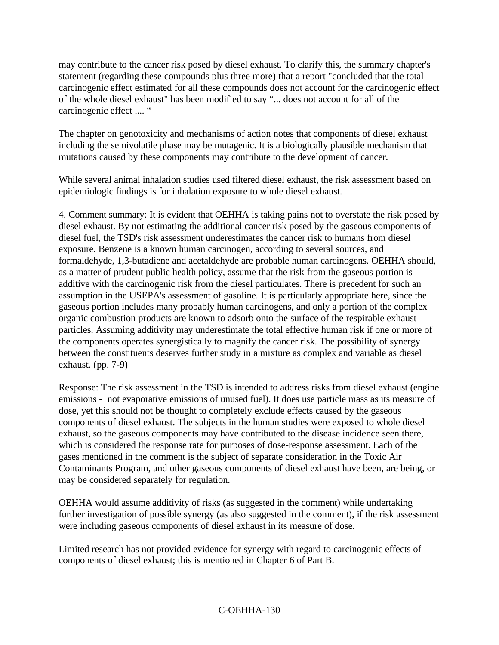may contribute to the cancer risk posed by diesel exhaust. To clarify this, the summary chapter's statement (regarding these compounds plus three more) that a report "concluded that the total carcinogenic effect estimated for all these compounds does not account for the carcinogenic effect of the whole diesel exhaust" has been modified to say "... does not account for all of the carcinogenic effect .... "

The chapter on genotoxicity and mechanisms of action notes that components of diesel exhaust including the semivolatile phase may be mutagenic. It is a biologically plausible mechanism that mutations caused by these components may contribute to the development of cancer.

While several animal inhalation studies used filtered diesel exhaust, the risk assessment based on epidemiologic findings is for inhalation exposure to whole diesel exhaust.

4. Comment summary: It is evident that OEHHA is taking pains not to overstate the risk posed by diesel exhaust. By not estimating the additional cancer risk posed by the gaseous components of diesel fuel, the TSD's risk assessment underestimates the cancer risk to humans from diesel exposure. Benzene is a known human carcinogen, according to several sources, and formaldehyde, 1,3-butadiene and acetaldehyde are probable human carcinogens. OEHHA should, as a matter of prudent public health policy, assume that the risk from the gaseous portion is additive with the carcinogenic risk from the diesel particulates. There is precedent for such an assumption in the USEPA's assessment of gasoline. It is particularly appropriate here, since the gaseous portion includes many probably human carcinogens, and only a portion of the complex organic combustion products are known to adsorb onto the surface of the respirable exhaust particles. Assuming additivity may underestimate the total effective human risk if one or more of the components operates synergistically to magnify the cancer risk. The possibility of synergy between the constituents deserves further study in a mixture as complex and variable as diesel exhaust. (pp. 7-9)

Response: The risk assessment in the TSD is intended to address risks from diesel exhaust (engine emissions - not evaporative emissions of unused fuel). It does use particle mass as its measure of dose, yet this should not be thought to completely exclude effects caused by the gaseous components of diesel exhaust. The subjects in the human studies were exposed to whole diesel exhaust, so the gaseous components may have contributed to the disease incidence seen there, which is considered the response rate for purposes of dose-response assessment. Each of the gases mentioned in the comment is the subject of separate consideration in the Toxic Air Contaminants Program, and other gaseous components of diesel exhaust have been, are being, or may be considered separately for regulation.

OEHHA would assume additivity of risks (as suggested in the comment) while undertaking further investigation of possible synergy (as also suggested in the comment), if the risk assessment were including gaseous components of diesel exhaust in its measure of dose.

Limited research has not provided evidence for synergy with regard to carcinogenic effects of components of diesel exhaust; this is mentioned in Chapter 6 of Part B.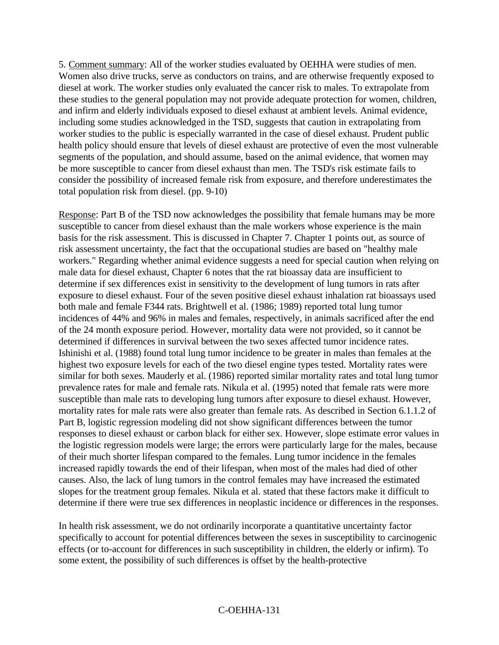5. Comment summary: All of the worker studies evaluated by OEHHA were studies of men. Women also drive trucks, serve as conductors on trains, and are otherwise frequently exposed to diesel at work. The worker studies only evaluated the cancer risk to males. To extrapolate from these studies to the general population may not provide adequate protection for women, children, and infirm and elderly individuals exposed to diesel exhaust at ambient levels. Animal evidence, including some studies acknowledged in the TSD, suggests that caution in extrapolating from worker studies to the public is especially warranted in the case of diesel exhaust. Prudent public health policy should ensure that levels of diesel exhaust are protective of even the most vulnerable segments of the population, and should assume, based on the animal evidence, that women may be more susceptible to cancer from diesel exhaust than men. The TSD's risk estimate fails to consider the possibility of increased female risk from exposure, and therefore underestimates the total population risk from diesel. (pp. 9-10)

Response: Part B of the TSD now acknowledges the possibility that female humans may be more susceptible to cancer from diesel exhaust than the male workers whose experience is the main basis for the risk assessment. This is discussed in Chapter 7. Chapter 1 points out, as source of risk assessment uncertainty, the fact that the occupational studies are based on "healthy male workers." Regarding whether animal evidence suggests a need for special caution when relying on male data for diesel exhaust, Chapter 6 notes that the rat bioassay data are insufficient to determine if sex differences exist in sensitivity to the development of lung tumors in rats after exposure to diesel exhaust. Four of the seven positive diesel exhaust inhalation rat bioassays used both male and female F344 rats. Brightwell et al. (1986; 1989) reported total lung tumor incidences of 44% and 96% in males and females, respectively, in animals sacrificed after the end of the 24 month exposure period. However, mortality data were not provided, so it cannot be determined if differences in survival between the two sexes affected tumor incidence rates. Ishinishi et al. (1988) found total lung tumor incidence to be greater in males than females at the highest two exposure levels for each of the two diesel engine types tested. Mortality rates were similar for both sexes. Mauderly et al. (1986) reported similar mortality rates and total lung tumor prevalence rates for male and female rats. Nikula et al. (1995) noted that female rats were more susceptible than male rats to developing lung tumors after exposure to diesel exhaust. However, mortality rates for male rats were also greater than female rats. As described in Section 6.1.1.2 of Part B, logistic regression modeling did not show significant differences between the tumor responses to diesel exhaust or carbon black for either sex. However, slope estimate error values in the logistic regression models were large; the errors were particularly large for the males, because of their much shorter lifespan compared to the females. Lung tumor incidence in the females increased rapidly towards the end of their lifespan, when most of the males had died of other causes. Also, the lack of lung tumors in the control females may have increased the estimated slopes for the treatment group females. Nikula et al. stated that these factors make it difficult to determine if there were true sex differences in neoplastic incidence or differences in the responses.

In health risk assessment, we do not ordinarily incorporate a quantitative uncertainty factor specifically to account for potential differences between the sexes in susceptibility to carcinogenic effects (or to-account for differences in such susceptibility in children, the elderly or infirm). To some extent, the possibility of such differences is offset by the health-protective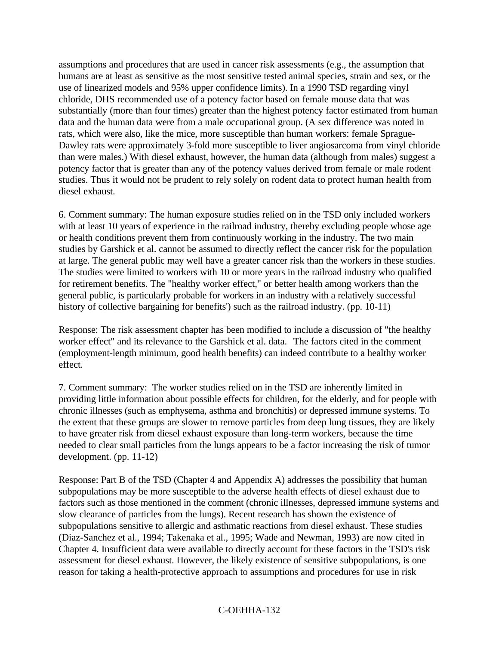assumptions and procedures that are used in cancer risk assessments (e.g., the assumption that humans are at least as sensitive as the most sensitive tested animal species, strain and sex, or the use of linearized models and 95% upper confidence limits). In a 1990 TSD regarding vinyl chloride, DHS recommended use of a potency factor based on female mouse data that was substantially (more than four times) greater than the highest potency factor estimated from human data and the human data were from a male occupational group. (A sex difference was noted in rats, which were also, like the mice, more susceptible than human workers: female Sprague-Dawley rats were approximately 3-fold more susceptible to liver angiosarcoma from vinyl chloride than were males.) With diesel exhaust, however, the human data (although from males) suggest a potency factor that is greater than any of the potency values derived from female or male rodent studies. Thus it would not be prudent to rely solely on rodent data to protect human health from diesel exhaust.

6. Comment summary: The human exposure studies relied on in the TSD only included workers with at least 10 years of experience in the railroad industry, thereby excluding people whose age or health conditions prevent them from continuously working in the industry. The two main studies by Garshick et al. cannot be assumed to directly reflect the cancer risk for the population at large. The general public may well have a greater cancer risk than the workers in these studies. The studies were limited to workers with 10 or more years in the railroad industry who qualified for retirement benefits. The "healthy worker effect," or better health among workers than the general public, is particularly probable for workers in an industry with a relatively successful history of collective bargaining for benefits') such as the railroad industry. (pp. 10-11)

Response: The risk assessment chapter has been modified to include a discussion of "the healthy worker effect" and its relevance to the Garshick et al. data. The factors cited in the comment (employment-length minimum, good health benefits) can indeed contribute to a healthy worker effect.

7. Comment summary: The worker studies relied on in the TSD are inherently limited in providing little information about possible effects for children, for the elderly, and for people with chronic illnesses (such as emphysema, asthma and bronchitis) or depressed immune systems. To the extent that these groups are slower to remove particles from deep lung tissues, they are likely to have greater risk from diesel exhaust exposure than long-term workers, because the time needed to clear small particles from the lungs appears to be a factor increasing the risk of tumor development. (pp. 11-12)

Response: Part B of the TSD (Chapter 4 and Appendix A) addresses the possibility that human subpopulations may be more susceptible to the adverse health effects of diesel exhaust due to factors such as those mentioned in the comment (chronic illnesses, depressed immune systems and slow clearance of particles from the lungs). Recent research has shown the existence of subpopulations sensitive to allergic and asthmatic reactions from diesel exhaust. These studies (Diaz-Sanchez et al., 1994; Takenaka et al., 1995; Wade and Newman, 1993) are now cited in Chapter 4. Insufficient data were available to directly account for these factors in the TSD's risk assessment for diesel exhaust. However, the likely existence of sensitive subpopulations, is one reason for taking a health-protective approach to assumptions and procedures for use in risk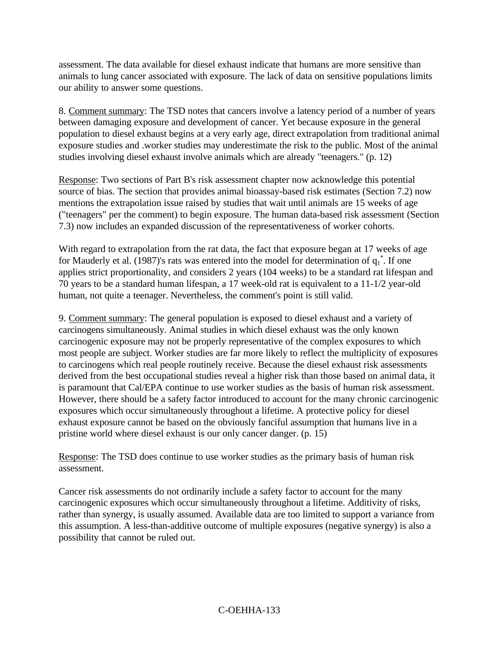assessment. The data available for diesel exhaust indicate that humans are more sensitive than animals to lung cancer associated with exposure. The lack of data on sensitive populations limits our ability to answer some questions.

8. Comment summary: The TSD notes that cancers involve a latency period of a number of years between damaging exposure and development of cancer. Yet because exposure in the general population to diesel exhaust begins at a very early age, direct extrapolation from traditional animal exposure studies and .worker studies may underestimate the risk to the public. Most of the animal studies involving diesel exhaust involve animals which are already "teenagers." (p. 12)

Response: Two sections of Part B's risk assessment chapter now acknowledge this potential source of bias. The section that provides animal bioassay-based risk estimates (Section 7.2) now mentions the extrapolation issue raised by studies that wait until animals are 15 weeks of age ("teenagers" per the comment) to begin exposure. The human data-based risk assessment (Section 7.3) now includes an expanded discussion of the representativeness of worker cohorts.

With regard to extrapolation from the rat data, the fact that exposure began at 17 weeks of age for Mauderly et al. (1987)'s rats was entered into the model for determination of  $q_1^*$ . If one applies strict proportionality, and considers 2 years (104 weeks) to be a standard rat lifespan and 70 years to be a standard human lifespan, a 17 week-old rat is equivalent to a 11-1/2 year-old human, not quite a teenager. Nevertheless, the comment's point is still valid.

9. Comment summary: The general population is exposed to diesel exhaust and a variety of carcinogens simultaneously. Animal studies in which diesel exhaust was the only known carcinogenic exposure may not be properly representative of the complex exposures to which most people are subject. Worker studies are far more likely to reflect the multiplicity of exposures to carcinogens which real people routinely receive. Because the diesel exhaust risk assessments derived from the best occupational studies reveal a higher risk than those based on animal data, it is paramount that Cal/EPA continue to use worker studies as the basis of human risk assessment. However, there should be a safety factor introduced to account for the many chronic carcinogenic exposures which occur simultaneously throughout a lifetime. A protective policy for diesel exhaust exposure cannot be based on the obviously fanciful assumption that humans live in a pristine world where diesel exhaust is our only cancer danger. (p. 15)

Response: The TSD does continue to use worker studies as the primary basis of human risk assessment.

Cancer risk assessments do not ordinarily include a safety factor to account for the many carcinogenic exposures which occur simultaneously throughout a lifetime. Additivity of risks, rather than synergy, is usually assumed. Available data are too limited to support a variance from this assumption. A less-than-additive outcome of multiple exposures (negative synergy) is also a possibility that cannot be ruled out.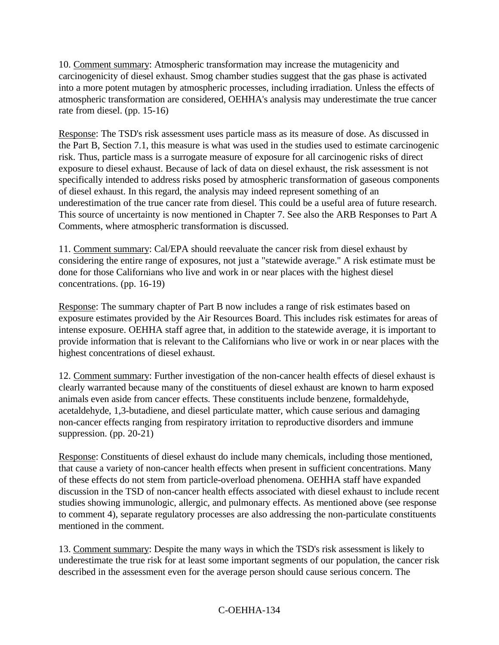10. Comment summary: Atmospheric transformation may increase the mutagenicity and carcinogenicity of diesel exhaust. Smog chamber studies suggest that the gas phase is activated into a more potent mutagen by atmospheric processes, including irradiation. Unless the effects of atmospheric transformation are considered, OEHHA's analysis may underestimate the true cancer rate from diesel. (pp. 15-16)

Response: The TSD's risk assessment uses particle mass as its measure of dose. As discussed in the Part B, Section 7.1, this measure is what was used in the studies used to estimate carcinogenic risk. Thus, particle mass is a surrogate measure of exposure for all carcinogenic risks of direct exposure to diesel exhaust. Because of lack of data on diesel exhaust, the risk assessment is not specifically intended to address risks posed by atmospheric transformation of gaseous components of diesel exhaust. In this regard, the analysis may indeed represent something of an underestimation of the true cancer rate from diesel. This could be a useful area of future research. This source of uncertainty is now mentioned in Chapter 7. See also the ARB Responses to Part A Comments, where atmospheric transformation is discussed.

11. Comment summary: Cal/EPA should reevaluate the cancer risk from diesel exhaust by considering the entire range of exposures, not just a "statewide average." A risk estimate must be done for those Californians who live and work in or near places with the highest diesel concentrations. (pp. 16-19)

Response: The summary chapter of Part B now includes a range of risk estimates based on exposure estimates provided by the Air Resources Board. This includes risk estimates for areas of intense exposure. OEHHA staff agree that, in addition to the statewide average, it is important to provide information that is relevant to the Californians who live or work in or near places with the highest concentrations of diesel exhaust.

12. Comment summary: Further investigation of the non-cancer health effects of diesel exhaust is clearly warranted because many of the constituents of diesel exhaust are known to harm exposed animals even aside from cancer effects. These constituents include benzene, formaldehyde, acetaldehyde, 1,3-butadiene, and diesel particulate matter, which cause serious and damaging non-cancer effects ranging from respiratory irritation to reproductive disorders and immune suppression. (pp. 20-21)

Response: Constituents of diesel exhaust do include many chemicals, including those mentioned, that cause a variety of non-cancer health effects when present in sufficient concentrations. Many of these effects do not stem from particle-overload phenomena. OEHHA staff have expanded discussion in the TSD of non-cancer health effects associated with diesel exhaust to include recent studies showing immunologic, allergic, and pulmonary effects. As mentioned above (see response to comment 4), separate regulatory processes are also addressing the non-particulate constituents mentioned in the comment.

13. Comment summary: Despite the many ways in which the TSD's risk assessment is likely to underestimate the true risk for at least some important segments of our population, the cancer risk described in the assessment even for the average person should cause serious concern. The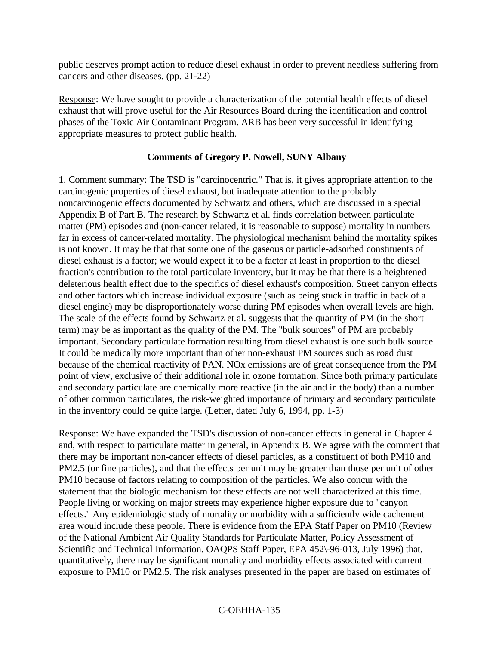public deserves prompt action to reduce diesel exhaust in order to prevent needless suffering from cancers and other diseases. (pp. 21-22)

Response: We have sought to provide a characterization of the potential health effects of diesel exhaust that will prove useful for the Air Resources Board during the identification and control phases of the Toxic Air Contaminant Program. ARB has been very successful in identifying appropriate measures to protect public health.

#### **Comments of Gregory P. Nowell, SUNY Albany**

1. Comment summary: The TSD is "carcinocentric." That is, it gives appropriate attention to the carcinogenic properties of diesel exhaust, but inadequate attention to the probably noncarcinogenic effects documented by Schwartz and others, which are discussed in a special Appendix B of Part B. The research by Schwartz et al. finds correlation between particulate matter (PM) episodes and (non-cancer related, it is reasonable to suppose) mortality in numbers far in excess of cancer-related mortality. The physiological mechanism behind the mortality spikes is not known. It may be that that some one of the gaseous or particle-adsorbed constituents of diesel exhaust is a factor; we would expect it to be a factor at least in proportion to the diesel fraction's contribution to the total particulate inventory, but it may be that there is a heightened deleterious health effect due to the specifics of diesel exhaust's composition. Street canyon effects and other factors which increase individual exposure (such as being stuck in traffic in back of a diesel engine) may be disproportionately worse during PM episodes when overall levels are high. The scale of the effects found by Schwartz et al. suggests that the quantity of PM (in the short term) may be as important as the quality of the PM. The "bulk sources" of PM are probably important. Secondary particulate formation resulting from diesel exhaust is one such bulk source. It could be medically more important than other non-exhaust PM sources such as road dust because of the chemical reactivity of PAN. NOx emissions are of great consequence from the PM point of view, exclusive of their additional role in ozone formation. Since both primary particulate and secondary particulate are chemically more reactive (in the air and in the body) than a number of other common particulates, the risk-weighted importance of primary and secondary particulate in the inventory could be quite large. (Letter, dated July 6, 1994, pp. 1-3)

Response: We have expanded the TSD's discussion of non-cancer effects in general in Chapter 4 and, with respect to particulate matter in general, in Appendix B. We agree with the comment that there may be important non-cancer effects of diesel particles, as a constituent of both PM10 and PM2.5 (or fine particles), and that the effects per unit may be greater than those per unit of other PM10 because of factors relating to composition of the particles. We also concur with the statement that the biologic mechanism for these effects are not well characterized at this time. People living or working on major streets may experience higher exposure due to "canyon effects." Any epidemiologic study of mortality or morbidity with a sufficiently wide cachement area would include these people. There is evidence from the EPA Staff Paper on PM10 (Review of the National Ambient Air Quality Standards for Particulate Matter, Policy Assessment of Scientific and Technical Information. OAQPS Staff Paper, EPA 452\-96-013, July 1996) that, quantitatively, there may be significant mortality and morbidity effects associated with current exposure to PM10 or PM2.5. The risk analyses presented in the paper are based on estimates of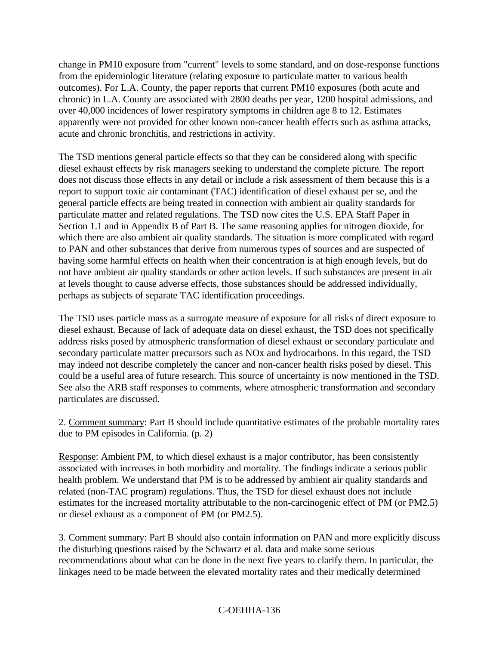change in PM10 exposure from "current" levels to some standard, and on dose-response functions from the epidemiologic literature (relating exposure to particulate matter to various health outcomes). For L.A. County, the paper reports that current PM10 exposures (both acute and chronic) in L.A. County are associated with 2800 deaths per year, 1200 hospital admissions, and over 40,000 incidences of lower respiratory symptoms in children age 8 to 12. Estimates apparently were not provided for other known non-cancer health effects such as asthma attacks, acute and chronic bronchitis, and restrictions in activity.

The TSD mentions general particle effects so that they can be considered along with specific diesel exhaust effects by risk managers seeking to understand the complete picture. The report does not discuss those effects in any detail or include a risk assessment of them because this is a report to support toxic air contaminant (TAC) identification of diesel exhaust per se, and the general particle effects are being treated in connection with ambient air quality standards for particulate matter and related regulations. The TSD now cites the U.S. EPA Staff Paper in Section 1.1 and in Appendix B of Part B. The same reasoning applies for nitrogen dioxide, for which there are also ambient air quality standards. The situation is more complicated with regard to PAN and other substances that derive from numerous types of sources and are suspected of having some harmful effects on health when their concentration is at high enough levels, but do not have ambient air quality standards or other action levels. If such substances are present in air at levels thought to cause adverse effects, those substances should be addressed individually, perhaps as subjects of separate TAC identification proceedings.

The TSD uses particle mass as a surrogate measure of exposure for all risks of direct exposure to diesel exhaust. Because of lack of adequate data on diesel exhaust, the TSD does not specifically address risks posed by atmospheric transformation of diesel exhaust or secondary particulate and secondary particulate matter precursors such as NOx and hydrocarbons. In this regard, the TSD may indeed not describe completely the cancer and non-cancer health risks posed by diesel. This could be a useful area of future research. This source of uncertainty is now mentioned in the TSD. See also the ARB staff responses to comments, where atmospheric transformation and secondary particulates are discussed.

2. Comment summary: Part B should include quantitative estimates of the probable mortality rates due to PM episodes in California. (p. 2)

Response: Ambient PM, to which diesel exhaust is a major contributor, has been consistently associated with increases in both morbidity and mortality. The findings indicate a serious public health problem. We understand that PM is to be addressed by ambient air quality standards and related (non-TAC program) regulations. Thus, the TSD for diesel exhaust does not include estimates for the increased mortality attributable to the non-carcinogenic effect of PM (or PM2.5) or diesel exhaust as a component of PM (or PM2.5).

3. Comment summary: Part B should also contain information on PAN and more explicitly discuss the disturbing questions raised by the Schwartz et al. data and make some serious recommendations about what can be done in the next five years to clarify them. In particular, the linkages need to be made between the elevated mortality rates and their medically determined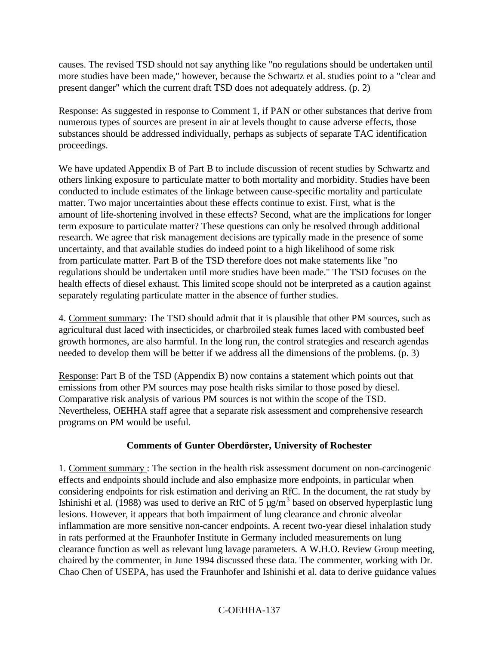causes. The revised TSD should not say anything like "no regulations should be undertaken until more studies have been made," however, because the Schwartz et al. studies point to a "clear and present danger" which the current draft TSD does not adequately address. (p. 2)

Response: As suggested in response to Comment 1, if PAN or other substances that derive from numerous types of sources are present in air at levels thought to cause adverse effects, those substances should be addressed individually, perhaps as subjects of separate TAC identification proceedings.

We have updated Appendix B of Part B to include discussion of recent studies by Schwartz and others linking exposure to particulate matter to both mortality and morbidity. Studies have been conducted to include estimates of the linkage between cause-specific mortality and particulate matter. Two major uncertainties about these effects continue to exist. First, what is the amount of life-shortening involved in these effects? Second, what are the implications for longer term exposure to particulate matter? These questions can only be resolved through additional research. We agree that risk management decisions are typically made in the presence of some uncertainty, and that available studies do indeed point to a high likelihood of some risk from particulate matter. Part B of the TSD therefore does not make statements like "no regulations should be undertaken until more studies have been made." The TSD focuses on the health effects of diesel exhaust. This limited scope should not be interpreted as a caution against separately regulating particulate matter in the absence of further studies.

4. Comment summary: The TSD should admit that it is plausible that other PM sources, such as agricultural dust laced with insecticides, or charbroiled steak fumes laced with combusted beef growth hormones, are also harmful. In the long run, the control strategies and research agendas needed to develop them will be better if we address all the dimensions of the problems. (p. 3)

Response: Part B of the TSD (Appendix B) now contains a statement which points out that emissions from other PM sources may pose health risks similar to those posed by diesel. Comparative risk analysis of various PM sources is not within the scope of the TSD. Nevertheless, OEHHA staff agree that a separate risk assessment and comprehensive research programs on PM would be useful.

#### **Comments of Gunter Oberdörster, University of Rochester**

1. Comment summary : The section in the health risk assessment document on non-carcinogenic effects and endpoints should include and also emphasize more endpoints, in particular when considering endpoints for risk estimation and deriving an RfC. In the document, the rat study by Ishinishi et al. (1988) was used to derive an RfC of 5  $\mu$ g/m<sup>3</sup> based on observed hyperplastic lung lesions. However, it appears that both impairment of lung clearance and chronic alveolar inflammation are more sensitive non-cancer endpoints. A recent two-year diesel inhalation study in rats performed at the Fraunhofer Institute in Germany included measurements on lung clearance function as well as relevant lung lavage parameters. A W.H.O. Review Group meeting, chaired by the commenter, in June 1994 discussed these data. The commenter, working with Dr. Chao Chen of USEPA, has used the Fraunhofer and Ishinishi et al. data to derive guidance values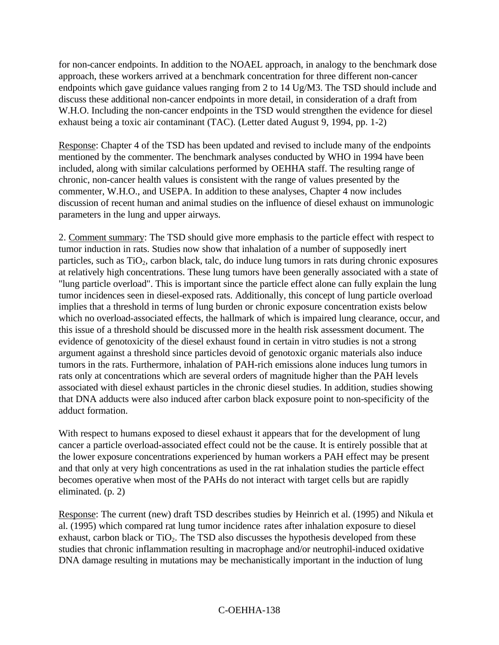for non-cancer endpoints. In addition to the NOAEL approach, in analogy to the benchmark dose approach, these workers arrived at a benchmark concentration for three different non-cancer endpoints which gave guidance values ranging from 2 to 14 Ug/M3. The TSD should include and discuss these additional non-cancer endpoints in more detail, in consideration of a draft from W.H.O. Including the non-cancer endpoints in the TSD would strengthen the evidence for diesel exhaust being a toxic air contaminant (TAC). (Letter dated August 9, 1994, pp. 1-2)

Response: Chapter 4 of the TSD has been updated and revised to include many of the endpoints mentioned by the commenter. The benchmark analyses conducted by WHO in 1994 have been included, along with similar calculations performed by OEHHA staff. The resulting range of chronic, non-cancer health values is consistent with the range of values presented by the commenter, W.H.O., and USEPA. In addition to these analyses, Chapter 4 now includes discussion of recent human and animal studies on the influence of diesel exhaust on immunologic parameters in the lung and upper airways.

2. Comment summary: The TSD should give more emphasis to the particle effect with respect to tumor induction in rats. Studies now show that inhalation of a number of supposedly inert particles, such as  $TiO<sub>2</sub>$ , carbon black, talc, do induce lung tumors in rats during chronic exposures at relatively high concentrations. These lung tumors have been generally associated with a state of "lung particle overload". This is important since the particle effect alone can fully explain the lung tumor incidences seen in diesel-exposed rats. Additionally, this concept of lung particle overload implies that a threshold in terms of lung burden or chronic exposure concentration exists below which no overload-associated effects, the hallmark of which is impaired lung clearance, occur, and this issue of a threshold should be discussed more in the health risk assessment document. The evidence of genotoxicity of the diesel exhaust found in certain in vitro studies is not a strong argument against a threshold since particles devoid of genotoxic organic materials also induce tumors in the rats. Furthermore, inhalation of PAH-rich emissions alone induces lung tumors in rats only at concentrations which are several orders of magnitude higher than the PAH levels associated with diesel exhaust particles in the chronic diesel studies. In addition, studies showing that DNA adducts were also induced after carbon black exposure point to non-specificity of the adduct formation.

With respect to humans exposed to diesel exhaust it appears that for the development of lung cancer a particle overload-associated effect could not be the cause. It is entirely possible that at the lower exposure concentrations experienced by human workers a PAH effect may be present and that only at very high concentrations as used in the rat inhalation studies the particle effect becomes operative when most of the PAHs do not interact with target cells but are rapidly eliminated. (p. 2)

Response: The current (new) draft TSD describes studies by Heinrich et al. (1995) and Nikula et al. (1995) which compared rat lung tumor incidence rates after inhalation exposure to diesel exhaust, carbon black or  $TiO<sub>2</sub>$ . The TSD also discusses the hypothesis developed from these studies that chronic inflammation resulting in macrophage and/or neutrophil-induced oxidative DNA damage resulting in mutations may be mechanistically important in the induction of lung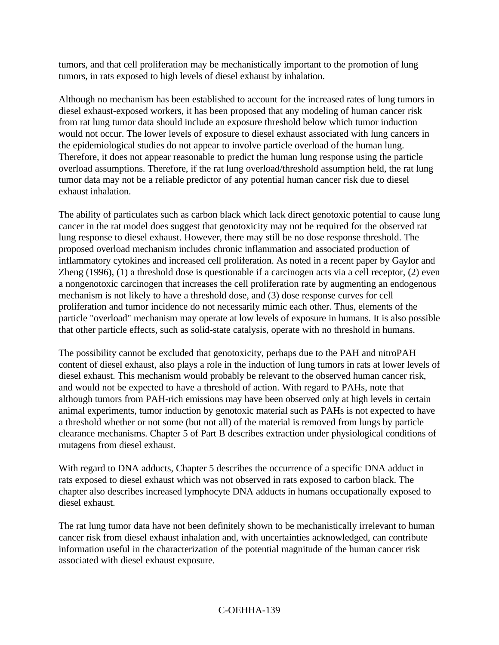tumors, and that cell proliferation may be mechanistically important to the promotion of lung tumors, in rats exposed to high levels of diesel exhaust by inhalation.

Although no mechanism has been established to account for the increased rates of lung tumors in diesel exhaust-exposed workers, it has been proposed that any modeling of human cancer risk from rat lung tumor data should include an exposure threshold below which tumor induction would not occur. The lower levels of exposure to diesel exhaust associated with lung cancers in the epidemiological studies do not appear to involve particle overload of the human lung. Therefore, it does not appear reasonable to predict the human lung response using the particle overload assumptions. Therefore, if the rat lung overload/threshold assumption held, the rat lung tumor data may not be a reliable predictor of any potential human cancer risk due to diesel exhaust inhalation.

The ability of particulates such as carbon black which lack direct genotoxic potential to cause lung cancer in the rat model does suggest that genotoxicity may not be required for the observed rat lung response to diesel exhaust. However, there may still be no dose response threshold. The proposed overload mechanism includes chronic inflammation and associated production of inflammatory cytokines and increased cell proliferation. As noted in a recent paper by Gaylor and Zheng (1996), (1) a threshold dose is questionable if a carcinogen acts via a cell receptor, (2) even a nongenotoxic carcinogen that increases the cell proliferation rate by augmenting an endogenous mechanism is not likely to have a threshold dose, and (3) dose response curves for cell proliferation and tumor incidence do not necessarily mimic each other. Thus, elements of the particle "overload" mechanism may operate at low levels of exposure in humans. It is also possible that other particle effects, such as solid-state catalysis, operate with no threshold in humans.

The possibility cannot be excluded that genotoxicity, perhaps due to the PAH and nitroPAH content of diesel exhaust, also plays a role in the induction of lung tumors in rats at lower levels of diesel exhaust. This mechanism would probably be relevant to the observed human cancer risk, and would not be expected to have a threshold of action. With regard to PAHs, note that although tumors from PAH-rich emissions may have been observed only at high levels in certain animal experiments, tumor induction by genotoxic material such as PAHs is not expected to have a threshold whether or not some (but not all) of the material is removed from lungs by particle clearance mechanisms. Chapter 5 of Part B describes extraction under physiological conditions of mutagens from diesel exhaust.

With regard to DNA adducts, Chapter 5 describes the occurrence of a specific DNA adduct in rats exposed to diesel exhaust which was not observed in rats exposed to carbon black. The chapter also describes increased lymphocyte DNA adducts in humans occupationally exposed to diesel exhaust.

The rat lung tumor data have not been definitely shown to be mechanistically irrelevant to human cancer risk from diesel exhaust inhalation and, with uncertainties acknowledged, can contribute information useful in the characterization of the potential magnitude of the human cancer risk associated with diesel exhaust exposure.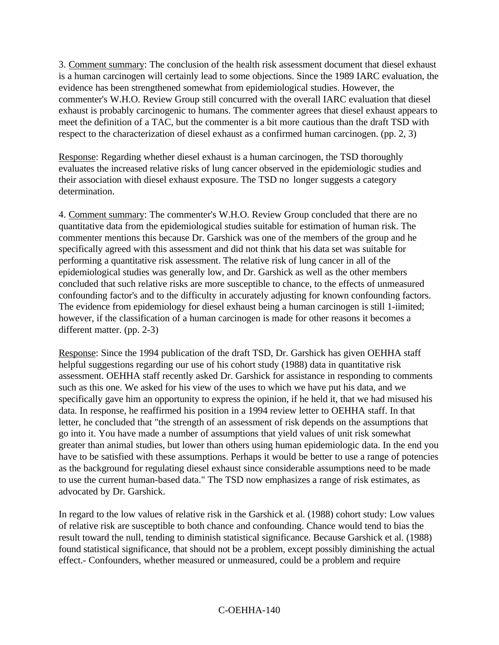3. Comment summary: The conclusion of the health risk assessment document that diesel exhaust is a human carcinogen will certainly lead to some objections. Since the 1989 IARC evaluation, the evidence has been strengthened somewhat from epidemiological studies. However, the commenter's W.H.O. Review Group still concurred with the overall IARC evaluation that diesel exhaust is probably carcinogenic to humans. The commenter agrees that diesel exhaust appears to meet the definition of a TAC, but the commenter is a bit more cautious than the draft TSD with respect to the characterization of diesel exhaust as a confirmed human carcinogen. (pp. 2, 3)

Response: Regarding whether diesel exhaust is a human carcinogen, the TSD thoroughly evaluates the increased relative risks of lung cancer observed in the epidemiologic studies and their association with diesel exhaust exposure. The TSD no longer suggests a category determination.

4. Comment summary: The commenter's W.H.O. Review Group concluded that there are no quantitative data from the epidemiological studies suitable for estimation of human risk. The commenter mentions this because Dr. Garshick was one of the members of the group and he specifically agreed with this assessment and did not think that his data set was suitable for performing a quantitative risk assessment. The relative risk of lung cancer in all of the epidemiological studies was generally low, and Dr. Garshick as well as the other members concluded that such relative risks are more susceptible to chance, to the effects of unmeasured confounding factor's and to the difficulty in accurately adjusting for known confounding factors. The evidence from epidemiology for diesel exhaust being a human carcinogen is still 1-iimited; however, if the classification of a human carcinogen is made for other reasons it becomes a different matter. (pp. 2-3)

Response: Since the 1994 publication of the draft TSD, Dr. Garshick has given OEHHA staff helpful suggestions regarding our use of his cohort study (1988) data in quantitative risk assessment. OEHHA staff recently asked Dr. Garshick for assistance in responding to comments such as this one. We asked for his view of the uses to which we have put his data, and we specifically gave him an opportunity to express the opinion, if he held it, that we had misused his data. In response, he reaffirmed his position in a 1994 review letter to OEHHA staff. In that letter, he concluded that "the strength of an assessment of risk depends on the assumptions that go into it. You have made a number of assumptions that yield values of unit risk somewhat greater than animal studies, but lower than others using human epidemiologic data. In the end you have to be satisfied with these assumptions. Perhaps it would be better to use a range of potencies as the background for regulating diesel exhaust since considerable assumptions need to be made to use the current human-based data." The TSD now emphasizes a range of risk estimates, as advocated by Dr. Garshick.

In regard to the low values of relative risk in the Garshick et al. (1988) cohort study: Low values of relative risk are susceptible to both chance and confounding. Chance would tend to bias the result toward the null, tending to diminish statistical significance. Because Garshick et al. (1988) found statistical significance, that should not be a problem, except possibly diminishing the actual effect.- Confounders, whether measured or unmeasured, could be a problem and require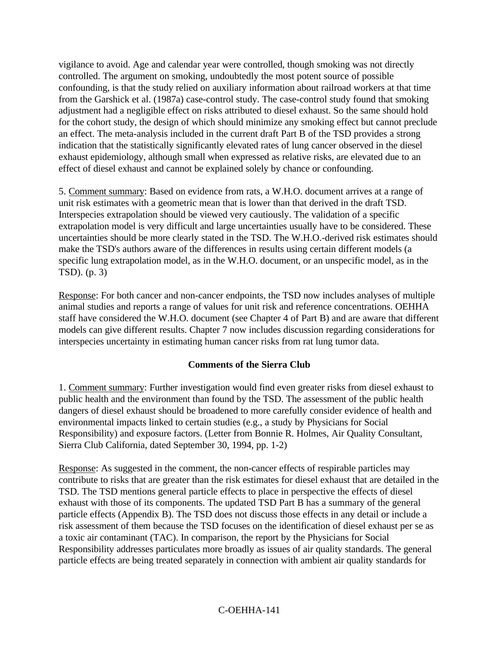vigilance to avoid. Age and calendar year were controlled, though smoking was not directly controlled. The argument on smoking, undoubtedly the most potent source of possible confounding, is that the study relied on auxiliary information about railroad workers at that time from the Garshick et al. (1987a) case-control study. The case-control study found that smoking adjustment had a negligible effect on risks attributed to diesel exhaust. So the same should hold for the cohort study, the design of which should minimize any smoking effect but cannot preclude an effect. The meta-analysis included in the current draft Part B of the TSD provides a strong indication that the statistically significantly elevated rates of lung cancer observed in the diesel exhaust epidemiology, although small when expressed as relative risks, are elevated due to an effect of diesel exhaust and cannot be explained solely by chance or confounding.

5. Comment summary: Based on evidence from rats, a W.H.O. document arrives at a range of unit risk estimates with a geometric mean that is lower than that derived in the draft TSD. Interspecies extrapolation should be viewed very cautiously. The validation of a specific extrapolation model is very difficult and large uncertainties usually have to be considered. These uncertainties should be more clearly stated in the TSD. The W.H.O.-derived risk estimates should make the TSD's authors aware of the differences in results using certain different models (a specific lung extrapolation model, as in the W.H.O. document, or an unspecific model, as in the TSD). (p. 3)

Response: For both cancer and non-cancer endpoints, the TSD now includes analyses of multiple animal studies and reports a range of values for unit risk and reference concentrations. OEHHA staff have considered the W.H.O. document (see Chapter 4 of Part B) and are aware that different models can give different results. Chapter 7 now includes discussion regarding considerations for interspecies uncertainty in estimating human cancer risks from rat lung tumor data.

#### **Comments of the Sierra Club**

1. Comment summary: Further investigation would find even greater risks from diesel exhaust to public health and the environment than found by the TSD. The assessment of the public health dangers of diesel exhaust should be broadened to more carefully consider evidence of health and environmental impacts linked to certain studies (e.g., a study by Physicians for Social Responsibility) and exposure factors. (Letter from Bonnie R. Holmes, Air Quality Consultant, Sierra Club California, dated September 30, 1994, pp. 1-2)

Response: As suggested in the comment, the non-cancer effects of respirable particles may contribute to risks that are greater than the risk estimates for diesel exhaust that are detailed in the TSD. The TSD mentions general particle effects to place in perspective the effects of diesel exhaust with those of its components. The updated TSD Part B has a summary of the general particle effects (Appendix B). The TSD does not discuss those effects in any detail or include a risk assessment of them because the TSD focuses on the identification of diesel exhaust per se as a toxic air contaminant (TAC). In comparison, the report by the Physicians for Social Responsibility addresses particulates more broadly as issues of air quality standards. The general particle effects are being treated separately in connection with ambient air quality standards for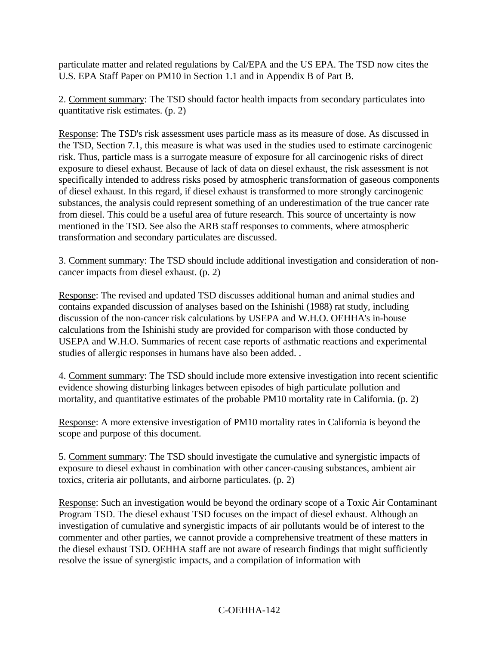particulate matter and related regulations by Cal/EPA and the US EPA. The TSD now cites the U.S. EPA Staff Paper on PM10 in Section 1.1 and in Appendix B of Part B.

2. Comment summary: The TSD should factor health impacts from secondary particulates into quantitative risk estimates. (p. 2)

Response: The TSD's risk assessment uses particle mass as its measure of dose. As discussed in the TSD, Section 7.1, this measure is what was used in the studies used to estimate carcinogenic risk. Thus, particle mass is a surrogate measure of exposure for all carcinogenic risks of direct exposure to diesel exhaust. Because of lack of data on diesel exhaust, the risk assessment is not specifically intended to address risks posed by atmospheric transformation of gaseous components of diesel exhaust. In this regard, if diesel exhaust is transformed to more strongly carcinogenic substances, the analysis could represent something of an underestimation of the true cancer rate from diesel. This could be a useful area of future research. This source of uncertainty is now mentioned in the TSD. See also the ARB staff responses to comments, where atmospheric transformation and secondary particulates are discussed.

3. Comment summary: The TSD should include additional investigation and consideration of noncancer impacts from diesel exhaust. (p. 2)

Response: The revised and updated TSD discusses additional human and animal studies and contains expanded discussion of analyses based on the Ishinishi (1988) rat study, including discussion of the non-cancer risk calculations by USEPA and W.H.O. OEHHA's in-house calculations from the Ishinishi study are provided for comparison with those conducted by USEPA and W.H.O. Summaries of recent case reports of asthmatic reactions and experimental studies of allergic responses in humans have also been added. .

4. Comment summary: The TSD should include more extensive investigation into recent scientific evidence showing disturbing linkages between episodes of high particulate pollution and mortality, and quantitative estimates of the probable PM10 mortality rate in California. (p. 2)

Response: A more extensive investigation of PM10 mortality rates in California is beyond the scope and purpose of this document.

5. Comment summary: The TSD should investigate the cumulative and synergistic impacts of exposure to diesel exhaust in combination with other cancer-causing substances, ambient air toxics, criteria air pollutants, and airborne particulates. (p. 2)

Response: Such an investigation would be beyond the ordinary scope of a Toxic Air Contaminant Program TSD. The diesel exhaust TSD focuses on the impact of diesel exhaust. Although an investigation of cumulative and synergistic impacts of air pollutants would be of interest to the commenter and other parties, we cannot provide a comprehensive treatment of these matters in the diesel exhaust TSD. OEHHA staff are not aware of research findings that might sufficiently resolve the issue of synergistic impacts, and a compilation of information with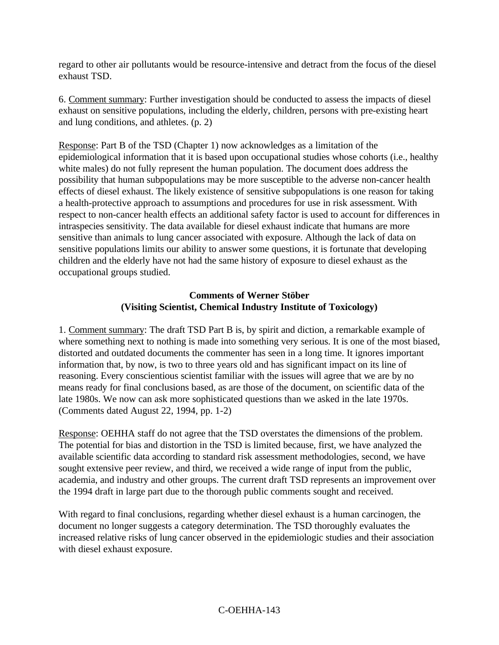regard to other air pollutants would be resource-intensive and detract from the focus of the diesel exhaust TSD.

6. Comment summary: Further investigation should be conducted to assess the impacts of diesel exhaust on sensitive populations, including the elderly, children, persons with pre-existing heart and lung conditions, and athletes. (p. 2)

Response: Part B of the TSD (Chapter 1) now acknowledges as a limitation of the epidemiological information that it is based upon occupational studies whose cohorts (i.e., healthy white males) do not fully represent the human population. The document does address the possibility that human subpopulations may be more susceptible to the adverse non-cancer health effects of diesel exhaust. The likely existence of sensitive subpopulations is one reason for taking a health-protective approach to assumptions and procedures for use in risk assessment. With respect to non-cancer health effects an additional safety factor is used to account for differences in intraspecies sensitivity. The data available for diesel exhaust indicate that humans are more sensitive than animals to lung cancer associated with exposure. Although the lack of data on sensitive populations limits our ability to answer some questions, it is fortunate that developing children and the elderly have not had the same history of exposure to diesel exhaust as the occupational groups studied.

#### **Comments of Werner Stöber (Visiting Scientist, Chemical Industry Institute of Toxicology)**

1. Comment summary: The draft TSD Part B is, by spirit and diction, a remarkable example of where something next to nothing is made into something very serious. It is one of the most biased, distorted and outdated documents the commenter has seen in a long time. It ignores important information that, by now, is two to three years old and has significant impact on its line of reasoning. Every conscientious scientist familiar with the issues will agree that we are by no means ready for final conclusions based, as are those of the document, on scientific data of the late 1980s. We now can ask more sophisticated questions than we asked in the late 1970s. (Comments dated August 22, 1994, pp. 1-2)

Response: OEHHA staff do not agree that the TSD overstates the dimensions of the problem. The potential for bias and distortion in the TSD is limited because, first, we have analyzed the available scientific data according to standard risk assessment methodologies, second, we have sought extensive peer review, and third, we received a wide range of input from the public, academia, and industry and other groups. The current draft TSD represents an improvement over the 1994 draft in large part due to the thorough public comments sought and received.

With regard to final conclusions, regarding whether diesel exhaust is a human carcinogen, the document no longer suggests a category determination. The TSD thoroughly evaluates the increased relative risks of lung cancer observed in the epidemiologic studies and their association with diesel exhaust exposure.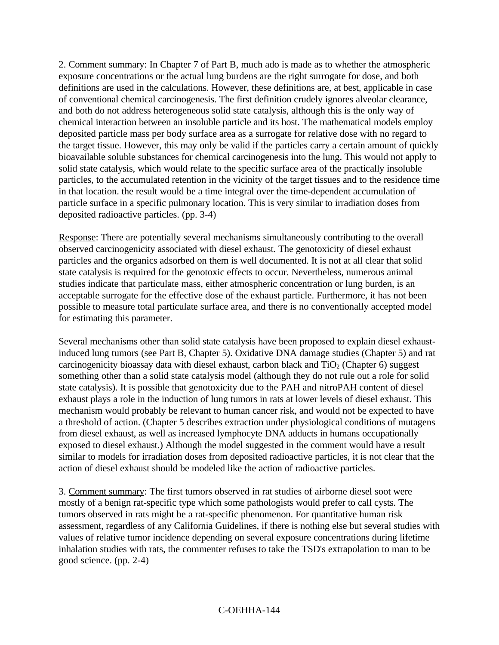2. Comment summary: In Chapter 7 of Part B, much ado is made as to whether the atmospheric exposure concentrations or the actual lung burdens are the right surrogate for dose, and both definitions are used in the calculations. However, these definitions are, at best, applicable in case of conventional chemical carcinogenesis. The first definition crudely ignores alveolar clearance, and both do not address heterogeneous solid state catalysis, although this is the only way of chemical interaction between an insoluble particle and its host. The mathematical models employ deposited particle mass per body surface area as a surrogate for relative dose with no regard to the target tissue. However, this may only be valid if the particles carry a certain amount of quickly bioavailable soluble substances for chemical carcinogenesis into the lung. This would not apply to solid state catalysis, which would relate to the specific surface area of the practically insoluble particles, to the accumulated retention in the vicinity of the target tissues and to the residence time in that location. the result would be a time integral over the time-dependent accumulation of particle surface in a specific pulmonary location. This is very similar to irradiation doses from deposited radioactive particles. (pp. 3-4)

Response: There are potentially several mechanisms simultaneously contributing to the overall observed carcinogenicity associated with diesel exhaust. The genotoxicity of diesel exhaust particles and the organics adsorbed on them is well documented. It is not at all clear that solid state catalysis is required for the genotoxic effects to occur. Nevertheless, numerous animal studies indicate that particulate mass, either atmospheric concentration or lung burden, is an acceptable surrogate for the effective dose of the exhaust particle. Furthermore, it has not been possible to measure total particulate surface area, and there is no conventionally accepted model for estimating this parameter.

Several mechanisms other than solid state catalysis have been proposed to explain diesel exhaustinduced lung tumors (see Part B, Chapter 5). Oxidative DNA damage studies (Chapter 5) and rat carcinogenicity bioassay data with diesel exhaust, carbon black and  $TiO<sub>2</sub>$  (Chapter 6) suggest something other than a solid state catalysis model (although they do not rule out a role for solid state catalysis). It is possible that genotoxicity due to the PAH and nitroPAH content of diesel exhaust plays a role in the induction of lung tumors in rats at lower levels of diesel exhaust. This mechanism would probably be relevant to human cancer risk, and would not be expected to have a threshold of action. (Chapter 5 describes extraction under physiological conditions of mutagens from diesel exhaust, as well as increased lymphocyte DNA adducts in humans occupationally exposed to diesel exhaust.) Although the model suggested in the comment would have a result similar to models for irradiation doses from deposited radioactive particles, it is not clear that the action of diesel exhaust should be modeled like the action of radioactive particles.

3. Comment summary: The first tumors observed in rat studies of airborne diesel soot were mostly of a benign rat-specific type which some pathologists would prefer to call cysts. The tumors observed in rats might be a rat-specific phenomenon. For quantitative human risk assessment, regardless of any California Guidelines, if there is nothing else but several studies with values of relative tumor incidence depending on several exposure concentrations during lifetime inhalation studies with rats, the commenter refuses to take the TSD's extrapolation to man to be good science. (pp. 2-4)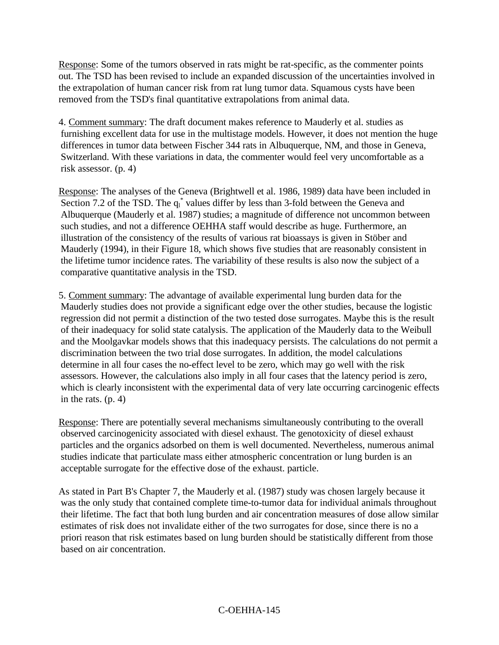Response: Some of the tumors observed in rats might be rat-specific, as the commenter points out. The TSD has been revised to include an expanded discussion of the uncertainties involved in the extrapolation of human cancer risk from rat lung tumor data. Squamous cysts have been removed from the TSD's final quantitative extrapolations from animal data.

4. Comment summary: The draft document makes reference to Mauderly et al. studies as furnishing excellent data for use in the multistage models. However, it does not mention the huge differences in tumor data between Fischer 344 rats in Albuquerque, NM, and those in Geneva, Switzerland. With these variations in data, the commenter would feel very uncomfortable as a risk assessor. (p. 4)

Response: The analyses of the Geneva (Brightwell et al. 1986, 1989) data have been included in Section 7.2 of the TSD. The  $q_1^*$  values differ by less than 3-fold between the Geneva and Albuquerque (Mauderly et al. 1987) studies; a magnitude of difference not uncommon between such studies, and not a difference OEHHA staff would describe as huge. Furthermore, an illustration of the consistency of the results of various rat bioassays is given in Stöber and Mauderly (1994), in their Figure 18, which shows five studies that are reasonably consistent in the lifetime tumor incidence rates. The variability of these results is also now the subject of a comparative quantitative analysis in the TSD.

5. Comment summary: The advantage of available experimental lung burden data for the Mauderly studies does not provide a significant edge over the other studies, because the logistic regression did not permit a distinction of the two tested dose surrogates. Maybe this is the result of their inadequacy for solid state catalysis. The application of the Mauderly data to the Weibull and the Moolgavkar models shows that this inadequacy persists. The calculations do not permit a discrimination between the two trial dose surrogates. In addition, the model calculations determine in all four cases the no-effect level to be zero, which may go well with the risk assessors. However, the calculations also imply in all four cases that the latency period is zero, which is clearly inconsistent with the experimental data of very late occurring carcinogenic effects in the rats. (p. 4)

Response: There are potentially several mechanisms simultaneously contributing to the overall observed carcinogenicity associated with diesel exhaust. The genotoxicity of diesel exhaust particles and the organics adsorbed on them is well documented. Nevertheless, numerous animal studies indicate that particulate mass either atmospheric concentration or lung burden is an acceptable surrogate for the effective dose of the exhaust. particle.

As stated in Part B's Chapter 7, the Mauderly et al. (1987) study was chosen largely because it was the only study that contained complete time-to-tumor data for individual animals throughout their lifetime. The fact that both lung burden and air concentration measures of dose allow similar estimates of risk does not invalidate either of the two surrogates for dose, since there is no a priori reason that risk estimates based on lung burden should be statistically different from those based on air concentration.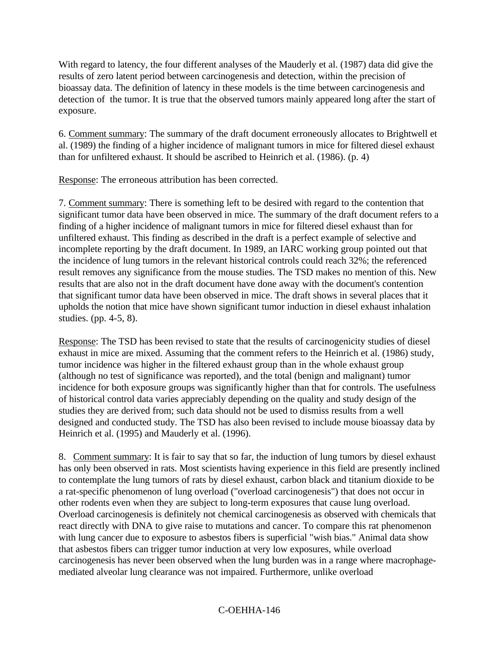With regard to latency, the four different analyses of the Mauderly et al. (1987) data did give the results of zero latent period between carcinogenesis and detection, within the precision of bioassay data. The definition of latency in these models is the time between carcinogenesis and detection of the tumor. It is true that the observed tumors mainly appeared long after the start of exposure.

6. Comment summary: The summary of the draft document erroneously allocates to Brightwell et al. (1989) the finding of a higher incidence of malignant tumors in mice for filtered diesel exhaust than for unfiltered exhaust. It should be ascribed to Heinrich et al. (1986). (p. 4)

Response: The erroneous attribution has been corrected.

7. Comment summary: There is something left to be desired with regard to the contention that significant tumor data have been observed in mice. The summary of the draft document refers to a finding of a higher incidence of malignant tumors in mice for filtered diesel exhaust than for unfiltered exhaust. This finding as described in the draft is a perfect example of selective and incomplete reporting by the draft document. In 1989, an IARC working group pointed out that the incidence of lung tumors in the relevant historical controls could reach 32%; the referenced result removes any significance from the mouse studies. The TSD makes no mention of this. New results that are also not in the draft document have done away with the document's contention that significant tumor data have been observed in mice. The draft shows in several places that it upholds the notion that mice have shown significant tumor induction in diesel exhaust inhalation studies. (pp. 4-5, 8).

Response: The TSD has been revised to state that the results of carcinogenicity studies of diesel exhaust in mice are mixed. Assuming that the comment refers to the Heinrich et al. (1986) study, tumor incidence was higher in the filtered exhaust group than in the whole exhaust group (although no test of significance was reported), and the total (benign and malignant) tumor incidence for both exposure groups was significantly higher than that for controls. The usefulness of historical control data varies appreciably depending on the quality and study design of the studies they are derived from; such data should not be used to dismiss results from a well designed and conducted study. The TSD has also been revised to include mouse bioassay data by Heinrich et al. (1995) and Mauderly et al. (1996).

8. Comment summary: It is fair to say that so far, the induction of lung tumors by diesel exhaust has only been observed in rats. Most scientists having experience in this field are presently inclined to contemplate the lung tumors of rats by diesel exhaust, carbon black and titanium dioxide to be a rat-specific phenomenon of lung overload ("overload carcinogenesis") that does not occur in other rodents even when they are subject to long-term exposures that cause lung overload. Overload carcinogenesis is definitely not chemical carcinogenesis as observed with chemicals that react directly with DNA to give raise to mutations and cancer. To compare this rat phenomenon with lung cancer due to exposure to asbestos fibers is superficial "wish bias." Animal data show that asbestos fibers can trigger tumor induction at very low exposures, while overload carcinogenesis has never been observed when the lung burden was in a range where macrophagemediated alveolar lung clearance was not impaired. Furthermore, unlike overload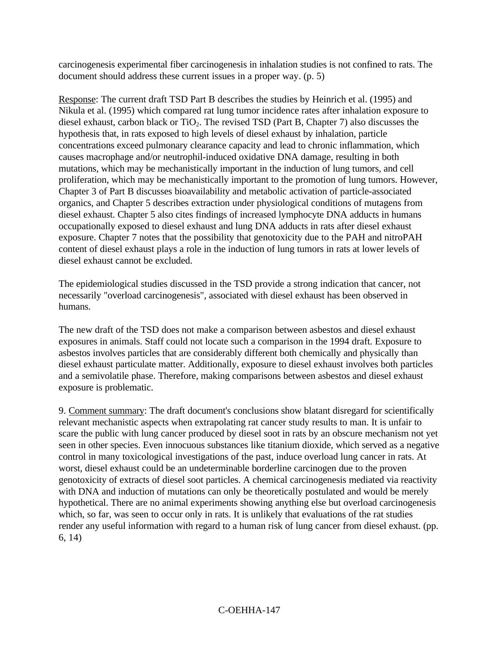carcinogenesis experimental fiber carcinogenesis in inhalation studies is not confined to rats. The document should address these current issues in a proper way. (p. 5)

Response: The current draft TSD Part B describes the studies by Heinrich et al. (1995) and Nikula et al. (1995) which compared rat lung tumor incidence rates after inhalation exposure to diesel exhaust, carbon black or  $TiO<sub>2</sub>$ . The revised TSD (Part B, Chapter 7) also discusses the hypothesis that, in rats exposed to high levels of diesel exhaust by inhalation, particle concentrations exceed pulmonary clearance capacity and lead to chronic inflammation, which causes macrophage and/or neutrophil-induced oxidative DNA damage, resulting in both mutations, which may be mechanistically important in the induction of lung tumors, and cell proliferation, which may be mechanistically important to the promotion of lung tumors. However, Chapter 3 of Part B discusses bioavailability and metabolic activation of particle-associated organics, and Chapter 5 describes extraction under physiological conditions of mutagens from diesel exhaust. Chapter 5 also cites findings of increased lymphocyte DNA adducts in humans occupationally exposed to diesel exhaust and lung DNA adducts in rats after diesel exhaust exposure. Chapter 7 notes that the possibility that genotoxicity due to the PAH and nitroPAH content of diesel exhaust plays a role in the induction of lung tumors in rats at lower levels of diesel exhaust cannot be excluded.

The epidemiological studies discussed in the TSD provide a strong indication that cancer, not necessarily "overload carcinogenesis", associated with diesel exhaust has been observed in humans.

The new draft of the TSD does not make a comparison between asbestos and diesel exhaust exposures in animals. Staff could not locate such a comparison in the 1994 draft. Exposure to asbestos involves particles that are considerably different both chemically and physically than diesel exhaust particulate matter. Additionally, exposure to diesel exhaust involves both particles and a semivolatile phase. Therefore, making comparisons between asbestos and diesel exhaust exposure is problematic.

9. Comment summary: The draft document's conclusions show blatant disregard for scientifically relevant mechanistic aspects when extrapolating rat cancer study results to man. It is unfair to scare the public with lung cancer produced by diesel soot in rats by an obscure mechanism not yet seen in other species. Even innocuous substances like titanium dioxide, which served as a negative control in many toxicological investigations of the past, induce overload lung cancer in rats. At worst, diesel exhaust could be an undeterminable borderline carcinogen due to the proven genotoxicity of extracts of diesel soot particles. A chemical carcinogenesis mediated via reactivity with DNA and induction of mutations can only be theoretically postulated and would be merely hypothetical. There are no animal experiments showing anything else but overload carcinogenesis which, so far, was seen to occur only in rats. It is unlikely that evaluations of the rat studies render any useful information with regard to a human risk of lung cancer from diesel exhaust. (pp. 6, 14)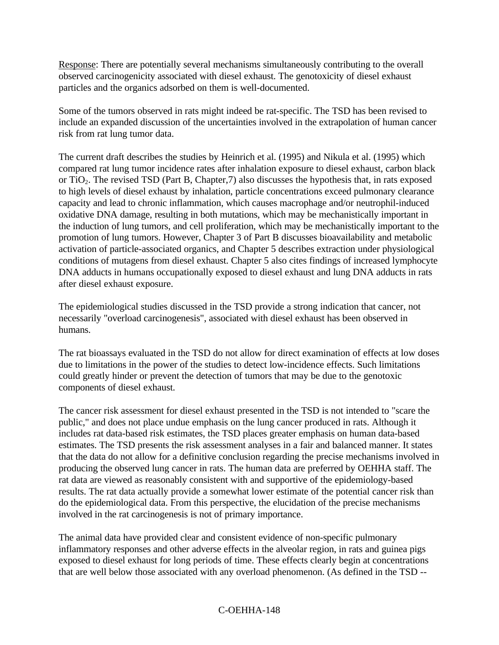Response: There are potentially several mechanisms simultaneously contributing to the overall observed carcinogenicity associated with diesel exhaust. The genotoxicity of diesel exhaust particles and the organics adsorbed on them is well-documented.

Some of the tumors observed in rats might indeed be rat-specific. The TSD has been revised to include an expanded discussion of the uncertainties involved in the extrapolation of human cancer risk from rat lung tumor data.

The current draft describes the studies by Heinrich et al. (1995) and Nikula et al. (1995) which compared rat lung tumor incidence rates after inhalation exposure to diesel exhaust, carbon black or TiO2. The revised TSD (Part B, Chapter,7) also discusses the hypothesis that, in rats exposed to high levels of diesel exhaust by inhalation, particle concentrations exceed pulmonary clearance capacity and lead to chronic inflammation, which causes macrophage and/or neutrophil-induced oxidative DNA damage, resulting in both mutations, which may be mechanistically important in the induction of lung tumors, and cell proliferation, which may be mechanistically important to the promotion of lung tumors. However, Chapter 3 of Part B discusses bioavailability and metabolic activation of particle-associated organics, and Chapter 5 describes extraction under physiological conditions of mutagens from diesel exhaust. Chapter 5 also cites findings of increased lymphocyte DNA adducts in humans occupationally exposed to diesel exhaust and lung DNA adducts in rats after diesel exhaust exposure.

The epidemiological studies discussed in the TSD provide a strong indication that cancer, not necessarily "overload carcinogenesis", associated with diesel exhaust has been observed in humans.

The rat bioassays evaluated in the TSD do not allow for direct examination of effects at low doses due to limitations in the power of the studies to detect low-incidence effects. Such limitations could greatly hinder or prevent the detection of tumors that may be due to the genotoxic components of diesel exhaust.

The cancer risk assessment for diesel exhaust presented in the TSD is not intended to "scare the public," and does not place undue emphasis on the lung cancer produced in rats. Although it includes rat data-based risk estimates, the TSD places greater emphasis on human data-based estimates. The TSD presents the risk assessment analyses in a fair and balanced manner. It states that the data do not allow for a definitive conclusion regarding the precise mechanisms involved in producing the observed lung cancer in rats. The human data are preferred by OEHHA staff. The rat data are viewed as reasonably consistent with and supportive of the epidemiology-based results. The rat data actually provide a somewhat lower estimate of the potential cancer risk than do the epidemiological data. From this perspective, the elucidation of the precise mechanisms involved in the rat carcinogenesis is not of primary importance.

The animal data have provided clear and consistent evidence of non-specific pulmonary inflammatory responses and other adverse effects in the alveolar region, in rats and guinea pigs exposed to diesel exhaust for long periods of time. These effects clearly begin at concentrations that are well below those associated with any overload phenomenon. (As defined in the TSD --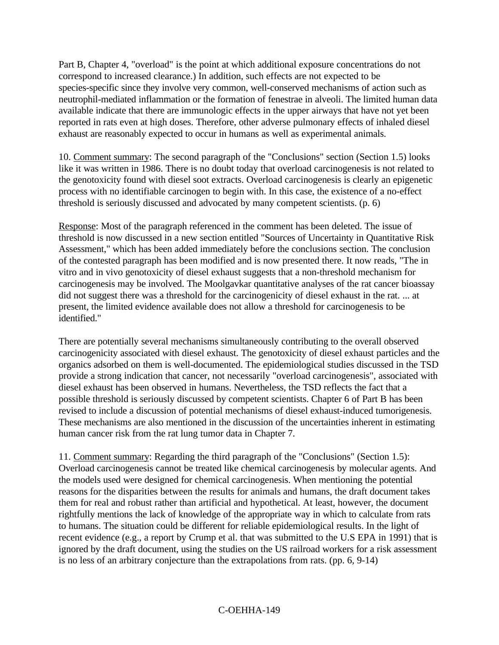Part B, Chapter 4, "overload" is the point at which additional exposure concentrations do not correspond to increased clearance.) In addition, such effects are not expected to be species-specific since they involve very common, well-conserved mechanisms of action such as neutrophil-mediated inflammation or the formation of fenestrae in alveoli. The limited human data available indicate that there are immunologic effects in the upper airways that have not yet been reported in rats even at high doses. Therefore, other adverse pulmonary effects of inhaled diesel exhaust are reasonably expected to occur in humans as well as experimental animals.

10. Comment summary: The second paragraph of the "Conclusions" section (Section 1.5) looks like it was written in 1986. There is no doubt today that overload carcinogenesis is not related to the genotoxicity found with diesel soot extracts. Overload carcinogenesis is clearly an epigenetic process with no identifiable carcinogen to begin with. In this case, the existence of a no-effect threshold is seriously discussed and advocated by many competent scientists. (p. 6)

Response: Most of the paragraph referenced in the comment has been deleted. The issue of threshold is now discussed in a new section entitled "Sources of Uncertainty in Quantitative Risk Assessment," which has been added immediately before the conclusions section. The conclusion of the contested paragraph has been modified and is now presented there. It now reads, "The in vitro and in vivo genotoxicity of diesel exhaust suggests that a non-threshold mechanism for carcinogenesis may be involved. The Moolgavkar quantitative analyses of the rat cancer bioassay did not suggest there was a threshold for the carcinogenicity of diesel exhaust in the rat. ... at present, the limited evidence available does not allow a threshold for carcinogenesis to be identified."

There are potentially several mechanisms simultaneously contributing to the overall observed carcinogenicity associated with diesel exhaust. The genotoxicity of diesel exhaust particles and the organics adsorbed on them is well-documented. The epidemiological studies discussed in the TSD provide a strong indication that cancer, not necessarily "overload carcinogenesis", associated with diesel exhaust has been observed in humans. Nevertheless, the TSD reflects the fact that a possible threshold is seriously discussed by competent scientists. Chapter 6 of Part B has been revised to include a discussion of potential mechanisms of diesel exhaust-induced tumorigenesis. These mechanisms are also mentioned in the discussion of the uncertainties inherent in estimating human cancer risk from the rat lung tumor data in Chapter 7.

11. Comment summary: Regarding the third paragraph of the "Conclusions" (Section 1.5): Overload carcinogenesis cannot be treated like chemical carcinogenesis by molecular agents. And the models used were designed for chemical carcinogenesis. When mentioning the potential reasons for the disparities between the results for animals and humans, the draft document takes them for real and robust rather than artificial and hypothetical. At least, however, the document rightfully mentions the lack of knowledge of the appropriate way in which to calculate from rats to humans. The situation could be different for reliable epidemiological results. In the light of recent evidence (e.g., a report by Crump et al. that was submitted to the U.S EPA in 1991) that is ignored by the draft document, using the studies on the US railroad workers for a risk assessment is no less of an arbitrary conjecture than the extrapolations from rats. (pp. 6, 9-14)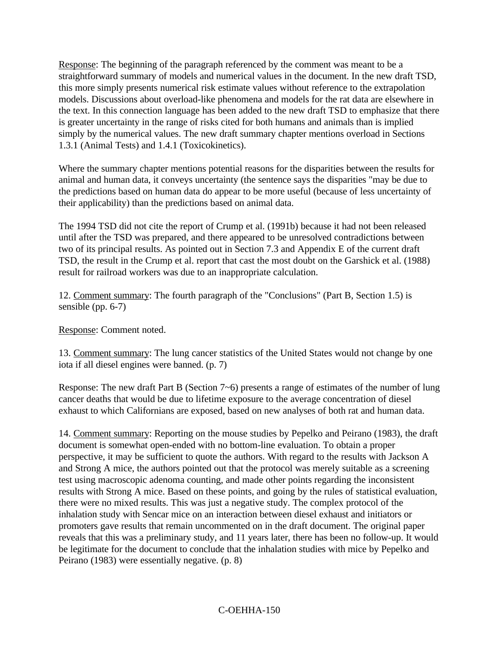Response: The beginning of the paragraph referenced by the comment was meant to be a straightforward summary of models and numerical values in the document. In the new draft TSD, this more simply presents numerical risk estimate values without reference to the extrapolation models. Discussions about overload-like phenomena and models for the rat data are elsewhere in the text. In this connection language has been added to the new draft TSD to emphasize that there is greater uncertainty in the range of risks cited for both humans and animals than is implied simply by the numerical values. The new draft summary chapter mentions overload in Sections 1.3.1 (Animal Tests) and 1.4.1 (Toxicokinetics).

Where the summary chapter mentions potential reasons for the disparities between the results for animal and human data, it conveys uncertainty (the sentence says the disparities "may be due to the predictions based on human data do appear to be more useful (because of less uncertainty of their applicability) than the predictions based on animal data.

The 1994 TSD did not cite the report of Crump et al. (1991b) because it had not been released until after the TSD was prepared, and there appeared to be unresolved contradictions between two of its principal results. As pointed out in Section 7.3 and Appendix E of the current draft TSD, the result in the Crump et al. report that cast the most doubt on the Garshick et al. (1988) result for railroad workers was due to an inappropriate calculation.

12. Comment summary: The fourth paragraph of the "Conclusions" (Part B, Section 1.5) is sensible (pp. 6-7)

Response: Comment noted.

13. Comment summary: The lung cancer statistics of the United States would not change by one iota if all diesel engines were banned. (p. 7)

Response: The new draft Part B (Section 7~6) presents a range of estimates of the number of lung cancer deaths that would be due to lifetime exposure to the average concentration of diesel exhaust to which Californians are exposed, based on new analyses of both rat and human data.

14. Comment summary: Reporting on the mouse studies by Pepelko and Peirano (1983), the draft document is somewhat open-ended with no bottom-line evaluation. To obtain a proper perspective, it may be sufficient to quote the authors. With regard to the results with Jackson A and Strong A mice, the authors pointed out that the protocol was merely suitable as a screening test using macroscopic adenoma counting, and made other points regarding the inconsistent results with Strong A mice. Based on these points, and going by the rules of statistical evaluation, there were no mixed results. This was just a negative study. The complex protocol of the inhalation study with Sencar mice on an interaction between diesel exhaust and initiators or promoters gave results that remain uncommented on in the draft document. The original paper reveals that this was a preliminary study, and 11 years later, there has been no follow-up. It would be legitimate for the document to conclude that the inhalation studies with mice by Pepelko and Peirano (1983) were essentially negative. (p. 8)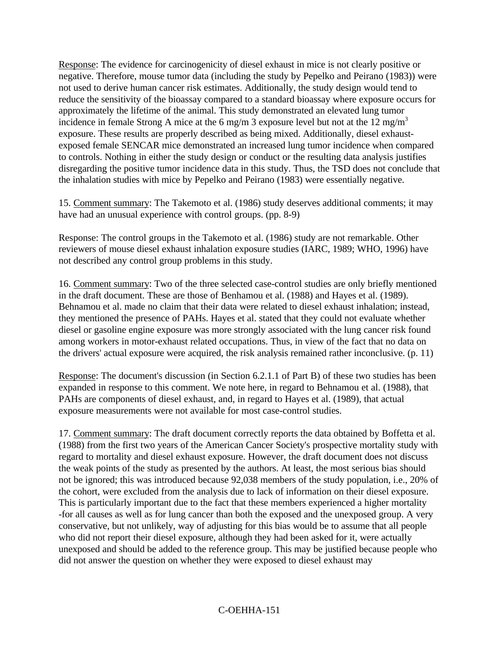Response: The evidence for carcinogenicity of diesel exhaust in mice is not clearly positive or negative. Therefore, mouse tumor data (including the study by Pepelko and Peirano (1983)) were not used to derive human cancer risk estimates. Additionally, the study design would tend to reduce the sensitivity of the bioassay compared to a standard bioassay where exposure occurs for approximately the lifetime of the animal. This study demonstrated an elevated lung tumor incidence in female Strong A mice at the 6 mg/m 3 exposure level but not at the 12 mg/m<sup>3</sup> exposure. These results are properly described as being mixed. Additionally, diesel exhaustexposed female SENCAR mice demonstrated an increased lung tumor incidence when compared to controls. Nothing in either the study design or conduct or the resulting data analysis justifies disregarding the positive tumor incidence data in this study. Thus, the TSD does not conclude that the inhalation studies with mice by Pepelko and Peirano (1983) were essentially negative.

15. Comment summary: The Takemoto et al. (1986) study deserves additional comments; it may have had an unusual experience with control groups. (pp. 8-9)

Response: The control groups in the Takemoto et al. (1986) study are not remarkable. Other reviewers of mouse diesel exhaust inhalation exposure studies (IARC, 1989; WHO, 1996) have not described any control group problems in this study.

16. Comment summary: Two of the three selected case-control studies are only briefly mentioned in the draft document. These are those of Benhamou et al. (1988) and Hayes et al. (1989). Behnamou et al. made no claim that their data were related to diesel exhaust inhalation; instead, they mentioned the presence of PAHs. Hayes et al. stated that they could not evaluate whether diesel or gasoline engine exposure was more strongly associated with the lung cancer risk found among workers in motor-exhaust related occupations. Thus, in view of the fact that no data on the drivers' actual exposure were acquired, the risk analysis remained rather inconclusive. (p. 11)

Response: The document's discussion (in Section 6.2.1.1 of Part B) of these two studies has been expanded in response to this comment. We note here, in regard to Behnamou et al. (1988), that PAHs are components of diesel exhaust, and, in regard to Hayes et al. (1989), that actual exposure measurements were not available for most case-control studies.

17. Comment summary: The draft document correctly reports the data obtained by Boffetta et al. (1988) from the first two years of the American Cancer Society's prospective mortality study with regard to mortality and diesel exhaust exposure. However, the draft document does not discuss the weak points of the study as presented by the authors. At least, the most serious bias should not be ignored; this was introduced because 92,038 members of the study population, i.e., 20% of the cohort, were excluded from the analysis due to lack of information on their diesel exposure. This is particularly important due to the fact that these members experienced a higher mortality -for all causes as well as for lung cancer than both the exposed and the unexposed group. A very conservative, but not unlikely, way of adjusting for this bias would be to assume that all people who did not report their diesel exposure, although they had been asked for it, were actually unexposed and should be added to the reference group. This may be justified because people who did not answer the question on whether they were exposed to diesel exhaust may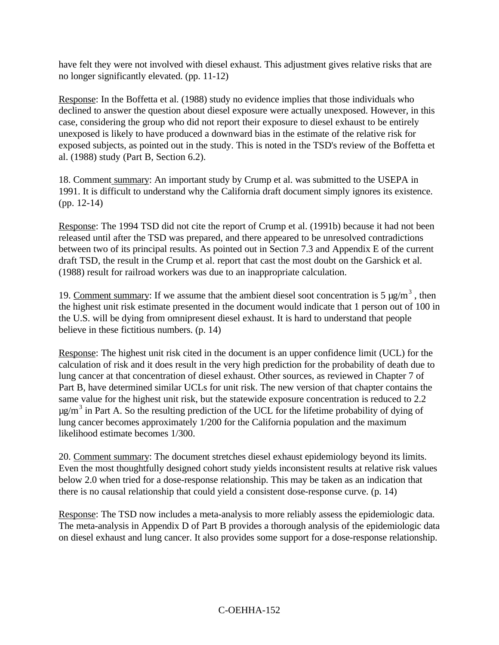have felt they were not involved with diesel exhaust. This adjustment gives relative risks that are no longer significantly elevated. (pp. 11-12)

Response: In the Boffetta et al. (1988) study no evidence implies that those individuals who declined to answer the question about diesel exposure were actually unexposed. However, in this case, considering the group who did not report their exposure to diesel exhaust to be entirely unexposed is likely to have produced a downward bias in the estimate of the relative risk for exposed subjects, as pointed out in the study. This is noted in the TSD's review of the Boffetta et al. (1988) study (Part B, Section 6.2).

18. Comment summary: An important study by Crump et al. was submitted to the USEPA in 1991. It is difficult to understand why the California draft document simply ignores its existence. (pp. 12-14)

Response: The 1994 TSD did not cite the report of Crump et al. (1991b) because it had not been released until after the TSD was prepared, and there appeared to be unresolved contradictions between two of its principal results. As pointed out in Section 7.3 and Appendix E of the current draft TSD, the result in the Crump et al. report that cast the most doubt on the Garshick et al. (1988) result for railroad workers was due to an inappropriate calculation.

19. Comment summary: If we assume that the ambient diesel soot concentration is 5  $\mu$ g/m<sup>3</sup>, then the highest unit risk estimate presented in the document would indicate that 1 person out of 100 in the U.S. will be dying from omnipresent diesel exhaust. It is hard to understand that people believe in these fictitious numbers. (p. 14)

Response: The highest unit risk cited in the document is an upper confidence limit (UCL) for the calculation of risk and it does result in the very high prediction for the probability of death due to lung cancer at that concentration of diesel exhaust. Other sources, as reviewed in Chapter 7 of Part B, have determined similar UCLs for unit risk. The new version of that chapter contains the same value for the highest unit risk, but the statewide exposure concentration is reduced to 2.2  $\mu$ g/m<sup>3</sup> in Part A. So the resulting prediction of the UCL for the lifetime probability of dying of lung cancer becomes approximately 1/200 for the California population and the maximum likelihood estimate becomes 1/300.

20. Comment summary: The document stretches diesel exhaust epidemiology beyond its limits. Even the most thoughtfully designed cohort study yields inconsistent results at relative risk values below 2.0 when tried for a dose-response relationship. This may be taken as an indication that there is no causal relationship that could yield a consistent dose-response curve. (p. 14)

Response: The TSD now includes a meta-analysis to more reliably assess the epidemiologic data. The meta-analysis in Appendix D of Part B provides a thorough analysis of the epidemiologic data on diesel exhaust and lung cancer. It also provides some support for a dose-response relationship.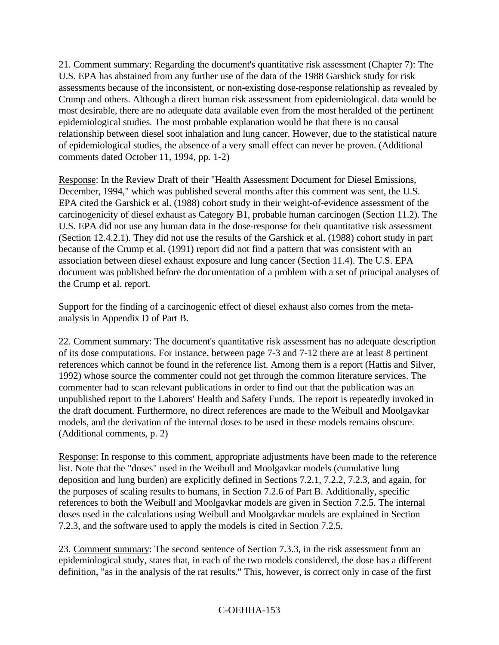21. Comment summary: Regarding the document's quantitative risk assessment (Chapter 7): The U.S. EPA has abstained from any further use of the data of the 1988 Garshick study for risk assessments because of the inconsistent, or non-existing dose-response relationship as revealed by Crump and others. Although a direct human risk assessment from epidemiological. data would be most desirable, there are no adequate data available even from the most heralded of the pertinent epidemiological studies. The most probable explanation would be that there is no causal relationship between diesel soot inhalation and lung cancer. However, due to the statistical nature of epidemiological studies, the absence of a very small effect can never be proven. (Additional comments dated October 11, 1994, pp. 1-2)

Response: In the Review Draft of their "Health Assessment Document for Diesel Emissions, December, 1994," which was published several months after this comment was sent, the U.S. EPA cited the Garshick et al. (1988) cohort study in their weight-of-evidence assessment of the carcinogenicity of diesel exhaust as Category B1, probable human carcinogen (Section 11.2). The U.S. EPA did not use any human data in the dose-response for their quantitative risk assessment (Section 12.4.2.1). They did not use the results of the Garshick et al. (1988) cohort study in part because of the Crump et al. (1991) report did not find a pattern that was consistent with an association between diesel exhaust exposure and lung cancer (Section 11.4). The U.S. EPA document was published before the documentation of a problem with a set of principal analyses of the Crump et al. report.

Support for the finding of a carcinogenic effect of diesel exhaust also comes from the metaanalysis in Appendix D of Part B.

22. Comment summary: The document's quantitative risk assessment has no adequate description of its dose computations. For instance, between page 7-3 and 7-12 there are at least 8 pertinent references which cannot be found in the reference list. Among them is a report (Hattis and Silver, 1992) whose source the commenter could not get through the common literature services. The commenter had to scan relevant publications in order to find out that the publication was an unpublished report to the Laborers' Health and Safety Funds. The report is repeatedly invoked in the draft document. Furthermore, no direct references are made to the Weibull and Moolgavkar models, and the derivation of the internal doses to be used in these models remains obscure. (Additional comments, p. 2)

Response: In response to this comment, appropriate adjustments have been made to the reference list. Note that the "doses" used in the Weibull and Moolgavkar models (cumulative lung deposition and lung burden) are explicitly defined in Sections 7.2.1, 7.2.2, 7.2.3, and again, for the purposes of scaling results to humans, in Section 7.2.6 of Part B. Additionally, specific references to both the Weibull and Moolgavkar models are given in Section 7.2.5. The internal doses used in the calculations using Weibull and Moolgavkar models are explained in Section 7.2.3, and the software used to apply the models is cited in Section 7.2.5.

23. Comment summary: The second sentence of Section 7.3.3, in the risk assessment from an epidemiological study, states that, in each of the two models considered, the dose has a different definition, "as in the analysis of the rat results." This, however, is correct only in case of the first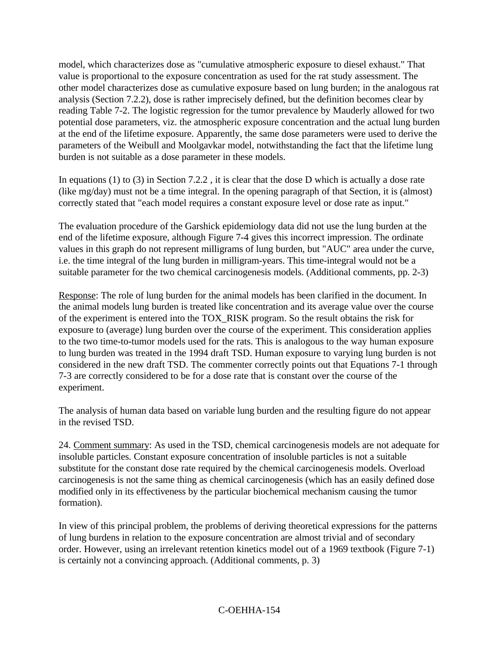model, which characterizes dose as "cumulative atmospheric exposure to diesel exhaust." That value is proportional to the exposure concentration as used for the rat study assessment. The other model characterizes dose as cumulative exposure based on lung burden; in the analogous rat analysis (Section 7.2.2), dose is rather imprecisely defined, but the definition becomes clear by reading Table 7-2. The logistic regression for the tumor prevalence by Mauderly allowed for two potential dose parameters, viz. the atmospheric exposure concentration and the actual lung burden at the end of the lifetime exposure. Apparently, the same dose parameters were used to derive the parameters of the Weibull and Moolgavkar model, notwithstanding the fact that the lifetime lung burden is not suitable as a dose parameter in these models.

In equations (1) to (3) in Section 7.2.2 , it is clear that the dose D which is actually a dose rate (like mg/day) must not be a time integral. In the opening paragraph of that Section, it is (almost) correctly stated that "each model requires a constant exposure level or dose rate as input."

The evaluation procedure of the Garshick epidemiology data did not use the lung burden at the end of the lifetime exposure, although Figure 7-4 gives this incorrect impression. The ordinate values in this graph do not represent milligrams of lung burden, but "AUC" area under the curve, i.e. the time integral of the lung burden in milligram-years. This time-integral would not be a suitable parameter for the two chemical carcinogenesis models. (Additional comments, pp. 2-3)

Response: The role of lung burden for the animal models has been clarified in the document. In the animal models lung burden is treated like concentration and its average value over the course of the experiment is entered into the TOX\_RISK program. So the result obtains the risk for exposure to (average) lung burden over the course of the experiment. This consideration applies to the two time-to-tumor models used for the rats. This is analogous to the way human exposure to lung burden was treated in the 1994 draft TSD. Human exposure to varying lung burden is not considered in the new draft TSD. The commenter correctly points out that Equations 7-1 through 7-3 are correctly considered to be for a dose rate that is constant over the course of the experiment.

The analysis of human data based on variable lung burden and the resulting figure do not appear in the revised TSD.

24. Comment summary: As used in the TSD, chemical carcinogenesis models are not adequate for insoluble particles. Constant exposure concentration of insoluble particles is not a suitable substitute for the constant dose rate required by the chemical carcinogenesis models. Overload carcinogenesis is not the same thing as chemical carcinogenesis (which has an easily defined dose modified only in its effectiveness by the particular biochemical mechanism causing the tumor formation).

In view of this principal problem, the problems of deriving theoretical expressions for the patterns of lung burdens in relation to the exposure concentration are almost trivial and of secondary order. However, using an irrelevant retention kinetics model out of a 1969 textbook (Figure 7-1) is certainly not a convincing approach. (Additional comments, p. 3)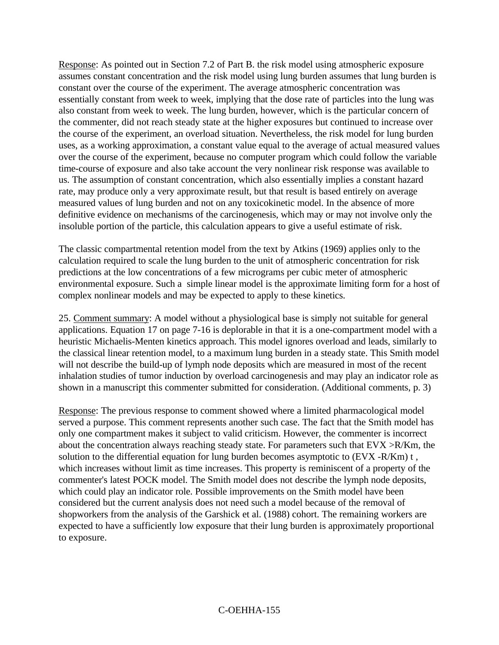Response: As pointed out in Section 7.2 of Part B. the risk model using atmospheric exposure assumes constant concentration and the risk model using lung burden assumes that lung burden is constant over the course of the experiment. The average atmospheric concentration was essentially constant from week to week, implying that the dose rate of particles into the lung was also constant from week to week. The lung burden, however, which is the particular concern of the commenter, did not reach steady state at the higher exposures but continued to increase over the course of the experiment, an overload situation. Nevertheless, the risk model for lung burden uses, as a working approximation, a constant value equal to the average of actual measured values over the course of the experiment, because no computer program which could follow the variable time-course of exposure and also take account the very nonlinear risk response was available to us. The assumption of constant concentration, which also essentially implies a constant hazard rate, may produce only a very approximate result, but that result is based entirely on average measured values of lung burden and not on any toxicokinetic model. In the absence of more definitive evidence on mechanisms of the carcinogenesis, which may or may not involve only the insoluble portion of the particle, this calculation appears to give a useful estimate of risk.

The classic compartmental retention model from the text by Atkins (1969) applies only to the calculation required to scale the lung burden to the unit of atmospheric concentration for risk predictions at the low concentrations of a few micrograms per cubic meter of atmospheric environmental exposure. Such a simple linear model is the approximate limiting form for a host of complex nonlinear models and may be expected to apply to these kinetics.

25. Comment summary: A model without a physiological base is simply not suitable for general applications. Equation 17 on page 7-16 is deplorable in that it is a one-compartment model with a heuristic Michaelis-Menten kinetics approach. This model ignores overload and leads, similarly to the classical linear retention model, to a maximum lung burden in a steady state. This Smith model will not describe the build-up of lymph node deposits which are measured in most of the recent inhalation studies of tumor induction by overload carcinogenesis and may play an indicator role as shown in a manuscript this commenter submitted for consideration. (Additional comments, p. 3)

Response: The previous response to comment showed where a limited pharmacological model served a purpose. This comment represents another such case. The fact that the Smith model has only one compartment makes it subject to valid criticism. However, the commenter is incorrect about the concentration always reaching steady state. For parameters such that EVX >R/Km, the solution to the differential equation for lung burden becomes asymptotic to (EVX -R/Km) t , which increases without limit as time increases. This property is reminiscent of a property of the commenter's latest POCK model. The Smith model does not describe the lymph node deposits, which could play an indicator role. Possible improvements on the Smith model have been considered but the current analysis does not need such a model because of the removal of shopworkers from the analysis of the Garshick et al. (1988) cohort. The remaining workers are expected to have a sufficiently low exposure that their lung burden is approximately proportional to exposure.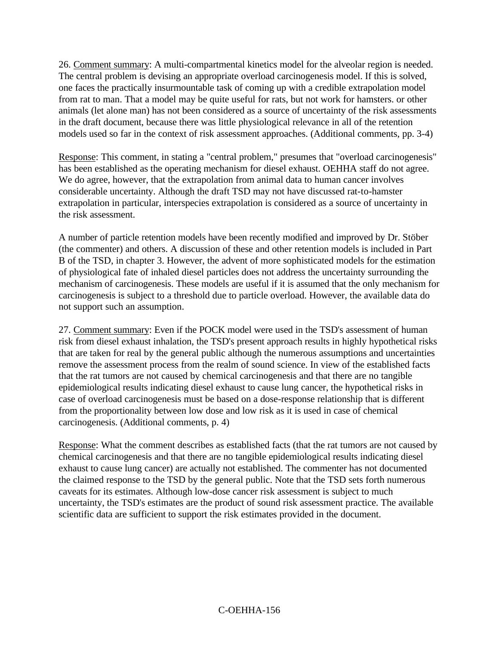26. Comment summary: A multi-compartmental kinetics model for the alveolar region is needed. The central problem is devising an appropriate overload carcinogenesis model. If this is solved, one faces the practically insurmountable task of coming up with a credible extrapolation model from rat to man. That a model may be quite useful for rats, but not work for hamsters. or other animals (let alone man) has not been considered as a source of uncertainty of the risk assessments in the draft document, because there was little physiological relevance in all of the retention models used so far in the context of risk assessment approaches. (Additional comments, pp. 3-4)

Response: This comment, in stating a "central problem," presumes that "overload carcinogenesis" has been established as the operating mechanism for diesel exhaust. OEHHA staff do not agree. We do agree, however, that the extrapolation from animal data to human cancer involves considerable uncertainty. Although the draft TSD may not have discussed rat-to-hamster extrapolation in particular, interspecies extrapolation is considered as a source of uncertainty in the risk assessment.

A number of particle retention models have been recently modified and improved by Dr. Stöber (the commenter) and others. A discussion of these and other retention models is included in Part B of the TSD, in chapter 3. However, the advent of more sophisticated models for the estimation of physiological fate of inhaled diesel particles does not address the uncertainty surrounding the mechanism of carcinogenesis. These models are useful if it is assumed that the only mechanism for carcinogenesis is subject to a threshold due to particle overload. However, the available data do not support such an assumption.

27. Comment summary: Even if the POCK model were used in the TSD's assessment of human risk from diesel exhaust inhalation, the TSD's present approach results in highly hypothetical risks that are taken for real by the general public although the numerous assumptions and uncertainties remove the assessment process from the realm of sound science. In view of the established facts that the rat tumors are not caused by chemical carcinogenesis and that there are no tangible epidemiological results indicating diesel exhaust to cause lung cancer, the hypothetical risks in case of overload carcinogenesis must be based on a dose-response relationship that is different from the proportionality between low dose and low risk as it is used in case of chemical carcinogenesis. (Additional comments, p. 4)

Response: What the comment describes as established facts (that the rat tumors are not caused by chemical carcinogenesis and that there are no tangible epidemiological results indicating diesel exhaust to cause lung cancer) are actually not established. The commenter has not documented the claimed response to the TSD by the general public. Note that the TSD sets forth numerous caveats for its estimates. Although low-dose cancer risk assessment is subject to much uncertainty, the TSD's estimates are the product of sound risk assessment practice. The available scientific data are sufficient to support the risk estimates provided in the document.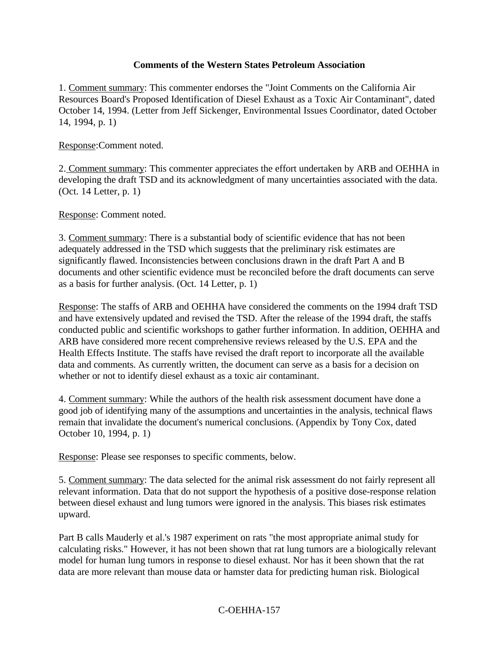#### **Comments of the Western States Petroleum Association**

1. Comment summary: This commenter endorses the "Joint Comments on the California Air Resources Board's Proposed Identification of Diesel Exhaust as a Toxic Air Contaminant", dated October 14, 1994. (Letter from Jeff Sickenger, Environmental Issues Coordinator, dated October 14, 1994, p. 1)

Response:Comment noted.

2. Comment summary: This commenter appreciates the effort undertaken by ARB and OEHHA in developing the draft TSD and its acknowledgment of many uncertainties associated with the data. (Oct. 14 Letter, p. 1)

Response: Comment noted.

3. Comment summary: There is a substantial body of scientific evidence that has not been adequately addressed in the TSD which suggests that the preliminary risk estimates are significantly flawed. Inconsistencies between conclusions drawn in the draft Part A and B documents and other scientific evidence must be reconciled before the draft documents can serve as a basis for further analysis. (Oct. 14 Letter, p. 1)

Response: The staffs of ARB and OEHHA have considered the comments on the 1994 draft TSD and have extensively updated and revised the TSD. After the release of the 1994 draft, the staffs conducted public and scientific workshops to gather further information. In addition, OEHHA and ARB have considered more recent comprehensive reviews released by the U.S. EPA and the Health Effects Institute. The staffs have revised the draft report to incorporate all the available data and comments. As currently written, the document can serve as a basis for a decision on whether or not to identify diesel exhaust as a toxic air contaminant.

4. Comment summary: While the authors of the health risk assessment document have done a good job of identifying many of the assumptions and uncertainties in the analysis, technical flaws remain that invalidate the document's numerical conclusions. (Appendix by Tony Cox, dated October 10, 1994, p. 1)

Response: Please see responses to specific comments, below.

5. Comment summary: The data selected for the animal risk assessment do not fairly represent all relevant information. Data that do not support the hypothesis of a positive dose-response relation between diesel exhaust and lung tumors were ignored in the analysis. This biases risk estimates upward.

Part B calls Mauderly et al.'s 1987 experiment on rats "the most appropriate animal study for calculating risks." However, it has not been shown that rat lung tumors are a biologically relevant model for human lung tumors in response to diesel exhaust. Nor has it been shown that the rat data are more relevant than mouse data or hamster data for predicting human risk. Biological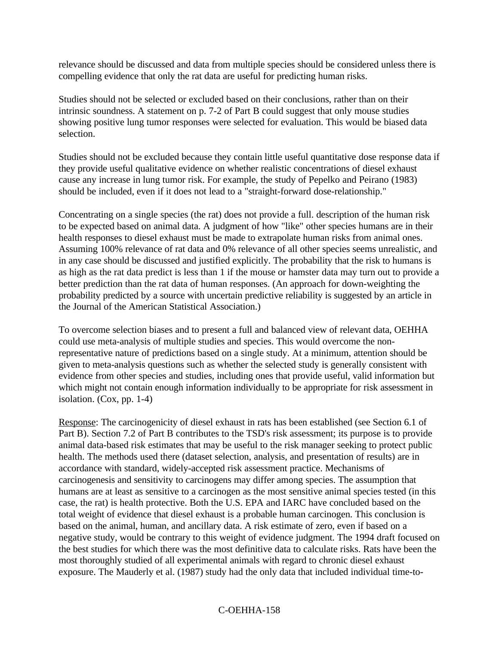relevance should be discussed and data from multiple species should be considered unless there is compelling evidence that only the rat data are useful for predicting human risks.

Studies should not be selected or excluded based on their conclusions, rather than on their intrinsic soundness. A statement on p. 7-2 of Part B could suggest that only mouse studies showing positive lung tumor responses were selected for evaluation. This would be biased data selection.

Studies should not be excluded because they contain little useful quantitative dose response data if they provide useful qualitative evidence on whether realistic concentrations of diesel exhaust cause any increase in lung tumor risk. For example, the study of Pepelko and Peirano (1983) should be included, even if it does not lead to a "straight-forward dose-relationship."

Concentrating on a single species (the rat) does not provide a full. description of the human risk to be expected based on animal data. A judgment of how "like" other species humans are in their health responses to diesel exhaust must be made to extrapolate human risks from animal ones. Assuming 100% relevance of rat data and 0% relevance of all other species seems unrealistic, and in any case should be discussed and justified explicitly. The probability that the risk to humans is as high as the rat data predict is less than 1 if the mouse or hamster data may turn out to provide a better prediction than the rat data of human responses. (An approach for down-weighting the probability predicted by a source with uncertain predictive reliability is suggested by an article in the Journal of the American Statistical Association.)

To overcome selection biases and to present a full and balanced view of relevant data, OEHHA could use meta-analysis of multiple studies and species. This would overcome the nonrepresentative nature of predictions based on a single study. At a minimum, attention should be given to meta-analysis questions such as whether the selected study is generally consistent with evidence from other species and studies, including ones that provide useful, valid information but which might not contain enough information individually to be appropriate for risk assessment in isolation. (Cox, pp. 1-4)

Response: The carcinogenicity of diesel exhaust in rats has been established (see Section 6.1 of Part B). Section 7.2 of Part B contributes to the TSD's risk assessment; its purpose is to provide animal data-based risk estimates that may be useful to the risk manager seeking to protect public health. The methods used there (dataset selection, analysis, and presentation of results) are in accordance with standard, widely-accepted risk assessment practice. Mechanisms of carcinogenesis and sensitivity to carcinogens may differ among species. The assumption that humans are at least as sensitive to a carcinogen as the most sensitive animal species tested (in this case, the rat) is health protective. Both the U.S. EPA and IARC have concluded based on the total weight of evidence that diesel exhaust is a probable human carcinogen. This conclusion is based on the animal, human, and ancillary data. A risk estimate of zero, even if based on a negative study, would be contrary to this weight of evidence judgment. The 1994 draft focused on the best studies for which there was the most definitive data to calculate risks. Rats have been the most thoroughly studied of all experimental animals with regard to chronic diesel exhaust exposure. The Mauderly et al. (1987) study had the only data that included individual time-to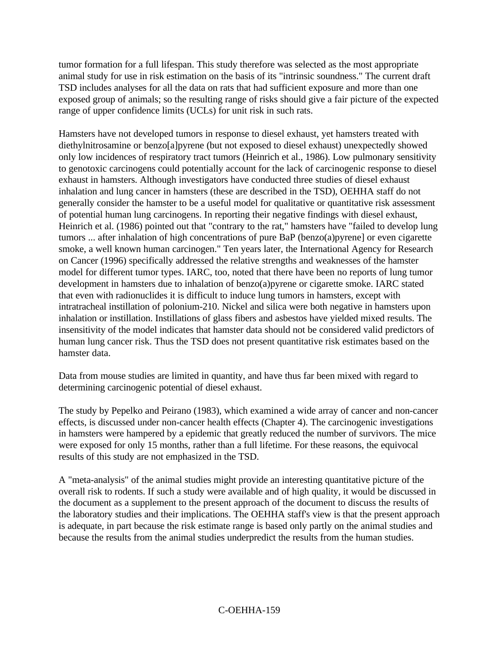tumor formation for a full lifespan. This study therefore was selected as the most appropriate animal study for use in risk estimation on the basis of its "intrinsic soundness." The current draft TSD includes analyses for all the data on rats that had sufficient exposure and more than one exposed group of animals; so the resulting range of risks should give a fair picture of the expected range of upper confidence limits (UCLs) for unit risk in such rats.

Hamsters have not developed tumors in response to diesel exhaust, yet hamsters treated with diethylnitrosamine or benzo[a]pyrene (but not exposed to diesel exhaust) unexpectedly showed only low incidences of respiratory tract tumors (Heinrich et al., 1986). Low pulmonary sensitivity to genotoxic carcinogens could potentially account for the lack of carcinogenic response to diesel exhaust in hamsters. Although investigators have conducted three studies of diesel exhaust inhalation and lung cancer in hamsters (these are described in the TSD), OEHHA staff do not generally consider the hamster to be a useful model for qualitative or quantitative risk assessment of potential human lung carcinogens. In reporting their negative findings with diesel exhaust, Heinrich et al. (1986) pointed out that "contrary to the rat," hamsters have "failed to develop lung tumors ... after inhalation of high concentrations of pure BaP (benzo(a)pyrene] or even cigarette smoke, a well known human carcinogen." Ten years later, the International Agency for Research on Cancer (1996) specifically addressed the relative strengths and weaknesses of the hamster model for different tumor types. IARC, too, noted that there have been no reports of lung tumor development in hamsters due to inhalation of benzo(a)pyrene or cigarette smoke. IARC stated that even with radionuclides it is difficult to induce lung tumors in hamsters, except with intratracheal instillation of polonium-210. Nickel and silica were both negative in hamsters upon inhalation or instillation. Instillations of glass fibers and asbestos have yielded mixed results. The insensitivity of the model indicates that hamster data should not be considered valid predictors of human lung cancer risk. Thus the TSD does not present quantitative risk estimates based on the hamster data.

Data from mouse studies are limited in quantity, and have thus far been mixed with regard to determining carcinogenic potential of diesel exhaust.

The study by Pepelko and Peirano (1983), which examined a wide array of cancer and non-cancer effects, is discussed under non-cancer health effects (Chapter 4). The carcinogenic investigations in hamsters were hampered by a epidemic that greatly reduced the number of survivors. The mice were exposed for only 15 months, rather than a full lifetime. For these reasons, the equivocal results of this study are not emphasized in the TSD.

A "meta-analysis" of the animal studies might provide an interesting quantitative picture of the overall risk to rodents. If such a study were available and of high quality, it would be discussed in the document as a supplement to the present approach of the document to discuss the results of the laboratory studies and their implications. The OEHHA staff's view is that the present approach is adequate, in part because the risk estimate range is based only partly on the animal studies and because the results from the animal studies underpredict the results from the human studies.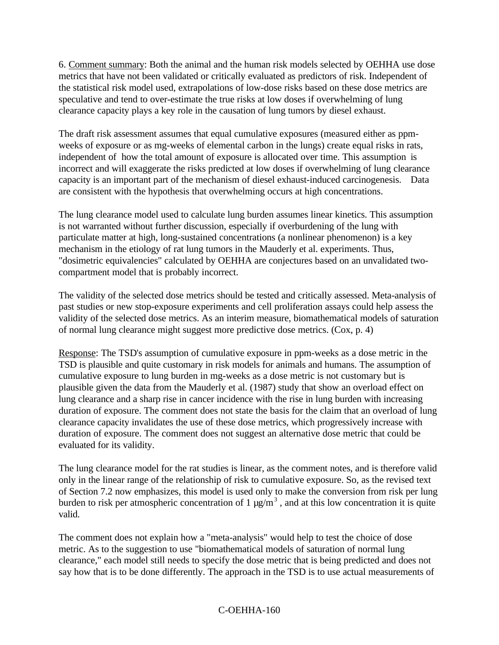6. Comment summary: Both the animal and the human risk models selected by OEHHA use dose metrics that have not been validated or critically evaluated as predictors of risk. Independent of the statistical risk model used, extrapolations of low-dose risks based on these dose metrics are speculative and tend to over-estimate the true risks at low doses if overwhelming of lung clearance capacity plays a key role in the causation of lung tumors by diesel exhaust.

The draft risk assessment assumes that equal cumulative exposures (measured either as ppmweeks of exposure or as mg-weeks of elemental carbon in the lungs) create equal risks in rats, independent of how the total amount of exposure is allocated over time. This assumption is incorrect and will exaggerate the risks predicted at low doses if overwhelming of lung clearance capacity is an important part of the mechanism of diesel exhaust-induced carcinogenesis. Data are consistent with the hypothesis that overwhelming occurs at high concentrations.

The lung clearance model used to calculate lung burden assumes linear kinetics. This assumption is not warranted without further discussion, especially if overburdening of the lung with particulate matter at high, long-sustained concentrations (a nonlinear phenomenon) is a key mechanism in the etiology of rat lung tumors in the Mauderly et al. experiments. Thus, "dosimetric equivalencies" calculated by OEHHA are conjectures based on an unvalidated twocompartment model that is probably incorrect.

The validity of the selected dose metrics should be tested and critically assessed. Meta-analysis of past studies or new stop-exposure experiments and cell proliferation assays could help assess the validity of the selected dose metrics. As an interim measure, biomathematical models of saturation of normal lung clearance might suggest more predictive dose metrics. (Cox, p. 4)

Response: The TSD's assumption of cumulative exposure in ppm-weeks as a dose metric in the TSD is plausible and quite customary in risk models for animals and humans. The assumption of cumulative exposure to lung burden in mg-weeks as a dose metric is not customary but is plausible given the data from the Mauderly et al. (1987) study that show an overload effect on lung clearance and a sharp rise in cancer incidence with the rise in lung burden with increasing duration of exposure. The comment does not state the basis for the claim that an overload of lung clearance capacity invalidates the use of these dose metrics, which progressively increase with duration of exposure. The comment does not suggest an alternative dose metric that could be evaluated for its validity.

The lung clearance model for the rat studies is linear, as the comment notes, and is therefore valid only in the linear range of the relationship of risk to cumulative exposure. So, as the revised text of Section 7.2 now emphasizes, this model is used only to make the conversion from risk per lung burden to risk per atmospheric concentration of 1  $\mu$ g/m<sup>3</sup>, and at this low concentration it is quite valid.

The comment does not explain how a "meta-analysis" would help to test the choice of dose metric. As to the suggestion to use "biomathematical models of saturation of normal lung clearance," each model still needs to specify the dose metric that is being predicted and does not say how that is to be done differently. The approach in the TSD is to use actual measurements of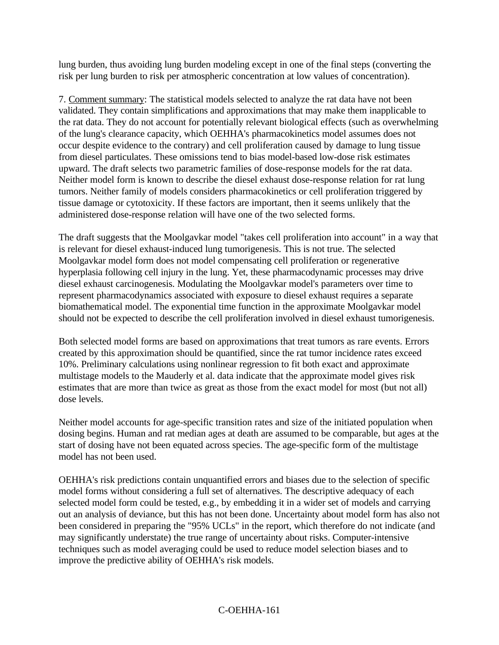lung burden, thus avoiding lung burden modeling except in one of the final steps (converting the risk per lung burden to risk per atmospheric concentration at low values of concentration).

7. Comment summary: The statistical models selected to analyze the rat data have not been validated. They contain simplifications and approximations that may make them inapplicable to the rat data. They do not account for potentially relevant biological effects (such as overwhelming of the lung's clearance capacity, which OEHHA's pharmacokinetics model assumes does not occur despite evidence to the contrary) and cell proliferation caused by damage to lung tissue from diesel particulates. These omissions tend to bias model-based low-dose risk estimates upward. The draft selects two parametric families of dose-response models for the rat data. Neither model form is known to describe the diesel exhaust dose-response relation for rat lung tumors. Neither family of models considers pharmacokinetics or cell proliferation triggered by tissue damage or cytotoxicity. If these factors are important, then it seems unlikely that the administered dose-response relation will have one of the two selected forms.

The draft suggests that the Moolgavkar model "takes cell proliferation into account" in a way that is relevant for diesel exhaust-induced lung tumorigenesis. This is not true. The selected Moolgavkar model form does not model compensating cell proliferation or regenerative hyperplasia following cell injury in the lung. Yet, these pharmacodynamic processes may drive diesel exhaust carcinogenesis. Modulating the Moolgavkar model's parameters over time to represent pharmacodynamics associated with exposure to diesel exhaust requires a separate biomathematical model. The exponential time function in the approximate Moolgavkar model should not be expected to describe the cell proliferation involved in diesel exhaust tumorigenesis.

Both selected model forms are based on approximations that treat tumors as rare events. Errors created by this approximation should be quantified, since the rat tumor incidence rates exceed 10%. Preliminary calculations using nonlinear regression to fit both exact and approximate multistage models to the Mauderly et al. data indicate that the approximate model gives risk estimates that are more than twice as great as those from the exact model for most (but not all) dose levels.

Neither model accounts for age-specific transition rates and size of the initiated population when dosing begins. Human and rat median ages at death are assumed to be comparable, but ages at the start of dosing have not been equated across species. The age-specific form of the multistage model has not been used.

OEHHA's risk predictions contain unquantified errors and biases due to the selection of specific model forms without considering a full set of alternatives. The descriptive adequacy of each selected model form could be tested, e.g., by embedding it in a wider set of models and carrying out an analysis of deviance, but this has not been done. Uncertainty about model form has also not been considered in preparing the "95% UCLs" in the report, which therefore do not indicate (and may significantly understate) the true range of uncertainty about risks. Computer-intensive techniques such as model averaging could be used to reduce model selection biases and to improve the predictive ability of OEHHA's risk models.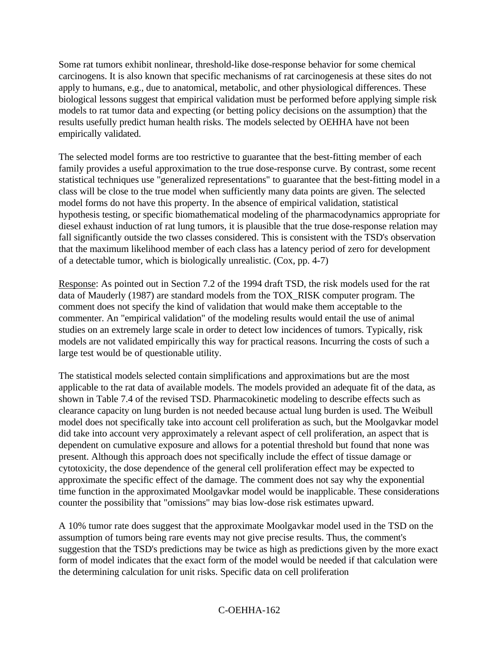Some rat tumors exhibit nonlinear, threshold-like dose-response behavior for some chemical carcinogens. It is also known that specific mechanisms of rat carcinogenesis at these sites do not apply to humans, e.g., due to anatomical, metabolic, and other physiological differences. These biological lessons suggest that empirical validation must be performed before applying simple risk models to rat tumor data and expecting (or betting policy decisions on the assumption) that the results usefully predict human health risks. The models selected by OEHHA have not been empirically validated.

The selected model forms are too restrictive to guarantee that the best-fitting member of each family provides a useful approximation to the true dose-response curve. By contrast, some recent statistical techniques use "generalized representations" to guarantee that the best-fitting model in a class will be close to the true model when sufficiently many data points are given. The selected model forms do not have this property. In the absence of empirical validation, statistical hypothesis testing, or specific biomathematical modeling of the pharmacodynamics appropriate for diesel exhaust induction of rat lung tumors, it is plausible that the true dose-response relation may fall significantly outside the two classes considered. This is consistent with the TSD's observation that the maximum likelihood member of each class has a latency period of zero for development of a detectable tumor, which is biologically unrealistic. (Cox, pp. 4-7)

Response: As pointed out in Section 7.2 of the 1994 draft TSD, the risk models used for the rat data of Mauderly (1987) are standard models from the TOX\_RISK computer program. The comment does not specify the kind of validation that would make them acceptable to the commenter. An "empirical validation" of the modeling results would entail the use of animal studies on an extremely large scale in order to detect low incidences of tumors. Typically, risk models are not validated empirically this way for practical reasons. Incurring the costs of such a large test would be of questionable utility.

The statistical models selected contain simplifications and approximations but are the most applicable to the rat data of available models. The models provided an adequate fit of the data, as shown in Table 7.4 of the revised TSD. Pharmacokinetic modeling to describe effects such as clearance capacity on lung burden is not needed because actual lung burden is used. The Weibull model does not specifically take into account cell proliferation as such, but the Moolgavkar model did take into account very approximately a relevant aspect of cell proliferation, an aspect that is dependent on cumulative exposure and allows for a potential threshold but found that none was present. Although this approach does not specifically include the effect of tissue damage or cytotoxicity, the dose dependence of the general cell proliferation effect may be expected to approximate the specific effect of the damage. The comment does not say why the exponential time function in the approximated Moolgavkar model would be inapplicable. These considerations counter the possibility that "omissions" may bias low-dose risk estimates upward.

A 10% tumor rate does suggest that the approximate Moolgavkar model used in the TSD on the assumption of tumors being rare events may not give precise results. Thus, the comment's suggestion that the TSD's predictions may be twice as high as predictions given by the more exact form of model indicates that the exact form of the model would be needed if that calculation were the determining calculation for unit risks. Specific data on cell proliferation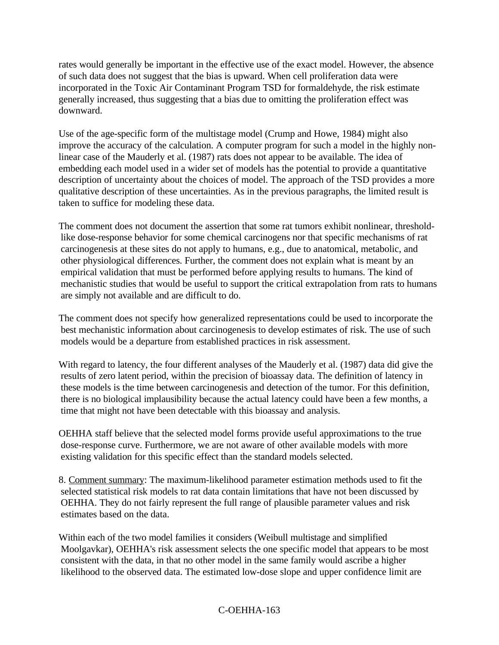rates would generally be important in the effective use of the exact model. However, the absence of such data does not suggest that the bias is upward. When cell proliferation data were incorporated in the Toxic Air Contaminant Program TSD for formaldehyde, the risk estimate generally increased, thus suggesting that a bias due to omitting the proliferation effect was downward.

Use of the age-specific form of the multistage model (Crump and Howe, 1984) might also improve the accuracy of the calculation. A computer program for such a model in the highly nonlinear case of the Mauderly et al. (1987) rats does not appear to be available. The idea of embedding each model used in a wider set of models has the potential to provide a quantitative description of uncertainty about the choices of model. The approach of the TSD provides a more qualitative description of these uncertainties. As in the previous paragraphs, the limited result is taken to suffice for modeling these data.

The comment does not document the assertion that some rat tumors exhibit nonlinear, thresholdlike dose-response behavior for some chemical carcinogens nor that specific mechanisms of rat carcinogenesis at these sites do not apply to humans, e.g., due to anatomical, metabolic, and other physiological differences. Further, the comment does not explain what is meant by an empirical validation that must be performed before applying results to humans. The kind of mechanistic studies that would be useful to support the critical extrapolation from rats to humans are simply not available and are difficult to do.

The comment does not specify how generalized representations could be used to incorporate the best mechanistic information about carcinogenesis to develop estimates of risk. The use of such models would be a departure from established practices in risk assessment.

With regard to latency, the four different analyses of the Mauderly et al. (1987) data did give the results of zero latent period, within the precision of bioassay data. The definition of latency in these models is the time between carcinogenesis and detection of the tumor. For this definition, there is no biological implausibility because the actual latency could have been a few months, a time that might not have been detectable with this bioassay and analysis.

OEHHA staff believe that the selected model forms provide useful approximations to the true dose-response curve. Furthermore, we are not aware of other available models with more existing validation for this specific effect than the standard models selected.

8. Comment summary: The maximum-likelihood parameter estimation methods used to fit the selected statistical risk models to rat data contain limitations that have not been discussed by OEHHA. They do not fairly represent the full range of plausible parameter values and risk estimates based on the data.

Within each of the two model families it considers (Weibull multistage and simplified Moolgavkar), OEHHA's risk assessment selects the one specific model that appears to be most consistent with the data, in that no other model in the same family would ascribe a higher likelihood to the observed data. The estimated low-dose slope and upper confidence limit are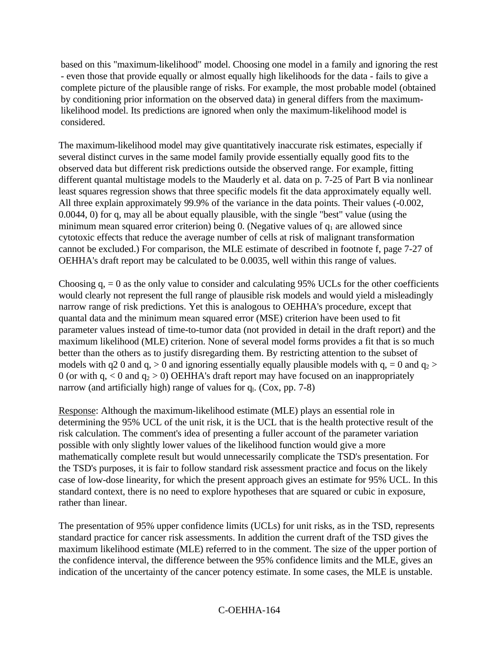based on this "maximum-likelihood" model. Choosing one model in a family and ignoring the rest - even those that provide equally or almost equally high likelihoods for the data - fails to give a complete picture of the plausible range of risks. For example, the most probable model (obtained by conditioning prior information on the observed data) in general differs from the maximumlikelihood model. Its predictions are ignored when only the maximum-likelihood model is considered.

The maximum-likelihood model may give quantitatively inaccurate risk estimates, especially if several distinct curves in the same model family provide essentially equally good fits to the observed data but different risk predictions outside the observed range. For example, fitting different quantal multistage models to the Mauderly et al. data on p. 7-25 of Part B via nonlinear least squares regression shows that three specific models fit the data approximately equally well. All three explain approximately 99.9% of the variance in the data points. Their values (-0.002, 0.0044, 0) for q, may all be about equally plausible, with the single "best" value (using the minimum mean squared error criterion) being 0. (Negative values of  $q_1$  are allowed since cytotoxic effects that reduce the average number of cells at risk of malignant transformation cannot be excluded.) For comparison, the MLE estimate of described in footnote f, page 7-27 of OEHHA's draft report may be calculated to be 0.0035, well within this range of values.

Choosing  $q_i = 0$  as the only value to consider and calculating 95% UCLs for the other coefficients would clearly not represent the full range of plausible risk models and would yield a misleadingly narrow range of risk predictions. Yet this is analogous to OEHHA's procedure, except that quantal data and the minimum mean squared error (MSE) criterion have been used to fit parameter values instead of time-to-tumor data (not provided in detail in the draft report) and the maximum likelihood (MLE) criterion. None of several model forms provides a fit that is so much better than the others as to justify disregarding them. By restricting attention to the subset of models with q2 0 and q,  $>$  0 and ignoring essentially equally plausible models with q, = 0 and q<sub>2</sub>  $>$ 0 (or with q,  $< 0$  and  $q_2 > 0$ ) OEHHA's draft report may have focused on an inappropriately narrow (and artificially high) range of values for  $q<sub>l</sub>$ . (Cox, pp. 7-8)

Response: Although the maximum-likelihood estimate (MLE) plays an essential role in determining the 95% UCL of the unit risk, it is the UCL that is the health protective result of the risk calculation. The comment's idea of presenting a fuller account of the parameter variation possible with only slightly lower values of the likelihood function would give a more mathematically complete result but would unnecessarily complicate the TSD's presentation. For the TSD's purposes, it is fair to follow standard risk assessment practice and focus on the likely case of low-dose linearity, for which the present approach gives an estimate for 95% UCL. In this standard context, there is no need to explore hypotheses that are squared or cubic in exposure, rather than linear.

The presentation of 95% upper confidence limits (UCLs) for unit risks, as in the TSD, represents standard practice for cancer risk assessments. In addition the current draft of the TSD gives the maximum likelihood estimate (MLE) referred to in the comment. The size of the upper portion of the confidence interval, the difference between the 95% confidence limits and the MLE, gives an indication of the uncertainty of the cancer potency estimate. In some cases, the MLE is unstable.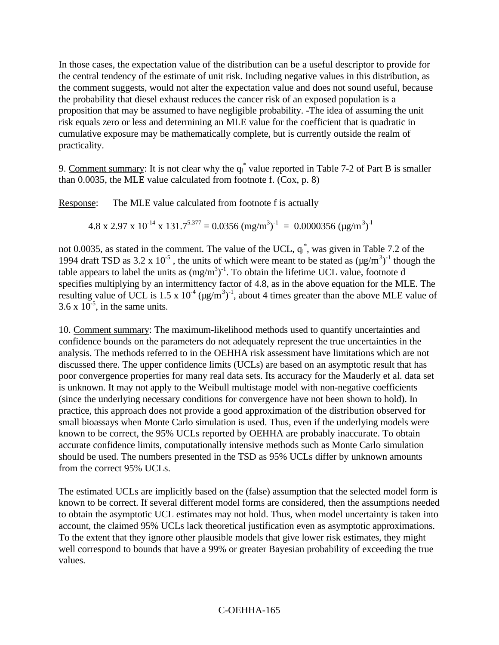In those cases, the expectation value of the distribution can be a useful descriptor to provide for the central tendency of the estimate of unit risk. Including negative values in this distribution, as the comment suggests, would not alter the expectation value and does not sound useful, because the probability that diesel exhaust reduces the cancer risk of an exposed population is a proposition that may be assumed to have negligible probability. -The idea of assuming the unit risk equals zero or less and determining an MLE value for the coefficient that is quadratic in cumulative exposure may be mathematically complete, but is currently outside the realm of practicality.

9. Comment summary: It is not clear why the  $q_1^*$  value reported in Table 7-2 of Part B is smaller than 0.0035, the MLE value calculated from footnote f. (Cox, p. 8)

Response: The MLE value calculated from footnote f is actually

 $4.8 \times 2.97 \times 10^{-14} \times 131.7^{5.377} = 0.0356 \text{ (mg/m}^3)^{-1} = 0.0000356 \text{ (µg/m}^3)^{-1}$ 

not 0.0035, as stated in the comment. The value of the UCL,  $q_1^*$ , was given in Table 7.2 of the 1994 draft TSD as 3.2 x 10<sup>-5</sup>, the units of which were meant to be stated as  $(\mu g/m^3)^{-1}$  though the table appears to label the units as  $(mg/m<sup>3</sup>)<sup>-1</sup>$ . To obtain the lifetime UCL value, footnote d specifies multiplying by an intermittency factor of 4.8, as in the above equation for the MLE. The resulting value of UCL is 1.5 x  $10^{-4}$  ( $\mu$ g/m<sup>3</sup>)<sup>-1</sup>, about 4 times greater than the above MLE value of  $3.6 \times 10^{-5}$ , in the same units.

10. Comment summary: The maximum-likelihood methods used to quantify uncertainties and confidence bounds on the parameters do not adequately represent the true uncertainties in the analysis. The methods referred to in the OEHHA risk assessment have limitations which are not discussed there. The upper confidence limits (UCLs) are based on an asymptotic result that has poor convergence properties for many real data sets. Its accuracy for the Mauderly et al. data set is unknown. It may not apply to the Weibull multistage model with non-negative coefficients (since the underlying necessary conditions for convergence have not been shown to hold). In practice, this approach does not provide a good approximation of the distribution observed for small bioassays when Monte Carlo simulation is used. Thus, even if the underlying models were known to be correct, the 95% UCLs reported by OEHHA are probably inaccurate. To obtain accurate confidence limits, computationally intensive methods such as Monte Carlo simulation should be used. The numbers presented in the TSD as 95% UCLs differ by unknown amounts from the correct 95% UCLs.

The estimated UCLs are implicitly based on the (false) assumption that the selected model form is known to be correct. If several different model forms are considered, then the assumptions needed to obtain the asymptotic UCL estimates may not hold. Thus, when model uncertainty is taken into account, the claimed 95% UCLs lack theoretical justification even as asymptotic approximations. To the extent that they ignore other plausible models that give lower risk estimates, they might well correspond to bounds that have a 99% or greater Bayesian probability of exceeding the true values.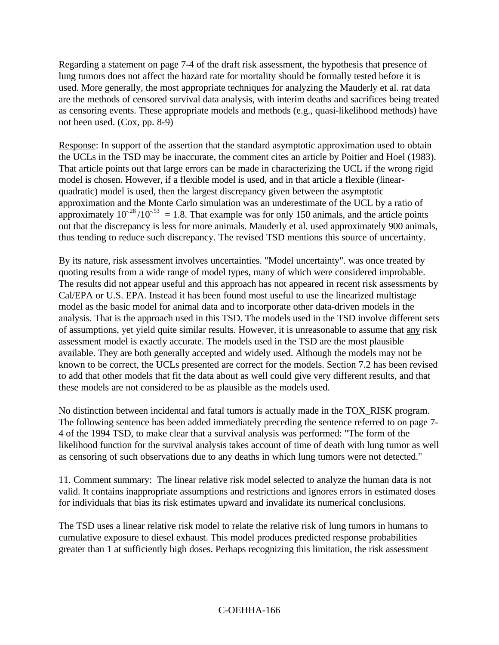Regarding a statement on page 7-4 of the draft risk assessment, the hypothesis that presence of lung tumors does not affect the hazard rate for mortality should be formally tested before it is used. More generally, the most appropriate techniques for analyzing the Mauderly et al. rat data are the methods of censored survival data analysis, with interim deaths and sacrifices being treated as censoring events. These appropriate models and methods (e.g., quasi-likelihood methods) have not been used. (Cox, pp. 8-9)

Response: In support of the assertion that the standard asymptotic approximation used to obtain the UCLs in the TSD may be inaccurate, the comment cites an article by Poitier and Hoel (1983). That article points out that large errors can be made in characterizing the UCL if the wrong rigid model is chosen. However, if a flexible model is used, and in that article a flexible (linearquadratic) model is used, then the largest discrepancy given between the asymptotic approximation and the Monte Carlo simulation was an underestimate of the UCL by a ratio of approximately  $10^{-28} / 10^{-53} = 1.8$ . That example was for only 150 animals, and the article points out that the discrepancy is less for more animals. Mauderly et al. used approximately 900 animals, thus tending to reduce such discrepancy. The revised TSD mentions this source of uncertainty.

By its nature, risk assessment involves uncertainties. "Model uncertainty". was once treated by quoting results from a wide range of model types, many of which were considered improbable. The results did not appear useful and this approach has not appeared in recent risk assessments by Cal/EPA or U.S. EPA. Instead it has been found most useful to use the linearized multistage model as the basic model for animal data and to incorporate other data-driven models in the analysis. That is the approach used in this TSD. The models used in the TSD involve different sets of assumptions, yet yield quite similar results. However, it is unreasonable to assume that any risk assessment model is exactly accurate. The models used in the TSD are the most plausible available. They are both generally accepted and widely used. Although the models may not be known to be correct, the UCLs presented are correct for the models. Section 7.2 has been revised to add that other models that fit the data about as well could give very different results, and that these models are not considered to be as plausible as the models used.

No distinction between incidental and fatal tumors is actually made in the TOX\_RISK program. The following sentence has been added immediately preceding the sentence referred to on page 7- 4 of the 1994 TSD, to make clear that a survival analysis was performed: "The form of the likelihood function for the survival analysis takes account of time of death with lung tumor as well as censoring of such observations due to any deaths in which lung tumors were not detected."

11. Comment summary: The linear relative risk model selected to analyze the human data is not valid. It contains inappropriate assumptions and restrictions and ignores errors in estimated doses for individuals that bias its risk estimates upward and invalidate its numerical conclusions.

The TSD uses a linear relative risk model to relate the relative risk of lung tumors in humans to cumulative exposure to diesel exhaust. This model produces predicted response probabilities greater than 1 at sufficiently high doses. Perhaps recognizing this limitation, the risk assessment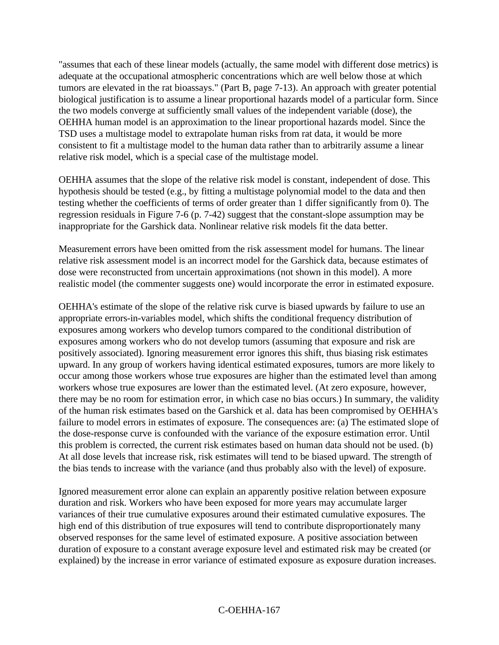"assumes that each of these linear models (actually, the same model with different dose metrics) is adequate at the occupational atmospheric concentrations which are well below those at which tumors are elevated in the rat bioassays." (Part B, page 7-13). An approach with greater potential biological justification is to assume a linear proportional hazards model of a particular form. Since the two models converge at sufficiently small values of the independent variable (dose), the OEHHA human model is an approximation to the linear proportional hazards model. Since the TSD uses a multistage model to extrapolate human risks from rat data, it would be more consistent to fit a multistage model to the human data rather than to arbitrarily assume a linear relative risk model, which is a special case of the multistage model.

OEHHA assumes that the slope of the relative risk model is constant, independent of dose. This hypothesis should be tested (e.g., by fitting a multistage polynomial model to the data and then testing whether the coefficients of terms of order greater than 1 differ significantly from 0). The regression residuals in Figure 7-6 (p. 7-42) suggest that the constant-slope assumption may be inappropriate for the Garshick data. Nonlinear relative risk models fit the data better.

Measurement errors have been omitted from the risk assessment model for humans. The linear relative risk assessment model is an incorrect model for the Garshick data, because estimates of dose were reconstructed from uncertain approximations (not shown in this model). A more realistic model (the commenter suggests one) would incorporate the error in estimated exposure.

OEHHA's estimate of the slope of the relative risk curve is biased upwards by failure to use an appropriate errors-in-variables model, which shifts the conditional frequency distribution of exposures among workers who develop tumors compared to the conditional distribution of exposures among workers who do not develop tumors (assuming that exposure and risk are positively associated). Ignoring measurement error ignores this shift, thus biasing risk estimates upward. In any group of workers having identical estimated exposures, tumors are more likely to occur among those workers whose true exposures are higher than the estimated level than among workers whose true exposures are lower than the estimated level. (At zero exposure, however, there may be no room for estimation error, in which case no bias occurs.) In summary, the validity of the human risk estimates based on the Garshick et al. data has been compromised by OEHHA's failure to model errors in estimates of exposure. The consequences are: (a) The estimated slope of the dose-response curve is confounded with the variance of the exposure estimation error. Until this problem is corrected, the current risk estimates based on human data should not be used. (b) At all dose levels that increase risk, risk estimates will tend to be biased upward. The strength of the bias tends to increase with the variance (and thus probably also with the level) of exposure.

Ignored measurement error alone can explain an apparently positive relation between exposure duration and risk. Workers who have been exposed for more years may accumulate larger variances of their true cumulative exposures around their estimated cumulative exposures. The high end of this distribution of true exposures will tend to contribute disproportionately many observed responses for the same level of estimated exposure. A positive association between duration of exposure to a constant average exposure level and estimated risk may be created (or explained) by the increase in error variance of estimated exposure as exposure duration increases.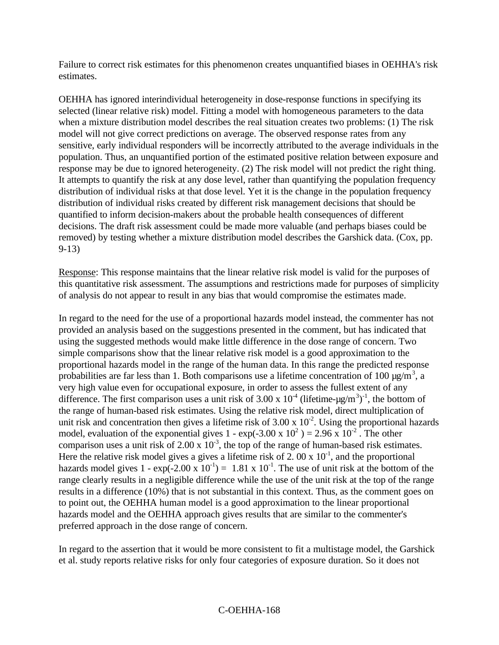Failure to correct risk estimates for this phenomenon creates unquantified biases in OEHHA's risk estimates.

OEHHA has ignored interindividual heterogeneity in dose-response functions in specifying its selected (linear relative risk) model. Fitting a model with homogeneous parameters to the data when a mixture distribution model describes the real situation creates two problems: (1) The risk model will not give correct predictions on average. The observed response rates from any sensitive, early individual responders will be incorrectly attributed to the average individuals in the population. Thus, an unquantified portion of the estimated positive relation between exposure and response may be due to ignored heterogeneity. (2) The risk model will not predict the right thing. It attempts to quantify the risk at any dose level, rather than quantifying the population frequency distribution of individual risks at that dose level. Yet it is the change in the population frequency distribution of individual risks created by different risk management decisions that should be quantified to inform decision-makers about the probable health consequences of different decisions. The draft risk assessment could be made more valuable (and perhaps biases could be removed) by testing whether a mixture distribution model describes the Garshick data. (Cox, pp. 9-13)

Response: This response maintains that the linear relative risk model is valid for the purposes of this quantitative risk assessment. The assumptions and restrictions made for purposes of simplicity of analysis do not appear to result in any bias that would compromise the estimates made.

In regard to the need for the use of a proportional hazards model instead, the commenter has not provided an analysis based on the suggestions presented in the comment, but has indicated that using the suggested methods would make little difference in the dose range of concern. Two simple comparisons show that the linear relative risk model is a good approximation to the proportional hazards model in the range of the human data. In this range the predicted response probabilities are far less than 1. Both comparisons use a lifetime concentration of 100  $\mu$ g/m<sup>3</sup>, a very high value even for occupational exposure, in order to assess the fullest extent of any difference. The first comparison uses a unit risk of 3.00 x  $10^4$  (lifetime- $\mu$ g/m<sup>3</sup>)<sup>-1</sup>, the bottom of the range of human-based risk estimates. Using the relative risk model, direct multiplication of unit risk and concentration then gives a lifetime risk of  $3.00 \times 10^{-2}$ . Using the proportional hazards model, evaluation of the exponential gives 1 -  $\exp(-3.00 \times 10^2) = 2.96 \times 10^{-2}$ . The other comparison uses a unit risk of 2.00 x  $10^{-3}$ , the top of the range of human-based risk estimates. Here the relative risk model gives a gives a lifetime risk of 2.00 x  $10^{-1}$ , and the proportional hazards model gives  $1 - \exp(-2.00 \times 10^{-1}) = 1.81 \times 10^{-1}$ . The use of unit risk at the bottom of the range clearly results in a negligible difference while the use of the unit risk at the top of the range results in a difference (10%) that is not substantial in this context. Thus, as the comment goes on to point out, the OEHHA human model is a good approximation to the linear proportional hazards model and the OEHHA approach gives results that are similar to the commenter's preferred approach in the dose range of concern.

In regard to the assertion that it would be more consistent to fit a multistage model, the Garshick et al. study reports relative risks for only four categories of exposure duration. So it does not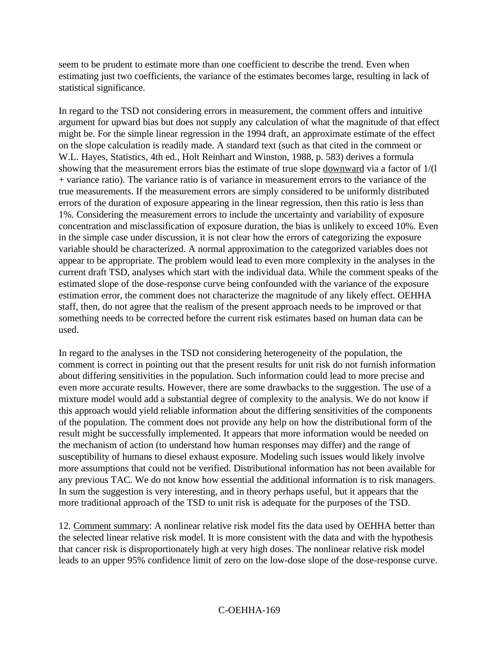seem to be prudent to estimate more than one coefficient to describe the trend. Even when estimating just two coefficients, the variance of the estimates becomes large, resulting in lack of statistical significance.

In regard to the TSD not considering errors in measurement, the comment offers and intuitive argument for upward bias but does not supply any calculation of what the magnitude of that effect might be. For the simple linear regression in the 1994 draft, an approximate estimate of the effect on the slope calculation is readily made. A standard text (such as that cited in the comment or W.L. Hayes, Statistics, 4th ed., Holt Reinhart and Winston, 1988, p. 583) derives a formula showing that the measurement errors bias the estimate of true slope downward via a factor of 1/(l + variance ratio). The variance ratio is of variance in measurement errors to the variance of the true measurements. If the measurement errors are simply considered to be uniformly distributed errors of the duration of exposure appearing in the linear regression, then this ratio is less than 1%. Considering the measurement errors to include the uncertainty and variability of exposure concentration and misclassification of exposure duration, the bias is unlikely to exceed 10%. Even in the simple case under discussion, it is not clear how the errors of categorizing the exposure variable should be characterized. A normal approximation to the categorized variables does not appear to be appropriate. The problem would lead to even more complexity in the analyses in the current draft TSD, analyses which start with the individual data. While the comment speaks of the estimated slope of the dose-response curve being confounded with the variance of the exposure estimation error, the comment does not characterize the magnitude of any likely effect. OEHHA staff, then, do not agree that the realism of the present approach needs to be improved or that something needs to be corrected before the current risk estimates based on human data can be used.

In regard to the analyses in the TSD not considering heterogeneity of the population, the comment is correct in pointing out that the present results for unit risk do not furnish information about differing sensitivities in the population. Such information could lead to more precise and even more accurate results. However, there are some drawbacks to the suggestion. The use of a mixture model would add a substantial degree of complexity to the analysis. We do not know if this approach would yield reliable information about the differing sensitivities of the components of the population. The comment does not provide any help on how the distributional form of the result might be successfully implemented. It appears that more information would be needed on the mechanism of action (to understand how human responses may differ) and the range of susceptibility of humans to diesel exhaust exposure. Modeling such issues would likely involve more assumptions that could not be verified. Distributional information has not been available for any previous TAC. We do not know how essential the additional information is to risk managers. In sum the suggestion is very interesting, and in theory perhaps useful, but it appears that the more traditional approach of the TSD to unit risk is adequate for the purposes of the TSD.

12. Comment summary: A nonlinear relative risk model fits the data used by OEHHA better than the selected linear relative risk model. It is more consistent with the data and with the hypothesis that cancer risk is disproportionately high at very high doses. The nonlinear relative risk model leads to an upper 95% confidence limit of zero on the low-dose slope of the dose-response curve.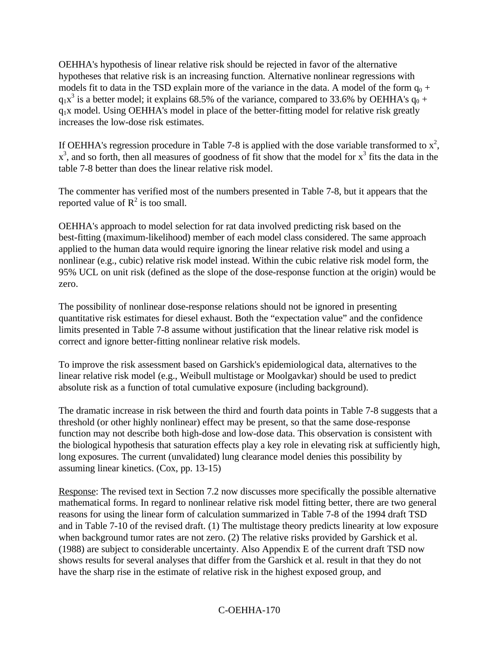OEHHA's hypothesis of linear relative risk should be rejected in favor of the alternative hypotheses that relative risk is an increasing function. Alternative nonlinear regressions with models fit to data in the TSD explain more of the variance in the data. A model of the form  $q_0$  +  $q_1x^3$  is a better model; it explains 68.5% of the variance, compared to 33.6% by OEHHA's  $q_0$  + q1x model. Using OEHHA's model in place of the better-fitting model for relative risk greatly increases the low-dose risk estimates.

If OEHHA's regression procedure in Table 7-8 is applied with the dose variable transformed to  $x^2$ ,  $x^3$ , and so forth, then all measures of goodness of fit show that the model for  $x^3$  fits the data in the table 7-8 better than does the linear relative risk model.

The commenter has verified most of the numbers presented in Table 7-8, but it appears that the reported value of  $R^2$  is too small.

OEHHA's approach to model selection for rat data involved predicting risk based on the best-fitting (maximum-likelihood) member of each model class considered. The same approach applied to the human data would require ignoring the linear relative risk model and using a nonlinear (e.g., cubic) relative risk model instead. Within the cubic relative risk model form, the 95% UCL on unit risk (defined as the slope of the dose-response function at the origin) would be zero.

The possibility of nonlinear dose-response relations should not be ignored in presenting quantitative risk estimates for diesel exhaust. Both the "expectation value" and the confidence limits presented in Table 7-8 assume without justification that the linear relative risk model is correct and ignore better-fitting nonlinear relative risk models.

To improve the risk assessment based on Garshick's epidemiological data, alternatives to the linear relative risk model (e.g., Weibull multistage or Moolgavkar) should be used to predict absolute risk as a function of total cumulative exposure (including background).

The dramatic increase in risk between the third and fourth data points in Table 7-8 suggests that a threshold (or other highly nonlinear) effect may be present, so that the same dose-response function may not describe both high-dose and low-dose data. This observation is consistent with the biological hypothesis that saturation effects play a key role in elevating risk at sufficiently high, long exposures. The current (unvalidated) lung clearance model denies this possibility by assuming linear kinetics. (Cox, pp. 13-15)

Response: The revised text in Section 7.2 now discusses more specifically the possible alternative mathematical forms. In regard to nonlinear relative risk model fitting better, there are two general reasons for using the linear form of calculation summarized in Table 7-8 of the 1994 draft TSD and in Table 7-10 of the revised draft. (1) The multistage theory predicts linearity at low exposure when background tumor rates are not zero. (2) The relative risks provided by Garshick et al. (1988) are subject to considerable uncertainty. Also Appendix E of the current draft TSD now shows results for several analyses that differ from the Garshick et al. result in that they do not have the sharp rise in the estimate of relative risk in the highest exposed group, and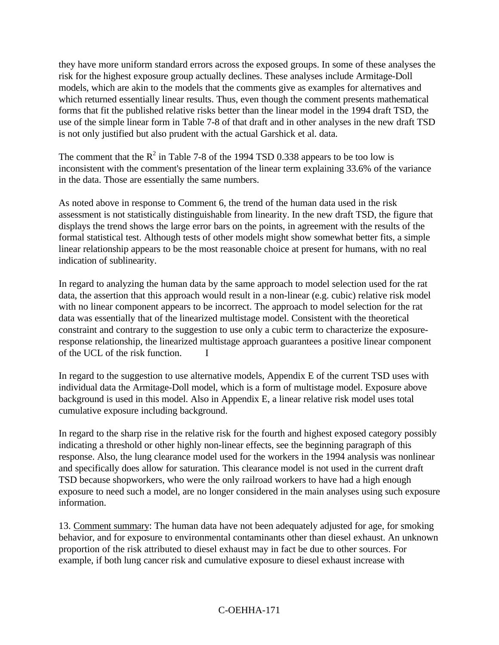they have more uniform standard errors across the exposed groups. In some of these analyses the risk for the highest exposure group actually declines. These analyses include Armitage-Doll models, which are akin to the models that the comments give as examples for alternatives and which returned essentially linear results. Thus, even though the comment presents mathematical forms that fit the published relative risks better than the linear model in the 1994 draft TSD, the use of the simple linear form in Table 7-8 of that draft and in other analyses in the new draft TSD is not only justified but also prudent with the actual Garshick et al. data.

The comment that the  $R^2$  in Table 7-8 of the 1994 TSD 0.338 appears to be too low is inconsistent with the comment's presentation of the linear term explaining 33.6% of the variance in the data. Those are essentially the same numbers.

As noted above in response to Comment 6, the trend of the human data used in the risk assessment is not statistically distinguishable from linearity. In the new draft TSD, the figure that displays the trend shows the large error bars on the points, in agreement with the results of the formal statistical test. Although tests of other models might show somewhat better fits, a simple linear relationship appears to be the most reasonable choice at present for humans, with no real indication of sublinearity.

In regard to analyzing the human data by the same approach to model selection used for the rat data, the assertion that this approach would result in a non-linear (e.g. cubic) relative risk model with no linear component appears to be incorrect. The approach to model selection for the rat data was essentially that of the linearized multistage model. Consistent with the theoretical constraint and contrary to the suggestion to use only a cubic term to characterize the exposureresponse relationship, the linearized multistage approach guarantees a positive linear component of the UCL of the risk function. I

In regard to the suggestion to use alternative models, Appendix E of the current TSD uses with individual data the Armitage-Doll model, which is a form of multistage model. Exposure above background is used in this model. Also in Appendix E, a linear relative risk model uses total cumulative exposure including background.

In regard to the sharp rise in the relative risk for the fourth and highest exposed category possibly indicating a threshold or other highly non-linear effects, see the beginning paragraph of this response. Also, the lung clearance model used for the workers in the 1994 analysis was nonlinear and specifically does allow for saturation. This clearance model is not used in the current draft TSD because shopworkers, who were the only railroad workers to have had a high enough exposure to need such a model, are no longer considered in the main analyses using such exposure information.

13. Comment summary: The human data have not been adequately adjusted for age, for smoking behavior, and for exposure to environmental contaminants other than diesel exhaust. An unknown proportion of the risk attributed to diesel exhaust may in fact be due to other sources. For example, if both lung cancer risk and cumulative exposure to diesel exhaust increase with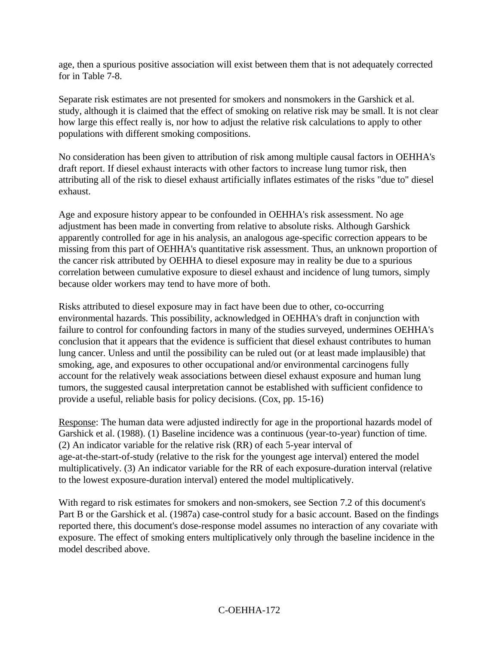age, then a spurious positive association will exist between them that is not adequately corrected for in Table 7-8.

Separate risk estimates are not presented for smokers and nonsmokers in the Garshick et al. study, although it is claimed that the effect of smoking on relative risk may be small. It is not clear how large this effect really is, nor how to adjust the relative risk calculations to apply to other populations with different smoking compositions.

No consideration has been given to attribution of risk among multiple causal factors in OEHHA's draft report. If diesel exhaust interacts with other factors to increase lung tumor risk, then attributing all of the risk to diesel exhaust artificially inflates estimates of the risks "due to" diesel exhaust.

Age and exposure history appear to be confounded in OEHHA's risk assessment. No age adjustment has been made in converting from relative to absolute risks. Although Garshick apparently controlled for age in his analysis, an analogous age-specific correction appears to be missing from this part of OEHHA's quantitative risk assessment. Thus, an unknown proportion of the cancer risk attributed by OEHHA to diesel exposure may in reality be due to a spurious correlation between cumulative exposure to diesel exhaust and incidence of lung tumors, simply because older workers may tend to have more of both.

Risks attributed to diesel exposure may in fact have been due to other, co-occurring environmental hazards. This possibility, acknowledged in OEHHA's draft in conjunction with failure to control for confounding factors in many of the studies surveyed, undermines OEHHA's conclusion that it appears that the evidence is sufficient that diesel exhaust contributes to human lung cancer. Unless and until the possibility can be ruled out (or at least made implausible) that smoking, age, and exposures to other occupational and/or environmental carcinogens fully account for the relatively weak associations between diesel exhaust exposure and human lung tumors, the suggested causal interpretation cannot be established with sufficient confidence to provide a useful, reliable basis for policy decisions. (Cox, pp. 15-16)

Response: The human data were adjusted indirectly for age in the proportional hazards model of Garshick et al. (1988). (1) Baseline incidence was a continuous (year-to-year) function of time. (2) An indicator variable for the relative risk (RR) of each 5-year interval of age-at-the-start-of-study (relative to the risk for the youngest age interval) entered the model multiplicatively. (3) An indicator variable for the RR of each exposure-duration interval (relative to the lowest exposure-duration interval) entered the model multiplicatively.

With regard to risk estimates for smokers and non-smokers, see Section 7.2 of this document's Part B or the Garshick et al. (1987a) case-control study for a basic account. Based on the findings reported there, this document's dose-response model assumes no interaction of any covariate with exposure. The effect of smoking enters multiplicatively only through the baseline incidence in the model described above.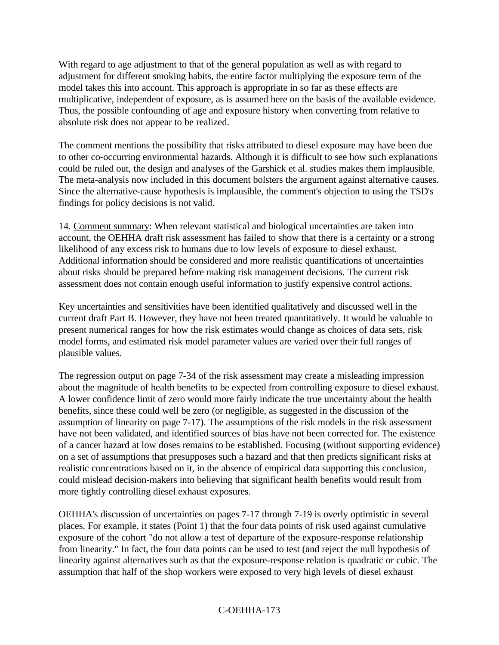With regard to age adjustment to that of the general population as well as with regard to adjustment for different smoking habits, the entire factor multiplying the exposure term of the model takes this into account. This approach is appropriate in so far as these effects are multiplicative, independent of exposure, as is assumed here on the basis of the available evidence. Thus, the possible confounding of age and exposure history when converting from relative to absolute risk does not appear to be realized.

The comment mentions the possibility that risks attributed to diesel exposure may have been due to other co-occurring environmental hazards. Although it is difficult to see how such explanations could be ruled out, the design and analyses of the Garshick et al. studies makes them implausible. The meta-analysis now included in this document bolsters the argument against alternative causes. Since the alternative-cause hypothesis is implausible, the comment's objection to using the TSD's findings for policy decisions is not valid.

14. Comment summary: When relevant statistical and biological uncertainties are taken into account, the OEHHA draft risk assessment has failed to show that there is a certainty or a strong likelihood of any excess risk to humans due to low levels of exposure to diesel exhaust. Additional information should be considered and more realistic quantifications of uncertainties about risks should be prepared before making risk management decisions. The current risk assessment does not contain enough useful information to justify expensive control actions.

Key uncertainties and sensitivities have been identified qualitatively and discussed well in the current draft Part B. However, they have not been treated quantitatively. It would be valuable to present numerical ranges for how the risk estimates would change as choices of data sets, risk model forms, and estimated risk model parameter values are varied over their full ranges of plausible values.

The regression output on page 7-34 of the risk assessment may create a misleading impression about the magnitude of health benefits to be expected from controlling exposure to diesel exhaust. A lower confidence limit of zero would more fairly indicate the true uncertainty about the health benefits, since these could well be zero (or negligible, as suggested in the discussion of the assumption of linearity on page 7-17). The assumptions of the risk models in the risk assessment have not been validated, and identified sources of bias have not been corrected for. The existence of a cancer hazard at low doses remains to be established. Focusing (without supporting evidence) on a set of assumptions that presupposes such a hazard and that then predicts significant risks at realistic concentrations based on it, in the absence of empirical data supporting this conclusion, could mislead decision-makers into believing that significant health benefits would result from more tightly controlling diesel exhaust exposures.

OEHHA's discussion of uncertainties on pages 7-17 through 7-19 is overly optimistic in several places. For example, it states (Point 1) that the four data points of risk used against cumulative exposure of the cohort "do not allow a test of departure of the exposure-response relationship from linearity." In fact, the four data points can be used to test (and reject the null hypothesis of linearity against alternatives such as that the exposure-response relation is quadratic or cubic. The assumption that half of the shop workers were exposed to very high levels of diesel exhaust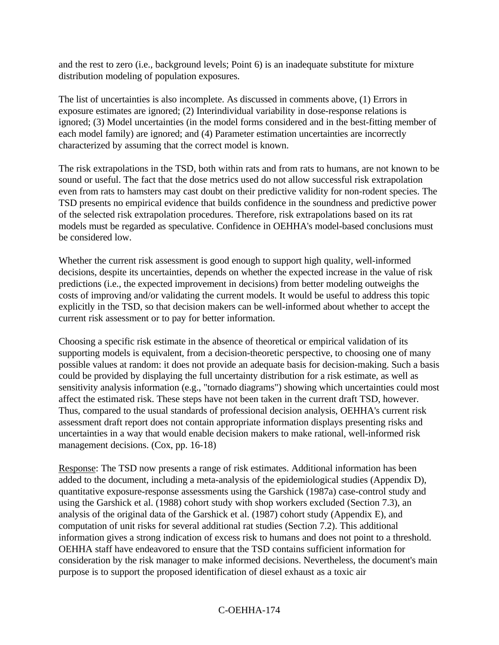and the rest to zero (i.e., background levels; Point 6) is an inadequate substitute for mixture distribution modeling of population exposures.

The list of uncertainties is also incomplete. As discussed in comments above, (1) Errors in exposure estimates are ignored; (2) Interindividual variability in dose-response relations is ignored; (3) Model uncertainties (in the model forms considered and in the best-fitting member of each model family) are ignored; and (4) Parameter estimation uncertainties are incorrectly characterized by assuming that the correct model is known.

The risk extrapolations in the TSD, both within rats and from rats to humans, are not known to be sound or useful. The fact that the dose metrics used do not allow successful risk extrapolation even from rats to hamsters may cast doubt on their predictive validity for non-rodent species. The TSD presents no empirical evidence that builds confidence in the soundness and predictive power of the selected risk extrapolation procedures. Therefore, risk extrapolations based on its rat models must be regarded as speculative. Confidence in OEHHA's model-based conclusions must be considered low.

Whether the current risk assessment is good enough to support high quality, well-informed decisions, despite its uncertainties, depends on whether the expected increase in the value of risk predictions (i.e., the expected improvement in decisions) from better modeling outweighs the costs of improving and/or validating the current models. It would be useful to address this topic explicitly in the TSD, so that decision makers can be well-informed about whether to accept the current risk assessment or to pay for better information.

Choosing a specific risk estimate in the absence of theoretical or empirical validation of its supporting models is equivalent, from a decision-theoretic perspective, to choosing one of many possible values at random: it does not provide an adequate basis for decision-making. Such a basis could be provided by displaying the full uncertainty distribution for a risk estimate, as well as sensitivity analysis information (e.g., "tornado diagrams") showing which uncertainties could most affect the estimated risk. These steps have not been taken in the current draft TSD, however. Thus, compared to the usual standards of professional decision analysis, OEHHA's current risk assessment draft report does not contain appropriate information displays presenting risks and uncertainties in a way that would enable decision makers to make rational, well-informed risk management decisions. (Cox, pp. 16-18)

Response: The TSD now presents a range of risk estimates. Additional information has been added to the document, including a meta-analysis of the epidemiological studies (Appendix D), quantitative exposure-response assessments using the Garshick (1987a) case-control study and using the Garshick et al. (1988) cohort study with shop workers excluded (Section 7.3), an analysis of the original data of the Garshick et al. (1987) cohort study (Appendix E), and computation of unit risks for several additional rat studies (Section 7.2). This additional information gives a strong indication of excess risk to humans and does not point to a threshold. OEHHA staff have endeavored to ensure that the TSD contains sufficient information for consideration by the risk manager to make informed decisions. Nevertheless, the document's main purpose is to support the proposed identification of diesel exhaust as a toxic air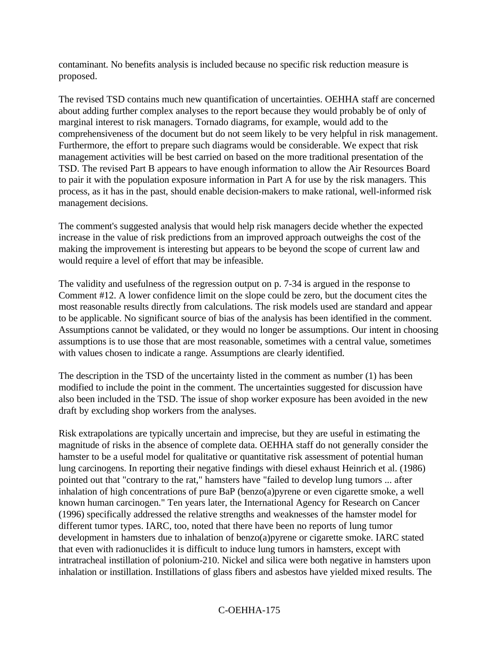contaminant. No benefits analysis is included because no specific risk reduction measure is proposed.

The revised TSD contains much new quantification of uncertainties. OEHHA staff are concerned about adding further complex analyses to the report because they would probably be of only of marginal interest to risk managers. Tornado diagrams, for example, would add to the comprehensiveness of the document but do not seem likely to be very helpful in risk management. Furthermore, the effort to prepare such diagrams would be considerable. We expect that risk management activities will be best carried on based on the more traditional presentation of the TSD. The revised Part B appears to have enough information to allow the Air Resources Board to pair it with the population exposure information in Part A for use by the risk managers. This process, as it has in the past, should enable decision-makers to make rational, well-informed risk management decisions.

The comment's suggested analysis that would help risk managers decide whether the expected increase in the value of risk predictions from an improved approach outweighs the cost of the making the improvement is interesting but appears to be beyond the scope of current law and would require a level of effort that may be infeasible.

The validity and usefulness of the regression output on p. 7-34 is argued in the response to Comment #12. A lower confidence limit on the slope could be zero, but the document cites the most reasonable results directly from calculations. The risk models used are standard and appear to be applicable. No significant source of bias of the analysis has been identified in the comment. Assumptions cannot be validated, or they would no longer be assumptions. Our intent in choosing assumptions is to use those that are most reasonable, sometimes with a central value, sometimes with values chosen to indicate a range. Assumptions are clearly identified.

The description in the TSD of the uncertainty listed in the comment as number (1) has been modified to include the point in the comment. The uncertainties suggested for discussion have also been included in the TSD. The issue of shop worker exposure has been avoided in the new draft by excluding shop workers from the analyses.

Risk extrapolations are typically uncertain and imprecise, but they are useful in estimating the magnitude of risks in the absence of complete data. OEHHA staff do not generally consider the hamster to be a useful model for qualitative or quantitative risk assessment of potential human lung carcinogens. In reporting their negative findings with diesel exhaust Heinrich et al. (1986) pointed out that "contrary to the rat," hamsters have "failed to develop lung tumors ... after inhalation of high concentrations of pure BaP (benzo(a)pyrene or even cigarette smoke, a well known human carcinogen." Ten years later, the International Agency for Research on Cancer (1996) specifically addressed the relative strengths and weaknesses of the hamster model for different tumor types. IARC, too, noted that there have been no reports of lung tumor development in hamsters due to inhalation of benzo(a)pyrene or cigarette smoke. IARC stated that even with radionuclides it is difficult to induce lung tumors in hamsters, except with intratracheal instillation of polonium-210. Nickel and silica were both negative in hamsters upon inhalation or instillation. Instillations of glass fibers and asbestos have yielded mixed results. The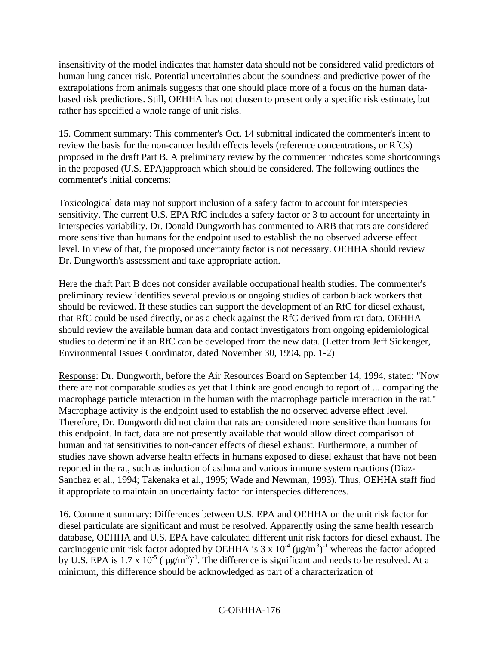insensitivity of the model indicates that hamster data should not be considered valid predictors of human lung cancer risk. Potential uncertainties about the soundness and predictive power of the extrapolations from animals suggests that one should place more of a focus on the human databased risk predictions. Still, OEHHA has not chosen to present only a specific risk estimate, but rather has specified a whole range of unit risks.

15. Comment summary: This commenter's Oct. 14 submittal indicated the commenter's intent to review the basis for the non-cancer health effects levels (reference concentrations, or RfCs) proposed in the draft Part B. A preliminary review by the commenter indicates some shortcomings in the proposed (U.S. EPA)approach which should be considered. The following outlines the commenter's initial concerns:

Toxicological data may not support inclusion of a safety factor to account for interspecies sensitivity. The current U.S. EPA RfC includes a safety factor or 3 to account for uncertainty in interspecies variability. Dr. Donald Dungworth has commented to ARB that rats are considered more sensitive than humans for the endpoint used to establish the no observed adverse effect level. In view of that, the proposed uncertainty factor is not necessary. OEHHA should review Dr. Dungworth's assessment and take appropriate action.

Here the draft Part B does not consider available occupational health studies. The commenter's preliminary review identifies several previous or ongoing studies of carbon black workers that should be reviewed. If these studies can support the development of an RfC for diesel exhaust, that RfC could be used directly, or as a check against the RfC derived from rat data. OEHHA should review the available human data and contact investigators from ongoing epidemiological studies to determine if an RfC can be developed from the new data. (Letter from Jeff Sickenger, Environmental Issues Coordinator, dated November 30, 1994, pp. 1-2)

Response: Dr. Dungworth, before the Air Resources Board on September 14, 1994, stated: "Now there are not comparable studies as yet that I think are good enough to report of ... comparing the macrophage particle interaction in the human with the macrophage particle interaction in the rat." Macrophage activity is the endpoint used to establish the no observed adverse effect level. Therefore, Dr. Dungworth did not claim that rats are considered more sensitive than humans for this endpoint. In fact, data are not presently available that would allow direct comparison of human and rat sensitivities to non-cancer effects of diesel exhaust. Furthermore, a number of studies have shown adverse health effects in humans exposed to diesel exhaust that have not been reported in the rat, such as induction of asthma and various immune system reactions (Diaz-Sanchez et al., 1994; Takenaka et al., 1995; Wade and Newman, 1993). Thus, OEHHA staff find it appropriate to maintain an uncertainty factor for interspecies differences.

16. Comment summary: Differences between U.S. EPA and OEHHA on the unit risk factor for diesel particulate are significant and must be resolved. Apparently using the same health research database, OEHHA and U.S. EPA have calculated different unit risk factors for diesel exhaust. The carcinogenic unit risk factor adopted by OEHHA is 3 x  $10^4$  ( $\mu$ g/m<sup>3</sup>)<sup>-1</sup> whereas the factor adopted by U.S. EPA is 1.7 x  $10^{-5}$  ( $\mu$ g/m<sup>3</sup>)<sup>-1</sup>. The difference is significant and needs to be resolved. At a minimum, this difference should be acknowledged as part of a characterization of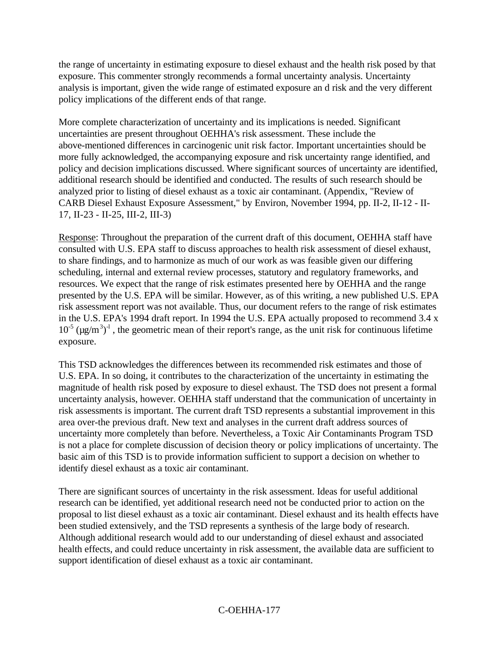the range of uncertainty in estimating exposure to diesel exhaust and the health risk posed by that exposure. This commenter strongly recommends a formal uncertainty analysis. Uncertainty analysis is important, given the wide range of estimated exposure an d risk and the very different policy implications of the different ends of that range.

More complete characterization of uncertainty and its implications is needed. Significant uncertainties are present throughout OEHHA's risk assessment. These include the above-mentioned differences in carcinogenic unit risk factor. Important uncertainties should be more fully acknowledged, the accompanying exposure and risk uncertainty range identified, and policy and decision implications discussed. Where significant sources of uncertainty are identified, additional research should be identified and conducted. The results of such research should be analyzed prior to listing of diesel exhaust as a toxic air contaminant. (Appendix, "Review of CARB Diesel Exhaust Exposure Assessment," by Environ, November 1994, pp. II-2, II-12 - II-17, II-23 - II-25, III-2, III-3)

Response: Throughout the preparation of the current draft of this document, OEHHA staff have consulted with U.S. EPA staff to discuss approaches to health risk assessment of diesel exhaust, to share findings, and to harmonize as much of our work as was feasible given our differing scheduling, internal and external review processes, statutory and regulatory frameworks, and resources. We expect that the range of risk estimates presented here by OEHHA and the range presented by the U.S. EPA will be similar. However, as of this writing, a new published U.S. EPA risk assessment report was not available. Thus, our document refers to the range of risk estimates in the U.S. EPA's 1994 draft report. In 1994 the U.S. EPA actually proposed to recommend 3.4 x  $10^{-5}$  ( $\mu$ g/m<sup>3</sup>)<sup>-1</sup>, the geometric mean of their report's range, as the unit risk for continuous lifetime exposure.

This TSD acknowledges the differences between its recommended risk estimates and those of U.S. EPA. In so doing, it contributes to the characterization of the uncertainty in estimating the magnitude of health risk posed by exposure to diesel exhaust. The TSD does not present a formal uncertainty analysis, however. OEHHA staff understand that the communication of uncertainty in risk assessments is important. The current draft TSD represents a substantial improvement in this area over-the previous draft. New text and analyses in the current draft address sources of uncertainty more completely than before. Nevertheless, a Toxic Air Contaminants Program TSD is not a place for complete discussion of decision theory or policy implications of uncertainty. The basic aim of this TSD is to provide information sufficient to support a decision on whether to identify diesel exhaust as a toxic air contaminant.

There are significant sources of uncertainty in the risk assessment. Ideas for useful additional research can be identified, yet additional research need not be conducted prior to action on the proposal to list diesel exhaust as a toxic air contaminant. Diesel exhaust and its health effects have been studied extensively, and the TSD represents a synthesis of the large body of research. Although additional research would add to our understanding of diesel exhaust and associated health effects, and could reduce uncertainty in risk assessment, the available data are sufficient to support identification of diesel exhaust as a toxic air contaminant.